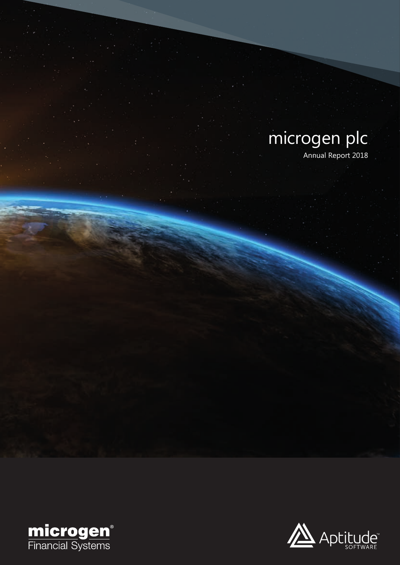# microgen plc Annual Report 2018



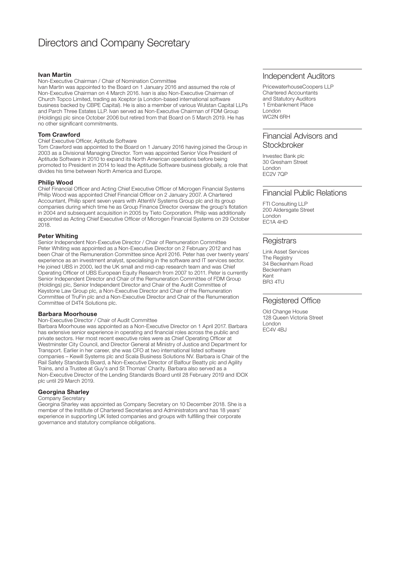### Directors and Company Secretary

#### **Ivan Martin**

Non-Executive Chairman / Chair of Nomination Committee

Ivan Martin was appointed to the Board on 1 January 2016 and assumed the role of Non-Executive Chairman on 4 March 2016. Ivan is also Non-Executive Chairman of Church Topco Limited, trading as Xceptor (a London-based international software business backed by CBPE Capital). He is also a member of various Wulstan Capital LLPs and Parch Three Estates LLP. Ivan served as Non-Executive Chairman of FDM Group (Holdings) plc since October 2006 but retired from that Board on 5 March 2019. He has no other significant commitments.

#### **Tom Crawford**

#### Chief Executive Officer, Aptitude Software

Tom Crawford was appointed to the Board on 1 January 2016 having joined the Group in 2003 as a Divisional Managing Director. Tom was appointed Senior Vice President of Aptitude Software in 2010 to expand its North American operations before being promoted to President in 2014 to lead the Aptitude Software business globally, a role that divides his time between North America and Europe.

#### **Philip Wood**

Chief Financial Officer and Acting Chief Executive Officer of Microgen Financial Systems Philip Wood was appointed Chief Financial Officer on 2 January 2007. A Chartered Accountant, Philip spent seven years with AttentiV Systems Group plc and its group companies during which time he as Group Finance Director oversaw the group's flotation in 2004 and subsequent acquisition in 2005 by Tieto Corporation. Philip was additionally appointed as Acting Chief Executive Officer of Microgen Financial Systems on 29 October 2018.

#### **Peter Whiting**

Senior Independent Non-Executive Director / Chair of Remuneration Committee Peter Whiting was appointed as a Non-Executive Director on 2 February 2012 and has been Chair of the Remuneration Committee since April 2016. Peter has over twenty years' experience as an investment analyst, specialising in the software and IT services sector. He joined UBS in 2000, led the UK small and mid-cap research team and was Chief Operating Officer of UBS European Equity Research from 2007 to 2011. Peter is currently Senior Independent Director and Chair of the Remuneration Committee of FDM Group (Holdings) plc, Senior Independent Director and Chair of the Audit Committee of Keystone Law Group plc, a Non-Executive Director and Chair of the Remuneration Committee of TruFin plc and a Non-Executive Director and Chair of the Renumeration Committee of D4T4 Solutions plc.

#### **Barbara Moorhouse**

#### Non-Executive Director / Chair of Audit Committee

Barbara Moorhouse was appointed as a Non-Executive Director on 1 April 2017. Barbara has extensive senior experience in operating and financial roles across the public and private sectors. Her most recent executive roles were as Chief Operating Officer at Westminster City Council, and Director General at Ministry of Justice and Department for Transport. Earlier in her career, she was CFO at two international listed software companies – Kewill Systems plc and Scala Business Solutions NV. Barbara is Chair of the Rail Safety Standards Board, a Non-Executive Director of Balfour Beatty plc and Agility Trains, and a Trustee at Guy's and St Thomas' Charity. Barbara also served as a Non-Executive Director of the Lending Standards Board until 28 February 2019 and IDOX plc until 29 March 2019.

#### **Georgina Sharley**

#### Company Secretary

Georgina Sharley was appointed as Company Secretary on 10 December 2018. She is a member of the Institute of Chartered Secretaries and Administrators and has 18 years' experience in supporting UK listed companies and groups with fulfilling their corporate governance and statutory compliance obligations.

### Independent Auditors

PricewaterhouseCoopers LLP Chartered Accountants and Statutory Auditors 1 Embankment Place London WC2N 6RH

#### Financial Advisors and **Stockbroker**

Investec Bank plc 30 Gresham Street London EC2V 7QP

#### Financial Public Relations

FTI Consulting LLP 200 Aldersgate Street London EC1A 4HD

#### **Registrars**

Link Asset Services The Registry 34 Beckenham Road Beckenham Kent BR3 4TU

#### Registered Office

Old Change House 128 Queen Victoria Street London EC4V 4BJ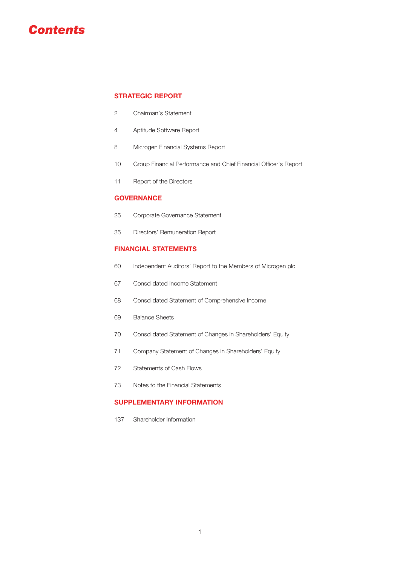## *Contents*

#### **STRATEGIC REPORT**

- Chairman's Statement
- Aptitude Software Report
- Microgen Financial Systems Report
- Group Financial Performance and Chief Financial Officer's Report
- Report of the Directors

#### **GOVERNANCE**

- Corporate Governance Statement
- Directors' Remuneration Report

#### **FINANCIAL STATEMENTS**

- Independent Auditors' Report to the Members of Microgen plc
- Consolidated Income Statement
- Consolidated Statement of Comprehensive Income
- Balance Sheets
- Consolidated Statement of Changes in Shareholders' Equity
- Company Statement of Changes in Shareholders' Equity
- Statements of Cash Flows
- Notes to the Financial Statements

### **SUPPLEMENTARY INFORMATION**

Shareholder Information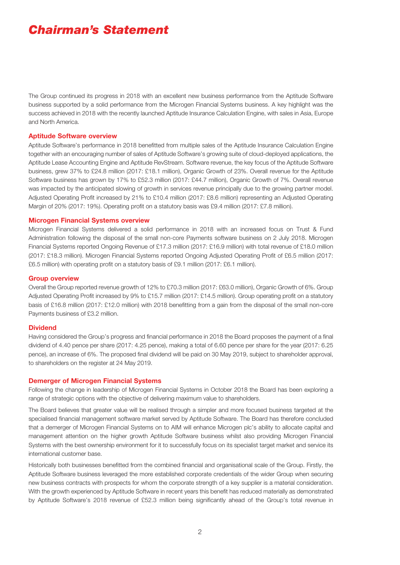## *Chairman's Statement*

The Group continued its progress in 2018 with an excellent new business performance from the Aptitude Software business supported by a solid performance from the Microgen Financial Systems business. A key highlight was the success achieved in 2018 with the recently launched Aptitude Insurance Calculation Engine, with sales in Asia, Europe and North America.

#### **Aptitude Software overview**

Aptitude Software's performance in 2018 benefitted from multiple sales of the Aptitude Insurance Calculation Engine together with an encouraging number of sales of Aptitude Software's growing suite of cloud-deployed applications, the Aptitude Lease Accounting Engine and Aptitude RevStream. Software revenue, the key focus of the Aptitude Software business, grew 37% to £24.8 million (2017: £18.1 million), Organic Growth of 23%. Overall revenue for the Aptitude Software business has grown by 17% to £52.3 million (2017: £44.7 million), Organic Growth of 7%. Overall revenue was impacted by the anticipated slowing of growth in services revenue principally due to the growing partner model. Adjusted Operating Profit increased by 21% to £10.4 million (2017: £8.6 million) representing an Adjusted Operating Margin of 20% (2017: 19%). Operating profit on a statutory basis was £9.4 million (2017: £7.8 million).

#### **Microgen Financial Systems overview**

Microgen Financial Systems delivered a solid performance in 2018 with an increased focus on Trust & Fund Administration following the disposal of the small non-core Payments software business on 2 July 2018. Microgen Financial Systems reported Ongoing Revenue of £17.3 million (2017: £16.9 million) with total revenue of £18.0 million (2017: £18.3 million). Microgen Financial Systems reported Ongoing Adjusted Operating Profit of £6.5 million (2017: £6.5 million) with operating profit on a statutory basis of £9.1 million (2017: £6.1 million).

#### **Group overview**

Overall the Group reported revenue growth of 12% to £70.3 million (2017: £63.0 million), Organic Growth of 6%. Group Adjusted Operating Profit increased by 9% to £15.7 million (2017: £14.5 million). Group operating profit on a statutory basis of £16.8 million (2017: £12.0 million) with 2018 benefitting from a gain from the disposal of the small non-core Payments business of £3.2 million.

#### **Dividend**

Having considered the Group's progress and financial performance in 2018 the Board proposes the payment of a final dividend of 4.40 pence per share (2017: 4.25 pence), making a total of 6.60 pence per share for the year (2017: 6.25 pence), an increase of 6%. The proposed final dividend will be paid on 30 May 2019, subject to shareholder approval, to shareholders on the register at 24 May 2019.

#### **Demerger of Microgen Financial Systems**

Following the change in leadership of Microgen Financial Systems in October 2018 the Board has been exploring a range of strategic options with the objective of delivering maximum value to shareholders.

The Board believes that greater value will be realised through a simpler and more focused business targeted at the specialised financial management software market served by Aptitude Software. The Board has therefore concluded that a demerger of Microgen Financial Systems on to AIM will enhance Microgen plc's ability to allocate capital and management attention on the higher growth Aptitude Software business whilst also providing Microgen Financial Systems with the best ownership environment for it to successfully focus on its specialist target market and service its international customer base.

Historically both businesses benefitted from the combined financial and organisational scale of the Group. Firstly, the Aptitude Software business leveraged the more established corporate credentials of the wider Group when securing new business contracts with prospects for whom the corporate strength of a key supplier is a material consideration. With the growth experienced by Aptitude Software in recent years this benefit has reduced materially as demonstrated by Aptitude Software's 2018 revenue of £52.3 million being significantly ahead of the Group's total revenue in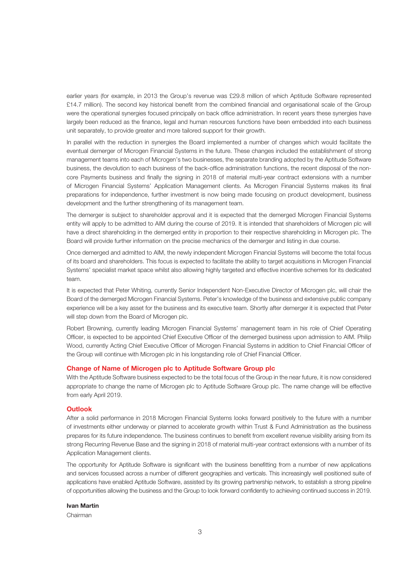earlier years (for example, in 2013 the Group's revenue was £29.8 million of which Aptitude Software represented £14.7 million). The second key historical benefit from the combined financial and organisational scale of the Group were the operational synergies focused principally on back office administration. In recent years these synergies have largely been reduced as the finance, legal and human resources functions have been embedded into each business unit separately, to provide greater and more tailored support for their growth.

In parallel with the reduction in synergies the Board implemented a number of changes which would facilitate the eventual demerger of Microgen Financial Systems in the future. These changes included the establishment of strong management teams into each of Microgen's two businesses, the separate branding adopted by the Aptitude Software business, the devolution to each business of the back-office administration functions, the recent disposal of the noncore Payments business and finally the signing in 2018 of material multi-year contract extensions with a number of Microgen Financial Systems' Application Management clients. As Microgen Financial Systems makes its final preparations for independence, further investment is now being made focusing on product development, business development and the further strengthening of its management team.

The demerger is subject to shareholder approval and it is expected that the demerged Microgen Financial Systems entity will apply to be admitted to AIM during the course of 2019. It is intended that shareholders of Microgen plc will have a direct shareholding in the demerged entity in proportion to their respective shareholding in Microgen plc. The Board will provide further information on the precise mechanics of the demerger and listing in due course.

Once demerged and admitted to AIM, the newly independent Microgen Financial Systems will become the total focus of its board and shareholders. This focus is expected to facilitate the ability to target acquisitions in Microgen Financial Systems' specialist market space whilst also allowing highly targeted and effective incentive schemes for its dedicated team.

It is expected that Peter Whiting, currently Senior Independent Non-Executive Director of Microgen plc, will chair the Board of the demerged Microgen Financial Systems. Peter's knowledge of the business and extensive public company experience will be a key asset for the business and its executive team. Shortly after demerger it is expected that Peter will step down from the Board of Microgen plc.

Robert Browning, currently leading Microgen Financial Systems' management team in his role of Chief Operating Officer, is expected to be appointed Chief Executive Officer of the demerged business upon admission to AIM. Philip Wood, currently Acting Chief Executive Officer of Microgen Financial Systems in addition to Chief Financial Officer of the Group will continue with Microgen plc in his longstanding role of Chief Financial Officer.

#### **Change of Name of Microgen plc to Aptitude Software Group plc**

With the Aptitude Software business expected to be the total focus of the Group in the near future, it is now considered appropriate to change the name of Microgen plc to Aptitude Software Group plc. The name change will be effective from early April 2019.

#### **Outlook**

After a solid performance in 2018 Microgen Financial Systems looks forward positively to the future with a number of investments either underway or planned to accelerate growth within Trust & Fund Administration as the business prepares for its future independence. The business continues to benefit from excellent revenue visibility arising from its strong Recurring Revenue Base and the signing in 2018 of material multi-year contract extensions with a number of its Application Management clients.

The opportunity for Aptitude Software is significant with the business benefitting from a number of new applications and services focussed across a number of different geographies and verticals. This increasingly well positioned suite of applications have enabled Aptitude Software, assisted by its growing partnership network, to establish a strong pipeline of opportunities allowing the business and the Group to look forward confidently to achieving continued success in 2019.

#### **Ivan Martin**

Chairman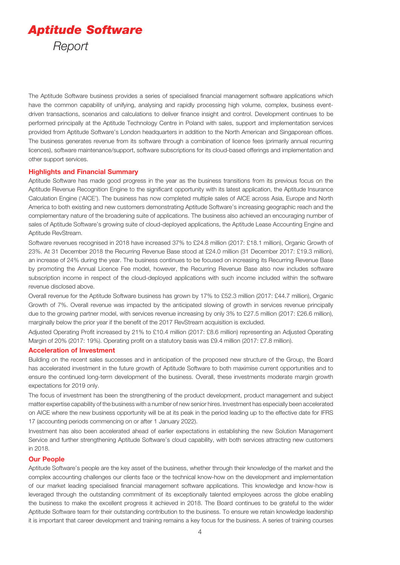

The Aptitude Software business provides a series of specialised financial management software applications which have the common capability of unifying, analysing and rapidly processing high volume, complex, business eventdriven transactions, scenarios and calculations to deliver finance insight and control. Development continues to be performed principally at the Aptitude Technology Centre in Poland with sales, support and implementation services provided from Aptitude Software's London headquarters in addition to the North American and Singaporean offices. The business generates revenue from its software through a combination of licence fees (primarily annual recurring licences), software maintenance/support, software subscriptions for its cloud-based offerings and implementation and other support services.

#### **Highlights and Financial Summary**

Aptitude Software has made good progress in the year as the business transitions from its previous focus on the Aptitude Revenue Recognition Engine to the significant opportunity with its latest application, the Aptitude Insurance Calculation Engine ('AICE'). The business has now completed multiple sales of AICE across Asia, Europe and North America to both existing and new customers demonstrating Aptitude Software's increasing geographic reach and the complementary nature of the broadening suite of applications. The business also achieved an encouraging number of sales of Aptitude Software's growing suite of cloud-deployed applications, the Aptitude Lease Accounting Engine and Aptitude RevStream.

Software revenues recognised in 2018 have increased 37% to £24.8 million (2017: £18.1 million), Organic Growth of 23%. At 31 December 2018 the Recurring Revenue Base stood at £24.0 million (31 December 2017: £19.3 million), an increase of 24% during the year. The business continues to be focused on increasing its Recurring Revenue Base by promoting the Annual Licence Fee model, however, the Recurring Revenue Base also now includes software subscription income in respect of the cloud-deployed applications with such income included within the software revenue disclosed above.

Overall revenue for the Aptitude Software business has grown by 17% to £52.3 million (2017: £44.7 million), Organic Growth of 7%. Overall revenue was impacted by the anticipated slowing of growth in services revenue principally due to the growing partner model, with services revenue increasing by only 3% to £27.5 million (2017: £26.6 million), marginally below the prior year if the benefit of the 2017 RevStream acquisition is excluded.

Adjusted Operating Profit increased by 21% to £10.4 million (2017: £8.6 million) representing an Adjusted Operating Margin of 20% (2017: 19%). Operating profit on a statutory basis was £9.4 million (2017: £7.8 million).

#### **Acceleration of Investment**

Building on the recent sales successes and in anticipation of the proposed new structure of the Group, the Board has accelerated investment in the future growth of Aptitude Software to both maximise current opportunities and to ensure the continued long-term development of the business. Overall, these investments moderate margin growth expectations for 2019 only.

The focus of investment has been the strengthening of the product development, product management and subject matter expertise capability of the business with a number of new senior hires. Investment has especially been accelerated on AICE where the new business opportunity will be at its peak in the period leading up to the effective date for IFRS 17 (accounting periods commencing on or after 1 January 2022).

Investment has also been accelerated ahead of earlier expectations in establishing the new Solution Management Service and further strengthening Aptitude Software's cloud capability, with both services attracting new customers in 2018.

#### **Our People**

Aptitude Software's people are the key asset of the business, whether through their knowledge of the market and the complex accounting challenges our clients face or the technical know-how on the development and implementation of our market leading specialised financial management software applications. This knowledge and know-how is leveraged through the outstanding commitment of its exceptionally talented employees across the globe enabling the business to make the excellent progress it achieved in 2018. The Board continues to be grateful to the wider Aptitude Software team for their outstanding contribution to the business. To ensure we retain knowledge leadership it is important that career development and training remains a key focus for the business. A series of training courses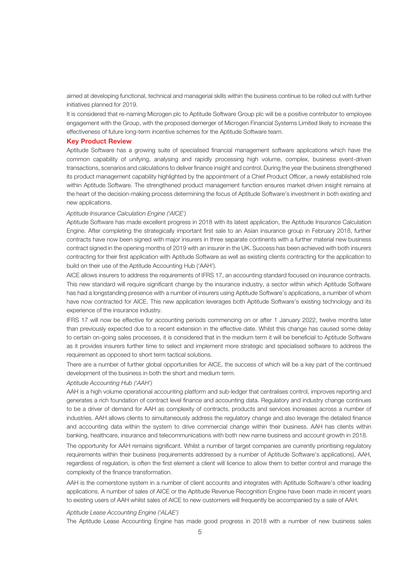aimed at developing functional, technical and managerial skills within the business continue to be rolled out with further initiatives planned for 2019.

It is considered that re-naming Microgen plc to Aptitude Software Group plc will be a positive contributor to employee engagement with the Group, with the proposed demerger of Microgen Financial Systems Limited likely to increase the effectiveness of future long-term incentive schemes for the Aptitude Software team.

#### **Key Product Review**

Aptitude Software has a growing suite of specialised financial management software applications which have the common capability of unifying, analysing and rapidly processing high volume, complex, business event-driven transactions, scenarios and calculations to deliver finance insight and control. During the year the business strengthened its product management capability highlighted by the appointment of a Chief Product Officer, a newly established role within Aptitude Software. The strengthened product management function ensures market driven insight remains at the heart of the decision-making process determining the focus of Aptitude Software's investment in both existing and new applications.

#### *Aptitude Insurance Calculation Engine ('AICE')*

Aptitude Software has made excellent progress in 2018 with its latest application, the Aptitude Insurance Calculation Engine. After completing the strategically important first sale to an Asian insurance group in February 2018, further contracts have now been signed with major insurers in three separate continents with a further material new business contract signed in the opening months of 2019 with an insurer in the UK. Success has been achieved with both insurers contracting for their first application with Aptitude Software as well as existing clients contracting for the application to build on their use of the Aptitude Accounting Hub ('AAH').

AICE allows insurers to address the requirements of IFRS 17, an accounting standard focused on insurance contracts. This new standard will require significant change by the insurance industry, a sector within which Aptitude Software has had a longstanding presence with a number of insurers using Aptitude Software's applications, a number of whom have now contracted for AICE. This new application leverages both Aptitude Software's existing technology and its experience of the insurance industry.

IFRS 17 will now be effective for accounting periods commencing on or after 1 January 2022, twelve months later than previously expected due to a recent extension in the effective date. Whilst this change has caused some delay to certain on-going sales processes, it is considered that in the medium term it will be beneficial to Aptitude Software as it provides insurers further time to select and implement more strategic and specialised software to address the requirement as opposed to short term tactical solutions.

There are a number of further global opportunities for AICE, the success of which will be a key part of the continued development of the business in both the short and medium term.

#### *Aptitude Accounting Hub ('AAH')*

AAH is a high volume operational accounting platform and sub-ledger that centralises control, improves reporting and generates a rich foundation of contract level finance and accounting data. Regulatory and industry change continues to be a driver of demand for AAH as complexity of contracts, products and services increases across a number of industries. AAH allows clients to simultaneously address the regulatory change and also leverage the detailed finance and accounting data within the system to drive commercial change within their business. AAH has clients within banking, healthcare, insurance and telecommunications with both new name business and account growth in 2018.

The opportunity for AAH remains significant. Whilst a number of target companies are currently prioritising regulatory requirements within their business (requirements addressed by a number of Aptitude Software's applications), AAH, regardless of regulation, is often the first element a client will licence to allow them to better control and manage the complexity of the finance transformation.

AAH is the cornerstone system in a number of client accounts and integrates with Aptitude Software's other leading applications. A number of sales of AICE or the Aptitude Revenue Recognition Engine have been made in recent years to existing users of AAH whilst sales of AICE to new customers will frequently be accompanied by a sale of AAH.

#### *Aptitude Lease Accounting Engine ('ALAE')*

The Aptitude Lease Accounting Engine has made good progress in 2018 with a number of new business sales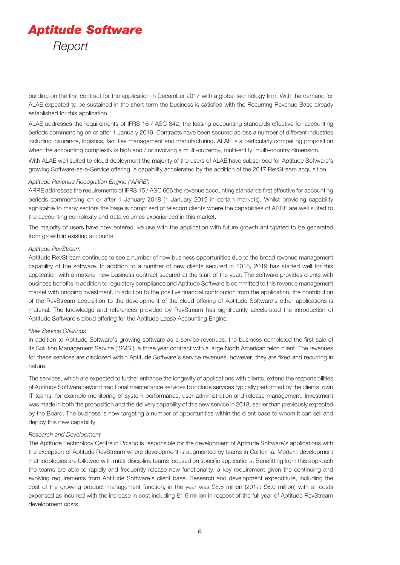# *Aptitude Software Report*

building on the first contract for the application in December 2017 with a global technology firm. With the demand for ALAE expected to be sustained in the short term the business is satisfied with the Recurring Revenue Base already established for this application.

ALAE addresses the requirements of IFRS 16 / ASC 842, the leasing accounting standards effective for accounting periods commencing on or after 1 January 2019. Contracts have been secured across a number of different industries including insurance, logistics, facilities management and manufacturing. ALAE is a particularly compelling proposition when the accounting complexity is high and / or involving a multi-currency, multi-entity, multi-country dimension.

With ALAE well suited to cloud deployment the majority of the users of ALAE have subscribed for Aptitude Software's growing Software-as-a-Service offering, a capability accelerated by the addition of the 2017 RevStream acquisition.

#### *Aptitude Revenue Recognition Engine ('ARRE')*

ARRE addresses the requirements of IFRS 15 / ASC 606 the revenue accounting standards first effective for accounting periods commencing on or after 1 January 2018 (1 January 2019 in certain markets). Whilst providing capability applicable to many sectors the base is comprised of telecom clients where the capabilities of ARRE are well suited to the accounting complexity and data volumes experienced in this market.

The majority of users have now entered live use with the application with future growth anticipated to be generated from growth in existing accounts.

#### *Aptitude RevStream*

Aptitude RevStream continues to see a number of new business opportunities due to the broad revenue management capability of the software. In addition to a number of new clients secured in 2018, 2019 has started well for this application with a material new business contract secured at the start of the year. The software provides clients with business benefits in addition to regulatory compliance and Aptitude Software is committed to this revenue management market with ongoing investment. In addition to the positive financial contribution from the application, the contribution of the RevStream acquisition to the development of the cloud offering of Aptitude Software's other applications is material. The knowledge and references provided by RevStream has significantly accelerated the introduction of Aptitude Software's cloud offering for the Aptitude Lease Accounting Engine.

#### *New Service Offerings*

In addition to Aptitude Software's growing software-as-a-service revenues, the business completed the first sale of its Solution Management Service ('SMS'), a three year contract with a large North American telco client. The revenues for these services are disclosed within Aptitude Software's service revenues, however, they are fixed and recurring in nature.

The services, which are expected to further enhance the longevity of applications with clients, extend the responsibilities of Aptitude Software beyond traditional maintenance services to include services typically performed by the clients' own IT teams, for example monitoring of system performance, user administration and release management. Investment was made in both the proposition and the delivery capability of this new service in 2018, earlier than previously expected by the Board. The business is now targeting a number of opportunities within the client base to whom it can sell and deploy this new capability.

#### *Research and Development*

The Aptitude Technology Centre in Poland is responsible for the development of Aptitude Software's applications with the exception of Aptitude RevStream where development is augmented by teams in California. Modern development methodologies are followed with multi-discipline teams focused on specific applications. Benefitting from this approach the teams are able to rapidly and frequently release new functionality, a key requirement given the continuing and evolving requirements from Aptitude Software's client base. Research and development expenditure, including the cost of the growing product management function, in the year was £8.5 million (2017: £6.0 million) with all costs expensed as incurred with the increase in cost including £1.6 million in respect of the full year of Aptitude RevStream development costs.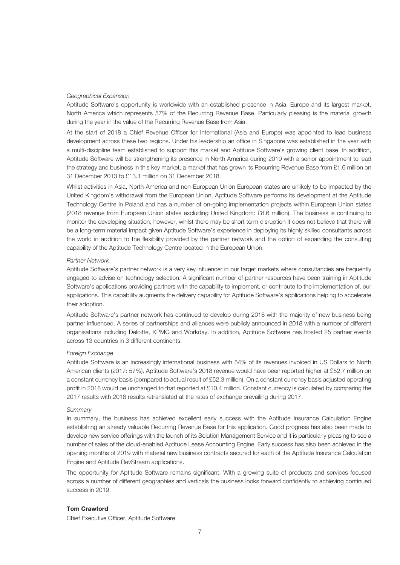#### *Geographical Expansion*

Aptitude Software's opportunity is worldwide with an established presence in Asia, Europe and its largest market, North America which represents 57% of the Recurring Revenue Base. Particularly pleasing is the material growth during the year in the value of the Recurring Revenue Base from Asia.

At the start of 2018 a Chief Revenue Officer for International (Asia and Europe) was appointed to lead business development across these two regions. Under his leadership an office in Singapore was established in the year with a multi-discipline team established to support this market and Aptitude Software's growing client base. In addition, Aptitude Software will be strengthening its presence in North America during 2019 with a senior appointment to lead the strategy and business in this key market, a market that has grown its Recurring Revenue Base from £1.6 million on 31 December 2013 to £13.1 million on 31 December 2018.

Whilst activities in Asia, North America and non-European Union European states are unlikely to be impacted by the United Kingdom's withdrawal from the European Union, Aptitude Software performs its development at the Aptitude Technology Centre in Poland and has a number of on-going implementation projects within European Union states (2018 revenue from European Union states excluding United Kingdom: £8.6 million). The business is continuing to monitor the developing situation, however, whilst there may be short term disruption it does not believe that there will be a long-term material impact given Aptitude Software's experience in deploying its highly skilled consultants across the world in addition to the flexibility provided by the partner network and the option of expanding the consulting capability of the Aptitude Technology Centre located in the European Union.

#### *Partner Network*

Aptitude Software's partner network is a very key influencer in our target markets where consultancies are frequently engaged to advise on technology selection. A significant number of partner resources have been training in Aptitude Software's applications providing partners with the capability to implement, or contribute to the implementation of, our applications. This capability augments the delivery capability for Aptitude Software's applications helping to accelerate their adoption.

Aptitude Software's partner network has continued to develop during 2018 with the majority of new business being partner influenced. A series of partnerships and alliances were publicly announced in 2018 with a number of different organisations including Deloitte, KPMG and Workday. In addition, Aptitude Software has hosted 25 partner events across 13 countries in 3 different continents.

#### *Foreign Exchange*

Aptitude Software is an increasingly international business with 54% of its revenues invoiced in US Dollars to North American clients (2017: 57%). Aptitude Software's 2018 revenue would have been reported higher at £52.7 million on a constant currency basis (compared to actual result of £52.3 million). On a constant currency basis adjusted operating profit in 2018 would be unchanged to that reported at £10.4 million. Constant currency is calculated by comparing the 2017 results with 2018 results retranslated at the rates of exchange prevailing during 2017.

#### *Summary*

In summary, the business has achieved excellent early success with the Aptitude Insurance Calculation Engine establishing an already valuable Recurring Revenue Base for this application. Good progress has also been made to develop new service offerings with the launch of its Solution Management Service and it is particularly pleasing to see a number of sales of the cloud-enabled Aptitude Lease Accounting Engine. Early success has also been achieved in the opening months of 2019 with material new business contracts secured for each of the Aptitude Insurance Calculation Engine and Aptitude RevStream applications.

The opportunity for Aptitude Software remains significant. With a growing suite of products and services focused across a number of different geographies and verticals the business looks forward confidently to achieving continued success in 2019.

#### **Tom Crawford**

Chief Executive Officer, Aptitude Software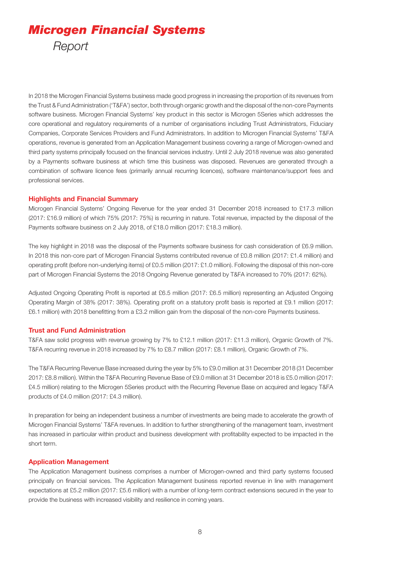# *Microgen Financial Systems Report*

In 2018 the Microgen Financial Systems business made good progress in increasing the proportion of its revenues from the Trust & Fund Administration ('T&FA') sector, both through organic growth and the disposal of the non-core Payments software business. Microgen Financial Systems' key product in this sector is Microgen 5Series which addresses the core operational and regulatory requirements of a number of organisations including Trust Administrators, Fiduciary Companies, Corporate Services Providers and Fund Administrators. In addition to Microgen Financial Systems' T&FA operations, revenue is generated from an Application Management business covering a range of Microgen-owned and third party systems principally focused on the financial services industry. Until 2 July 2018 revenue was also generated by a Payments software business at which time this business was disposed. Revenues are generated through a combination of software licence fees (primarily annual recurring licences), software maintenance/support fees and professional services.

#### **Highlights and Financial Summary**

Microgen Financial Systems' Ongoing Revenue for the year ended 31 December 2018 increased to £17.3 million (2017: £16.9 million) of which 75% (2017: 75%) is recurring in nature. Total revenue, impacted by the disposal of the Payments software business on 2 July 2018, of £18.0 million (2017: £18.3 million).

The key highlight in 2018 was the disposal of the Payments software business for cash consideration of £6.9 million. In 2018 this non-core part of Microgen Financial Systems contributed revenue of £0.8 million (2017: £1.4 million) and operating profit (before non-underlying items) of £0.5 million (2017: £1.0 million). Following the disposal of this non-core part of Microgen Financial Systems the 2018 Ongoing Revenue generated by T&FA increased to 70% (2017: 62%).

Adjusted Ongoing Operating Profit is reported at £6.5 million (2017: £6.5 million) representing an Adjusted Ongoing Operating Margin of 38% (2017: 38%). Operating profit on a statutory profit basis is reported at £9.1 million (2017: £6.1 million) with 2018 benefitting from a £3.2 million gain from the disposal of the non-core Payments business.

#### **Trust and Fund Administration**

T&FA saw solid progress with revenue growing by 7% to £12.1 million (2017: £11.3 million), Organic Growth of 7%. T&FA recurring revenue in 2018 increased by 7% to £8.7 million (2017: £8.1 million), Organic Growth of 7%.

The T&FA Recurring Revenue Base increased during the year by 5% to £9.0 million at 31 December 2018 (31 December 2017: £8.8 million). Within the T&FA Recurring Revenue Base of £9.0 million at 31 December 2018 is £5.0 million (2017: £4.5 million) relating to the Microgen 5Series product with the Recurring Revenue Base on acquired and legacy T&FA products of £4.0 million (2017: £4.3 million).

In preparation for being an independent business a number of investments are being made to accelerate the growth of Microgen Financial Systems' T&FA revenues. In addition to further strengthening of the management team, investment has increased in particular within product and business development with profitability expected to be impacted in the short term.

#### **Application Management**

The Application Management business comprises a number of Microgen-owned and third party systems focused principally on financial services. The Application Management business reported revenue in line with management expectations at £5.2 million (2017: £5.6 million) with a number of long-term contract extensions secured in the year to provide the business with increased visibility and resilience in coming years.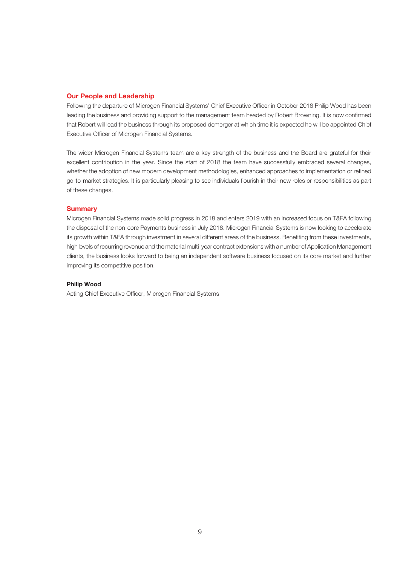#### **Our People and Leadership**

Following the departure of Microgen Financial Systems' Chief Executive Officer in October 2018 Philip Wood has been leading the business and providing support to the management team headed by Robert Browning. It is now confirmed that Robert will lead the business through its proposed demerger at which time it is expected he will be appointed Chief Executive Officer of Microgen Financial Systems.

The wider Microgen Financial Systems team are a key strength of the business and the Board are grateful for their excellent contribution in the year. Since the start of 2018 the team have successfully embraced several changes, whether the adoption of new modern development methodologies, enhanced approaches to implementation or refined go-to-market strategies. It is particularly pleasing to see individuals flourish in their new roles or responsibilities as part of these changes.

#### **Summary**

Microgen Financial Systems made solid progress in 2018 and enters 2019 with an increased focus on T&FA following the disposal of the non-core Payments business in July 2018. Microgen Financial Systems is now looking to accelerate its growth within T&FA through investment in several different areas of the business. Benefiting from these investments, high levels of recurring revenue and the material multi-year contract extensions with a number of Application Management clients, the business looks forward to being an independent software business focused on its core market and further improving its competitive position.

#### **Philip Wood**

Acting Chief Executive Officer, Microgen Financial Systems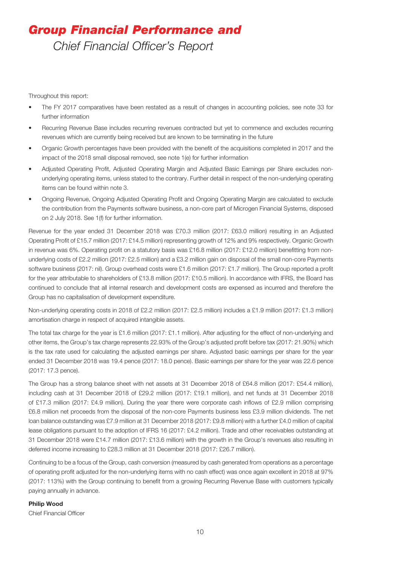## *Group Financial Performance and Chief Financial Officer's Report*

Throughout this report:

- The FY 2017 comparatives have been restated as a result of changes in accounting policies, see note 33 for further information
- Recurring Revenue Base includes recurring revenues contracted but yet to commence and excludes recurring revenues which are currently being received but are known to be terminating in the future
- Organic Growth percentages have been provided with the benefit of the acquisitions completed in 2017 and the impact of the 2018 small disposal removed, see note 1(e) for further information
- Adjusted Operating Profit, Adjusted Operating Margin and Adjusted Basic Earnings per Share excludes nonunderlying operating items, unless stated to the contrary. Further detail in respect of the non-underlying operating items can be found within note 3.
- Ongoing Revenue, Ongoing Adjusted Operating Profit and Ongoing Operating Margin are calculated to exclude the contribution from the Payments software business, a non-core part of Microgen Financial Systems, disposed on 2 July 2018. See 1(f) for further information.

Revenue for the year ended 31 December 2018 was £70.3 million (2017: £63.0 million) resulting in an Adjusted Operating Profit of £15.7 million (2017: £14.5 million) representing growth of 12% and 9% respectively. Organic Growth in revenue was 6%. Operating profit on a statutory basis was £16.8 million (2017: £12.0 million) benefitting from nonunderlying costs of £2.2 million (2017: £2.5 million) and a £3.2 million gain on disposal of the small non-core Payments software business (2017: nil). Group overhead costs were £1.6 million (2017: £1.7 million). The Group reported a profit for the year attributable to shareholders of £13.8 million (2017: £10.5 million). In accordance with IFRS, the Board has continued to conclude that all internal research and development costs are expensed as incurred and therefore the Group has no capitalisation of development expenditure.

Non-underlying operating costs in 2018 of £2.2 million (2017: £2.5 million) includes a £1.9 million (2017: £1.3 million) amortisation charge in respect of acquired intangible assets.

The total tax charge for the year is £1.6 million (2017: £1.1 million). After adjusting for the effect of non-underlying and other items, the Group's tax charge represents 22.93% of the Group's adjusted profit before tax (2017: 21.90%) which is the tax rate used for calculating the adjusted earnings per share. Adjusted basic earnings per share for the year ended 31 December 2018 was 19.4 pence (2017: 18.0 pence). Basic earnings per share for the year was 22.6 pence (2017: 17.3 pence).

The Group has a strong balance sheet with net assets at 31 December 2018 of £64.8 million (2017: £54.4 million), including cash at 31 December 2018 of £29.2 million (2017: £19.1 million), and net funds at 31 December 2018 of £17.3 million (2017: £4.9 million). During the year there were corporate cash inflows of £2.9 million comprising £6.8 million net proceeds from the disposal of the non-core Payments business less £3.9 million dividends. The net loan balance outstanding was £7.9 million at 31 December 2018 (2017: £9.8 million) with a further £4.0 million of capital lease obligations pursuant to the adoption of IFRS 16 (2017: £4.2 million). Trade and other receivables outstanding at 31 December 2018 were £14.7 million (2017: £13.6 million) with the growth in the Group's revenues also resulting in deferred income increasing to £28.3 million at 31 December 2018 (2017: £26.7 million).

Continuing to be a focus of the Group, cash conversion (measured by cash generated from operations as a percentage of operating profit adjusted for the non-underlying items with no cash effect) was once again excellent in 2018 at 97% (2017: 113%) with the Group continuing to benefit from a growing Recurring Revenue Base with customers typically paying annually in advance.

#### **Philip Wood**

Chief Financial Officer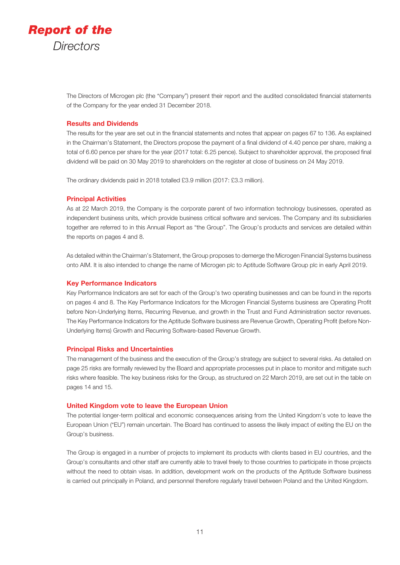

The Directors of Microgen plc (the "Company") present their report and the audited consolidated financial statements of the Company for the year ended 31 December 2018.

#### **Results and Dividends**

The results for the year are set out in the financial statements and notes that appear on pages 67 to 136. As explained in the Chairman's Statement, the Directors propose the payment of a final dividend of 4.40 pence per share, making a total of 6.60 pence per share for the year (2017 total: 6.25 pence). Subject to shareholder approval, the proposed final dividend will be paid on 30 May 2019 to shareholders on the register at close of business on 24 May 2019.

The ordinary dividends paid in 2018 totalled £3.9 million (2017: £3.3 million).

#### **Principal Activities**

As at 22 March 2019, the Company is the corporate parent of two information technology businesses, operated as independent business units, which provide business critical software and services. The Company and its subsidiaries together are referred to in this Annual Report as "the Group". The Group's products and services are detailed within the reports on pages 4 and 8.

As detailed within the Chairman's Statement, the Group proposes to demerge the Microgen Financial Systems business onto AIM. It is also intended to change the name of Microgen plc to Aptitude Software Group plc in early April 2019.

#### **Key Performance Indicators**

Key Performance Indicators are set for each of the Group's two operating businesses and can be found in the reports on pages 4 and 8. The Key Performance Indicators for the Microgen Financial Systems business are Operating Profit before Non-Underlying Items, Recurring Revenue, and growth in the Trust and Fund Administration sector revenues. The Key Performance Indicators for the Aptitude Software business are Revenue Growth, Operating Profit (before Non-Underlying Items) Growth and Recurring Software-based Revenue Growth.

#### **Principal Risks and Uncertainties**

The management of the business and the execution of the Group's strategy are subject to several risks. As detailed on page 25 risks are formally reviewed by the Board and appropriate processes put in place to monitor and mitigate such risks where feasible. The key business risks for the Group, as structured on 22 March 2019, are set out in the table on pages 14 and 15.

#### **United Kingdom vote to leave the European Union**

The potential longer-term political and economic consequences arising from the United Kingdom's vote to leave the European Union ("EU") remain uncertain. The Board has continued to assess the likely impact of exiting the EU on the Group's business.

The Group is engaged in a number of projects to implement its products with clients based in EU countries, and the Group's consultants and other staff are currently able to travel freely to those countries to participate in those projects without the need to obtain visas. In addition, development work on the products of the Aptitude Software business is carried out principally in Poland, and personnel therefore regularly travel between Poland and the United Kingdom.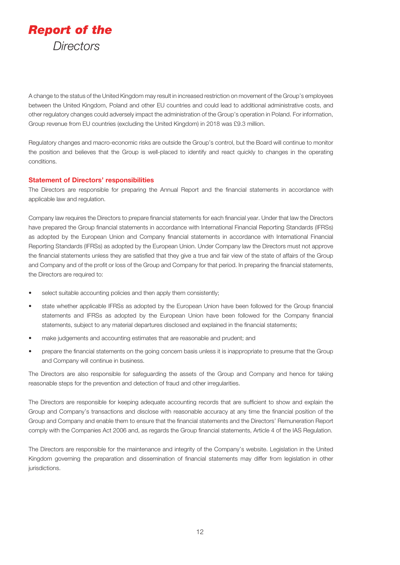

A change to the status of the United Kingdom may result in increased restriction on movement of the Group's employees between the United Kingdom, Poland and other EU countries and could lead to additional administrative costs, and other regulatory changes could adversely impact the administration of the Group's operation in Poland. For information, Group revenue from EU countries (excluding the United Kingdom) in 2018 was £9.3 million.

Regulatory changes and macro-economic risks are outside the Group's control, but the Board will continue to monitor the position and believes that the Group is well-placed to identify and react quickly to changes in the operating conditions.

#### **Statement of Directors' responsibilities**

The Directors are responsible for preparing the Annual Report and the financial statements in accordance with applicable law and regulation.

Company law requires the Directors to prepare financial statements for each financial year. Under that law the Directors have prepared the Group financial statements in accordance with International Financial Reporting Standards (IFRSs) as adopted by the European Union and Company financial statements in accordance with International Financial Reporting Standards (IFRSs) as adopted by the European Union. Under Company law the Directors must not approve the financial statements unless they are satisfied that they give a true and fair view of the state of affairs of the Group and Company and of the profit or loss of the Group and Company for that period. In preparing the financial statements, the Directors are required to:

- select suitable accounting policies and then apply them consistently;
- state whether applicable IFRSs as adopted by the European Union have been followed for the Group financial statements and IFRSs as adopted by the European Union have been followed for the Company financial statements, subject to any material departures disclosed and explained in the financial statements;
- make judgements and accounting estimates that are reasonable and prudent; and
- prepare the financial statements on the going concern basis unless it is inappropriate to presume that the Group and Company will continue in business.

The Directors are also responsible for safeguarding the assets of the Group and Company and hence for taking reasonable steps for the prevention and detection of fraud and other irregularities.

The Directors are responsible for keeping adequate accounting records that are sufficient to show and explain the Group and Company's transactions and disclose with reasonable accuracy at any time the financial position of the Group and Company and enable them to ensure that the financial statements and the Directors' Remuneration Report comply with the Companies Act 2006 and, as regards the Group financial statements, Article 4 of the IAS Regulation.

The Directors are responsible for the maintenance and integrity of the Company's website. Legislation in the United Kingdom governing the preparation and dissemination of financial statements may differ from legislation in other jurisdictions.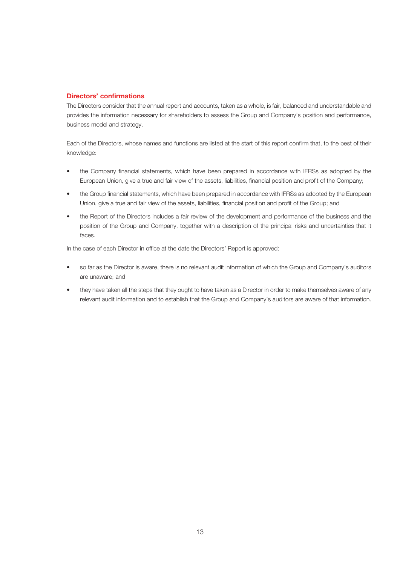### **Directors' confirmations**

The Directors consider that the annual report and accounts, taken as a whole, is fair, balanced and understandable and provides the information necessary for shareholders to assess the Group and Company's position and performance, business model and strategy.

Each of the Directors, whose names and functions are listed at the start of this report confirm that, to the best of their knowledge:

- the Company financial statements, which have been prepared in accordance with IFRSs as adopted by the European Union, give a true and fair view of the assets, liabilities, financial position and profit of the Company;
- the Group financial statements, which have been prepared in accordance with IFRSs as adopted by the European Union, give a true and fair view of the assets, liabilities, financial position and profit of the Group; and
- the Report of the Directors includes a fair review of the development and performance of the business and the position of the Group and Company, together with a description of the principal risks and uncertainties that it faces.

In the case of each Director in office at the date the Directors' Report is approved:

- so far as the Director is aware, there is no relevant audit information of which the Group and Company's auditors are unaware; and
- they have taken all the steps that they ought to have taken as a Director in order to make themselves aware of any relevant audit information and to establish that the Group and Company's auditors are aware of that information.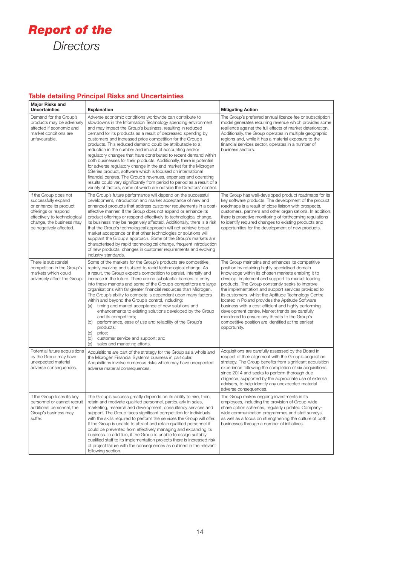

### **Table detailing Principal Risks and Uncertainties**

| <b>Major Risks and</b><br>Uncertainties                                                                                                                                               | <b>Explanation</b>                                                                                                                                                                                                                                                                                                                                                                                                                                                                                                                                                                                                                                                                                                                                                                                                                                                                                                                             | <b>Mitigating Action</b>                                                                                                                                                                                                                                                                                                                                                                                                                                                                                                                                                                                                                                                 |
|---------------------------------------------------------------------------------------------------------------------------------------------------------------------------------------|------------------------------------------------------------------------------------------------------------------------------------------------------------------------------------------------------------------------------------------------------------------------------------------------------------------------------------------------------------------------------------------------------------------------------------------------------------------------------------------------------------------------------------------------------------------------------------------------------------------------------------------------------------------------------------------------------------------------------------------------------------------------------------------------------------------------------------------------------------------------------------------------------------------------------------------------|--------------------------------------------------------------------------------------------------------------------------------------------------------------------------------------------------------------------------------------------------------------------------------------------------------------------------------------------------------------------------------------------------------------------------------------------------------------------------------------------------------------------------------------------------------------------------------------------------------------------------------------------------------------------------|
| Demand for the Group's<br>products may be adversely<br>affected if economic and<br>market conditions are<br>unfavourable.                                                             | Adverse economic conditions worldwide can contribute to<br>slowdowns in the Information Technology spending environment<br>and may impact the Group's business, resulting in reduced<br>demand for its products as a result of decreased spending by<br>customers and increased price competition for the Group's<br>products. This reduced demand could be attributable to a<br>reduction in the number and impact of accounting and/or<br>regulatory changes that have contributed to recent demand within<br>both businesses for their products. Additionally, there is potential<br>for adverse regulatory change in the end market for the Microgen<br>5Series product, software which is focused on international<br>financial centres. The Group's revenues, expenses and operating<br>results could vary significantly from period to period as a result of a<br>variety of factors, some of which are outside the Directors' control. | The Group's preferred annual licence fee or subscription<br>model generates recurring revenue which provides some<br>resilience against the full effects of market deterioration.<br>Additionally, the Group operates in multiple geographic<br>regions and, while it has a material exposure to the<br>financial services sector, operates in a number of<br>business sectors.                                                                                                                                                                                                                                                                                          |
| If the Group does not<br>successfully expand<br>or enhance its product<br>offerings or respond<br>effectively to technological<br>change, the business may<br>be negatively affected. | The Group's future performance will depend on the successful<br>development, introduction and market acceptance of new and<br>enhanced products that address customer requirements in a cost-<br>effective manner. If the Group does not expand or enhance its<br>product offerings or respond effectively to technological change,<br>its business may be negatively affected. Additionally, there is a risk<br>that the Group's technological approach will not achieve broad<br>market acceptance or that other technologies or solutions will<br>supplant the Group's approach. Some of the Group's markets are<br>characterised by rapid technological change, frequent introduction<br>of new products, changes in customer requirements and evolving<br>industry standards.                                                                                                                                                             | The Group has well-developed product roadmaps for its<br>key software products. The development of the product<br>roadmaps is a result of close liaison with prospects,<br>customers, partners and other organisations. In addition,<br>there is proactive monitoring of forthcoming regulations<br>to identify required changes to existing products and<br>opportunities for the development of new products.                                                                                                                                                                                                                                                          |
| There is substantial<br>competition in the Group's<br>markets which could<br>adversely affect the Group.                                                                              | Some of the markets for the Group's products are competitive,<br>rapidly evolving and subject to rapid technological change. As<br>a result, the Group expects competition to persist, intensify and<br>increase in the future. There are no substantial barriers to entry<br>into these markets and some of the Group's competitors are large<br>organisations with far greater financial resources than Microgen.<br>The Group's ability to compete is dependent upon many factors<br>within and beyond the Group's control, including:<br>timing and market acceptance of new solutions and<br>(a)<br>enhancements to existing solutions developed by the Group<br>and its competitors;<br>performance, ease of use and reliability of the Group's<br>(b)<br>products;<br>price;<br>$\left( \circ \right)$<br>customer service and support; and<br>(d)<br>sales and marketing efforts.<br>(e)                                               | The Group maintains and enhances its competitive<br>position by retaining highly specialised domain<br>knowledge within its chosen markets enabling it to<br>develop, implement and support its market-leading<br>products. The Group constantly seeks to improve<br>the implementation and support services provided to<br>its customers, whilst the Aptitude Technology Centre<br>located in Poland provides the Aptitude Software<br>business with a cost-efficient and highly performing<br>development centre. Market trends are carefully<br>monitored to ensure any threats to the Group's<br>competitive position are identified at the earliest<br>opportunity. |
| Potential future acquisitions<br>by the Group may have<br>unexpected material<br>adverse consequences.                                                                                | Acquisitions are part of the strategy for the Group as a whole and<br>the Microgen Financial Systems business in particular.<br>Acquisitions involve numerous risks which may have unexpected<br>adverse material consequences.                                                                                                                                                                                                                                                                                                                                                                                                                                                                                                                                                                                                                                                                                                                | Acquisitions are carefully assessed by the Board in<br>respect of their alignment with the Group's acquisition<br>strategy. The Group benefits from significant acquisition<br>experience following the completion of six acquisitions<br>since 2014 and seeks to perform thorough due<br>diligence, supported by the appropriate use of external<br>advisers, to help identify any unexpected material<br>adverse consequences.                                                                                                                                                                                                                                         |
| If the Group loses its key<br>personnel or cannot recruit<br>additional personnel, the<br>Group's business may<br>suffer.                                                             | The Group's success greatly depends on its ability to hire, train,<br>retain and motivate qualified personnel, particularly in sales,<br>marketing, research and development, consultancy services and<br>support. The Group faces significant competition for individuals<br>with the skills required to perform the services the Group will offer.<br>If the Group is unable to attract and retain qualified personnel it<br>could be prevented from effectively managing and expanding its<br>business. In addition, if the Group is unable to assign suitably<br>qualified staff to its implementation projects there is increased risk<br>of project failure with the consequences as outlined in the relevant<br>following section.                                                                                                                                                                                                      | The Group makes ongoing investments in its<br>employees, including the provision of Group-wide<br>share option schemes, regularly updated Company-<br>wide communication programmes and staff surveys,<br>as well as a focus on strengthening the culture of both<br>businesses through a number of initiatives.                                                                                                                                                                                                                                                                                                                                                         |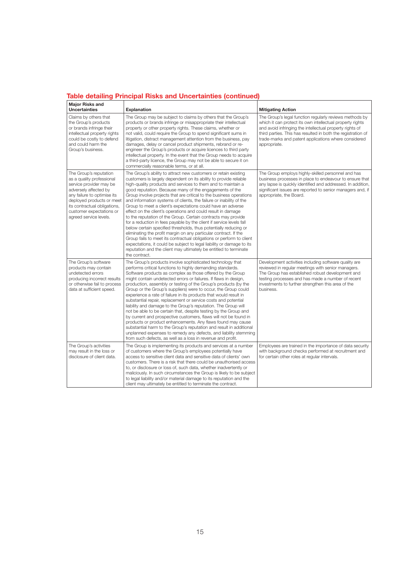### **Table detailing Principal Risks and Uncertainties (continued)**

| <b>Major Risks and</b><br><b>Uncertainties</b>                                                                                                                                                                                                            | <b>Explanation</b>                                                                                                                                                                                                                                                                                                                                                                                                                                                                                                                                                                                                                                                                                                                                                                                                                                                                                                                                                                                                                                                   | <b>Mitigating Action</b>                                                                                                                                                                                                                                                                                                 |
|-----------------------------------------------------------------------------------------------------------------------------------------------------------------------------------------------------------------------------------------------------------|----------------------------------------------------------------------------------------------------------------------------------------------------------------------------------------------------------------------------------------------------------------------------------------------------------------------------------------------------------------------------------------------------------------------------------------------------------------------------------------------------------------------------------------------------------------------------------------------------------------------------------------------------------------------------------------------------------------------------------------------------------------------------------------------------------------------------------------------------------------------------------------------------------------------------------------------------------------------------------------------------------------------------------------------------------------------|--------------------------------------------------------------------------------------------------------------------------------------------------------------------------------------------------------------------------------------------------------------------------------------------------------------------------|
| Claims by others that<br>the Group's products<br>or brands infringe their<br>intellectual property rights<br>could be costly to defend<br>and could harm the<br>Group's business.                                                                         | The Group may be subject to claims by others that the Group's<br>products or brands infringe or misappropriate their intellectual<br>property or other property rights. These claims, whether or<br>not valid, could require the Group to spend significant sums in<br>litigation, distract management attention from the business, pay<br>damages, delay or cancel product shipments, rebrand or re-<br>engineer the Group's products or acquire licences to third party<br>intellectual property. In the event that the Group needs to acquire<br>a third-party licence, the Group may not be able to secure it on<br>commercially reasonable terms, or at all.                                                                                                                                                                                                                                                                                                                                                                                                    | The Group's legal function regularly reviews methods by<br>which it can protect its own intellectual property rights<br>and avoid infringing the intellectual property rights of<br>third parties. This has resulted in both the registration of<br>trade-marks and patent applications where considered<br>appropriate. |
| The Group's reputation<br>as a quality professional<br>service provider may be<br>adversely affected by<br>any failure to optimise its<br>deployed products or meet<br>its contractual obligations,<br>customer expectations or<br>agreed service levels. | The Group's ability to attract new customers or retain existing<br>customers is largely dependent on its ability to provide reliable<br>high-quality products and services to them and to maintain a<br>good reputation. Because many of the engagements of the<br>Group involve projects that are critical to the business operations<br>and information systems of clients, the failure or inability of the<br>Group to meet a client's expectations could have an adverse<br>effect on the client's operations and could result in damage<br>to the reputation of the Group. Certain contracts may provide<br>for a reduction in fees payable by the client if service levels fall<br>below certain specified thresholds, thus potentially reducing or<br>eliminating the profit margin on any particular contract. If the<br>Group fails to meet its contractual obligations or perform to client<br>expectations, it could be subject to legal liability or damage to its<br>reputation and the client may ultimately be entitled to terminate<br>the contract. | The Group employs highly-skilled personnel and has<br>business processes in place to endeavour to ensure that<br>any lapse is quickly identified and addressed. In addition,<br>significant issues are reported to senior managers and, if<br>appropriate, the Board.                                                    |
| The Group's software<br>products may contain<br>undetected errors<br>producing incorrect results<br>or otherwise fail to process<br>data at sufficient speed.                                                                                             | The Group's products involve sophisticated technology that<br>performs critical functions to highly demanding standards.<br>Software products as complex as those offered by the Group<br>might contain undetected errors or failures. If flaws in design,<br>production, assembly or testing of the Group's products (by the<br>Group or the Group's suppliers) were to occur, the Group could<br>experience a rate of failure in its products that would result in<br>substantial repair, replacement or service costs and potential<br>liability and damage to the Group's reputation. The Group will<br>not be able to be certain that, despite testing by the Group and<br>by current and prospective customers, flaws will not be found in<br>products or product enhancements. Any flaws found may cause<br>substantial harm to the Group's reputation and result in additional<br>unplanned expenses to remedy any defects, and liability stemming<br>from such defects, as well as a loss in revenue and profit.                                            | Development activities including software quality are<br>reviewed in regular meetings with senior managers.<br>The Group has established robust development and<br>testing processes and has made a number of recent<br>investments to further strengthen this area of the<br>business.                                  |
| The Group's activities<br>may result in the loss or<br>disclosure of client data.                                                                                                                                                                         | The Group is implementing its products and services at a number<br>of customers where the Group's employees potentially have<br>access to sensitive client data and sensitive data of clients' own<br>customers. There is a risk that there could be unauthorised access<br>to, or disclosure or loss of, such data, whether inadvertently or<br>maliciously. In such circumstances the Group is likely to be subject<br>to legal liability and/or material damage to its reputation and the<br>client may ultimately be entitled to terminate the contract.                                                                                                                                                                                                                                                                                                                                                                                                                                                                                                         | Employees are trained in the importance of data security<br>with background checks performed at recruitment and<br>for certain other roles at regular intervals.                                                                                                                                                         |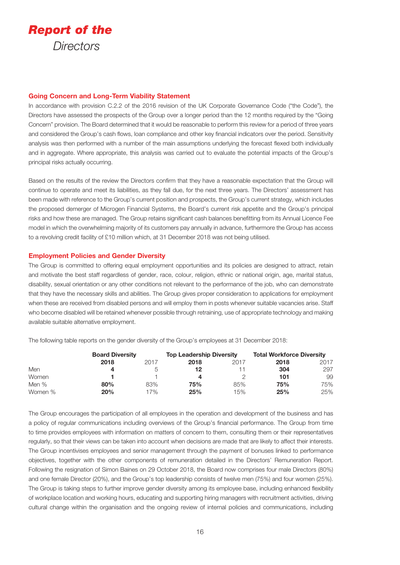

#### **Going Concern and Long-Term Viability Statement**

In accordance with provision C.2.2 of the 2016 revision of the UK Corporate Governance Code ("the Code"), the Directors have assessed the prospects of the Group over a longer period than the 12 months required by the "Going Concern" provision. The Board determined that it would be reasonable to perform this review for a period of three years and considered the Group's cash flows, loan compliance and other key financial indicators over the period. Sensitivity analysis was then performed with a number of the main assumptions underlying the forecast flexed both individually and in aggregate. Where appropriate, this analysis was carried out to evaluate the potential impacts of the Group's principal risks actually occurring.

Based on the results of the review the Directors confirm that they have a reasonable expectation that the Group will continue to operate and meet its liabilities, as they fall due, for the next three years. The Directors' assessment has been made with reference to the Group's current position and prospects, the Group's current strategy, which includes the proposed demerger of Microgen Financial Systems, the Board's current risk appetite and the Group's principal risks and how these are managed. The Group retains significant cash balances benefitting from its Annual Licence Fee model in which the overwhelming majority of its customers pay annually in advance, furthermore the Group has access to a revolving credit facility of £10 million which, at 31 December 2018 was not being utilised.

#### **Employment Policies and Gender Diversity**

The Group is committed to offering equal employment opportunities and its policies are designed to attract, retain and motivate the best staff regardless of gender, race, colour, religion, ethnic or national origin, age, marital status, disability, sexual orientation or any other conditions not relevant to the performance of the job, who can demonstrate that they have the necessary skills and abilities. The Group gives proper consideration to applications for employment when these are received from disabled persons and will employ them in posts whenever suitable vacancies arise. Staff who become disabled will be retained whenever possible through retraining, use of appropriate technology and making available suitable alternative employment.

The following table reports on the gender diversity of the Group's employees at 31 December 2018:

|         | <b>Board Diversity</b> |      | <b>Top Leadership Diversity</b> |      | <b>Total Workforce Diversity</b> |      |
|---------|------------------------|------|---------------------------------|------|----------------------------------|------|
|         | 2018                   | 2017 | 2018                            | 2017 | 2018                             | 2017 |
| Men     |                        |      | 12                              |      | 304                              | 297  |
| Women   |                        |      |                                 |      | 101                              | 99   |
| Men %   | 80%                    | 83%  | 75%                             | 85%  | 75%                              | 75%  |
| Women % | 20%                    | 17%  | 25%                             | 15%  | 25%                              | 25%  |

The Group encourages the participation of all employees in the operation and development of the business and has a policy of regular communications including overviews of the Group's financial performance. The Group from time to time provides employees with information on matters of concern to them, consulting them or their representatives regularly, so that their views can be taken into account when decisions are made that are likely to affect their interests. The Group incentivises employees and senior management through the payment of bonuses linked to performance objectives, together with the other components of remuneration detailed in the Directors' Remuneration Report. Following the resignation of Simon Baines on 29 October 2018, the Board now comprises four male Directors (80%) and one female Director (20%), and the Group's top leadership consists of twelve men (75%) and four women (25%). The Group is taking steps to further improve gender diversity among its employee base, including enhanced flexibility of workplace location and working hours, educating and supporting hiring managers with recruitment activities, driving cultural change within the organisation and the ongoing review of internal policies and communications, including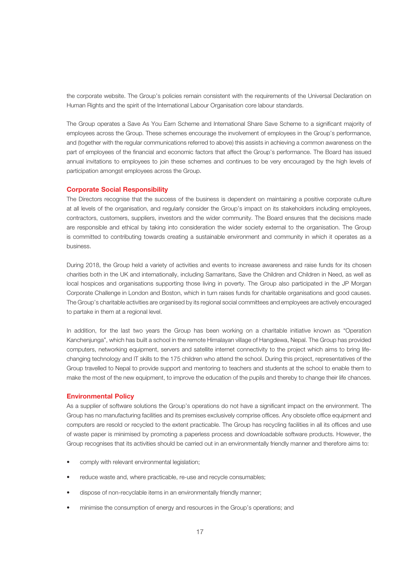the corporate website. The Group's policies remain consistent with the requirements of the Universal Declaration on Human Rights and the spirit of the International Labour Organisation core labour standards.

The Group operates a Save As You Earn Scheme and International Share Save Scheme to a significant majority of employees across the Group. These schemes encourage the involvement of employees in the Group's performance, and (together with the regular communications referred to above) this assists in achieving a common awareness on the part of employees of the financial and economic factors that affect the Group's performance. The Board has issued annual invitations to employees to join these schemes and continues to be very encouraged by the high levels of participation amongst employees across the Group.

#### **Corporate Social Responsibility**

The Directors recognise that the success of the business is dependent on maintaining a positive corporate culture at all levels of the organisation, and regularly consider the Group's impact on its stakeholders including employees, contractors, customers, suppliers, investors and the wider community. The Board ensures that the decisions made are responsible and ethical by taking into consideration the wider society external to the organisation. The Group is committed to contributing towards creating a sustainable environment and community in which it operates as a business.

During 2018, the Group held a variety of activities and events to increase awareness and raise funds for its chosen charities both in the UK and internationally, including Samaritans, Save the Children and Children in Need, as well as local hospices and organisations supporting those living in poverty. The Group also participated in the JP Morgan Corporate Challenge in London and Boston, which in turn raises funds for charitable organisations and good causes. The Group's charitable activities are organised by its regional social committees and employees are actively encouraged to partake in them at a regional level.

In addition, for the last two years the Group has been working on a charitable initiative known as "Operation Kanchenjunga", which has built a school in the remote Himalayan village of Hangdewa, Nepal. The Group has provided computers, networking equipment, servers and satellite internet connectivity to the project which aims to bring lifechanging technology and IT skills to the 175 children who attend the school. During this project, representatives of the Group travelled to Nepal to provide support and mentoring to teachers and students at the school to enable them to make the most of the new equipment, to improve the education of the pupils and thereby to change their life chances.

#### **Environmental Policy**

As a supplier of software solutions the Group's operations do not have a significant impact on the environment. The Group has no manufacturing facilities and its premises exclusively comprise offices. Any obsolete office equipment and computers are resold or recycled to the extent practicable. The Group has recycling facilities in all its offices and use of waste paper is minimised by promoting a paperless process and downloadable software products. However, the Group recognises that its activities should be carried out in an environmentally friendly manner and therefore aims to:

- comply with relevant environmental legislation;
- reduce waste and, where practicable, re-use and recycle consumables;
- dispose of non-recyclable items in an environmentally friendly manner;
- minimise the consumption of energy and resources in the Group's operations; and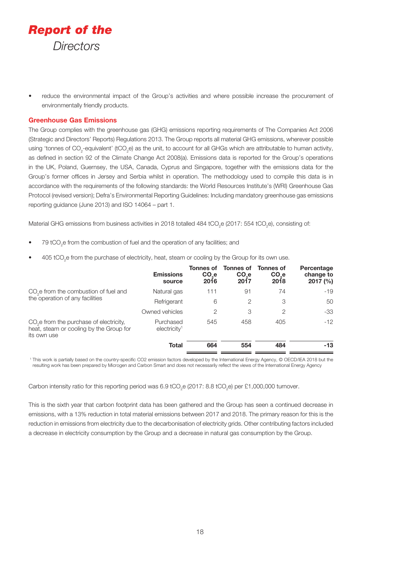

• reduce the environmental impact of the Group's activities and where possible increase the procurement of environmentally friendly products.

#### **Greenhouse Gas Emissions**

The Group complies with the greenhouse gas (GHG) emissions reporting requirements of The Companies Act 2006 (Strategic and Directors' Reports) Regulations 2013. The Group reports all material GHG emissions, wherever possible using 'tonnes of CO<sub>2</sub>-equivalent' (tCO<sub>2</sub>e) as the unit, to account for all GHGs which are attributable to human activity, as defined in section 92 of the Climate Change Act 2008(a). Emissions data is reported for the Group's operations in the UK, Poland, Guernsey, the USA, Canada, Cyprus and Singapore, together with the emissions data for the Group's former offices in Jersey and Serbia whilst in operation. The methodology used to compile this data is in accordance with the requirements of the following standards: the World Resources Institute's (WRI) Greenhouse Gas Protocol (revised version); Defra's Environmental Reporting Guidelines: Including mandatory greenhouse gas emissions reporting guidance (June 2013) and ISO 14064 – part 1.

Material GHG emissions from business activities in 2018 totalled 484 tCO<sub>2</sub>e (2017: 554 tCO<sub>2</sub>e), consisting of:

- $79$  tCO<sub>2</sub>e from the combustion of fuel and the operation of any facilities; and
- $\bullet$  405 tCO<sub>2</sub>e from the purchase of electricity, heat, steam or cooling by the Group for its own use.

|                                                                                                               | <b>Emissions</b><br>source               | <b>Tonnes of</b><br>CO <sub>e</sub><br>2016 | <b>Tonnes of</b><br>CO <sub>e</sub><br>2017 | <b>Tonnes of</b><br>CO <sub>e</sub><br>2018 | Percentage<br>change to<br>$2017 \frac{6}{6}$ |
|---------------------------------------------------------------------------------------------------------------|------------------------------------------|---------------------------------------------|---------------------------------------------|---------------------------------------------|-----------------------------------------------|
| CO <sub>2</sub> e from the combustion of fuel and                                                             | Natural gas                              | 111                                         | 91                                          | 74                                          | $-19$                                         |
| the operation of any facilities                                                                               | Refrigerant                              | 6                                           | 2                                           | 3                                           | 50                                            |
|                                                                                                               | Owned vehicles                           | 2                                           | 3                                           | 2                                           | $-33$                                         |
| CO <sub>2</sub> e from the purchase of electricity,<br>heat, steam or cooling by the Group for<br>its own use | Purchased<br>$e$ lectricity <sup>1</sup> | 545                                         | 458                                         | 405                                         | $-12$                                         |
|                                                                                                               | <b>Total</b>                             | 664                                         | 554                                         | 484                                         | $-13$                                         |

<sup>1</sup> This work is partially based on the country-specific CO2 emission factors developed by the International Energy Agency, © OECD/IEA 2018 but the resulting work has been prepared by Microgen and Carbon Smart and does not necessarily reflect the views of the International Energy Agency

Carbon intensity ratio for this reporting period was 6.9 tCO<sub>2</sub>e (2017: 8.8 tCO<sub>2</sub>e) per £1,000,000 turnover.

This is the sixth year that carbon footprint data has been gathered and the Group has seen a continued decrease in emissions, with a 13% reduction in total material emissions between 2017 and 2018. The primary reason for this is the reduction in emissions from electricity due to the decarbonisation of electricity grids. Other contributing factors included a decrease in electricity consumption by the Group and a decrease in natural gas consumption by the Group.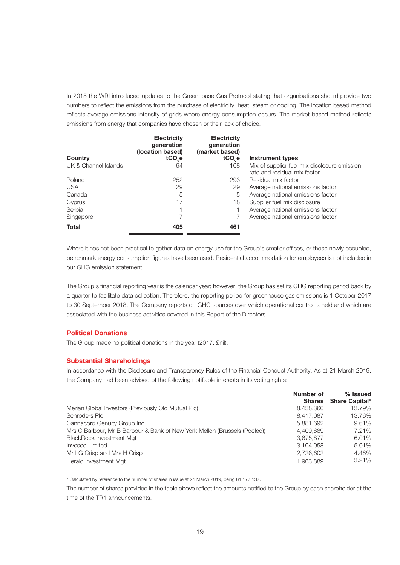In 2015 the WRI introduced updates to the Greenhouse Gas Protocol stating that organisations should provide two numbers to reflect the emissions from the purchase of electricity, heat, steam or cooling. The location based method reflects average emissions intensity of grids where energy consumption occurs. The market based method reflects emissions from energy that companies have chosen or their lack of choice.

| Country<br>UK & Channel Islands | <b>Electricity</b><br>generation<br>(location based)<br>tCO <sub>se</sub><br>94 | <b>Electricity</b><br>generation<br>(market based)<br>tCO <sub>se</sub><br>108 | <b>Instrument types</b><br>Mix of supplier fuel mix disclosure emission<br>rate and residual mix factor |
|---------------------------------|---------------------------------------------------------------------------------|--------------------------------------------------------------------------------|---------------------------------------------------------------------------------------------------------|
| Poland                          | 252                                                                             | 293                                                                            | Residual mix factor                                                                                     |
| <b>USA</b>                      | 29                                                                              | 29                                                                             | Average national emissions factor                                                                       |
| Canada                          | 5                                                                               | 5                                                                              | Average national emissions factor                                                                       |
| Cyprus                          | 17                                                                              | 18                                                                             | Supplier fuel mix disclosure                                                                            |
| Serbia                          |                                                                                 |                                                                                | Average national emissions factor                                                                       |
| Singapore                       |                                                                                 |                                                                                | Average national emissions factor                                                                       |
| <b>Total</b>                    | 405                                                                             | 461                                                                            |                                                                                                         |

Where it has not been practical to gather data on energy use for the Group's smaller offices, or those newly occupied, benchmark energy consumption figures have been used. Residential accommodation for employees is not included in our GHG emission statement.

The Group's financial reporting year is the calendar year; however, the Group has set its GHG reporting period back by a quarter to facilitate data collection. Therefore, the reporting period for greenhouse gas emissions is 1 October 2017 to 30 September 2018. The Company reports on GHG sources over which operational control is held and which are associated with the business activities covered in this Report of the Directors.

#### **Political Donations**

The Group made no political donations in the year (2017: £nil).

#### **Substantial Shareholdings**

In accordance with the Disclosure and Transparency Rules of the Financial Conduct Authority. As at 21 March 2019, the Company had been advised of the following notifiable interests in its voting rights:

|                                                                           | Number of<br><b>Shares</b> | $%$ Issued<br><b>Share Capital*</b> |
|---------------------------------------------------------------------------|----------------------------|-------------------------------------|
| Merian Global Investors (Previously Old Mutual Plc)                       | 8,438,360                  | 13.79%                              |
| Schroders Plc                                                             | 8.417.087                  | 13.76%                              |
| Cannacord Genuity Group Inc.                                              | 5.881.692                  | 9.61%                               |
| Mrs C Barbour, Mr B Barbour & Bank of New York Mellon (Brussels (Pooled)) | 4.409.689                  | 7.21%                               |
| <b>BlackRock Investment Mgt</b>                                           | 3,675,877                  | 6.01%                               |
| Invesco Limited                                                           | 3.104.058                  | 5.01%                               |
| Mr LG Crisp and Mrs H Crisp                                               | 2,726,602                  | 4.46%                               |
| Herald Investment Mgt                                                     | 1.963.889                  | 3.21%                               |

\* Calculated by reference to the number of shares in issue at 21 March 2019, being 61,177,137.

The number of shares provided in the table above reflect the amounts notified to the Group by each shareholder at the time of the TR1 announcements.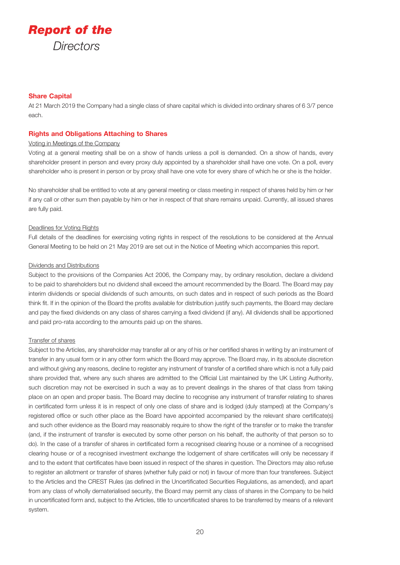

#### **Share Capital**

At 21 March 2019 the Company had a single class of share capital which is divided into ordinary shares of 6 3/7 pence each.

#### **Rights and Obligations Attaching to Shares**

#### Voting in Meetings of the Company

Voting at a general meeting shall be on a show of hands unless a poll is demanded. On a show of hands, every shareholder present in person and every proxy duly appointed by a shareholder shall have one vote. On a poll, every shareholder who is present in person or by proxy shall have one vote for every share of which he or she is the holder.

No shareholder shall be entitled to vote at any general meeting or class meeting in respect of shares held by him or her if any call or other sum then payable by him or her in respect of that share remains unpaid. Currently, all issued shares are fully paid.

#### Deadlines for Voting Rights

Full details of the deadlines for exercising voting rights in respect of the resolutions to be considered at the Annual General Meeting to be held on 21 May 2019 are set out in the Notice of Meeting which accompanies this report.

#### Dividends and Distributions

Subject to the provisions of the Companies Act 2006, the Company may, by ordinary resolution, declare a dividend to be paid to shareholders but no dividend shall exceed the amount recommended by the Board. The Board may pay interim dividends or special dividends of such amounts, on such dates and in respect of such periods as the Board think fit. If in the opinion of the Board the profits available for distribution justify such payments, the Board may declare and pay the fixed dividends on any class of shares carrying a fixed dividend (if any). All dividends shall be apportioned and paid pro-rata according to the amounts paid up on the shares.

#### Transfer of shares

Subject to the Articles, any shareholder may transfer all or any of his or her certified shares in writing by an instrument of transfer in any usual form or in any other form which the Board may approve. The Board may, in its absolute discretion and without giving any reasons, decline to register any instrument of transfer of a certified share which is not a fully paid share provided that, where any such shares are admitted to the Official List maintained by the UK Listing Authority, such discretion may not be exercised in such a way as to prevent dealings in the shares of that class from taking place on an open and proper basis. The Board may decline to recognise any instrument of transfer relating to shares in certificated form unless it is in respect of only one class of share and is lodged (duly stamped) at the Company's registered office or such other place as the Board have appointed accompanied by the relevant share certificate(s) and such other evidence as the Board may reasonably require to show the right of the transfer or to make the transfer (and, if the instrument of transfer is executed by some other person on his behalf, the authority of that person so to do). In the case of a transfer of shares in certificated form a recognised clearing house or a nominee of a recognised clearing house or of a recognised investment exchange the lodgement of share certificates will only be necessary if and to the extent that certificates have been issued in respect of the shares in question. The Directors may also refuse to register an allotment or transfer of shares (whether fully paid or not) in favour of more than four transferees. Subject to the Articles and the CREST Rules (as defined in the Uncertificated Securities Regulations, as amended), and apart from any class of wholly dematerialised security, the Board may permit any class of shares in the Company to be held in uncertificated form and, subject to the Articles, title to uncertificated shares to be transferred by means of a relevant system.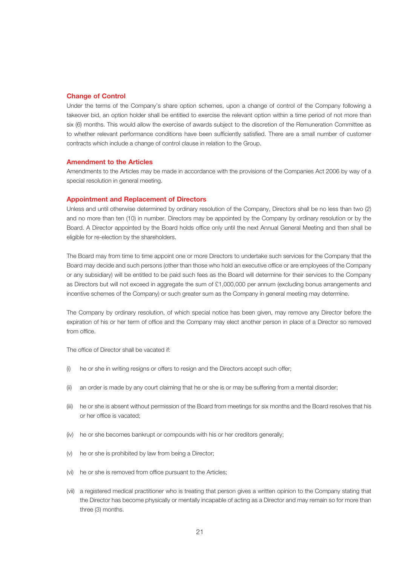#### **Change of Control**

Under the terms of the Company's share option schemes, upon a change of control of the Company following a takeover bid, an option holder shall be entitled to exercise the relevant option within a time period of not more than six (6) months. This would allow the exercise of awards subject to the discretion of the Remuneration Committee as to whether relevant performance conditions have been sufficiently satisfied. There are a small number of customer contracts which include a change of control clause in relation to the Group.

#### **Amendment to the Articles**

Amendments to the Articles may be made in accordance with the provisions of the Companies Act 2006 by way of a special resolution in general meeting.

#### **Appointment and Replacement of Directors**

Unless and until otherwise determined by ordinary resolution of the Company, Directors shall be no less than two (2) and no more than ten (10) in number. Directors may be appointed by the Company by ordinary resolution or by the Board. A Director appointed by the Board holds office only until the next Annual General Meeting and then shall be eligible for re-election by the shareholders.

The Board may from time to time appoint one or more Directors to undertake such services for the Company that the Board may decide and such persons (other than those who hold an executive office or are employees of the Company or any subsidiary) will be entitled to be paid such fees as the Board will determine for their services to the Company as Directors but will not exceed in aggregate the sum of £1,000,000 per annum (excluding bonus arrangements and incentive schemes of the Company) or such greater sum as the Company in general meeting may determine.

The Company by ordinary resolution, of which special notice has been given, may remove any Director before the expiration of his or her term of office and the Company may elect another person in place of a Director so removed from office.

The office of Director shall be vacated if:

- (i) he or she in writing resigns or offers to resign and the Directors accept such offer;
- (ii) an order is made by any court claiming that he or she is or may be suffering from a mental disorder;
- (iii) he or she is absent without permission of the Board from meetings for six months and the Board resolves that his or her office is vacated;
- (iv) he or she becomes bankrupt or compounds with his or her creditors generally;
- (v) he or she is prohibited by law from being a Director;
- (vi) he or she is removed from office pursuant to the Articles;
- (vii) a registered medical practitioner who is treating that person gives a written opinion to the Company stating that the Director has become physically or mentally incapable of acting as a Director and may remain so for more than three (3) months.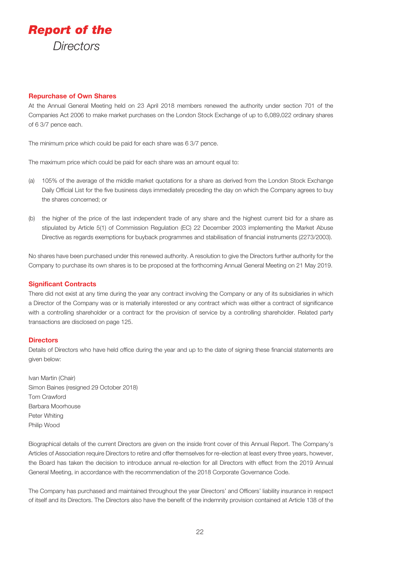

#### **Repurchase of Own Shares**

At the Annual General Meeting held on 23 April 2018 members renewed the authority under section 701 of the Companies Act 2006 to make market purchases on the London Stock Exchange of up to 6,089,022 ordinary shares of 6 3/7 pence each.

The minimum price which could be paid for each share was 6 3/7 pence.

The maximum price which could be paid for each share was an amount equal to:

- (a) 105% of the average of the middle market quotations for a share as derived from the London Stock Exchange Daily Official List for the five business days immediately preceding the day on which the Company agrees to buy the shares concerned; or
- (b) the higher of the price of the last independent trade of any share and the highest current bid for a share as stipulated by Article 5(1) of Commission Regulation (EC) 22 December 2003 implementing the Market Abuse Directive as regards exemptions for buyback programmes and stabilisation of financial instruments (2273/2003).

No shares have been purchased under this renewed authority. A resolution to give the Directors further authority for the Company to purchase its own shares is to be proposed at the forthcoming Annual General Meeting on 21 May 2019.

#### **Significant Contracts**

There did not exist at any time during the year any contract involving the Company or any of its subsidiaries in which a Director of the Company was or is materially interested or any contract which was either a contract of significance with a controlling shareholder or a contract for the provision of service by a controlling shareholder. Related party transactions are disclosed on page 125.

#### **Directors**

Details of Directors who have held office during the year and up to the date of signing these financial statements are given below:

Ivan Martin (Chair) Simon Baines (resigned 29 October 2018) Tom Crawford Barbara Moorhouse Peter Whiting Philip Wood

Biographical details of the current Directors are given on the inside front cover of this Annual Report. The Company's Articles of Association require Directors to retire and offer themselves for re-election at least every three years, however, the Board has taken the decision to introduce annual re-election for all Directors with effect from the 2019 Annual General Meeting, in accordance with the recommendation of the 2018 Corporate Governance Code.

The Company has purchased and maintained throughout the year Directors' and Officers' liability insurance in respect of itself and its Directors. The Directors also have the benefit of the indemnity provision contained at Article 138 of the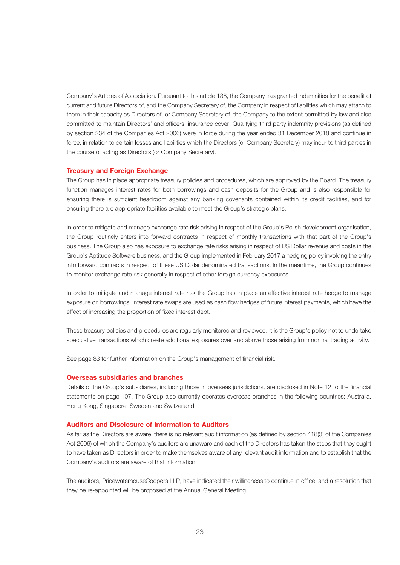Company's Articles of Association. Pursuant to this article 138, the Company has granted indemnities for the benefit of current and future Directors of, and the Company Secretary of, the Company in respect of liabilities which may attach to them in their capacity as Directors of, or Company Secretary of, the Company to the extent permitted by law and also committed to maintain Directors' and officers' insurance cover. Qualifying third party indemnity provisions (as defined by section 234 of the Companies Act 2006) were in force during the year ended 31 December 2018 and continue in force, in relation to certain losses and liabilities which the Directors (or Company Secretary) may incur to third parties in the course of acting as Directors (or Company Secretary).

#### **Treasury and Foreign Exchange**

The Group has in place appropriate treasury policies and procedures, which are approved by the Board. The treasury function manages interest rates for both borrowings and cash deposits for the Group and is also responsible for ensuring there is sufficient headroom against any banking covenants contained within its credit facilities, and for ensuring there are appropriate facilities available to meet the Group's strategic plans.

In order to mitigate and manage exchange rate risk arising in respect of the Group's Polish development organisation, the Group routinely enters into forward contracts in respect of monthly transactions with that part of the Group's business. The Group also has exposure to exchange rate risks arising in respect of US Dollar revenue and costs in the Group's Aptitude Software business, and the Group implemented in February 2017 a hedging policy involving the entry into forward contracts in respect of these US Dollar denominated transactions. In the meantime, the Group continues to monitor exchange rate risk generally in respect of other foreign currency exposures.

In order to mitigate and manage interest rate risk the Group has in place an effective interest rate hedge to manage exposure on borrowings. Interest rate swaps are used as cash flow hedges of future interest payments, which have the effect of increasing the proportion of fixed interest debt.

These treasury policies and procedures are regularly monitored and reviewed. It is the Group's policy not to undertake speculative transactions which create additional exposures over and above those arising from normal trading activity.

See page 83 for further information on the Group's management of financial risk.

#### **Overseas subsidiaries and branches**

Details of the Group's subsidiaries, including those in overseas jurisdictions, are disclosed in Note 12 to the financial statements on page 107. The Group also currently operates overseas branches in the following countries; Australia, Hong Kong, Singapore, Sweden and Switzerland.

#### **Auditors and Disclosure of Information to Auditors**

As far as the Directors are aware, there is no relevant audit information (as defined by section 418(3) of the Companies Act 2006) of which the Company's auditors are unaware and each of the Directors has taken the steps that they ought to have taken as Directors in order to make themselves aware of any relevant audit information and to establish that the Company's auditors are aware of that information.

The auditors, PricewaterhouseCoopers LLP, have indicated their willingness to continue in office, and a resolution that they be re-appointed will be proposed at the Annual General Meeting.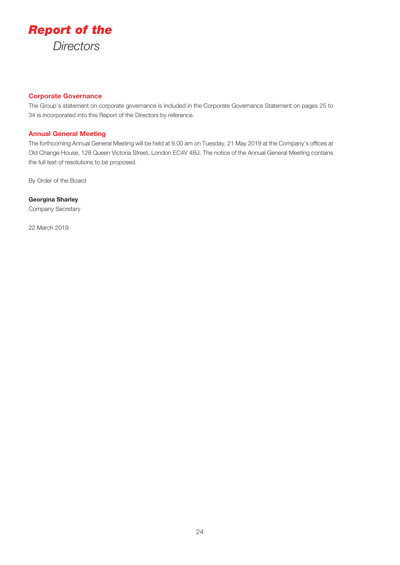

### **Corporate Governance**

The Group's statement on corporate governance is included in the Corporate Governance Statement on pages 25 to 34 is incorporated into this Report of the Directors by reference.

#### **Annual General Meeting**

The forthcoming Annual General Meeting will be held at 9.00 am on Tuesday, 21 May 2019 at the Company's offices at Old Change House, 128 Queen Victoria Street, London EC4V 4BJ. The notice of the Annual General Meeting contains the full text of resolutions to be proposed.

By Order of the Board

**Georgina Sharley** Company Secretary

22 March 2019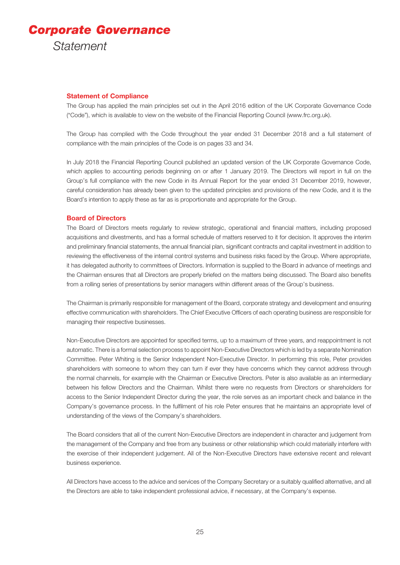## *Corporate Governance Statement*

#### **Statement of Compliance**

The Group has applied the main principles set out in the April 2016 edition of the UK Corporate Governance Code ("Code"), which is available to view on the website of the Financial Reporting Council (www.frc.org.uk).

The Group has complied with the Code throughout the year ended 31 December 2018 and a full statement of compliance with the main principles of the Code is on pages 33 and 34.

In July 2018 the Financial Reporting Council published an updated version of the UK Corporate Governance Code, which applies to accounting periods beginning on or after 1 January 2019. The Directors will report in full on the Group's full compliance with the new Code in its Annual Report for the year ended 31 December 2019, however, careful consideration has already been given to the updated principles and provisions of the new Code, and it is the Board's intention to apply these as far as is proportionate and appropriate for the Group.

#### **Board of Directors**

The Board of Directors meets regularly to review strategic, operational and financial matters, including proposed acquisitions and divestments, and has a formal schedule of matters reserved to it for decision. It approves the interim and preliminary financial statements, the annual financial plan, significant contracts and capital investment in addition to reviewing the effectiveness of the internal control systems and business risks faced by the Group. Where appropriate, it has delegated authority to committees of Directors. Information is supplied to the Board in advance of meetings and the Chairman ensures that all Directors are properly briefed on the matters being discussed. The Board also benefits from a rolling series of presentations by senior managers within different areas of the Group's business.

The Chairman is primarily responsible for management of the Board, corporate strategy and development and ensuring effective communication with shareholders. The Chief Executive Officers of each operating business are responsible for managing their respective businesses.

Non-Executive Directors are appointed for specified terms, up to a maximum of three years, and reappointment is not automatic. There is a formal selection process to appoint Non-Executive Directors which is led by a separate Nomination Committee. Peter Whiting is the Senior Independent Non-Executive Director. In performing this role, Peter provides shareholders with someone to whom they can turn if ever they have concerns which they cannot address through the normal channels, for example with the Chairman or Executive Directors. Peter is also available as an intermediary between his fellow Directors and the Chairman. Whilst there were no requests from Directors or shareholders for access to the Senior Independent Director during the year, the role serves as an important check and balance in the Company's governance process. In the fulfilment of his role Peter ensures that he maintains an appropriate level of understanding of the views of the Company's shareholders.

The Board considers that all of the current Non-Executive Directors are independent in character and judgement from the management of the Company and free from any business or other relationship which could materially interfere with the exercise of their independent judgement. All of the Non-Executive Directors have extensive recent and relevant business experience.

All Directors have access to the advice and services of the Company Secretary or a suitably qualified alternative, and all the Directors are able to take independent professional advice, if necessary, at the Company's expense.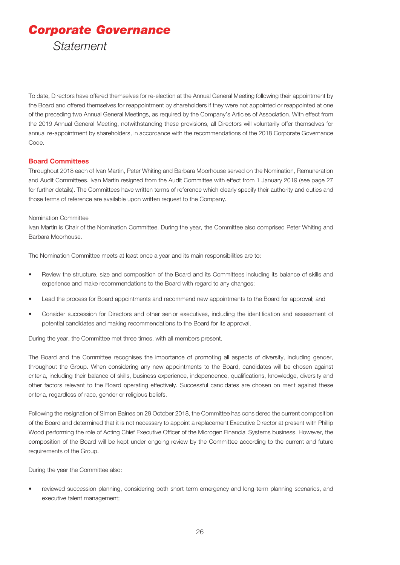*Corporate Governance Statement*

To date, Directors have offered themselves for re-election at the Annual General Meeting following their appointment by the Board and offered themselves for reappointment by shareholders if they were not appointed or reappointed at one of the preceding two Annual General Meetings, as required by the Company's Articles of Association. With effect from the 2019 Annual General Meeting, notwithstanding these provisions, all Directors will voluntarily offer themselves for annual re-appointment by shareholders, in accordance with the recommendations of the 2018 Corporate Governance Code.

#### **Board Committees**

Throughout 2018 each of Ivan Martin, Peter Whiting and Barbara Moorhouse served on the Nomination, Remuneration and Audit Committees. Ivan Martin resigned from the Audit Committee with effect from 1 January 2019 (see page 27 for further details). The Committees have written terms of reference which clearly specify their authority and duties and those terms of reference are available upon written request to the Company.

#### Nomination Committee

Ivan Martin is Chair of the Nomination Committee. During the year, the Committee also comprised Peter Whiting and Barbara Moorhouse.

The Nomination Committee meets at least once a year and its main responsibilities are to:

- Review the structure, size and composition of the Board and its Committees including its balance of skills and experience and make recommendations to the Board with regard to any changes;
- Lead the process for Board appointments and recommend new appointments to the Board for approval; and
- Consider succession for Directors and other senior executives, including the identification and assessment of potential candidates and making recommendations to the Board for its approval.

During the year, the Committee met three times, with all members present.

The Board and the Committee recognises the importance of promoting all aspects of diversity, including gender, throughout the Group. When considering any new appointments to the Board, candidates will be chosen against criteria, including their balance of skills, business experience, independence, qualifications, knowledge, diversity and other factors relevant to the Board operating effectively. Successful candidates are chosen on merit against these criteria, regardless of race, gender or religious beliefs.

Following the resignation of Simon Baines on 29 October 2018, the Committee has considered the current composition of the Board and determined that it is not necessary to appoint a replacement Executive Director at present with Phillip Wood performing the role of Acting Chief Executive Officer of the Microgen Financial Systems business. However, the composition of the Board will be kept under ongoing review by the Committee according to the current and future requirements of the Group.

During the year the Committee also:

• reviewed succession planning, considering both short term emergency and long-term planning scenarios, and executive talent management;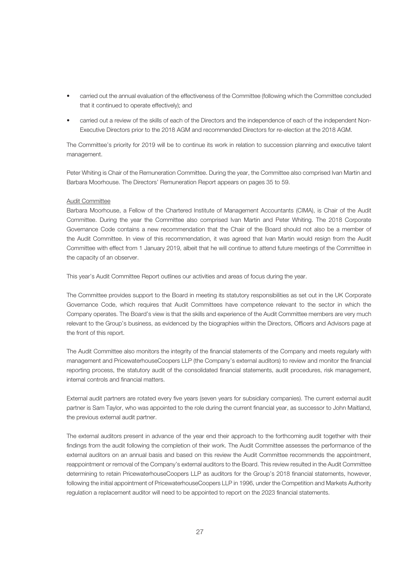- carried out the annual evaluation of the effectiveness of the Committee (following which the Committee concluded that it continued to operate effectively); and
- carried out a review of the skills of each of the Directors and the independence of each of the independent Non-Executive Directors prior to the 2018 AGM and recommended Directors for re-election at the 2018 AGM.

The Committee's priority for 2019 will be to continue its work in relation to succession planning and executive talent management.

Peter Whiting is Chair of the Remuneration Committee. During the year, the Committee also comprised Ivan Martin and Barbara Moorhouse. The Directors' Remuneration Report appears on pages 35 to 59.

#### Audit Committee

Barbara Moorhouse, a Fellow of the Chartered Institute of Management Accountants (CIMA), is Chair of the Audit Committee. During the year the Committee also comprised Ivan Martin and Peter Whiting. The 2018 Corporate Governance Code contains a new recommendation that the Chair of the Board should not also be a member of the Audit Committee. In view of this recommendation, it was agreed that Ivan Martin would resign from the Audit Committee with effect from 1 January 2019, albeit that he will continue to attend future meetings of the Committee in the capacity of an observer.

This year's Audit Committee Report outlines our activities and areas of focus during the year.

The Committee provides support to the Board in meeting its statutory responsibilities as set out in the UK Corporate Governance Code, which requires that Audit Committees have competence relevant to the sector in which the Company operates. The Board's view is that the skills and experience of the Audit Committee members are very much relevant to the Group's business, as evidenced by the biographies within the Directors, Officers and Advisors page at the front of this report.

The Audit Committee also monitors the integrity of the financial statements of the Company and meets regularly with management and PricewaterhouseCoopers LLP (the Company's external auditors) to review and monitor the financial reporting process, the statutory audit of the consolidated financial statements, audit procedures, risk management, internal controls and financial matters.

External audit partners are rotated every five years (seven years for subsidiary companies). The current external audit partner is Sam Taylor, who was appointed to the role during the current financial year, as successor to John Maitland, the previous external audit partner.

The external auditors present in advance of the year end their approach to the forthcoming audit together with their findings from the audit following the completion of their work. The Audit Committee assesses the performance of the external auditors on an annual basis and based on this review the Audit Committee recommends the appointment, reappointment or removal of the Company's external auditors to the Board. This review resulted in the Audit Committee determining to retain PricewaterhouseCoopers LLP as auditors for the Group's 2018 financial statements, however, following the initial appointment of PricewaterhouseCoopers LLP in 1996, under the Competition and Markets Authority regulation a replacement auditor will need to be appointed to report on the 2023 financial statements.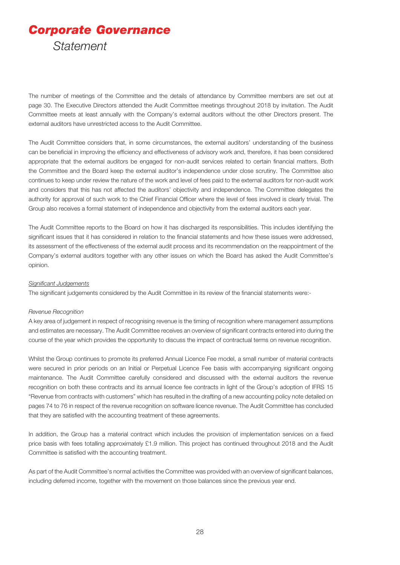# *Corporate Governance Statement*

The number of meetings of the Committee and the details of attendance by Committee members are set out at page 30. The Executive Directors attended the Audit Committee meetings throughout 2018 by invitation. The Audit Committee meets at least annually with the Company's external auditors without the other Directors present. The external auditors have unrestricted access to the Audit Committee.

The Audit Committee considers that, in some circumstances, the external auditors' understanding of the business can be beneficial in improving the efficiency and effectiveness of advisory work and, therefore, it has been considered appropriate that the external auditors be engaged for non-audit services related to certain financial matters. Both the Committee and the Board keep the external auditor's independence under close scrutiny. The Committee also continues to keep under review the nature of the work and level of fees paid to the external auditors for non-audit work and considers that this has not affected the auditors' objectivity and independence. The Committee delegates the authority for approval of such work to the Chief Financial Officer where the level of fees involved is clearly trivial. The Group also receives a formal statement of independence and objectivity from the external auditors each year.

The Audit Committee reports to the Board on how it has discharged its responsibilities. This includes identifying the significant issues that it has considered in relation to the financial statements and how these issues were addressed, its assessment of the effectiveness of the external audit process and its recommendation on the reappointment of the Company's external auditors together with any other issues on which the Board has asked the Audit Committee's opinion.

#### *Significant Judgements*

The significant judgements considered by the Audit Committee in its review of the financial statements were:-

#### *Revenue Recognition*

A key area of judgement in respect of recognising revenue is the timing of recognition where management assumptions and estimates are necessary. The Audit Committee receives an overview of significant contracts entered into during the course of the year which provides the opportunity to discuss the impact of contractual terms on revenue recognition.

Whilst the Group continues to promote its preferred Annual Licence Fee model, a small number of material contracts were secured in prior periods on an Initial or Perpetual Licence Fee basis with accompanying significant ongoing maintenance. The Audit Committee carefully considered and discussed with the external auditors the revenue recognition on both these contracts and its annual licence fee contracts in light of the Group's adoption of IFRS 15 "Revenue from contracts with customers" which has resulted in the drafting of a new accounting policy note detailed on pages 74 to 76 in respect of the revenue recognition on software licence revenue. The Audit Committee has concluded that they are satisfied with the accounting treatment of these agreements.

In addition, the Group has a material contract which includes the provision of implementation services on a fixed price basis with fees totalling approximately £1.9 million. This project has continued throughout 2018 and the Audit Committee is satisfied with the accounting treatment.

As part of the Audit Committee's normal activities the Committee was provided with an overview of significant balances, including deferred income, together with the movement on those balances since the previous year end.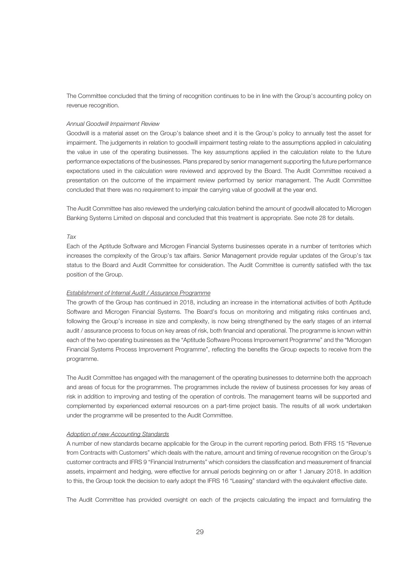The Committee concluded that the timing of recognition continues to be in line with the Group's accounting policy on revenue recognition.

#### *Annual Goodwill Impairment Review*

Goodwill is a material asset on the Group's balance sheet and it is the Group's policy to annually test the asset for impairment. The judgements in relation to goodwill impairment testing relate to the assumptions applied in calculating the value in use of the operating businesses. The key assumptions applied in the calculation relate to the future performance expectations of the businesses. Plans prepared by senior management supporting the future performance expectations used in the calculation were reviewed and approved by the Board. The Audit Committee received a presentation on the outcome of the impairment review performed by senior management. The Audit Committee concluded that there was no requirement to impair the carrying value of goodwill at the year end.

The Audit Committee has also reviewed the underlying calculation behind the amount of goodwill allocated to Microgen Banking Systems Limited on disposal and concluded that this treatment is appropriate. See note 28 for details.

#### *Tax*

Each of the Aptitude Software and Microgen Financial Systems businesses operate in a number of territories which increases the complexity of the Group's tax affairs. Senior Management provide regular updates of the Group's tax status to the Board and Audit Committee for consideration. The Audit Committee is currently satisfied with the tax position of the Group.

#### *Establishment of Internal Audit / Assurance Programme*

The growth of the Group has continued in 2018, including an increase in the international activities of both Aptitude Software and Microgen Financial Systems. The Board's focus on monitoring and mitigating risks continues and, following the Group's increase in size and complexity, is now being strengthened by the early stages of an internal audit / assurance process to focus on key areas of risk, both financial and operational. The programme is known within each of the two operating businesses as the "Aptitude Software Process Improvement Programme" and the "Microgen Financial Systems Process Improvement Programme", reflecting the benefits the Group expects to receive from the programme.

The Audit Committee has engaged with the management of the operating businesses to determine both the approach and areas of focus for the programmes. The programmes include the review of business processes for key areas of risk in addition to improving and testing of the operation of controls. The management teams will be supported and complemented by experienced external resources on a part-time project basis. The results of all work undertaken under the programme will be presented to the Audit Committee.

#### *Adoption of new Accounting Standards*

A number of new standards became applicable for the Group in the current reporting period. Both IFRS 15 "Revenue from Contracts with Customers" which deals with the nature, amount and timing of revenue recognition on the Group's customer contracts and IFRS 9 "Financial Instruments" which considers the classification and measurement of financial assets, impairment and hedging, were effective for annual periods beginning on or after 1 January 2018. In addition to this, the Group took the decision to early adopt the IFRS 16 "Leasing" standard with the equivalent effective date.

The Audit Committee has provided oversight on each of the projects calculating the impact and formulating the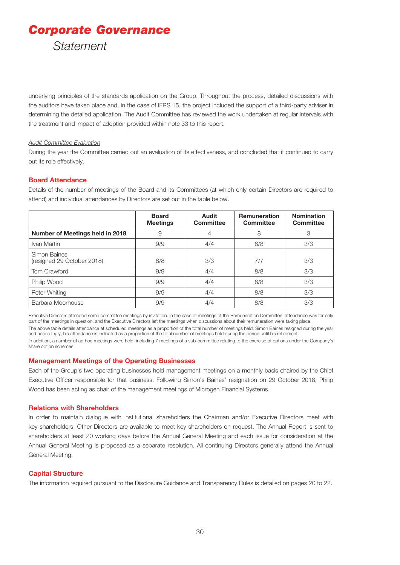*Corporate Governance Statement*

underlying principles of the standards application on the Group. Throughout the process, detailed discussions with the auditors have taken place and, in the case of IFRS 15, the project included the support of a third-party adviser in determining the detailed application. The Audit Committee has reviewed the work undertaken at regular intervals with the treatment and impact of adoption provided within note 33 to this report.

#### *Audit Committee Evaluation*

During the year the Committee carried out an evaluation of its effectiveness, and concluded that it continued to carry out its role effectively.

#### **Board Attendance**

Details of the number of meetings of the Board and its Committees (at which only certain Directors are required to attend) and individual attendances by Directors are set out in the table below.

|                                            | <b>Board</b><br><b>Meetings</b> | <b>Audit</b><br><b>Committee</b> | <b>Remuneration</b><br><b>Committee</b> | <b>Nomination</b><br><b>Committee</b> |
|--------------------------------------------|---------------------------------|----------------------------------|-----------------------------------------|---------------------------------------|
| Number of Meetings held in 2018            | 9                               | 4                                | 8                                       | 3                                     |
| Ivan Martin                                | 9/9                             | 4/4                              | 8/8                                     | 3/3                                   |
| Simon Baines<br>(resigned 29 October 2018) | 8/8                             | 3/3                              | 7/7                                     | 3/3                                   |
| Tom Crawford                               | 9/9                             | 4/4                              | 8/8                                     | 3/3                                   |
| Philip Wood                                | 9/9                             | 4/4                              | 8/8                                     | 3/3                                   |
| Peter Whiting                              | 9/9                             | 4/4                              | 8/8                                     | 3/3                                   |
| Barbara Moorhouse                          | 9/9                             | 4/4                              | 8/8                                     | 3/3                                   |

Executive Directors attended some committee meetings by invitation. In the case of meetings of the Remuneration Committee, attendance was for only part of the meetings in question, and the Executive Directors left the meetings when discussions about their remuneration were taking place. The above table details attendance at scheduled meetings as a proportion of the total number of meetings held. Simon Baines resigned during the year and accordingly, his attendance is indicated as a proportion of the total number of meetings held during the period until his retirement. In addition, a number of ad hoc meetings were held, including 7 meetings of a sub-committee relating to the exercise of options under the Company's share option schemes.

#### **Management Meetings of the Operating Businesses**

Each of the Group's two operating businesses hold management meetings on a monthly basis chaired by the Chief Executive Officer responsible for that business. Following Simon's Baines' resignation on 29 October 2018, Philip Wood has been acting as chair of the management meetings of Microgen Financial Systems.

#### **Relations with Shareholders**

In order to maintain dialogue with institutional shareholders the Chairman and/or Executive Directors meet with key shareholders. Other Directors are available to meet key shareholders on request. The Annual Report is sent to shareholders at least 20 working days before the Annual General Meeting and each issue for consideration at the Annual General Meeting is proposed as a separate resolution. All continuing Directors generally attend the Annual General Meeting.

#### **Capital Structure**

The information required pursuant to the Disclosure Guidance and Transparency Rules is detailed on pages 20 to 22.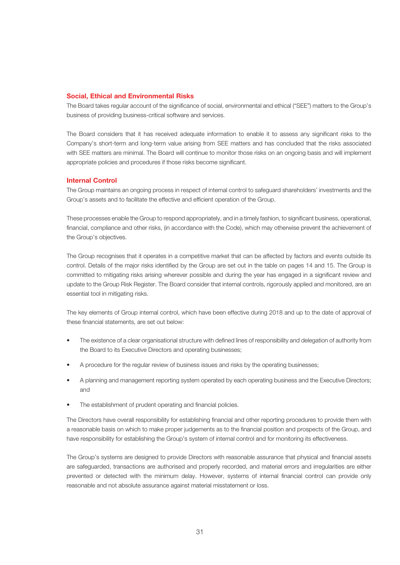#### **Social, Ethical and Environmental Risks**

The Board takes regular account of the significance of social, environmental and ethical ("SEE") matters to the Group's business of providing business-critical software and services.

The Board considers that it has received adequate information to enable it to assess any significant risks to the Company's short-term and long-term value arising from SEE matters and has concluded that the risks associated with SEE matters are minimal. The Board will continue to monitor those risks on an ongoing basis and will implement appropriate policies and procedures if those risks become significant.

#### **Internal Control**

The Group maintains an ongoing process in respect of internal control to safeguard shareholders' investments and the Group's assets and to facilitate the effective and efficient operation of the Group.

These processes enable the Group to respond appropriately, and in a timely fashion, to significant business, operational, financial, compliance and other risks, (in accordance with the Code), which may otherwise prevent the achievement of the Group's objectives.

The Group recognises that it operates in a competitive market that can be affected by factors and events outside its control. Details of the major risks identified by the Group are set out in the table on pages 14 and 15. The Group is committed to mitigating risks arising wherever possible and during the year has engaged in a significant review and update to the Group Risk Register. The Board consider that internal controls, rigorously applied and monitored, are an essential tool in mitigating risks.

The key elements of Group internal control, which have been effective during 2018 and up to the date of approval of these financial statements, are set out below:

- The existence of a clear organisational structure with defined lines of responsibility and delegation of authority from the Board to its Executive Directors and operating businesses;
- A procedure for the regular review of business issues and risks by the operating businesses;
- A planning and management reporting system operated by each operating business and the Executive Directors; and
- The establishment of prudent operating and financial policies.

The Directors have overall responsibility for establishing financial and other reporting procedures to provide them with a reasonable basis on which to make proper judgements as to the financial position and prospects of the Group, and have responsibility for establishing the Group's system of internal control and for monitoring its effectiveness.

The Group's systems are designed to provide Directors with reasonable assurance that physical and financial assets are safeguarded, transactions are authorised and properly recorded, and material errors and irregularities are either prevented or detected with the minimum delay. However, systems of internal financial control can provide only reasonable and not absolute assurance against material misstatement or loss.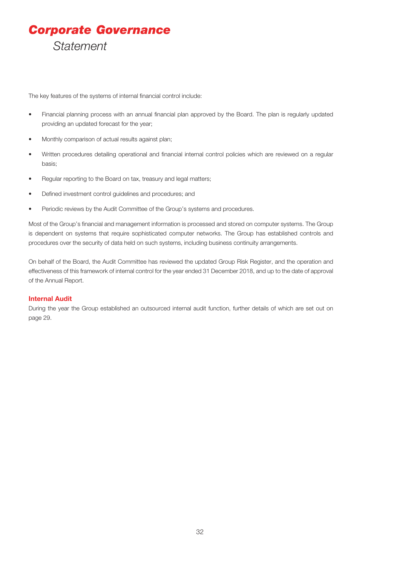# *Corporate Governance Statement*

The key features of the systems of internal financial control include:

- Financial planning process with an annual financial plan approved by the Board. The plan is regularly updated providing an updated forecast for the year;
- Monthly comparison of actual results against plan;
- Written procedures detailing operational and financial internal control policies which are reviewed on a regular basis;
- Regular reporting to the Board on tax, treasury and legal matters;
- Defined investment control guidelines and procedures; and
- Periodic reviews by the Audit Committee of the Group's systems and procedures.

Most of the Group's financial and management information is processed and stored on computer systems. The Group is dependent on systems that require sophisticated computer networks. The Group has established controls and procedures over the security of data held on such systems, including business continuity arrangements.

On behalf of the Board, the Audit Committee has reviewed the updated Group Risk Register, and the operation and effectiveness of this framework of internal control for the year ended 31 December 2018, and up to the date of approval of the Annual Report.

#### **Internal Audit**

During the year the Group established an outsourced internal audit function, further details of which are set out on page 29.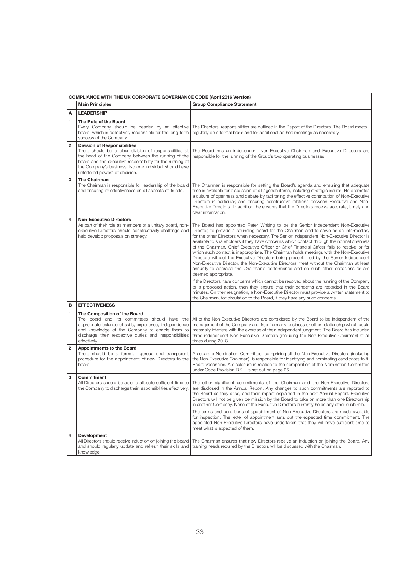|                         | <b>COMPLIANCE WITH THE UK CORPORATE GOVERNANCE CODE (April 2016 Version)</b>                                                                                                                                                                                                                                 |                                                                                                                                                                                                                                                                                                                                                                                                                                                                                                                                                                                                                                                                                                                                                                                                                                                                |  |  |  |  |
|-------------------------|--------------------------------------------------------------------------------------------------------------------------------------------------------------------------------------------------------------------------------------------------------------------------------------------------------------|----------------------------------------------------------------------------------------------------------------------------------------------------------------------------------------------------------------------------------------------------------------------------------------------------------------------------------------------------------------------------------------------------------------------------------------------------------------------------------------------------------------------------------------------------------------------------------------------------------------------------------------------------------------------------------------------------------------------------------------------------------------------------------------------------------------------------------------------------------------|--|--|--|--|
|                         | <b>Main Principles</b>                                                                                                                                                                                                                                                                                       | <b>Group Compliance Statement</b>                                                                                                                                                                                                                                                                                                                                                                                                                                                                                                                                                                                                                                                                                                                                                                                                                              |  |  |  |  |
| Α                       | <b>LEADERSHIP</b>                                                                                                                                                                                                                                                                                            |                                                                                                                                                                                                                                                                                                                                                                                                                                                                                                                                                                                                                                                                                                                                                                                                                                                                |  |  |  |  |
| 1                       | The Role of the Board<br>Every Company should be headed by an effective<br>board, which is collectively responsible for the long-term<br>success of the Company.                                                                                                                                             | The Directors' responsibilities are outlined in the Report of the Directors. The Board meets<br>regularly on a formal basis and for additional ad hoc meetings as necessary.                                                                                                                                                                                                                                                                                                                                                                                                                                                                                                                                                                                                                                                                                   |  |  |  |  |
| $\overline{\mathbf{2}}$ | <b>Division of Responsibilities</b><br>There should be a clear division of responsibilities at<br>the head of the Company between the running of the<br>board and the executive responsibility for the running of<br>the Company's business. No one individual should have<br>unfettered powers of decision. | The Board has an independent Non-Executive Chairman and Executive Directors are<br>responsible for the running of the Group's two operating businesses.                                                                                                                                                                                                                                                                                                                                                                                                                                                                                                                                                                                                                                                                                                        |  |  |  |  |
| 3                       | <b>The Chairman</b><br>The Chairman is responsible for leadership of the board<br>and ensuring its effectiveness on all aspects of its role.                                                                                                                                                                 | The Chairman is responsible for setting the Board's agenda and ensuring that adequate<br>time is available for discussion of all agenda items, including strategic issues. He promotes<br>a culture of openness and debate by facilitating the effective contribution of Non-Executive<br>Directors in particular, and ensuring constructive relations between Executive and Non-<br>Executive Directors. In addition, he ensures that the Directors receive accurate, timely and<br>clear information.                                                                                                                                                                                                                                                                                                                                                        |  |  |  |  |
| 4                       | <b>Non-Executive Directors</b><br>As part of their role as members of a unitary board, non-<br>executive Directors should constructively challenge and<br>help develop proposals on strategy.                                                                                                                | The Board has appointed Peter Whiting to be the Senior Independent Non-Executive<br>Director, to provide a sounding board for the Chairman and to serve as an intermediary<br>for the other Directors when necessary. The Senior Independent Non-Executive Director is<br>available to shareholders if they have concerns which contact through the normal channels<br>of the Chairman, Chief Executive Officer or Chief Financial Officer fails to resolve or for<br>which such contact is inappropriate. The Chairman holds meetings with the Non-Executive<br>Directors without the Executive Directors being present. Led by the Senior Independent<br>Non-Executive Director, the Non-Executive Directors meet without the Chairman at least<br>annually to appraise the Chairman's performance and on such other occasions as are<br>deemed appropriate. |  |  |  |  |
|                         |                                                                                                                                                                                                                                                                                                              | If the Directors have concerns which cannot be resolved about the running of the Company<br>or a proposed action, then they ensure that their concerns are recorded in the Board<br>minutes. On their resignation, a Non-Executive Director must provide a written statement to<br>the Chairman, for circulation to the Board, if they have any such concerns.                                                                                                                                                                                                                                                                                                                                                                                                                                                                                                 |  |  |  |  |
| в                       | <b>EFFECTIVENESS</b>                                                                                                                                                                                                                                                                                         |                                                                                                                                                                                                                                                                                                                                                                                                                                                                                                                                                                                                                                                                                                                                                                                                                                                                |  |  |  |  |
| 1                       | The Composition of the Board<br>The board and its committees should have the<br>appropriate balance of skills, experience, independence<br>and knowledge of the Company to enable them to<br>discharge their respective duties and responsibilities<br>effectively.                                          | All of the Non-Executive Directors are considered by the Board to be independent of the<br>management of the Company and free from any business or other relationship which could<br>materially interfere with the exercise of their independent judgment. The Board has included<br>three independent Non-Executive Directors (including the Non-Executive Chairman) at all<br>times during 2018.                                                                                                                                                                                                                                                                                                                                                                                                                                                             |  |  |  |  |
| $\overline{\mathbf{c}}$ | <b>Appointments to the Board</b><br>There should be a formal, rigorous and transparent<br>procedure for the appointment of new Directors to the<br>board.                                                                                                                                                    | A separate Nomination Committee, comprising all the Non-Executive Directors (including<br>the Non-Executive Chairman), is responsible for identifying and nominating candidates to fill<br>Board vacancies. A disclosure in relation to the composition of the Nomination Committee<br>under Code Provision B.2.1 is set out on page 26.                                                                                                                                                                                                                                                                                                                                                                                                                                                                                                                       |  |  |  |  |
| 3                       | <b>Commitment</b><br>All Directors should be able to allocate sufficient time to<br>the Company to discharge their responsibilities effectively.                                                                                                                                                             | The other significant commitments of the Chairman and the Non-Executive Directors<br>are disclosed in the Annual Report. Any changes to such commitments are reported to<br>the Board as they arise, and their impact explained in the next Annual Report. Executive<br>Directors will not be given permission by the Board to take on more than one Directorship<br>in another Company. None of the Executive Directors currently holds any other such role.<br>The terms and conditions of appointment of Non-Executive Directors are made available<br>for inspection. The letter of appointment sets out the expected time commitment. The<br>appointed Non-Executive Directors have undertaken that they will have sufficient time to<br>meet what is expected of them.                                                                                   |  |  |  |  |
| 4                       | Development<br>All Directors should receive induction on joining the board<br>and should regularly update and refresh their skills and<br>knowledge.                                                                                                                                                         | The Chairman ensures that new Directors receive an induction on joining the Board. Any<br>training needs required by the Directors will be discussed with the Chairman.                                                                                                                                                                                                                                                                                                                                                                                                                                                                                                                                                                                                                                                                                        |  |  |  |  |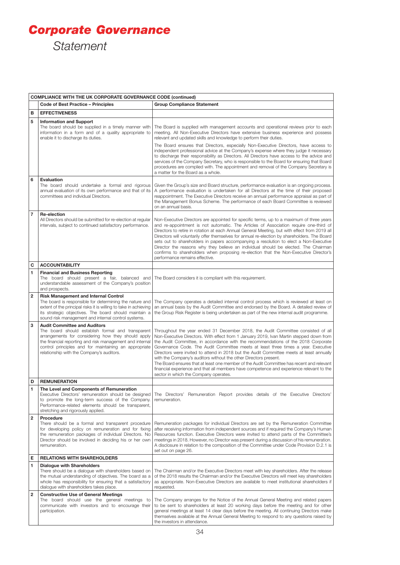# *Corporate Governance Statement*

|                         | <b>COMPLIANCE WITH THE UK CORPORATE GOVERNANCE CODE (continued)</b>                                                                                                                                                                                                                                              |                                                                                                                                                                                                                                                                                                                                                                                                                                                                                                                                                                                                                                                                                                                                                         |  |  |  |
|-------------------------|------------------------------------------------------------------------------------------------------------------------------------------------------------------------------------------------------------------------------------------------------------------------------------------------------------------|---------------------------------------------------------------------------------------------------------------------------------------------------------------------------------------------------------------------------------------------------------------------------------------------------------------------------------------------------------------------------------------------------------------------------------------------------------------------------------------------------------------------------------------------------------------------------------------------------------------------------------------------------------------------------------------------------------------------------------------------------------|--|--|--|
|                         | <b>Code of Best Practice - Principles</b>                                                                                                                                                                                                                                                                        | <b>Group Compliance Statement</b>                                                                                                                                                                                                                                                                                                                                                                                                                                                                                                                                                                                                                                                                                                                       |  |  |  |
| в                       | <b>EFFECTIVENESS</b>                                                                                                                                                                                                                                                                                             |                                                                                                                                                                                                                                                                                                                                                                                                                                                                                                                                                                                                                                                                                                                                                         |  |  |  |
| 5                       | <b>Information and Support</b><br>The board should be supplied in a timely manner with<br>information in a form and of a quality appropriate to<br>enable it to discharge its duties.                                                                                                                            | The Board is supplied with management accounts and operational reviews prior to each<br>meeting. All Non-Executive Directors have extensive business experience and possess<br>relevant and updated skills and knowledge to perform their duties.<br>The Board ensures that Directors, especially Non-Executive Directors, have access to<br>independent professional advice at the Company's expense where they judge it necessary<br>to discharge their responsibility as Directors. All Directors have access to the advice and                                                                                                                                                                                                                      |  |  |  |
|                         |                                                                                                                                                                                                                                                                                                                  | services of the Company Secretary, who is responsible to the Board for ensuring that Board<br>procedures are complied with. The appointment and removal of the Company Secretary is<br>a matter for the Board as a whole.                                                                                                                                                                                                                                                                                                                                                                                                                                                                                                                               |  |  |  |
| 6                       | <b>Evaluation</b><br>The board should undertake a formal and rigorous<br>annual evaluation of its own performance and that of its<br>committees and individual Directors.                                                                                                                                        | Given the Group's size and Board structure, performance evaluation is an ongoing process.<br>A performance evaluation is undertaken for all Directors at the time of their proposed<br>reappointment. The Executive Directors receive an annual performance appraisal as part of<br>the Management Bonus Scheme. The performance of each Board Committee is reviewed<br>on an annual basis.                                                                                                                                                                                                                                                                                                                                                             |  |  |  |
| $\overline{7}$          | <b>Re-election</b><br>All Directors should be submitted for re-election at regular<br>intervals, subject to continued satisfactory performance.                                                                                                                                                                  | Non-Executive Directors are appointed for specific terms, up to a maximum of three years<br>and re-appointment is not automatic. The Articles of Association require one-third of<br>Directors to retire in rotation at each Annual General Meeting, but with effect from 2019 all<br>Directors will voluntarily offer themselves for annual re-election by shareholders. The Board<br>sets out to shareholders in papers accompanying a resolution to elect a Non-Executive<br>Director the reasons why they believe an individual should be elected. The Chairman<br>confirms to shareholders when proposing re-election that the Non-Executive Director's<br>performance remains effective.                                                          |  |  |  |
| с                       | <b>ACCOUNTABILITY</b>                                                                                                                                                                                                                                                                                            |                                                                                                                                                                                                                                                                                                                                                                                                                                                                                                                                                                                                                                                                                                                                                         |  |  |  |
| 1                       | <b>Financial and Business Reporting</b><br>The board should present a fair, balanced and<br>understandable assessment of the Company's position<br>and prospects.                                                                                                                                                | The Board considers it is compliant with this requirement.                                                                                                                                                                                                                                                                                                                                                                                                                                                                                                                                                                                                                                                                                              |  |  |  |
| $\overline{2}$          | <b>Risk Management and Internal Control</b><br>The board is responsible for determining the nature and<br>extent of the principal risks it is willing to take in achieving<br>its strategic objectives. The board should maintain a<br>sound risk management and internal control systems.                       | The Company operates a detailed internal control process which is reviewed at least on<br>an annual basis by the Audit Committee and endorsed by the Board. A detailed review of<br>the Group Risk Register is being undertaken as part of the new internal audit programme.                                                                                                                                                                                                                                                                                                                                                                                                                                                                            |  |  |  |
| 3                       | <b>Audit Committee and Auditors</b><br>The board should establish formal and transparent<br>arrangements for considering how they should apply<br>the financial reporting and risk management and internal<br>control principles and for maintaining an appropriate<br>relationship with the Company's auditors. | Throughout the year ended 31 December 2018, the Audit Committee consisted of all<br>Non-Executive Directors. With effect from 1 January 2019, Ivan Martin stepped down from<br>the Audit Committee, in accordance with the recommendations of the 2018 Corporate<br>Governance Code. The Audit Committee meets at least three times a year. Executive<br>Directors were invited to attend in 2018 but the Audit Committee meets at least annually<br>with the Company's auditors without the other Directors present.<br>The Board ensures that at least one member of the Audit Committee has recent and relevant<br>financial experience and that all members have competence and experience relevant to the<br>sector in which the Company operates. |  |  |  |
| D                       | <b>REMUNERATION</b>                                                                                                                                                                                                                                                                                              |                                                                                                                                                                                                                                                                                                                                                                                                                                                                                                                                                                                                                                                                                                                                                         |  |  |  |
| 1                       | The Level and Components of Remuneration<br>Executive Directors' remuneration should be designed<br>to promote the long-term success of the Company.<br>Performance-related elements should be transparent,<br>stretching and rigorously applied.                                                                | The Directors' Remuneration Report provides details of the Executive Directors<br>remuneration.                                                                                                                                                                                                                                                                                                                                                                                                                                                                                                                                                                                                                                                         |  |  |  |
| $\overline{\mathbf{2}}$ | Procedure<br>There should be a formal and transparent procedure<br>for developing policy on remuneration and for fixing<br>the remuneration packages of individual Directors. No<br>Director should be involved in deciding his or her own<br>remuneration.                                                      | Remuneration packages for individual Directors are set by the Remuneration Committee<br>after receiving information from independent sources and if required the Company's Human<br>Resources function. Executive Directors were invited to attend parts of the Committee's<br>meetings in 2018. However, no Director was present during a discussion of his remuneration.<br>A disclosure in relation to the composition of the Committee under Code Provision D.2.1 is<br>set out on page 26.                                                                                                                                                                                                                                                         |  |  |  |
| Е                       | <b>RELATIONS WITH SHAREHOLDERS</b>                                                                                                                                                                                                                                                                               |                                                                                                                                                                                                                                                                                                                                                                                                                                                                                                                                                                                                                                                                                                                                                         |  |  |  |
| 1                       | <b>Dialogue with Shareholders</b><br>There should be a dialogue with shareholders based on<br>the mutual understanding of objectives. The board as a<br>whole has responsibility for ensuring that a satisfactory<br>dialogue with shareholders takes place.                                                     | The Chairman and/or the Executive Directors meet with key shareholders. After the release<br>of the 2018 results the Chairman and/or the Executive Directors will meet key shareholders<br>as appropriate. Non-Executive Directors are available to meet institutional shareholders if<br>requested.                                                                                                                                                                                                                                                                                                                                                                                                                                                    |  |  |  |
| $\overline{\mathbf{2}}$ | <b>Constructive Use of General Meetings</b><br>The board should use the general meetings to<br>communicate with investors and to encourage their<br>participation.                                                                                                                                               | The Company arranges for the Notice of the Annual General Meeting and related papers<br>to be sent to shareholders at least 20 working days before the meeting and for other<br>general meetings at least 14 clear days before the meeting. All continuing Directors make<br>themselves available at the Annual General Meeting to respond to any questions raised by<br>the investors in attendance.                                                                                                                                                                                                                                                                                                                                                   |  |  |  |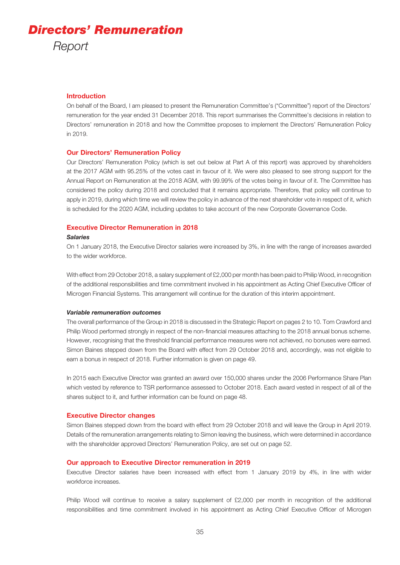#### **Introduction**

On behalf of the Board, I am pleased to present the Remuneration Committee's ("Committee") report of the Directors' remuneration for the year ended 31 December 2018. This report summarises the Committee's decisions in relation to Directors' remuneration in 2018 and how the Committee proposes to implement the Directors' Remuneration Policy in 2019.

#### **Our Directors' Remuneration Policy**

Our Directors' Remuneration Policy (which is set out below at Part A of this report) was approved by shareholders at the 2017 AGM with 95.25% of the votes cast in favour of it. We were also pleased to see strong support for the Annual Report on Remuneration at the 2018 AGM, with 99.99% of the votes being in favour of it. The Committee has considered the policy during 2018 and concluded that it remains appropriate. Therefore, that policy will continue to apply in 2019, during which time we will review the policy in advance of the next shareholder vote in respect of it, which is scheduled for the 2020 AGM, including updates to take account of the new Corporate Governance Code.

#### **Executive Director Remuneration in 2018**

#### *Salaries*

On 1 January 2018, the Executive Director salaries were increased by 3%, in line with the range of increases awarded to the wider workforce.

With effect from 29 October 2018, a salary supplement of £2,000 per month has been paid to Philip Wood, in recognition of the additional responsibilities and time commitment involved in his appointment as Acting Chief Executive Officer of Microgen Financial Systems. This arrangement will continue for the duration of this interim appointment.

#### *Variable remuneration outcomes*

The overall performance of the Group in 2018 is discussed in the Strategic Report on pages 2 to 10. Tom Crawford and Philip Wood performed strongly in respect of the non-financial measures attaching to the 2018 annual bonus scheme. However, recognising that the threshold financial performance measures were not achieved, no bonuses were earned. Simon Baines stepped down from the Board with effect from 29 October 2018 and, accordingly, was not eligible to earn a bonus in respect of 2018. Further information is given on page 49.

In 2015 each Executive Director was granted an award over 150,000 shares under the 2006 Performance Share Plan which vested by reference to TSR performance assessed to October 2018. Each award vested in respect of all of the shares subject to it, and further information can be found on page 48.

#### **Executive Director changes**

Simon Baines stepped down from the board with effect from 29 October 2018 and will leave the Group in April 2019. Details of the remuneration arrangements relating to Simon leaving the business, which were determined in accordance with the shareholder approved Directors' Remuneration Policy, are set out on page 52.

#### **Our approach to Executive Director remuneration in 2019**

Executive Director salaries have been increased with effect from 1 January 2019 by 4%, in line with wider workforce increases.

Philip Wood will continue to receive a salary supplement of £2,000 per month in recognition of the additional responsibilities and time commitment involved in his appointment as Acting Chief Executive Officer of Microgen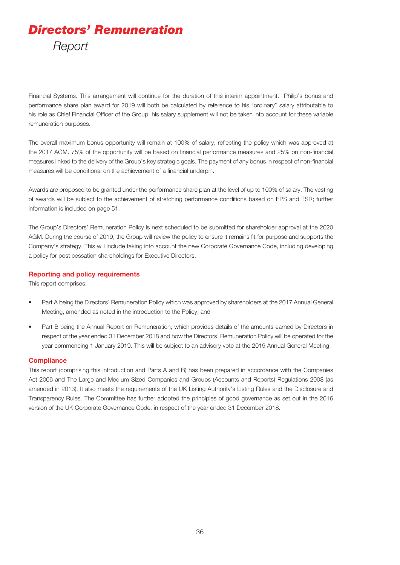Financial Systems. This arrangement will continue for the duration of this interim appointment. Philip's bonus and performance share plan award for 2019 will both be calculated by reference to his "ordinary" salary attributable to his role as Chief Financial Officer of the Group, his salary supplement will not be taken into account for these variable remuneration purposes.

The overall maximum bonus opportunity will remain at 100% of salary, reflecting the policy which was approved at the 2017 AGM. 75% of the opportunity will be based on financial performance measures and 25% on non-financial measures linked to the delivery of the Group's key strategic goals. The payment of any bonus in respect of non-financial measures will be conditional on the achievement of a financial underpin.

Awards are proposed to be granted under the performance share plan at the level of up to 100% of salary. The vesting of awards will be subject to the achievement of stretching performance conditions based on EPS and TSR; further information is included on page 51.

The Group's Directors' Remuneration Policy is next scheduled to be submitted for shareholder approval at the 2020 AGM. During the course of 2019, the Group will review the policy to ensure it remains fit for purpose and supports the Company's strategy. This will include taking into account the new Corporate Governance Code, including developing a policy for post cessation shareholdings for Executive Directors.

#### **Reporting and policy requirements**

This report comprises:

- Part A being the Directors' Remuneration Policy which was approved by shareholders at the 2017 Annual General Meeting, amended as noted in the introduction to the Policy; and
- Part B being the Annual Report on Remuneration, which provides details of the amounts earned by Directors in respect of the year ended 31 December 2018 and how the Directors' Remuneration Policy will be operated for the year commencing 1 January 2019. This will be subject to an advisory vote at the 2019 Annual General Meeting.

#### **Compliance**

This report (comprising this introduction and Parts A and B) has been prepared in accordance with the Companies Act 2006 and The Large and Medium Sized Companies and Groups (Accounts and Reports) Regulations 2008 (as amended in 2013). It also meets the requirements of the UK Listing Authority's Listing Rules and the Disclosure and Transparency Rules. The Committee has further adopted the principles of good governance as set out in the 2016 version of the UK Corporate Governance Code, in respect of the year ended 31 December 2018.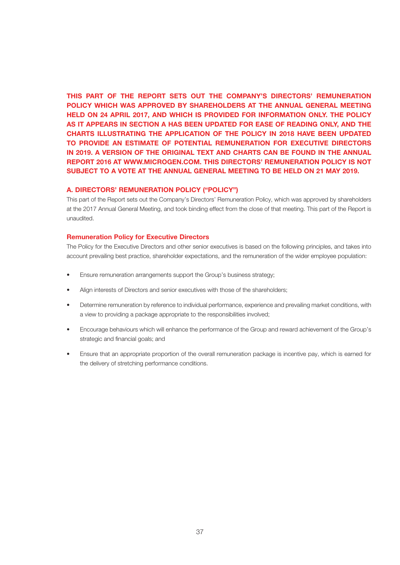**THIS PART OF THE REPORT SETS OUT THE COMPANY'S DIRECTORS' REMUNERATION POLICY WHICH WAS APPROVED BY SHAREHOLDERS AT THE ANNUAL GENERAL MEETING HELD ON 24 APRIL 2017, AND WHICH IS PROVIDED FOR INFORMATION ONLY. THE POLICY AS IT APPEARS IN SECTION A HAS BEEN UPDATED FOR EASE OF READING ONLY, AND THE CHARTS ILLUSTRATING THE APPLICATION OF THE POLICY IN 2018 HAVE BEEN UPDATED TO PROVIDE AN ESTIMATE OF POTENTIAL REMUNERATION FOR EXECUTIVE DIRECTORS IN 2019. A VERSION OF THE ORIGINAL TEXT AND CHARTS CAN BE FOUND IN THE ANNUAL REPORT 2016 AT WWW.MICROGEN.COM. THIS DIRECTORS' REMUNERATION POLICY IS NOT SUBJECT TO A VOTE AT THE ANNUAL GENERAL MEETING TO BE HELD ON 21 MAY 2019.**

#### **A. DIRECTORS' REMUNERATION POLICY ("POLICY")**

This part of the Report sets out the Company's Directors' Remuneration Policy, which was approved by shareholders at the 2017 Annual General Meeting, and took binding effect from the close of that meeting. This part of the Report is unaudited.

#### **Remuneration Policy for Executive Directors**

The Policy for the Executive Directors and other senior executives is based on the following principles, and takes into account prevailing best practice, shareholder expectations, and the remuneration of the wider employee population:

- Ensure remuneration arrangements support the Group's business strategy;
- Align interests of Directors and senior executives with those of the shareholders;
- Determine remuneration by reference to individual performance, experience and prevailing market conditions, with a view to providing a package appropriate to the responsibilities involved;
- Encourage behaviours which will enhance the performance of the Group and reward achievement of the Group's strategic and financial goals; and
- Ensure that an appropriate proportion of the overall remuneration package is incentive pay, which is earned for the delivery of stretching performance conditions.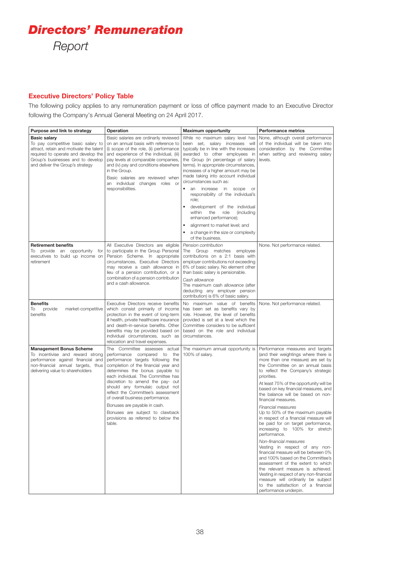#### **Executive Directors' Policy Table**

The following policy applies to any remuneration payment or loss of office payment made to an Executive Director following the Company's Annual General Meeting on 24 April 2017.

| Purpose and link to strategy                                                                                                                                                                                         | Operation                                                                                                                                                                                                                                                                                                                                                                                                                                                                               | <b>Maximum opportunity</b>                                                                                                                                                                                                                                                                                                                                                                                                                                                                                                                                                                                    | <b>Performance metrics</b>                                                                                                                                                                                                                                                                                                                                                                                                                                                                                                                                                                                                                                                                                                                                                                                                                                                                                           |
|----------------------------------------------------------------------------------------------------------------------------------------------------------------------------------------------------------------------|-----------------------------------------------------------------------------------------------------------------------------------------------------------------------------------------------------------------------------------------------------------------------------------------------------------------------------------------------------------------------------------------------------------------------------------------------------------------------------------------|---------------------------------------------------------------------------------------------------------------------------------------------------------------------------------------------------------------------------------------------------------------------------------------------------------------------------------------------------------------------------------------------------------------------------------------------------------------------------------------------------------------------------------------------------------------------------------------------------------------|----------------------------------------------------------------------------------------------------------------------------------------------------------------------------------------------------------------------------------------------------------------------------------------------------------------------------------------------------------------------------------------------------------------------------------------------------------------------------------------------------------------------------------------------------------------------------------------------------------------------------------------------------------------------------------------------------------------------------------------------------------------------------------------------------------------------------------------------------------------------------------------------------------------------|
| <b>Basic salary</b><br>To pay competitive basic salary to<br>attract, retain and motivate the talent<br>required to operate and develop the<br>Group's businesses and to develop<br>and deliver the Group's strategy | Basic salaries are ordinarily reviewed<br>on an annual basis with reference to<br>(i) scope of the role, (ii) performance<br>and experience of the individual, (iii)<br>pay levels at comparable companies,<br>and (iv) pay and conditions elsewhere<br>in the Group.<br>Basic salaries are reviewed when<br>an individual changes roles or<br>responsibilities.                                                                                                                        | While no maximum salary level has<br>been set, salary increases will<br>typically be in line with the increases<br>awarded to other employees in<br>the Group (in percentage of salary<br>terms). In appropriate circumstances,<br>increases of a higher amount may be<br>made taking into account individual<br>circumstances such as:<br>$\bullet$<br>an increase in scope or<br>responsibility of the individual's<br>role;<br>development of the individual<br>within<br>the<br>role<br>(including<br>enhanced performance);<br>alignment to market level; and<br>٠<br>a change in the size or complexity | None, although overall performance<br>of the individual will be taken into<br>consideration by the Committee<br>when setting and reviewing salary<br>levels.                                                                                                                                                                                                                                                                                                                                                                                                                                                                                                                                                                                                                                                                                                                                                         |
|                                                                                                                                                                                                                      |                                                                                                                                                                                                                                                                                                                                                                                                                                                                                         | of the business.                                                                                                                                                                                                                                                                                                                                                                                                                                                                                                                                                                                              |                                                                                                                                                                                                                                                                                                                                                                                                                                                                                                                                                                                                                                                                                                                                                                                                                                                                                                                      |
| <b>Retirement benefits</b><br>To provide an opportunity for<br>executives to build up income on<br>retirement                                                                                                        | All Executive Directors are eligible<br>to participate in the Group Personal<br>Pension Scheme. In appropriate<br>circumstances, Executive Directors<br>may receive a cash allowance in<br>lieu of a pension contribution, or a<br>combination of a pension contribution<br>and a cash allowance.                                                                                                                                                                                       | Pension contribution<br>The Group matches employee<br>contributions on a 2:1 basis with<br>employer contributions not exceeding<br>6% of basic salary. No element other<br>than basic salary is pensionable.<br>Cash allowance<br>The maximum cash allowance (after<br>deducting any employer pension<br>contribution) is 6% of basic salary.                                                                                                                                                                                                                                                                 | None. Not performance related.                                                                                                                                                                                                                                                                                                                                                                                                                                                                                                                                                                                                                                                                                                                                                                                                                                                                                       |
| <b>Benefits</b><br>To<br>provide<br>market-competitive<br>benefits                                                                                                                                                   | Executive Directors receive benefits<br>which consist primarily of income<br>protection in the event of long-term<br>ill health, private healthcare insurance<br>and death-in-service benefits. Other<br>benefits may be provided based on<br>individual circumstances, such as<br>relocation and travel expenses.                                                                                                                                                                      | No maximum value of benefits<br>has been set as benefits vary by<br>role. However, the level of benefits<br>provided is set at a level which the<br>Committee considers to be sufficient<br>based on the role and individual<br>circumstances.                                                                                                                                                                                                                                                                                                                                                                | None. Not performance related.                                                                                                                                                                                                                                                                                                                                                                                                                                                                                                                                                                                                                                                                                                                                                                                                                                                                                       |
| <b>Management Bonus Scheme</b><br>To incentivise and reward strong<br>performance against financial and<br>non-financial annual targets, thus<br>delivering value to shareholders                                    | The Committee assesses actual<br>performance compared to the<br>performance targets following the<br>completion of the financial year and<br>determines the bonus payable to<br>each individual. The Committee has<br>discretion to amend the pay- out<br>should any formulaic output not<br>reflect the Committee's assessment<br>of overall business performance.<br>Bonuses are payable in cash.<br>Bonuses are subject to clawback<br>provisions as referred to below the<br>table. | The maximum annual opportunity is<br>100% of salary.                                                                                                                                                                                                                                                                                                                                                                                                                                                                                                                                                          | Performance measures and targets<br>(and their weightings where there is<br>more than one measure) are set by<br>the Committee on an annual basis<br>to reflect the Company's strategic<br>priorities.<br>At least 75% of the opportunity will be<br>based on key financial measures, and<br>the balance will be based on non-<br>financial measures.<br>Financial measures<br>Up to 50% of the maximum payable<br>in respect of a financial measure will<br>be paid for on target performance,<br>increasing to 100% for stretch<br>performance.<br>Non-financial measures<br>Vesting in respect of any non-<br>financial measure will be between 0%<br>and 100% based on the Committee's<br>assessment of the extent to which<br>the relevant measure is achieved.<br>Vesting in respect of any non-financial<br>measure will ordinarily be subject<br>to the satisfaction of a financial<br>performance underpin. |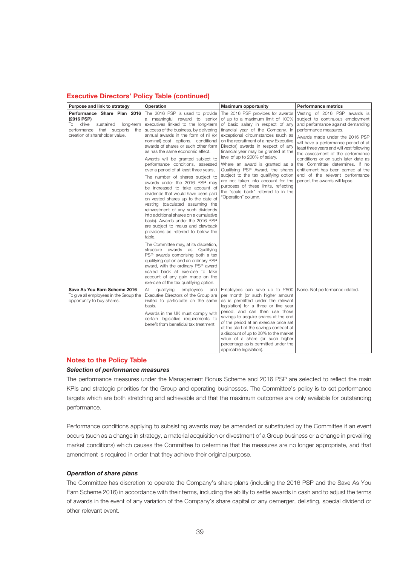#### **Executive Directors' Policy Table (continued)**

| Purpose and link to strategy                                                                                                                          | Operation                                                                                                                                                                                                                                                                                                                                                                                                                                                                                                                                                                                                                                                                                                                                                                                                                                                                                                                                                                                                                                                                                                                                                                     | <b>Maximum opportunity</b>                                                                                                                                                                                                                                                                                                                                                                                                                                                                                                                                                                              | <b>Performance metrics</b>                                                                                                                                                                                                                                                                                                                                                                                                                                                       |
|-------------------------------------------------------------------------------------------------------------------------------------------------------|-------------------------------------------------------------------------------------------------------------------------------------------------------------------------------------------------------------------------------------------------------------------------------------------------------------------------------------------------------------------------------------------------------------------------------------------------------------------------------------------------------------------------------------------------------------------------------------------------------------------------------------------------------------------------------------------------------------------------------------------------------------------------------------------------------------------------------------------------------------------------------------------------------------------------------------------------------------------------------------------------------------------------------------------------------------------------------------------------------------------------------------------------------------------------------|---------------------------------------------------------------------------------------------------------------------------------------------------------------------------------------------------------------------------------------------------------------------------------------------------------------------------------------------------------------------------------------------------------------------------------------------------------------------------------------------------------------------------------------------------------------------------------------------------------|----------------------------------------------------------------------------------------------------------------------------------------------------------------------------------------------------------------------------------------------------------------------------------------------------------------------------------------------------------------------------------------------------------------------------------------------------------------------------------|
| Performance Share Plan 2016<br>(2016 PSP)<br>drive<br>To<br>sustained<br>long-term<br>performance that supports the<br>creation of shareholder value. | The 2016 PSP is used to provide<br>a meaningful reward to senior<br>executives linked to the long-term<br>success of the business, by delivering<br>annual awards in the form of nil (or<br>nominal)-cost options, conditional<br>awards of shares or such other form<br>as has the same economic effect.<br>Awards will be granted subject to<br>performance conditions, assessed<br>over a period of at least three years,<br>The number of shares subject to<br>awards under the 2016 PSP may<br>be increased to take account of<br>dividends that would have been paid<br>on vested shares up to the date of<br>vesting (calculated assuming the<br>reinvestment of any such dividends<br>into additional shares on a cumulative<br>basis). Awards under the 2016 PSP<br>are subject to malus and clawback<br>provisions as referred to below the<br>table.<br>The Committee may, at its discretion,<br>structure awards as Qualifying<br>PSP awards comprising both a tax<br>qualifying option and an ordinary PSP<br>award, with the ordinary PSP award<br>scaled back at exercise to take<br>account of any gain made on the<br>exercise of the tax qualifying option. | The 2016 PSP provides for awards<br>of up to a maximum limit of 100%<br>of basic salary in respect of any<br>financial year of the Company. In<br>exceptional circumstances (such as<br>on the recruitment of a new Executive<br>Director) awards in respect of any<br>financial year may be granted at the<br>level of up to 200% of salary.<br>Where an award is granted as a<br>Qualifying PSP Award, the shares<br>subject to the tax qualifying option<br>are not taken into account for the<br>purposes of these limits, reflecting<br>the "scale back" referred to in the<br>"Operation" column. | Vesting of 2016 PSP awards is<br>subject to continuous employment<br>and performance against demanding<br>performance measures.<br>Awards made under the 2016 PSP<br>will have a performance period of at<br>least three years and will vest following<br>the assessment of the performance<br>conditions or on such later date as<br>the Committee determines. If no<br>entitlement has been earned at the<br>end of the relevant performance<br>period, the awards will lapse. |
| Save As You Earn Scheme 2016<br>To give all employees in the Group the<br>opportunity to buy shares.                                                  | All<br>qualifying<br>employees<br>and<br>Executive Directors of the Group are<br>invited to participate on the same<br>basis.<br>Awards in the UK must comply with<br>certain legislative requirements to<br>benefit from beneficial tax treatment.                                                                                                                                                                                                                                                                                                                                                                                                                                                                                                                                                                                                                                                                                                                                                                                                                                                                                                                           | Employees can save up to £500<br>per month (or such higher amount<br>as is permitted under the relevant<br>legislation) for a three or five year<br>period, and can then use those<br>savings to acquire shares at the end<br>of the period at an exercise price set<br>at the start of the savings contract at<br>a discount of up to 20% to the market<br>value of a share (or such higher<br>percentage as is permitted under the<br>applicable legislation).                                                                                                                                        | None. Not performance related.                                                                                                                                                                                                                                                                                                                                                                                                                                                   |

#### **Notes to the Policy Table**

#### *Selection of performance measures*

The performance measures under the Management Bonus Scheme and 2016 PSP are selected to reflect the main KPIs and strategic priorities for the Group and operating businesses. The Committee's policy is to set performance targets which are both stretching and achievable and that the maximum outcomes are only available for outstanding performance.

Performance conditions applying to subsisting awards may be amended or substituted by the Committee if an event occurs (such as a change in strategy, a material acquisition or divestment of a Group business or a change in prevailing market conditions) which causes the Committee to determine that the measures are no longer appropriate, and that amendment is required in order that they achieve their original purpose.

#### *Operation of share plans*

The Committee has discretion to operate the Company's share plans (including the 2016 PSP and the Save As You Earn Scheme 2016) in accordance with their terms, including the ability to settle awards in cash and to adjust the terms of awards in the event of any variation of the Company's share capital or any demerger, delisting, special dividend or other relevant event.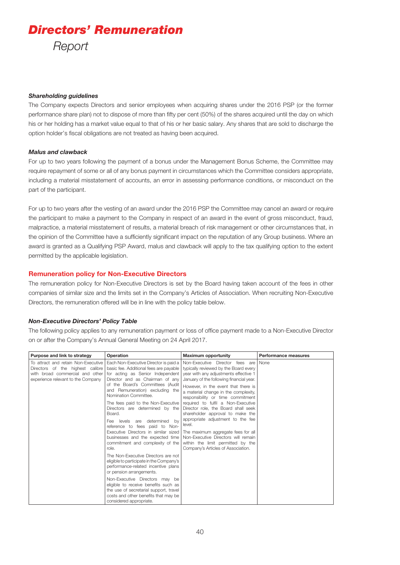#### *Shareholding guidelines*

The Company expects Directors and senior employees when acquiring shares under the 2016 PSP (or the former performance share plan) not to dispose of more than fifty per cent (50%) of the shares acquired until the day on which his or her holding has a market value equal to that of his or her basic salary. Any shares that are sold to discharge the option holder's fiscal obligations are not treated as having been acquired.

#### *Malus and clawback*

For up to two years following the payment of a bonus under the Management Bonus Scheme, the Committee may require repayment of some or all of any bonus payment in circumstances which the Committee considers appropriate, including a material misstatement of accounts, an error in assessing performance conditions, or misconduct on the part of the participant.

For up to two years after the vesting of an award under the 2016 PSP the Committee may cancel an award or require the participant to make a payment to the Company in respect of an award in the event of gross misconduct, fraud, malpractice, a material misstatement of results, a material breach of risk management or other circumstances that, in the opinion of the Committee have a sufficiently significant impact on the reputation of any Group business. Where an award is granted as a Qualifying PSP Award, malus and clawback will apply to the tax qualifying option to the extent permitted by the applicable legislation.

#### **Remuneration policy for Non-Executive Directors**

The remuneration policy for Non-Executive Directors is set by the Board having taken account of the fees in other companies of similar size and the limits set in the Company's Articles of Association. When recruiting Non-Executive Directors, the remuneration offered will be in line with the policy table below.

#### *Non-Executive Directors' Policy Table*

The following policy applies to any remuneration payment or loss of office payment made to a Non-Executive Director on or after the Company's Annual General Meeting on 24 April 2017.

| Purpose and link to strategy                                                                                                                     | Operation                                                                                                                                                                                                                                                                                                                                                                                                                                                                                                                                                                                                                                                   | <b>Maximum opportunity</b>                                                                                                                                                                                                                                                                                                                                                                                                                                                                                                                                                                                                                       | <b>Performance measures</b> |
|--------------------------------------------------------------------------------------------------------------------------------------------------|-------------------------------------------------------------------------------------------------------------------------------------------------------------------------------------------------------------------------------------------------------------------------------------------------------------------------------------------------------------------------------------------------------------------------------------------------------------------------------------------------------------------------------------------------------------------------------------------------------------------------------------------------------------|--------------------------------------------------------------------------------------------------------------------------------------------------------------------------------------------------------------------------------------------------------------------------------------------------------------------------------------------------------------------------------------------------------------------------------------------------------------------------------------------------------------------------------------------------------------------------------------------------------------------------------------------------|-----------------------------|
| To attract and retain Non-Executive<br>Directors of the highest calibre<br>with broad commercial and other<br>experience relevant to the Company | Each Non-Executive Director is paid a<br>basic fee. Additional fees are payable<br>for acting as Senior Independent<br>Director and as Chairman of any<br>of the Board's Committees (Audit<br>and Remuneration) excluding the<br>Nomination Committee.<br>The fees paid to the Non-Executive<br>Directors are determined by the<br>Board.<br>Fee levels<br>determined<br>bv<br>are<br>reference to fees paid to Non-<br>businesses and the expected time<br>commitment and complexity of the<br>role.<br>The Non-Executive Directors are not<br>eligible to participate in the Company's<br>performance-related incentive plans<br>or pension arrangements. | Non-Executive Director fees are<br>typically reviewed by the Board every<br>year with any adjustments effective 1<br>January of the following financial year.<br>However, in the event that there is<br>a material change in the complexity,<br>responsibility or time commitment<br>required to fulfil a Non-Executive<br>Director role, the Board shall seek<br>shareholder approval to make the<br>appropriate adjustment to the fee<br>level.<br>Executive Directors in similar sized   The maximum aggregate fees for all<br>Non-Executive Directors will remain<br>within the limit permitted by the<br>Company's Articles of Association. | None                        |
|                                                                                                                                                  | Non-Executive Directors may be<br>eligible to receive benefits such as<br>the use of secretarial support, travel<br>costs and other benefits that may be<br>considered appropriate.                                                                                                                                                                                                                                                                                                                                                                                                                                                                         |                                                                                                                                                                                                                                                                                                                                                                                                                                                                                                                                                                                                                                                  |                             |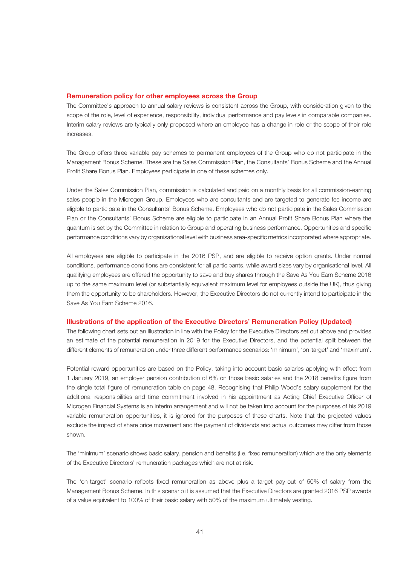#### **Remuneration policy for other employees across the Group**

The Committee's approach to annual salary reviews is consistent across the Group, with consideration given to the scope of the role, level of experience, responsibility, individual performance and pay levels in comparable companies. Interim salary reviews are typically only proposed where an employee has a change in role or the scope of their role increases.

The Group offers three variable pay schemes to permanent employees of the Group who do not participate in the Management Bonus Scheme. These are the Sales Commission Plan, the Consultants' Bonus Scheme and the Annual Profit Share Bonus Plan. Employees participate in one of these schemes only.

Under the Sales Commission Plan, commission is calculated and paid on a monthly basis for all commission-earning sales people in the Microgen Group. Employees who are consultants and are targeted to generate fee income are eligible to participate in the Consultants' Bonus Scheme. Employees who do not participate in the Sales Commission Plan or the Consultants' Bonus Scheme are eligible to participate in an Annual Profit Share Bonus Plan where the quantum is set by the Committee in relation to Group and operating business performance. Opportunities and specific performance conditions vary by organisational level with business area-specific metrics incorporated where appropriate.

All employees are eligible to participate in the 2016 PSP, and are eligible to receive option grants. Under normal conditions, performance conditions are consistent for all participants, while award sizes vary by organisational level. All qualifying employees are offered the opportunity to save and buy shares through the Save As You Earn Scheme 2016 up to the same maximum level (or substantially equivalent maximum level for employees outside the UK), thus giving them the opportunity to be shareholders. However, the Executive Directors do not currently intend to participate in the Save As You Earn Scheme 2016.

#### **Illustrations of the application of the Executive Directors' Remuneration Policy (Updated)**

The following chart sets out an illustration in line with the Policy for the Executive Directors set out above and provides an estimate of the potential remuneration in 2019 for the Executive Directors, and the potential split between the different elements of remuneration under three different performance scenarios: 'minimum', 'on-target' and 'maximum'.

Potential reward opportunities are based on the Policy, taking into account basic salaries applying with effect from 1 January 2019, an employer pension contribution of 6% on those basic salaries and the 2018 benefits figure from the single total figure of remuneration table on page 48. Recognising that Philip Wood's salary supplement for the additional responsibilities and time commitment involved in his appointment as Acting Chief Executive Officer of Microgen Financial Systems is an interim arrangement and will not be taken into account for the purposes of his 2019 variable remuneration opportunities, it is ignored for the purposes of these charts. Note that the projected values exclude the impact of share price movement and the payment of dividends and actual outcomes may differ from those shown.

The 'minimum' scenario shows basic salary, pension and benefits (i.e. fixed remuneration) which are the only elements of the Executive Directors' remuneration packages which are not at risk.

The 'on-target' scenario reflects fixed remuneration as above plus a target pay-out of 50% of salary from the Management Bonus Scheme. In this scenario it is assumed that the Executive Directors are granted 2016 PSP awards of a value equivalent to 100% of their basic salary with 50% of the maximum ultimately vesting.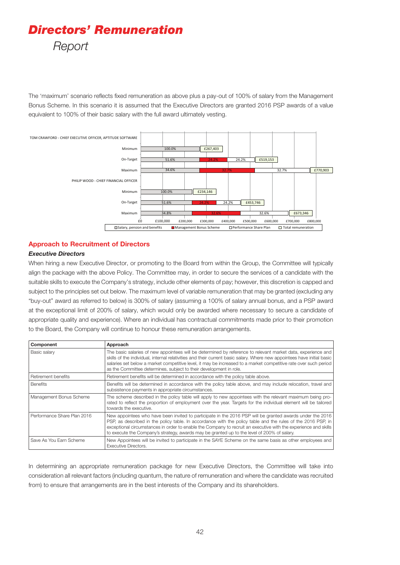The 'maximum' scenario reflects fixed remuneration as above plus a pay-out of 100% of salary from the Management Bonus Scheme. In this scenario it is assumed that the Executive Directors are granted 2016 PSP awards of a value equivalent to 100% of their basic salary with the full award ultimately vesting.



#### **Approach to Recruitment of Directors**

#### *Executive Directors*

When hiring a new Executive Director, or promoting to the Board from within the Group, the Committee will typically align the package with the above Policy. The Committee may, in order to secure the services of a candidate with the suitable skills to execute the Company's strategy, include other elements of pay; however, this discretion is capped and subject to the principles set out below. The maximum level of variable remuneration that may be granted (excluding any "buy-out" award as referred to below) is 300% of salary (assuming a 100% of salary annual bonus, and a PSP award at the exceptional limit of 200% of salary, which would only be awarded where necessary to secure a candidate of appropriate quality and experience). Where an individual has contractual commitments made prior to their promotion to the Board, the Company will continue to honour these remuneration arrangements.

| Component                   | Approach                                                                                                                                                                                                                                                                                                                                                                                                                                    |
|-----------------------------|---------------------------------------------------------------------------------------------------------------------------------------------------------------------------------------------------------------------------------------------------------------------------------------------------------------------------------------------------------------------------------------------------------------------------------------------|
| Basic salary                | The basic salaries of new appointees will be determined by reference to relevant market data, experience and<br>skills of the individual, internal relativities and their current basic salary. Where new appointees have initial basic<br>salaries set below a market competitive level, it may be increased to a market competitive rate over such period<br>as the Committee determines, subject to their development in role.           |
| Retirement benefits         | Retirement benefits will be determined in accordance with the policy table above.                                                                                                                                                                                                                                                                                                                                                           |
| <b>Benefits</b>             | Benefits will be determined in accordance with the policy table above, and may include relocation, travel and<br>subsistence payments in appropriate circumstances.                                                                                                                                                                                                                                                                         |
| Management Bonus Scheme     | The scheme described in the policy table will apply to new appointees with the relevant maximum being pro-<br>rated to reflect the proportion of employment over the year. Targets for the individual element will be tailored<br>towards the executive.                                                                                                                                                                                    |
| Performance Share Plan 2016 | New appointees who have been invited to participate in the 2016 PSP will be granted awards under the 2016<br>PSP, as described in the policy table. In accordance with the policy table and the rules of the 2016 PSP, in<br>exceptional circumstances in order to enable the Company to recruit an executive with the experience and skills<br>to execute the Company's strategy, awards may be granted up to the level of 200% of salary. |
| Save As You Earn Scheme     | New Appointees will be invited to participate in the SAYE Scheme on the same basis as other employees and<br><b>Executive Directors.</b>                                                                                                                                                                                                                                                                                                    |

In determining an appropriate remuneration package for new Executive Directors, the Committee will take into consideration all relevant factors (including quantum, the nature of remuneration and where the candidate was recruited from) to ensure that arrangements are in the best interests of the Company and its shareholders.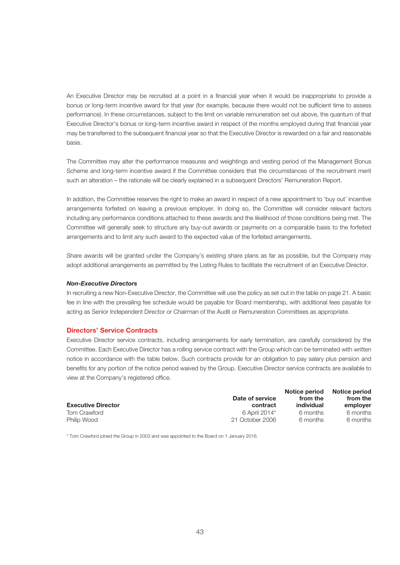An Executive Director may be recruited at a point in a financial year when it would be inappropriate to provide a bonus or long-term incentive award for that year (for example, because there would not be sufficient time to assess performance). In these circumstances, subject to the limit on variable remuneration set out above, the quantum of that Executive Director's bonus or long-term incentive award in respect of the months employed during that financial year may be transferred to the subsequent financial year so that the Executive Director is rewarded on a fair and reasonable basis.

The Committee may alter the performance measures and weightings and vesting period of the Management Bonus Scheme and long-term incentive award if the Committee considers that the circumstances of the recruitment merit such an alteration – the rationale will be clearly explained in a subsequent Directors' Remuneration Report.

In addition, the Committee reserves the right to make an award in respect of a new appointment to 'buy out' incentive arrangements forfeited on leaving a previous employer. In doing so, the Committee will consider relevant factors including any performance conditions attached to these awards and the likelihood of those conditions being met. The Committee will generally seek to structure any buy-out awards or payments on a comparable basis to the forfeited arrangements and to limit any such award to the expected value of the forfeited arrangements.

Share awards will be granted under the Company's existing share plans as far as possible, but the Company may adopt additional arrangements as permitted by the Listing Rules to facilitate the recruitment of an Executive Director.

#### *Non-Executive Directors*

In recruiting a new Non-Executive Director, the Committee will use the policy as set out in the table on page 21. A basic fee in line with the prevailing fee schedule would be payable for Board membership, with additional fees payable for acting as Senior Independent Director or Chairman of the Audit or Remuneration Committees as appropriate.

#### **Directors' Service Contracts**

Executive Director service contracts, including arrangements for early termination, are carefully considered by the Committee. Each Executive Director has a rolling service contract with the Group which can be terminated with written notice in accordance with the table below. Such contracts provide for an obligation to pay salary plus pension and benefits for any portion of the notice period waived by the Group. Executive Director service contracts are available to view at the Company's registered office.

| <b>Executive Director</b> | Date of service<br>contract | Notice period<br>from the<br>individual | Notice period<br>from the<br>employer |
|---------------------------|-----------------------------|-----------------------------------------|---------------------------------------|
| Tom Crawford              | 6 April 2014*               | 6 months                                | 6 months                              |
| Philip Wood               | 21 October 2006             | 6 months                                | 6 months                              |

\* Tom Crawford joined the Group in 2003 and was appointed to the Board on 1 January 2016.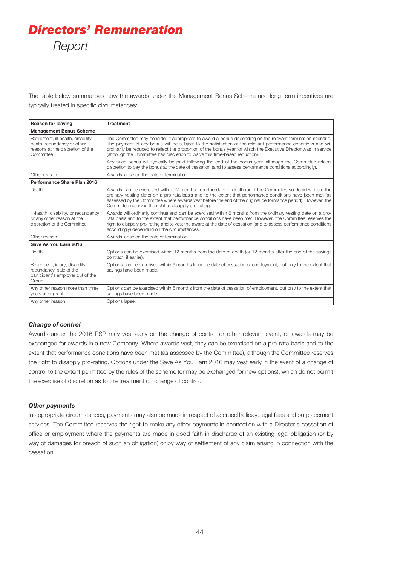The table below summarises how the awards under the Management Bonus Scheme and long-term incentives are typically treated in specific circumstances:

| <b>Reason for leaving</b>                                                                                          | <b>Treatment</b>                                                                                                                                                                                                                                                                                                                                                                                                               |
|--------------------------------------------------------------------------------------------------------------------|--------------------------------------------------------------------------------------------------------------------------------------------------------------------------------------------------------------------------------------------------------------------------------------------------------------------------------------------------------------------------------------------------------------------------------|
| <b>Management Bonus Scheme</b>                                                                                     |                                                                                                                                                                                                                                                                                                                                                                                                                                |
| Retirement, ill-health, disability,<br>death, redundancy or other<br>reasons at the discretion of the<br>Committee | The Committee may consider it appropriate to award a bonus depending on the relevant termination scenario.<br>The payment of any bonus will be subject to the satisfaction of the relevant performance conditions and will<br>ordinarily be reduced to reflect the proportion of the bonus year for which the Executive Director was in service<br>(although the Committee has discretion to waive this time-based reduction). |
|                                                                                                                    | Any such bonus will typically be paid following the end of the bonus year, although the Committee retains<br>discretion to pay the bonus at the date of cessation (and to assess performance conditions accordingly).                                                                                                                                                                                                          |
| Other reason                                                                                                       | Awards lapse on the date of termination.                                                                                                                                                                                                                                                                                                                                                                                       |
| Performance Share Plan 2016                                                                                        |                                                                                                                                                                                                                                                                                                                                                                                                                                |
| Death                                                                                                              | Awards can be exercised within 12 months from the date of death (or, if the Committee so decides, from the<br>ordinary vesting date) on a pro-rata basis and to the extent that performance conditions have been met (as<br>assessed by the Committee where awards vest before the end of the original performance period). However, the<br>Committee reserves the right to disapply pro-rating.                               |
| III-health, disability, or redundancy,<br>or any other reason at the<br>discretion of the Committee                | Awards will ordinarily continue and can be exercised within 6 months from the ordinary vesting date on a pro-<br>rata basis and to the extent that performance conditions have been met. However, the Committee reserves the<br>right to disapply pro-rating and to vest the award at the date of cessation (and to assess performance conditions<br>accordingly) depending on the circumstances.                              |
| Other reason                                                                                                       | Awards lapse on the date of termination.                                                                                                                                                                                                                                                                                                                                                                                       |
| Save As You Earn 2016                                                                                              |                                                                                                                                                                                                                                                                                                                                                                                                                                |
| Death                                                                                                              | Options can be exercised within 12 months from the date of death (or 12 months after the end of the savings<br>contract, if earlier).                                                                                                                                                                                                                                                                                          |
| Retirement, injury, disability,<br>redundancy, sale of the<br>participant's employer out of the<br>Group           | Options can be exercised within 6 months from the date of cessation of employment, but only to the extent that<br>savings have been made.                                                                                                                                                                                                                                                                                      |
| Any other reason more than three<br>years after grant                                                              | Options can be exercised within 6 months from the date of cessation of employment, but only to the extent that<br>savings have been made.                                                                                                                                                                                                                                                                                      |
| Any other reason                                                                                                   | Options lapse.                                                                                                                                                                                                                                                                                                                                                                                                                 |

#### *Change of control*

Awards under the 2016 PSP may vest early on the change of control or other relevant event, or awards may be exchanged for awards in a new Company. Where awards vest, they can be exercised on a pro-rata basis and to the extent that performance conditions have been met (as assessed by the Committee), although the Committee reserves the right to disapply pro-rating. Options under the Save As You Earn 2016 may vest early in the event of a change of control to the extent permitted by the rules of the scheme (or may be exchanged for new options), which do not permit the exercise of discretion as to the treatment on change of control.

#### *Other payments*

In appropriate circumstances, payments may also be made in respect of accrued holiday, legal fees and outplacement services. The Committee reserves the right to make any other payments in connection with a Director's cessation of office or employment where the payments are made in good faith in discharge of an existing legal obligation (or by way of damages for breach of such an obligation) or by way of settlement of any claim arising in connection with the cessation.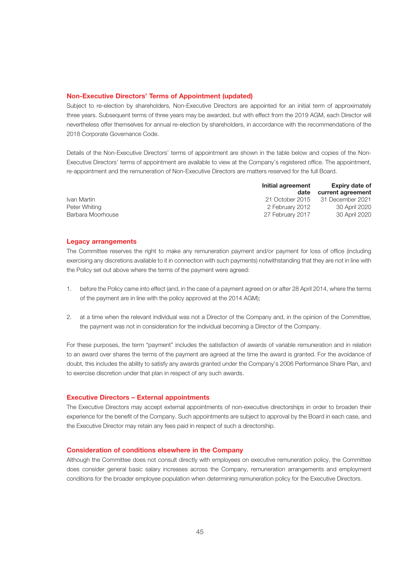#### **Non-Executive Directors' Terms of Appointment (updated)**

Subject to re-election by shareholders, Non-Executive Directors are appointed for an initial term of approximately three years. Subsequent terms of three years may be awarded, but with effect from the 2019 AGM, each Director will nevertheless offer themselves for annual re-election by shareholders, in accordance with the recommendations of the 2018 Corporate Governance Code.

Details of the Non-Executive Directors' terms of appointment are shown in the table below and copies of the Non-Executive Directors' terms of appointment are available to view at the Company's registered office. The appointment, re-appointment and the remuneration of Non-Executive Directors are matters reserved for the full Board.

|                   | Initial agreement | <b>Expiry date of</b> |  |
|-------------------|-------------------|-----------------------|--|
|                   | date              | current agreement     |  |
| Ivan Martin       | 21 October 2015   | 31 December 2021      |  |
| Peter Whiting     | 2 February 2012   | 30 April 2020         |  |
| Barbara Moorhouse | 27 February 2017  | 30 April 2020         |  |

#### **Legacy arrangements**

The Committee reserves the right to make any remuneration payment and/or payment for loss of office (including exercising any discretions available to it in connection with such payments) notwithstanding that they are not in line with the Policy set out above where the terms of the payment were agreed:

- 1. before the Policy came into effect (and, in the case of a payment agreed on or after 28 April 2014, where the terms of the payment are in line with the policy approved at the 2014 AGM);
- 2. at a time when the relevant individual was not a Director of the Company and, in the opinion of the Committee, the payment was not in consideration for the individual becoming a Director of the Company.

For these purposes, the term "payment" includes the satisfaction of awards of variable remuneration and in relation to an award over shares the terms of the payment are agreed at the time the award is granted. For the avoidance of doubt, this includes the ability to satisfy any awards granted under the Company's 2006 Performance Share Plan, and to exercise discretion under that plan in respect of any such awards.

#### **Executive Directors – External appointments**

The Executive Directors may accept external appointments of non-executive directorships in order to broaden their experience for the benefit of the Company. Such appointments are subject to approval by the Board in each case, and the Executive Director may retain any fees paid in respect of such a directorship.

#### **Consideration of conditions elsewhere in the Company**

Although the Committee does not consult directly with employees on executive remuneration policy, the Committee does consider general basic salary increases across the Company, remuneration arrangements and employment conditions for the broader employee population when determining remuneration policy for the Executive Directors.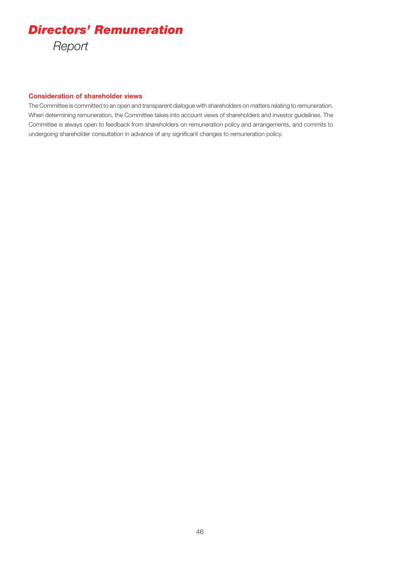#### **Consideration of shareholder views**

The Committee is committed to an open and transparent dialogue with shareholders on matters relating to remuneration. When determining remuneration, the Committee takes into account views of shareholders and investor guidelines. The Committee is always open to feedback from shareholders on remuneration policy and arrangements, and commits to undergoing shareholder consultation in advance of any significant changes to remuneration policy.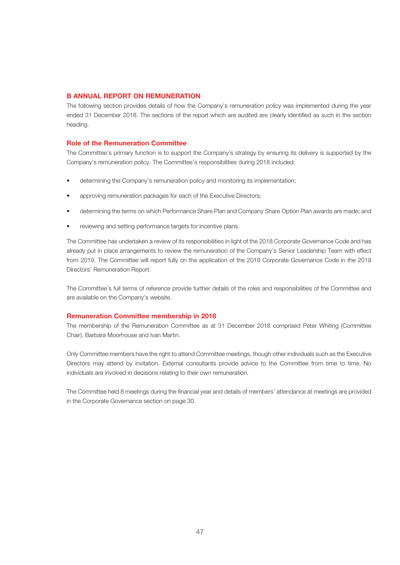#### **B ANNUAL REPORT ON REMUNERATION**

The following section provides details of how the Company's remuneration policy was implemented during the year ended 31 December 2018. The sections of the report which are audited are clearly identified as such in the section heading.

#### **Role of the Remuneration Committee**

The Committee's primary function is to support the Company's strategy by ensuring its delivery is supported by the Company's remuneration policy. The Committee's responsibilities during 2018 included:

- determining the Company's remuneration policy and monitoring its implementation;
- approving remuneration packages for each of the Executive Directors;
- determining the terms on which Performance Share Plan and Company Share Option Plan awards are made; and
- reviewing and setting performance targets for incentive plans.

The Committee has undertaken a review of its responsibilities in light of the 2018 Corporate Governance Code and has already put in place arrangements to review the remuneration of the Company's Senior Leadership Team with effect from 2019. The Committee will report fully on the application of the 2018 Corporate Governance Code in the 2019 Directors' Remuneration Report.

The Committee's full terms of reference provide further details of the roles and responsibilities of the Committee and are available on the Company's website.

#### **Remuneration Committee membership in 2018**

The membership of the Remuneration Committee as at 31 December 2018 comprised Peter Whiting (Committee Chair), Barbara Moorhouse and Ivan Martin.

Only Committee members have the right to attend Committee meetings, though other individuals such as the Executive Directors may attend by invitation. External consultants provide advice to the Committee from time to time. No individuals are involved in decisions relating to their own remuneration.

The Committee held 8 meetings during the financial year and details of members' attendance at meetings are provided in the Corporate Governance section on page 30.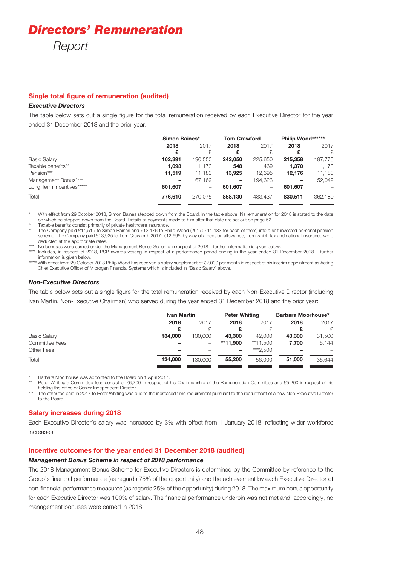# *Directors' Remuneration*

*Report*

#### **Single total figure of remuneration (audited)**

#### *Executive Directors*

The table below sets out a single figure for the total remuneration received by each Executive Director for the year ended 31 December 2018 and the prior year.

|                           | Simon Baines* |         | <b>Tom Crawford</b> |         | Philip Wood****** |         |
|---------------------------|---------------|---------|---------------------|---------|-------------------|---------|
|                           | 2018          | 2017    | 2018                | 2017    | 2018              | 2017    |
|                           | £             | £       | £                   | £.      | £                 | £.      |
| <b>Basic Salary</b>       | 162.391       | 190,550 | 242.050             | 225,650 | 215.358           | 197,775 |
| Taxable benefits**        | 1,093         | 1,173   | 548                 | 469     | 1,370             | 1,173   |
| Pension***                | 11,519        | 11.183  | 13,925              | 12.695  | 12.176            | 11,183  |
| Management Bonus****      |               | 67.169  | -                   | 194.623 | -                 | 152.049 |
| Long Term Incentives***** | 601.607       | -       | 601,607             | -       | 601.607           |         |
| Total                     | 776,610       | 270.075 | 858,130             | 433.437 | 830.511           | 362,180 |
|                           |               |         |                     |         |                   |         |

With effect from 29 October 2018, Simon Baines stepped down from the Board. In the table above, his remuneration for 2018 is stated to the date on which he stepped down from the Board. Details of payments made to him after that date are set out on page 52.

Taxable benefits consist primarily of private healthcare insurance. \*\*\* The Company paid £11,519 to Simon Baines and £12,176 to Philip Wood (2017: £11,183 for each of them) into a self-invested personal pension scheme. The Company paid £13,925 to Tom Crawford (2017: £12,695) by way of a pension allowance, from which tax and national insurance were deducted at the appropriate rates.

\*\*\*\* No bonuses were earned under the Management Bonus Scheme in respect of 2018 – further information is given below. \*\*\*\*\* Includes, in respect of 2018, PSP awards vesting in respect of a performance period ending in the year ended 31 December 2018 – further

information is given below. With effect from 29 October 2018 Philip Wood has received a salary supplement of £2,000 per month in respect of his interim appointment as Acting Chief Executive Officer of Microgen Financial Systems which is included in "Basic Salary" above.

#### *Non-Executive Directors*

The table below sets out a single figure for the total remuneration received by each Non-Executive Director (including Ivan Martin, Non-Executive Chairman) who served during the year ended 31 December 2018 and the prior year:

|                       | <b>Ivan Martin</b> |                          | <b>Peter Whiting</b> |          | Barbara Moorhouse* |        |
|-----------------------|--------------------|--------------------------|----------------------|----------|--------------------|--------|
|                       | 2018               | 2017                     | 2018                 | 2017     | 2018               | 2017   |
|                       | £                  | £                        | £                    |          |                    | £.     |
| <b>Basic Salary</b>   | 134,000            | 130.000                  | 43,300               | 42,000   | 43,300             | 31,500 |
| <b>Committee Fees</b> |                    | $\overline{\phantom{m}}$ | **11.900             | **11.500 | 7.700              | 5,144  |
| Other Fees            | -                  |                          | -                    | ***2.500 |                    |        |
| Total                 | 134.000            | 130,000                  | 55,200               | 56,000   | 51,000             | 36,644 |

\* Barbara Moorhouse was appointed to the Board on 1 April 2017.

Peter Whiting's Committee fees consist of £6,700 in respect of his Chairmanship of the Remuneration Committee and £5,200 in respect of his holding the office of Senior Independent Director.

\*\*\* The other fee paid in 2017 to Peter Whiting was due to the increased time requirement pursuant to the recruitment of a new Non-Executive Director to the Board.

#### **Salary increases during 2018**

Each Executive Director's salary was increased by 3% with effect from 1 January 2018, reflecting wider workforce increases.

#### **Incentive outcomes for the year ended 31 December 2018 (audited)**

#### *Management Bonus Scheme in respect of 2018 performance*

The 2018 Management Bonus Scheme for Executive Directors is determined by the Committee by reference to the Group's financial performance (as regards 75% of the opportunity) and the achievement by each Executive Director of non-financial performance measures (as regards 25% of the opportunity) during 2018. The maximum bonus opportunity for each Executive Director was 100% of salary. The financial performance underpin was not met and, accordingly, no management bonuses were earned in 2018.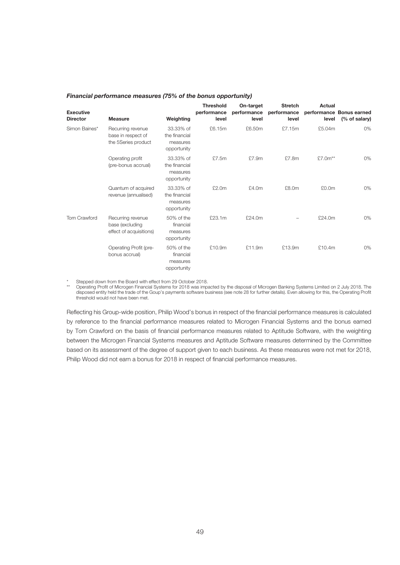#### *Financial performance measures (75% of the bonus opportunity)*

| <b>Executive</b><br><b>Director</b> | <b>Measure</b>                                                  | Weighting                                             | <b>Threshold</b><br>performance<br>level | On-target<br>performance<br>level | <b>Stretch</b><br>performance<br>level | <b>Actual</b><br>level | performance Bonus earned<br>(% of salary) |
|-------------------------------------|-----------------------------------------------------------------|-------------------------------------------------------|------------------------------------------|-----------------------------------|----------------------------------------|------------------------|-------------------------------------------|
| Simon Baines*                       | Recurring revenue<br>base in respect of<br>the 5Series product  | 33.33% of<br>the financial<br>measures<br>opportunity | £6.15m                                   | £6.50m                            | £7.15m                                 | £5.04m                 | 0%                                        |
|                                     | Operating profit<br>(pre-bonus accrual)                         | 33.33% of<br>the financial<br>measures<br>opportunity | £7.5m                                    | £7.9m                             | £7.8m                                  | £7.0m**                | 0%                                        |
|                                     | Quantum of acquired<br>revenue (annualised)                     | 33.33% of<br>the financial<br>measures<br>opportunity | £2.0m                                    | £4.0m                             | £8.0m                                  | £0.0m                  | 0%                                        |
| <b>Tom Crawford</b>                 | Recurring revenue<br>base (excluding<br>effect of acquisitions) | 50% of the<br>financial<br>measures<br>opportunity    | £23.1m                                   | £24.0m                            |                                        | £24.0m                 | 0%                                        |
|                                     | Operating Profit (pre-<br>bonus accrual)                        | 50% of the<br>financial<br>measures<br>opportunity    | £10.9m                                   | £11.9m                            | £13.9m                                 | £10.4m                 | 0%                                        |

\* Stepped down from the Board with effect from 29 October 2018.<br>\*\* Operating Prefit of Microgen Einengiel Systems for 2018 was impor-

\*\* Operating Profit of Microgen Financial Systems for 2018 was impacted by the disposal of Microgen Banking Systems Limited on 2 July 2018. The disposed entity held the trade of the Goup's payments software business (see note 28 for further details). Even allowing for this, the Operating Profit threshold would not have been met.

Reflecting his Group-wide position, Philip Wood's bonus in respect of the financial performance measures is calculated by reference to the financial performance measures related to Microgen Financial Systems and the bonus earned by Tom Crawford on the basis of financial performance measures related to Aptitude Software, with the weighting between the Microgen Financial Systems measures and Aptitude Software measures determined by the Committee based on its assessment of the degree of support given to each business. As these measures were not met for 2018, Philip Wood did not earn a bonus for 2018 in respect of financial performance measures.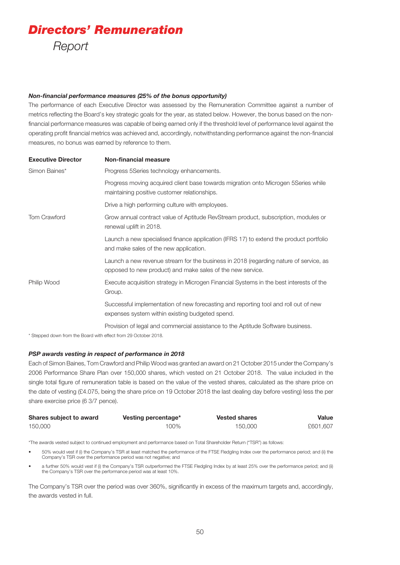#### *Non-financial performance measures (25% of the bonus opportunity)*

The performance of each Executive Director was assessed by the Remuneration Committee against a number of metrics reflecting the Board's key strategic goals for the year, as stated below. However, the bonus based on the nonfinancial performance measures was capable of being earned only if the threshold level of performance level against the operating profit financial metrics was achieved and, accordingly, notwithstanding performance against the non-financial measures, no bonus was earned by reference to them.

| <b>Executive Director</b> | <b>Non-financial measure</b>                                                                                                                        |
|---------------------------|-----------------------------------------------------------------------------------------------------------------------------------------------------|
| Simon Baines*             | Progress 5Series technology enhancements.                                                                                                           |
|                           | Progress moving acquired client base towards migration onto Microgen 5Series while<br>maintaining positive customer relationships.                  |
|                           | Drive a high performing culture with employees.                                                                                                     |
| Tom Crawford              | Grow annual contract value of Aptitude RevStream product, subscription, modules or<br>renewal uplift in 2018.                                       |
|                           | Launch a new specialised finance application (IFRS 17) to extend the product portfolio<br>and make sales of the new application.                    |
|                           | Launch a new revenue stream for the business in 2018 (regarding nature of service, as<br>opposed to new product) and make sales of the new service. |
| Philip Wood               | Execute acquisition strategy in Microgen Financial Systems in the best interests of the<br>Group.                                                   |
|                           | Successful implementation of new forecasting and reporting tool and roll out of new<br>expenses system within existing budgeted spend.              |
|                           | Provision of legal and commercial assistance to the Aptitude Software business.                                                                     |

\* Stepped down from the Board with effect from 29 October 2018.

#### *PSP awards vesting in respect of performance in 2018*

Each of Simon Baines, Tom Crawford and Philip Wood was granted an award on 21 October 2015 under the Company's 2006 Performance Share Plan over 150,000 shares, which vested on 21 October 2018. The value included in the single total figure of remuneration table is based on the value of the vested shares, calculated as the share price on the date of vesting (£4.075, being the share price on 19 October 2018 the last dealing day before vesting) less the per share exercise price (6 3/7 pence).

| Shares subject to award | Vesting percentage* | <b>Vested shares</b> | Value    |
|-------------------------|---------------------|----------------------|----------|
| 150,000                 | $00\%$              | 150,000              | £601,607 |

\*The awards vested subject to continued employment and performance based on Total Shareholder Return ("TSR") as follows:

- 50% would vest if (i) the Company's TSR at least matched the performance of the FTSE Fledgling Index over the performance period; and (ii) the Company's TSR over the performance period was not negative; and
- a further 50% would vest if (i) the Company's TSR outperformed the FTSE Fledgling Index by at least 25% over the performance period; and (ii) the Company's TSR over the performance period was at least 10%.

The Company's TSR over the period was over 360%, significantly in excess of the maximum targets and, accordingly, the awards vested in full.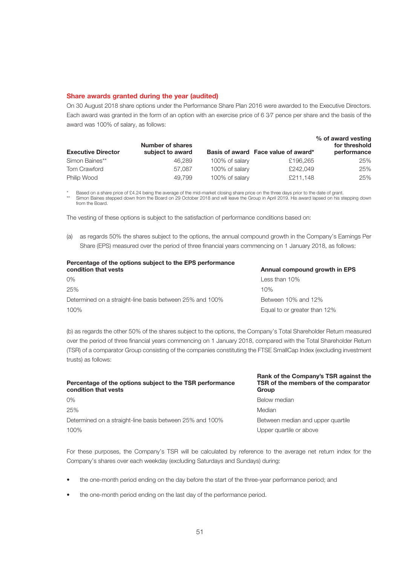#### **Share awards granted during the year (audited)**

On 30 August 2018 share options under the Performance Share Plan 2016 were awarded to the Executive Directors. Each award was granted in the form of an option with an exercise price of 6 3⁄7 pence per share and the basis of the award was 100% of salary, as follows:

| <b>Executive Director</b> | <b>Number of shares</b><br>subject to award |                | Basis of award Face value of award* | % of award vesting<br>for threshold<br>performance |
|---------------------------|---------------------------------------------|----------------|-------------------------------------|----------------------------------------------------|
| Simon Baines**            | 46.289                                      | 100% of salary | £196,265                            | 25%                                                |
| Tom Crawford              | 57.087                                      | 100% of salary | £242,049                            | 25%                                                |
| Philip Wood               | 49.799                                      | 100% of salary | £211.148                            | 25%                                                |

\* Based on a share price of £4.24 being the average of the mid-market closing share price on the three days prior to the date of grant.<br>\* Pinera Prince shared days from the President 200 October 0010 and will be a discuss Simon Baines stepped down from the Board on 29 October 2018 and will leave the Group in April 2019. His award lapsed on his stepping down from the Board.

The vesting of these options is subject to the satisfaction of performance conditions based on:

(a) as regards 50% the shares subject to the options, the annual compound growth in the Company's Earnings Per Share (EPS) measured over the period of three financial years commencing on 1 January 2018, as follows:

| Percentage of the options subject to the EPS performance<br>condition that vests | Annual compound growth in EPS |
|----------------------------------------------------------------------------------|-------------------------------|
| $0\%$                                                                            | Less than $10\%$              |
| 25%                                                                              | 10%                           |
| Determined on a straight-line basis between 25% and 100%                         | Between 10% and 12%           |
| 100%                                                                             | Equal to or greater than 12%  |

(b) as regards the other 50% of the shares subject to the options, the Company's Total Shareholder Return measured over the period of three financial years commencing on 1 January 2018, compared with the Total Shareholder Return (TSR) of a comparator Group consisting of the companies constituting the FTSE SmallCap Index (excluding investment trusts) as follows:

| Rank of the Company's TSR against the<br>TSR of the members of the comparator<br>Group |
|----------------------------------------------------------------------------------------|
| Below median                                                                           |
| Median                                                                                 |
| Between median and upper quartile                                                      |
| Upper quartile or above                                                                |
|                                                                                        |

**Rank of the Company's TSR against the** 

For these purposes, the Company's TSR will be calculated by reference to the average net return index for the Company's shares over each weekday (excluding Saturdays and Sundays) during:

- the one-month period ending on the day before the start of the three-year performance period; and
- the one-month period ending on the last day of the performance period.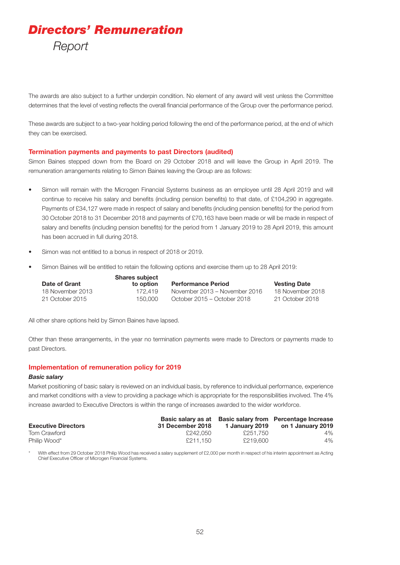The awards are also subject to a further underpin condition. No element of any award will vest unless the Committee determines that the level of vesting reflects the overall financial performance of the Group over the performance period.

These awards are subject to a two-year holding period following the end of the performance period, at the end of which they can be exercised.

#### **Termination payments and payments to past Directors (audited)**

Simon Baines stepped down from the Board on 29 October 2018 and will leave the Group in April 2019. The remuneration arrangements relating to Simon Baines leaving the Group are as follows:

- Simon will remain with the Microgen Financial Systems business as an employee until 28 April 2019 and will continue to receive his salary and benefits (including pension benefits) to that date, of £104,290 in aggregate. Payments of £34,127 were made in respect of salary and benefits (including pension benefits) for the period from 30 October 2018 to 31 December 2018 and payments of £70,163 have been made or will be made in respect of salary and benefits (including pension benefits) for the period from 1 January 2019 to 28 April 2019, this amount has been accrued in full during 2018.
- Simon was not entitled to a bonus in respect of 2018 or 2019.
- Simon Baines will be entitled to retain the following options and exercise them up to 28 April 2019:

|                  | <b>Shares subject</b> |                               |                     |
|------------------|-----------------------|-------------------------------|---------------------|
| Date of Grant    | to option             | <b>Performance Period</b>     | <b>Vesting Date</b> |
| 18 November 2013 | 172.419               | November 2013 – November 2016 | 18 November 2018    |
| 21 October 2015  | 150.000               | October 2015 – October 2018   | 21 October 2018     |

All other share options held by Simon Baines have lapsed.

Other than these arrangements, in the year no termination payments were made to Directors or payments made to past Directors.

#### **Implementation of remuneration policy for 2019**

#### *Basic salary*

Market positioning of basic salary is reviewed on an individual basis, by reference to individual performance, experience and market conditions with a view to providing a package which is appropriate for the responsibilities involved. The 4% increase awarded to Executive Directors is within the range of increases awarded to the wider workforce.

| <b>Executive Directors</b> | 31 December 2018 | 1 January 2019 | Basic salary as at Basic salary from Percentage Increase<br>on 1 January 2019 |
|----------------------------|------------------|----------------|-------------------------------------------------------------------------------|
| Tom Crawford               | £242.050         | £251.750       | $4\%$                                                                         |
| Philip Wood*               | £211.150         | £219,600       | $4\%$                                                                         |

With effect from 29 October 2018 Philip Wood has received a salary supplement of £2,000 per month in respect of his interim appointment as Acting Chief Executive Officer of Microgen Financial Systems.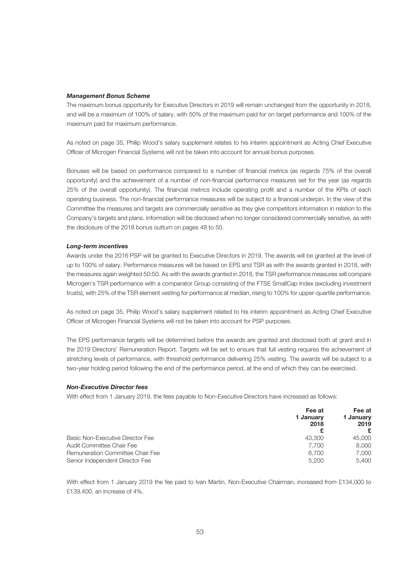#### *Management Bonus Scheme*

The maximum bonus opportunity for Executive Directors in 2019 will remain unchanged from the opportunity in 2018, and will be a maximum of 100% of salary, with 50% of the maximum paid for on target performance and 100% of the maximum paid for maximum performance.

As noted on page 35, Philip Wood's salary supplement relates to his interim appointment as Acting Chief Executive Officer of Microgen Financial Systems will not be taken into account for annual bonus purposes.

Bonuses will be based on performance compared to a number of financial metrics (as regards 75% of the overall opportunity) and the achievement of a number of non-financial performance measures set for the year (as regards 25% of the overall opportunity). The financial metrics include operating profit and a number of the KPIs of each operating business. The non-financial performance measures will be subject to a financial underpin. In the view of the Committee the measures and targets are commercially sensitive as they give competitors information in relation to the Company's targets and plans. Information will be disclosed when no longer considered commercially sensitive, as with the disclosure of the 2018 bonus outturn on pages 48 to 50.

#### *Long-term incentives*

Awards under the 2016 PSP will be granted to Executive Directors in 2019. The awards will be granted at the level of up to 100% of salary. Performance measures will be based on EPS and TSR as with the awards granted in 2018, with the measures again weighted 50:50. As with the awards granted in 2018, the TSR performance measures will compare Microgen's TSR performance with a comparator Group consisting of the FTSE SmallCap Index (excluding investment trusts), with 25% of the TSR element vesting for performance at median, rising to 100% for upper-quartile performance.

As noted on page 35, Philip Wood's salary supplement related to his interim appointment as Acting Chief Executive Officer of Microgen Financial Systems will not be taken into account for PSP purposes.

The EPS performance targets will be determined before the awards are granted and disclosed both at grant and in the 2019 Directors' Remuneration Report. Targets will be set to ensure that full vesting requires the achievement of stretching levels of performance, with threshold performance delivering 25% vesting. The awards will be subject to a two-year holding period following the end of the performance period, at the end of which they can be exercised.

#### *Non-Executive Director fees*

With effect from 1 January 2019, the fees payable to Non-Executive Directors have increased as follows:

|                                  | Fee at<br>1 Januarv<br>2018 | Fee at<br>1 January<br>2019<br>£ |
|----------------------------------|-----------------------------|----------------------------------|
| Basic Non-Executive Director Fee | 43,300                      | 45,000                           |
| Audit Committee Chair Fee        | 7.700                       | 8.000                            |
| Remuneration Committee Chair Fee | 6.700                       | 7,000                            |
| Senior Independent Director Fee  | 5.200                       | 5.400                            |

With effect from 1 January 2019 the fee paid to Ivan Martin, Non-Executive Chairman, increased from £134,000 to £139,400, an increase of 4%.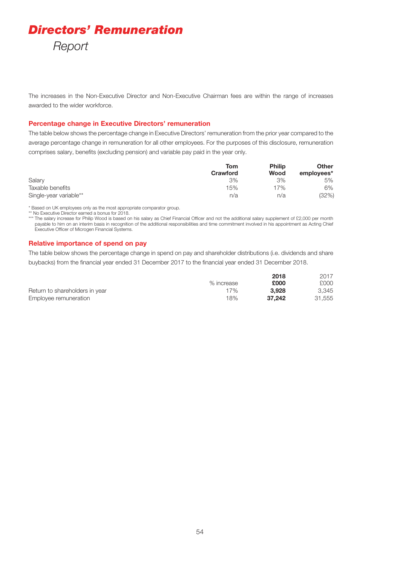The increases in the Non-Executive Director and Non-Executive Chairman fees are within the range of increases awarded to the wider workforce.

#### **Percentage change in Executive Directors' remuneration**

The table below shows the percentage change in Executive Directors' remuneration from the prior year compared to the average percentage change in remuneration for all other employees. For the purposes of this disclosure, remuneration comprises salary, benefits (excluding pension) and variable pay paid in the year only.

|                        | Tom<br><b>Crawford</b> | <b>Philip</b><br>Wood | <b>Other</b><br>employees* |
|------------------------|------------------------|-----------------------|----------------------------|
| Salary                 | 3%                     | 3%                    | 5%                         |
| Taxable benefits       | 15%                    | 17%                   | 6%                         |
| Single-year variable** | n/a                    | n/a                   | (32%)                      |

\* Based on UK employees only as the most appropriate comparator group.

\*\* No Executive Director earned a bonus for 2018.

\*\*\* The salary increase for Philip Wood is based on his salary as Chief Financial Officer and not the additional salary supplement of £2,000 per month payable to him on an interim basis in recognition of the additional responsibilities and time commitment involved in his appointment as Acting Chief Executive Officer of Microgen Financial Systems.

#### **Relative importance of spend on pay**

The table below shows the percentage change in spend on pay and shareholder distributions (i.e. dividends and share buybacks) from the financial year ended 31 December 2017 to the financial year ended 31 December 2018.

|                                |            | 2018   | 2017   |
|--------------------------------|------------|--------|--------|
|                                | % increase | £000   | £000   |
| Return to shareholders in year | 17%        | 3.928  | 3.345  |
| Employee remuneration          | 18%        | 37.242 | 31.555 |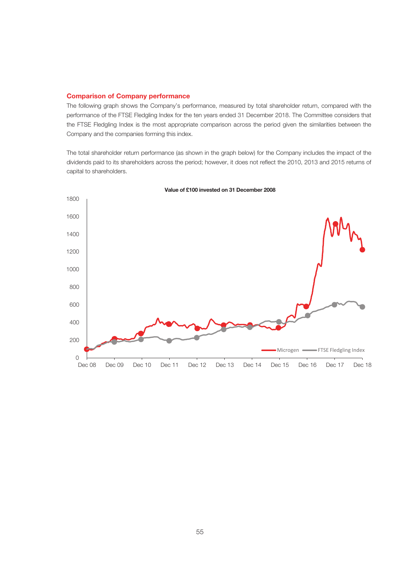#### **Comparison of Company performance**

The following graph shows the Company's performance, measured by total shareholder return, compared with the performance of the FTSE Fledgling Index for the ten years ended 31 December 2018. The Committee considers that the FTSE Fledgling Index is the most appropriate comparison across the period given the similarities between the Company and the companies forming this index.

The total shareholder return performance (as shown in the graph below) for the Company includes the impact of the dividends paid to its shareholders across the period; however, it does not reflect the 2010, 2013 and 2015 returns of capital to shareholders.



**Value of £100 invested on 31 December 2008**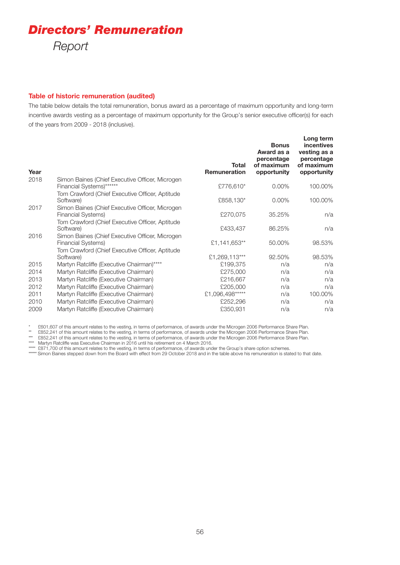#### **Table of historic remuneration (audited)**

The table below details the total remuneration, bonus award as a percentage of maximum opportunity and long-term incentive awards vesting as a percentage of maximum opportunity for the Group's senior executive officer(s) for each of the years from 2009 - 2018 (inclusive).

| Year |                                                                              | Total<br><b>Remuneration</b> | <b>Bonus</b><br>Award as a<br>percentage<br>of maximum<br>opportunity | Long term<br>incentives<br>vesting as a<br>percentage<br>of maximum<br>opportunity |
|------|------------------------------------------------------------------------------|------------------------------|-----------------------------------------------------------------------|------------------------------------------------------------------------------------|
| 2018 | Simon Baines (Chief Executive Officer, Microgen<br>Financial Systems)******  | £776,610*                    | $0.00\%$                                                              | 100.00%                                                                            |
|      | Tom Crawford (Chief Executive Officer, Aptitude<br>Software)                 | £858,130*                    | $0.00\%$                                                              | 100.00%                                                                            |
| 2017 | Simon Baines (Chief Executive Officer, Microgen<br><b>Financial Systems)</b> | £270,075                     | 35.25%                                                                | n/a                                                                                |
|      | Tom Crawford (Chief Executive Officer, Aptitude<br>Software)                 | £433,437                     | 86.25%                                                                | n/a                                                                                |
| 2016 | Simon Baines (Chief Executive Officer, Microgen<br><b>Financial Systems)</b> | £1,141,653**                 | 50.00%                                                                | 98.53%                                                                             |
|      | Tom Crawford (Chief Executive Officer, Aptitude<br>Software)                 | £1,269,113***                | 92.50%                                                                | 98.53%                                                                             |
| 2015 | Martyn Ratcliffe (Executive Chairman)****                                    | £199,375                     | n/a                                                                   | n/a                                                                                |
| 2014 | Martyn Ratcliffe (Executive Chairman)                                        | £275,000                     | n/a                                                                   | n/a                                                                                |
| 2013 | Martyn Ratcliffe (Executive Chairman)                                        | £216,667                     | n/a                                                                   | n/a                                                                                |
| 2012 | Martyn Ratcliffe (Executive Chairman)                                        | £205,000                     | n/a                                                                   | n/a                                                                                |
| 2011 | Martyn Ratcliffe (Executive Chairman)                                        | £1,096,498*****              | n/a                                                                   | 100.00%                                                                            |
| 2010 | Martyn Ratcliffe (Executive Chairman)                                        | £252,296                     | n/a                                                                   | n/a                                                                                |
| 2009 | Martyn Ratcliffe (Executive Chairman)                                        | £350,931                     | n/a                                                                   | n/a                                                                                |

\* £601,607 of this amount relates to the vesting, in terms of performance, of awards under the Microgen 2006 Performance Share Plan.

\*\* £852,241 of this amount relates to the vesting, in terms of performance, of awards under the Microgen 2006 Performance Share Plan.

\*\*\* £852,241 of this amount relates to the vesting, in terms of performance, of awards under the Microgen 2006 Performance Share Plan.

\*\*\*\* Martyn Ratcliffe was Executive Chairman in 2016 until his retirement on 4 March 2016.

\*\*\*\*\* £871,700 of this amount relates to the vesting, in terms of performance, of awards under the Group's share option schemes.

\*\*\*\*\*\* Simon Baines stepped down from the Board with effect from 29 October 2018 and in the table above his remuneration is stated to that date.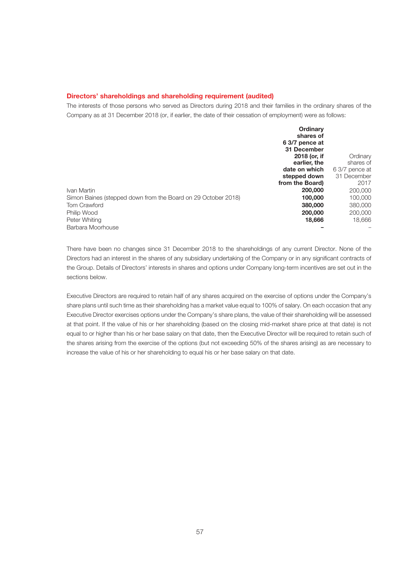#### **Directors' shareholdings and shareholding requirement (audited)**

The interests of those persons who served as Directors during 2018 and their families in the ordinary shares of the Company as at 31 December 2018 (or, if earlier, the date of their cessation of employment) were as follows:

|                                                               | Ordinary        |                |
|---------------------------------------------------------------|-----------------|----------------|
|                                                               | shares of       |                |
|                                                               | 6 3/7 pence at  |                |
|                                                               | 31 December     |                |
|                                                               | 2018 (or, if    | Ordinary       |
|                                                               | earlier, the    | shares of      |
|                                                               | date on which   | 6 3/7 pence at |
|                                                               | stepped down    | 31 December    |
|                                                               | from the Board) | 2017           |
| Ivan Martin                                                   | 200,000         | 200,000        |
| Simon Baines (stepped down from the Board on 29 October 2018) | 100,000         | 100,000        |
| <b>Tom Crawford</b>                                           | 380,000         | 380,000        |
| Philip Wood                                                   | 200,000         | 200,000        |
| Peter Whiting                                                 | 18,666          | 18.666         |
| Barbara Moorhouse                                             |                 |                |

There have been no changes since 31 December 2018 to the shareholdings of any current Director. None of the Directors had an interest in the shares of any subsidiary undertaking of the Company or in any significant contracts of the Group. Details of Directors' interests in shares and options under Company long-term incentives are set out in the sections below.

Executive Directors are required to retain half of any shares acquired on the exercise of options under the Company's share plans until such time as their shareholding has a market value equal to 100% of salary. On each occasion that any Executive Director exercises options under the Company's share plans, the value of their shareholding will be assessed at that point. If the value of his or her shareholding (based on the closing mid-market share price at that date) is not equal to or higher than his or her base salary on that date, then the Executive Director will be required to retain such of the shares arising from the exercise of the options (but not exceeding 50% of the shares arising) as are necessary to increase the value of his or her shareholding to equal his or her base salary on that date.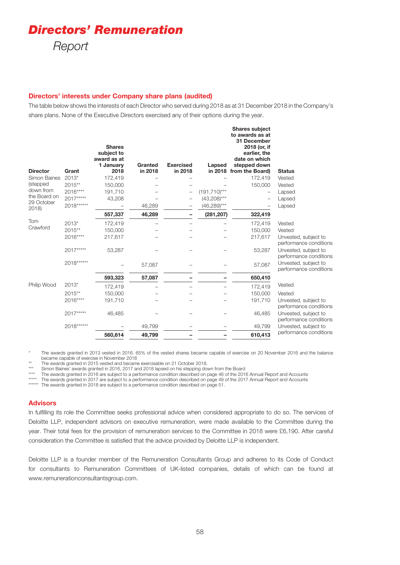# *Directors' Remuneration*

*Report*

#### **Directors' interests under Company share plans (audited)**

The table below shows the interests of each Director who served during 2018 as at 31 December 2018 in the Company's share plans. None of the Executive Directors exercised any of their options during the year.

| <b>Director</b>           | Grant      | <b>Shares</b><br>subject to<br>award as at<br>1 January<br>2018 | Granted<br>in 2018 | <b>Exercised</b><br>in 2018 | Lapsed           | <b>Shares subject</b><br>to awards as at<br>31 December<br>2018 (or, if<br>earlier, the<br>date on which<br>stepped down<br>in 2018 from the Board) | <b>Status</b>                                  |
|---------------------------|------------|-----------------------------------------------------------------|--------------------|-----------------------------|------------------|-----------------------------------------------------------------------------------------------------------------------------------------------------|------------------------------------------------|
| Simon Baines              | $2013*$    | 172,419                                                         |                    |                             |                  | 172,419                                                                                                                                             | Vested                                         |
| (stepped                  | $2015**$   | 150,000                                                         |                    |                             |                  | 150,000                                                                                                                                             | Vested                                         |
| down from<br>the Board on | 2016****   | 191,710                                                         |                    |                             | $(191, 710)$ *** |                                                                                                                                                     | Lapsed                                         |
| 29 October                | 2017*****  | 43,208                                                          |                    |                             | $(43,208)$ ***   |                                                                                                                                                     | Lapsed                                         |
| 2018                      | 2018****** |                                                                 | 46,289             |                             | $(46,289)$ ***   |                                                                                                                                                     | Lapsed                                         |
|                           |            | 557,337                                                         | 46,289             |                             | (281, 207)       | 322,419                                                                                                                                             |                                                |
| Tom                       | 2013*      | 172,419                                                         |                    |                             |                  | 172,419                                                                                                                                             | Vested                                         |
| Crawford                  | 2015**     | 150,000                                                         |                    |                             |                  | 150,000                                                                                                                                             | Vested                                         |
|                           | 2016****   | 217,617                                                         |                    |                             |                  | 217,617                                                                                                                                             | Unvested, subject to<br>performance conditions |
|                           | 2017*****  | 53,287                                                          |                    |                             |                  | 53,287                                                                                                                                              | Unvested, subject to<br>performance conditions |
|                           | 2018****** |                                                                 | 57,087             |                             |                  | 57,087                                                                                                                                              | Unvested, subject to<br>performance conditions |
|                           |            | 593,323                                                         | 57,087             |                             |                  | 650,410                                                                                                                                             |                                                |
| Philip Wood               | $2013*$    | 172,419                                                         |                    |                             |                  | 172,419                                                                                                                                             | Vested                                         |
|                           | 2015**     | 150,000                                                         |                    |                             |                  | 150,000                                                                                                                                             | Vested                                         |
|                           | 2016****   | 191,710                                                         |                    |                             |                  | 191,710                                                                                                                                             | Unvested, subject to<br>performance conditions |
|                           | 2017*****  | 46.485                                                          |                    |                             |                  | 46,485                                                                                                                                              | Unvested, subject to<br>performance conditions |
|                           | 2018****** |                                                                 | 49,799             |                             |                  | 49,799                                                                                                                                              | Unvested, subject to                           |
|                           |            | 560,614                                                         | 49,799             |                             |                  | 610,413                                                                                                                                             | performance conditions                         |
|                           |            |                                                                 |                    |                             |                  |                                                                                                                                                     |                                                |

\* The awards granted in 2013 vested in 2016. 65% of the vested shares became capable of exercise on 20 November 2016 and the balance became capable of exercise in November 2018

\*\* The awards granted in 2015 vested and became exercisable on 21 October 2018.<br>Simon Baines' awards granted in 2016, 2017 and 2018 langed on his stepping do Simon Baines' awards granted in 2016, 2017 and 2018 lapsed on his stepping down from the Board

The awards granted in 2016 are subject to a performance condition described on page 46 of the 2016 Annual Report and Accounts

\*\*\*\*\* The awards granted in 2017 are subject to a performance condition described on page 49 of the 2017 Annual Report and Accounts

\*\*\*\*\*\* The awards granted in 2018 are subject to a performance condition described on page 51.

#### **Advisors**

In fulfilling its role the Committee seeks professional advice when considered appropriate to do so. The services of Deloitte LLP, independent advisors on executive remuneration, were made available to the Committee during the year. Their total fees for the provision of remuneration services to the Committee in 2018 were £6,190. After careful consideration the Committee is satisfied that the advice provided by Deloitte LLP is independent.

Deloitte LLP is a founder member of the Remuneration Consultants Group and adheres to its Code of Conduct for consultants to Remuneration Committees of UK-listed companies, details of which can be found at www.remunerationconsultantsgroup.com.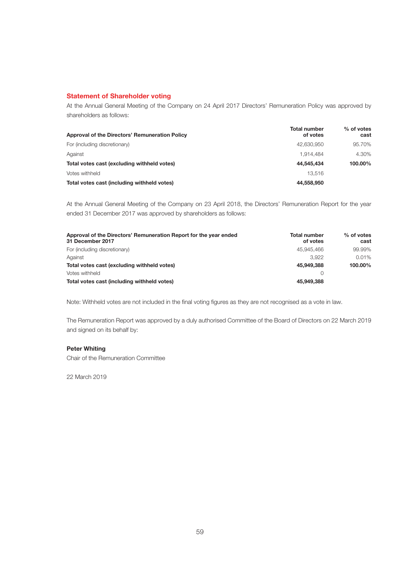#### **Statement of Shareholder voting**

At the Annual General Meeting of the Company on 24 April 2017 Directors' Remuneration Policy was approved by shareholders as follows:

| Approval of the Directors' Remuneration Policy | <b>Total number</b><br>of votes | $%$ of votes<br>cast |
|------------------------------------------------|---------------------------------|----------------------|
| For (including discretionary)                  | 42.630.950                      | 95.70%               |
| Against                                        | 1.914.484                       | 4.30%                |
| Total votes cast (excluding withheld votes)    | 44.545.434                      | 100.00%              |
| Votes withheld                                 | 13.516                          |                      |
| Total votes cast (including withheld votes)    | 44.558.950                      |                      |

At the Annual General Meeting of the Company on 23 April 2018, the Directors' Remuneration Report for the year ended 31 December 2017 was approved by shareholders as follows:

| Approval of the Directors' Remuneration Report for the year ended<br>31 December 2017 | <b>Total number</b><br>of votes | $%$ of votes<br>cast |
|---------------------------------------------------------------------------------------|---------------------------------|----------------------|
| For (including discretionary)                                                         | 45.945.466                      | 99.99%               |
| Against                                                                               | 3.922                           | 0.01%                |
| Total votes cast (excluding withheld votes)                                           | 45.949.388                      | 100.00%              |
| Votes withheld                                                                        |                                 |                      |
| Total votes cast (including withheld votes)                                           | 45,949,388                      |                      |

Note: Withheld votes are not included in the final voting figures as they are not recognised as a vote in law.

The Remuneration Report was approved by a duly authorised Committee of the Board of Directors on 22 March 2019 and signed on its behalf by:

#### **Peter Whiting**

Chair of the Remuneration Committee

22 March 2019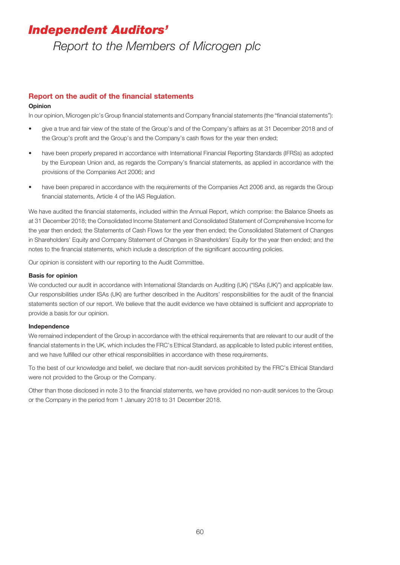### *Independent Auditors'*

*Report to the Members of Microgen plc*

#### **Report on the audit of the financial statements**

#### **Opinion**

In our opinion, Microgen plc's Group financial statements and Company financial statements (the "financial statements"):

- give a true and fair view of the state of the Group's and of the Company's affairs as at 31 December 2018 and of the Group's profit and the Group's and the Company's cash flows for the year then ended;
- have been properly prepared in accordance with International Financial Reporting Standards (IFRSs) as adopted by the European Union and, as regards the Company's financial statements, as applied in accordance with the provisions of the Companies Act 2006; and
- have been prepared in accordance with the requirements of the Companies Act 2006 and, as regards the Group financial statements, Article 4 of the IAS Regulation.

We have audited the financial statements, included within the Annual Report, which comprise: the Balance Sheets as at 31 December 2018; the Consolidated Income Statement and Consolidated Statement of Comprehensive Income for the year then ended; the Statements of Cash Flows for the year then ended; the Consolidated Statement of Changes in Shareholders' Equity and Company Statement of Changes in Shareholders' Equity for the year then ended; and the notes to the financial statements, which include a description of the significant accounting policies.

Our opinion is consistent with our reporting to the Audit Committee.

#### **Basis for opinion**

We conducted our audit in accordance with International Standards on Auditing (UK) ("ISAs (UK)") and applicable law. Our responsibilities under ISAs (UK) are further described in the Auditors' responsibilities for the audit of the financial statements section of our report. We believe that the audit evidence we have obtained is sufficient and appropriate to provide a basis for our opinion.

#### **Independence**

We remained independent of the Group in accordance with the ethical requirements that are relevant to our audit of the financial statements in the UK, which includes the FRC's Ethical Standard, as applicable to listed public interest entities, and we have fulfilled our other ethical responsibilities in accordance with these requirements.

To the best of our knowledge and belief, we declare that non-audit services prohibited by the FRC's Ethical Standard were not provided to the Group or the Company.

Other than those disclosed in note 3 to the financial statements, we have provided no non-audit services to the Group or the Company in the period from 1 January 2018 to 31 December 2018.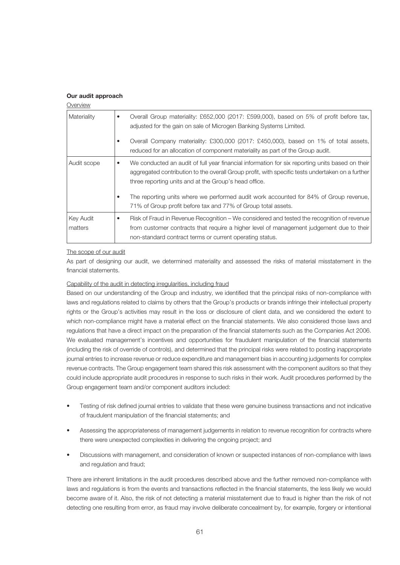#### **Our audit approach**

| Overview             |                                                                                                                                                                                                                                                                                                                                                            |
|----------------------|------------------------------------------------------------------------------------------------------------------------------------------------------------------------------------------------------------------------------------------------------------------------------------------------------------------------------------------------------------|
| Materiality          | Overall Group materiality: £652,000 (2017: £599,000), based on 5% of profit before tax,<br>٠<br>adjusted for the gain on sale of Microgen Banking Systems Limited.                                                                                                                                                                                         |
|                      | Overall Company materiality: £300,000 (2017: £450,000), based on 1% of total assets,<br>reduced for an allocation of component materiality as part of the Group audit.                                                                                                                                                                                     |
| Audit scope          | We conducted an audit of full year financial information for six reporting units based on their<br>٠<br>aggregated contribution to the overall Group profit, with specific tests undertaken on a further<br>three reporting units and at the Group's head office.<br>The reporting units where we performed audit work accounted for 84% of Group revenue, |
|                      | 71% of Group profit before tax and 77% of Group total assets.                                                                                                                                                                                                                                                                                              |
| Key Audit<br>matters | Risk of Fraud in Revenue Recognition – We considered and tested the recognition of revenue<br>٠<br>from customer contracts that require a higher level of management judgement due to their<br>non-standard contract terms or current operating status.                                                                                                    |
|                      |                                                                                                                                                                                                                                                                                                                                                            |

#### The scope of our audit

As part of designing our audit, we determined materiality and assessed the risks of material misstatement in the financial statements.

#### Capability of the audit in detecting irregularities, including fraud

Based on our understanding of the Group and industry, we identified that the principal risks of non-compliance with laws and regulations related to claims by others that the Group's products or brands infringe their intellectual property rights or the Group's activities may result in the loss or disclosure of client data, and we considered the extent to which non-compliance might have a material effect on the financial statements. We also considered those laws and regulations that have a direct impact on the preparation of the financial statements such as the Companies Act 2006. We evaluated management's incentives and opportunities for fraudulent manipulation of the financial statements (including the risk of override of controls), and determined that the principal risks were related to posting inappropriate journal entries to increase revenue or reduce expenditure and management bias in accounting judgements for complex revenue contracts. The Group engagement team shared this risk assessment with the component auditors so that they could include appropriate audit procedures in response to such risks in their work. Audit procedures performed by the Group engagement team and/or component auditors included:

- Testing of risk defined journal entries to validate that these were genuine business transactions and not indicative of fraudulent manipulation of the financial statements; and
- Assessing the appropriateness of management judgements in relation to revenue recognition for contracts where there were unexpected complexities in delivering the ongoing project; and
- Discussions with management, and consideration of known or suspected instances of non-compliance with laws and regulation and fraud;

There are inherent limitations in the audit procedures described above and the further removed non-compliance with laws and regulations is from the events and transactions reflected in the financial statements, the less likely we would become aware of it. Also, the risk of not detecting a material misstatement due to fraud is higher than the risk of not detecting one resulting from error, as fraud may involve deliberate concealment by, for example, forgery or intentional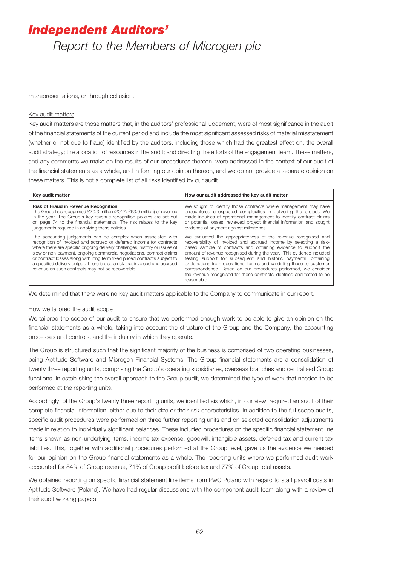# *Independent Auditors'*

*Report to the Members of Microgen plc*

misrepresentations, or through collusion.

#### Key audit matters

Key audit matters are those matters that, in the auditors' professional judgement, were of most significance in the audit of the financial statements of the current period and include the most significant assessed risks of material misstatement (whether or not due to fraud) identified by the auditors, including those which had the greatest effect on: the overall audit strategy; the allocation of resources in the audit; and directing the efforts of the engagement team. These matters, and any comments we make on the results of our procedures thereon, were addressed in the context of our audit of the financial statements as a whole, and in forming our opinion thereon, and we do not provide a separate opinion on these matters. This is not a complete list of all risks identified by our audit.

| Key audit matter                                                                                                                                                                                                                                                                                                                                                                                                                                                                                              | How our audit addressed the key audit matter                                                                                                                                                                                                                                                                                                                                                                                                                                                                                                                                          |
|---------------------------------------------------------------------------------------------------------------------------------------------------------------------------------------------------------------------------------------------------------------------------------------------------------------------------------------------------------------------------------------------------------------------------------------------------------------------------------------------------------------|---------------------------------------------------------------------------------------------------------------------------------------------------------------------------------------------------------------------------------------------------------------------------------------------------------------------------------------------------------------------------------------------------------------------------------------------------------------------------------------------------------------------------------------------------------------------------------------|
| <b>Risk of Fraud in Revenue Recognition</b><br>The Group has recognised £70.3 million (2017: £63.0 million) of revenue<br>in the year. The Group's key revenue recognition policies are set out<br>on page 74 to the financial statements. The risk relates to the key<br>judgements required in applying these policies.                                                                                                                                                                                     | We sought to identify those contracts where management may have<br>encountered unexpected complexities in delivering the project. We<br>made inquiries of operational management to identify contract claims<br>or potential losses, reviewed project financial information and sought<br>evidence of payment against milestones.                                                                                                                                                                                                                                                     |
| The accounting judgements can be complex when associated with<br>recognition of invoiced and accrued or deferred income for contracts<br>where there are specific ongoing delivery challenges, history or issues of<br>slow or non-payment, ongoing commercial negotiations, contract claims<br>or contract losses along with long term fixed priced contracts subject to<br>a specified delivery output. There is also a risk that invoiced and accrued<br>revenue on such contracts may not be recoverable. | We evaluated the appropriateness of the revenue recognised and<br>recoverability of invoiced and accrued income by selecting a risk-<br>based sample of contracts and obtaining evidence to support the<br>amount of revenue recognised during the year. This evidence included<br>testing support for subsequent and historic payments, obtaining<br>explanations from operational teams and validating these to customer<br>correspondence. Based on our procedures performed, we consider<br>the revenue recognised for those contracts identified and tested to be<br>reasonable. |

We determined that there were no key audit matters applicable to the Company to communicate in our report.

#### How we tailored the audit scope

We tailored the scope of our audit to ensure that we performed enough work to be able to give an opinion on the financial statements as a whole, taking into account the structure of the Group and the Company, the accounting processes and controls, and the industry in which they operate.

The Group is structured such that the significant majority of the business is comprised of two operating businesses, being Aptitude Software and Microgen Financial Systems. The Group financial statements are a consolidation of twenty three reporting units, comprising the Group's operating subsidiaries, overseas branches and centralised Group functions. In establishing the overall approach to the Group audit, we determined the type of work that needed to be performed at the reporting units.

Accordingly, of the Group's twenty three reporting units, we identified six which, in our view, required an audit of their complete financial information, either due to their size or their risk characteristics. In addition to the full scope audits, specific audit procedures were performed on three further reporting units and on selected consolidation adjustments made in relation to individually significant balances. These included procedures on the specific financial statement line items shown as non-underlying items, income tax expense, goodwill, intangible assets, deferred tax and current tax liabilities. This, together with additional procedures performed at the Group level, gave us the evidence we needed for our opinion on the Group financial statements as a whole. The reporting units where we performed audit work accounted for 84% of Group revenue, 71% of Group profit before tax and 77% of Group total assets.

We obtained reporting on specific financial statement line items from PwC Poland with regard to staff payroll costs in Aptitude Software (Poland). We have had regular discussions with the component audit team along with a review of their audit working papers.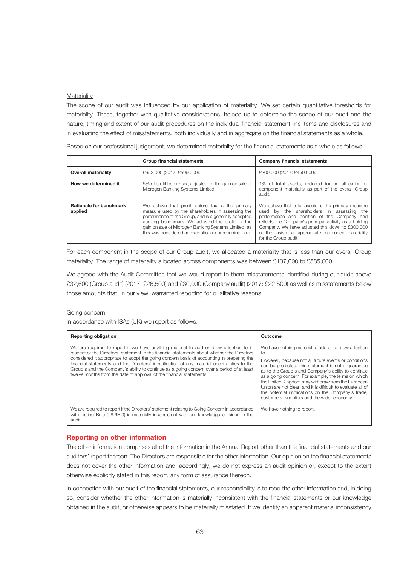#### **Materiality**

The scope of our audit was influenced by our application of materiality. We set certain quantitative thresholds for materiality. These, together with qualitative considerations, helped us to determine the scope of our audit and the nature, timing and extent of our audit procedures on the individual financial statement line items and disclosures and in evaluating the effect of misstatements, both individually and in aggregate on the financial statements as a whole.

Based on our professional judgement, we determined materiality for the financial statements as a whole as follows:

|                                           | <b>Group financial statements</b>                                                                                                                                                                                                                                                                                                     | <b>Company financial statements</b>                                                                                                                                                                                                                                                                                                          |
|-------------------------------------------|---------------------------------------------------------------------------------------------------------------------------------------------------------------------------------------------------------------------------------------------------------------------------------------------------------------------------------------|----------------------------------------------------------------------------------------------------------------------------------------------------------------------------------------------------------------------------------------------------------------------------------------------------------------------------------------------|
| <b>Overall materiality</b>                | £652,000 (2017: £599,000).                                                                                                                                                                                                                                                                                                            | £300,000 (2017: £450,000).                                                                                                                                                                                                                                                                                                                   |
| How we determined it                      | 5% of profit before tax, adjusted for the gain on sale of<br>Microgen Banking Systems Limited.                                                                                                                                                                                                                                        | 1% of total assets, reduced for an allocation of<br>component materiality as part of the overall Group<br>audit.                                                                                                                                                                                                                             |
| <b>Rationale for benchmark</b><br>applied | We believe that profit before tax is the primary<br>measure used by the shareholders in assessing the<br>performance of the Group, and is a generally accepted<br>auditing benchmark. We adjusted the profit for the<br>gain on sale of Microgen Banking Systems Limited, as<br>this was considered an exceptional nonrecurring gain. | We believe that total assets is the primary measure<br>used by the shareholders in assessing the<br>performance and position of the Company and<br>reflects the Company's principal activity as a holding<br>Company. We have adjusted this down to £300,000<br>on the basis of an appropriate component materiality<br>for the Group audit. |

For each component in the scope of our Group audit, we allocated a materiality that is less than our overall Group materiality. The range of materiality allocated across components was between £137,000 to £585,000

We agreed with the Audit Committee that we would report to them misstatements identified during our audit above £32,600 (Group audit) (2017: £26,500) and £30,000 (Company audit) (2017: £22,500) as well as misstatements below those amounts that, in our view, warranted reporting for qualitative reasons.

#### Going concern

In accordance with ISAs (UK) we report as follows:

| <b>Reporting obligation</b>                                                                                                                                                                                                                                                                                                                                                                                                                                                                                                                            | Outcome                                                                                                                                                                                                                                                                                                                                                                                                                                                                                                           |
|--------------------------------------------------------------------------------------------------------------------------------------------------------------------------------------------------------------------------------------------------------------------------------------------------------------------------------------------------------------------------------------------------------------------------------------------------------------------------------------------------------------------------------------------------------|-------------------------------------------------------------------------------------------------------------------------------------------------------------------------------------------------------------------------------------------------------------------------------------------------------------------------------------------------------------------------------------------------------------------------------------------------------------------------------------------------------------------|
| We are required to report if we have anything material to add or draw attention to in<br>respect of the Directors' statement in the financial statements about whether the Directors<br>considered it appropriate to adopt the going concern basis of accounting in preparing the<br>financial statements and the Directors' identification of any material uncertainties to the<br>Group's and the Company's ability to continue as a going concern over a period of at least<br>twelve months from the date of approval of the financial statements. | We have nothing material to add or to draw attention<br>to.<br>However, because not all future events or conditions<br>can be predicted, this statement is not a quarantee<br>as to the Group's and Company's ability to continue<br>as a going concern. For example, the terms on which<br>the United Kingdom may withdraw from the European<br>Union are not clear, and it is difficult to evaluate all of<br>the potential implications on the Company's trade,<br>customers, suppliers and the wider economy. |
| We are required to report if the Directors' statement relating to Going Concern in accordance<br>with Listing Rule 9.8.6R(3) is materially inconsistent with our knowledge obtained in the<br>audit.                                                                                                                                                                                                                                                                                                                                                   | We have nothing to report.                                                                                                                                                                                                                                                                                                                                                                                                                                                                                        |

#### **Reporting on other information**

The other information comprises all of the information in the Annual Report other than the financial statements and our auditors' report thereon. The Directors are responsible for the other information. Our opinion on the financial statements does not cover the other information and, accordingly, we do not express an audit opinion or, except to the extent otherwise explicitly stated in this report, any form of assurance thereon.

In connection with our audit of the financial statements, our responsibility is to read the other information and, in doing so, consider whether the other information is materially inconsistent with the financial statements or our knowledge obtained in the audit, or otherwise appears to be materially misstated. If we identify an apparent material inconsistency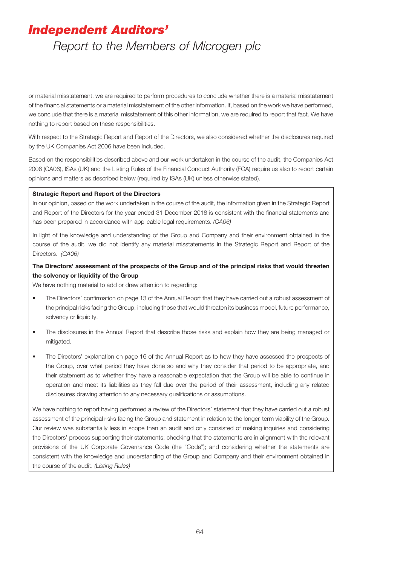### *Independent Auditors'*

### *Report to the Members of Microgen plc*

or material misstatement, we are required to perform procedures to conclude whether there is a material misstatement of the financial statements or a material misstatement of the other information. If, based on the work we have performed, we conclude that there is a material misstatement of this other information, we are required to report that fact. We have nothing to report based on these responsibilities.

With respect to the Strategic Report and Report of the Directors, we also considered whether the disclosures required by the UK Companies Act 2006 have been included.

Based on the responsibilities described above and our work undertaken in the course of the audit, the Companies Act 2006 (CA06), ISAs (UK) and the Listing Rules of the Financial Conduct Authority (FCA) require us also to report certain opinions and matters as described below (required by ISAs (UK) unless otherwise stated).

#### **Strategic Report and Report of the Directors**

In our opinion, based on the work undertaken in the course of the audit, the information given in the Strategic Report and Report of the Directors for the year ended 31 December 2018 is consistent with the financial statements and has been prepared in accordance with applicable legal requirements. *(CA06)*

In light of the knowledge and understanding of the Group and Company and their environment obtained in the course of the audit, we did not identify any material misstatements in the Strategic Report and Report of the Directors. *(CA06)*

#### **The Directors' assessment of the prospects of the Group and of the principal risks that would threaten the solvency or liquidity of the Group**

We have nothing material to add or draw attention to regarding:

- The Directors' confirmation on page 13 of the Annual Report that they have carried out a robust assessment of the principal risks facing the Group, including those that would threaten its business model, future performance, solvency or liquidity.
- The disclosures in the Annual Report that describe those risks and explain how they are being managed or mitigated.
- The Directors' explanation on page 16 of the Annual Report as to how they have assessed the prospects of the Group, over what period they have done so and why they consider that period to be appropriate, and their statement as to whether they have a reasonable expectation that the Group will be able to continue in operation and meet its liabilities as they fall due over the period of their assessment, including any related disclosures drawing attention to any necessary qualifications or assumptions.

We have nothing to report having performed a review of the Directors' statement that they have carried out a robust assessment of the principal risks facing the Group and statement in relation to the longer-term viability of the Group. Our review was substantially less in scope than an audit and only consisted of making inquiries and considering the Directors' process supporting their statements; checking that the statements are in alignment with the relevant provisions of the UK Corporate Governance Code (the "Code"); and considering whether the statements are consistent with the knowledge and understanding of the Group and Company and their environment obtained in the course of the audit. *(Listing Rules)*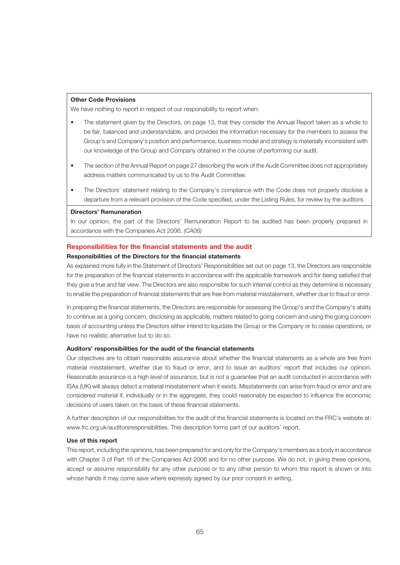#### **Other Code Provisions**

We have nothing to report in respect of our responsibility to report when:

- The statement given by the Directors, on page 13, that they consider the Annual Report taken as a whole to be fair, balanced and understandable, and provides the information necessary for the members to assess the Group's and Company's position and performance, business model and strategy is materially inconsistent with our knowledge of the Group and Company obtained in the course of performing our audit.
- The section of the Annual Report on page 27 describing the work of the Audit Committee does not appropriately address matters communicated by us to the Audit Committee.
- The Directors' statement relating to the Company's compliance with the Code does not properly disclose a departure from a relevant provision of the Code specified, under the Listing Rules, for review by the auditors.

#### **Directors' Remuneration**

In our opinion, the part of the Directors' Remuneration Report to be audited has been properly prepared in accordance with the Companies Act 2006. *(CA06)*

#### **Responsibilities for the financial statements and the audit**

#### **Responsibilities of the Directors for the financial statements**

As explained more fully in the Statement of Directors' Responsibilities set out on page 13, the Directors are responsible for the preparation of the financial statements in accordance with the applicable framework and for being satisfied that they give a true and fair view. The Directors are also responsible for such internal control as they determine is necessary to enable the preparation of financial statements that are free from material misstatement, whether due to fraud or error.

In preparing the financial statements, the Directors are responsible for assessing the Group's and the Company's ability to continue as a going concern, disclosing as applicable, matters related to going concern and using the going concern basis of accounting unless the Directors either intend to liquidate the Group or the Company or to cease operations, or have no realistic alternative but to do so.

#### **Auditors' responsibilities for the audit of the financial statements**

Our objectives are to obtain reasonable assurance about whether the financial statements as a whole are free from material misstatement, whether due to fraud or error, and to issue an auditors' report that includes our opinion. Reasonable assurance is a high level of assurance, but is not a guarantee that an audit conducted in accordance with ISAs (UK) will always detect a material misstatement when it exists. Misstatements can arise from fraud or error and are considered material if, individually or in the aggregate, they could reasonably be expected to influence the economic decisions of users taken on the basis of these financial statements.

A further description of our responsibilities for the audit of the financial statements is located on the FRC's website at: www.frc.org.uk/auditorsresponsibilities. This description forms part of our auditors' report.

#### **Use of this report**

This report, including the opinions, has been prepared for and only for the Company's members as a body in accordance with Chapter 3 of Part 16 of the Companies Act 2006 and for no other purpose. We do not, in giving these opinions, accept or assume responsibility for any other purpose or to any other person to whom this report is shown or into whose hands it may come save where expressly agreed by our prior consent in writing.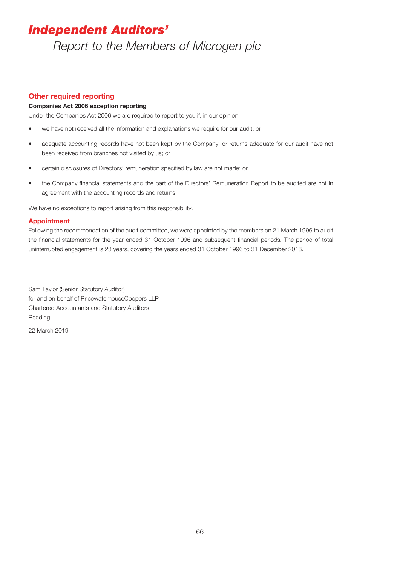### *Independent Auditors'*

*Report to the Members of Microgen plc*

#### **Other required reporting**

#### **Companies Act 2006 exception reporting**

Under the Companies Act 2006 we are required to report to you if, in our opinion:

- we have not received all the information and explanations we require for our audit; or
- adequate accounting records have not been kept by the Company, or returns adequate for our audit have not been received from branches not visited by us; or
- certain disclosures of Directors' remuneration specified by law are not made; or
- the Company financial statements and the part of the Directors' Remuneration Report to be audited are not in agreement with the accounting records and returns.

We have no exceptions to report arising from this responsibility.

#### **Appointment**

Following the recommendation of the audit committee, we were appointed by the members on 21 March 1996 to audit the financial statements for the year ended 31 October 1996 and subsequent financial periods. The period of total uninterrupted engagement is 23 years, covering the years ended 31 October 1996 to 31 December 2018.

Sam Taylor (Senior Statutory Auditor) for and on behalf of PricewaterhouseCoopers LLP Chartered Accountants and Statutory Auditors Reading

22 March 2019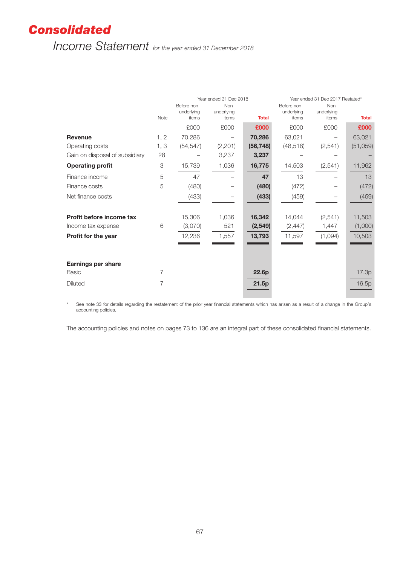### *Consolidated*

*Income Statement for the year ended 31 December 2018*

|                                                | Note | Year ended 31 Dec 2018<br>Before non-<br>Non-<br>underlying<br>underlying<br><b>Total</b><br>items<br>items |              | Before non-<br>underlying<br>items | Year ended 31 Dec 2017 Restated*<br><b>Total</b> |                  |                   |
|------------------------------------------------|------|-------------------------------------------------------------------------------------------------------------|--------------|------------------------------------|--------------------------------------------------|------------------|-------------------|
|                                                |      | £000                                                                                                        | £000         | £000                               | £000                                             | items<br>£000    | £000              |
| <b>Revenue</b>                                 | 1, 2 | 70,286                                                                                                      |              | 70,286                             | 63,021                                           |                  | 63,021            |
| Operating costs                                | 1, 3 | (54, 547)                                                                                                   | (2,201)      | (56, 748)                          | (48, 518)                                        | (2,541)          | (51,059)          |
| Gain on disposal of subsidiary                 | 28   |                                                                                                             | 3,237        | 3,237                              |                                                  |                  |                   |
| <b>Operating profit</b>                        | 3    | 15,739                                                                                                      | 1,036        | 16,775                             | 14,503                                           | (2, 541)         | 11,962            |
| Finance income                                 | 5    | 47                                                                                                          |              | 47                                 | 13                                               |                  | 13                |
| Finance costs                                  | 5    | (480)                                                                                                       |              | (480)                              | (472)                                            |                  | (472)             |
| Net finance costs                              |      | (433)                                                                                                       |              | (433)                              | (459)                                            |                  | (459)             |
| Profit before income tax<br>Income tax expense | 6    | 15,306<br>(3,070)                                                                                           | 1,036<br>521 | 16,342<br>(2, 549)                 | 14,044<br>(2, 447)                               | (2,541)<br>1,447 | 11,503<br>(1,000) |
| Profit for the year                            |      | 12,236                                                                                                      | 1,557        | 13,793                             | 11,597                                           | (1,094)          | 10,503            |
| <b>Earnings per share</b><br><b>Basic</b>      | 7    |                                                                                                             |              | 22.6p                              |                                                  |                  | 17.3p             |
| <b>Diluted</b>                                 | 7    |                                                                                                             |              | 21.5p                              |                                                  |                  | 16.5p             |

\* See note 33 for details regarding the restatement of the prior year financial statements which has arisen as a result of a change in the Group's accounting policies.

a s

The accounting policies and notes on pages 73 to 136 are an integral part of these consolidated financial statements.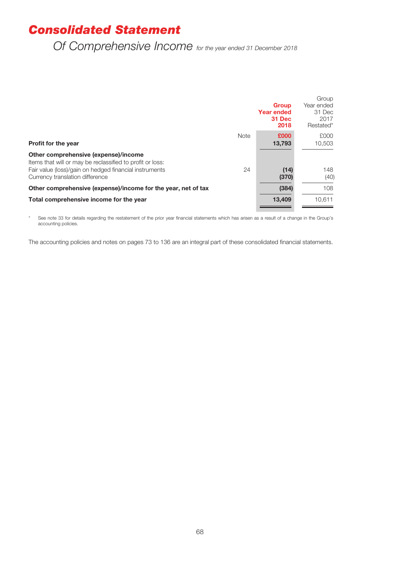### *Consolidated Statement*

### *Of Comprehensive Income for the year ended 31 December 2018*

|                                                                                                   |             | <b>Group</b><br><b>Year ended</b><br>31 Dec<br>2018 | Group<br>Year ended<br>31 Dec<br>2017<br>Restated* |
|---------------------------------------------------------------------------------------------------|-------------|-----------------------------------------------------|----------------------------------------------------|
| <b>Profit for the year</b>                                                                        | <b>Note</b> | £000<br>13,793                                      | £000<br>10,503                                     |
| Other comprehensive (expense)/income<br>Items that will or may be reclassified to profit or loss: |             |                                                     |                                                    |
| Fair value (loss)/gain on hedged financial instruments<br>Currency translation difference         | 24          | (14)<br>(370)                                       | 148<br>(40)                                        |
| Other comprehensive (expense)/income for the year, net of tax                                     |             | (384)                                               | 108                                                |
| Total comprehensive income for the year                                                           |             | 13,409                                              | 10.611                                             |

\* See note 33 for details regarding the restatement of the prior year financial statements which has arisen as a result of a change in the Group's accounting policies.

The accounting policies and notes on pages 73 to 136 are an integral part of these consolidated financial statements.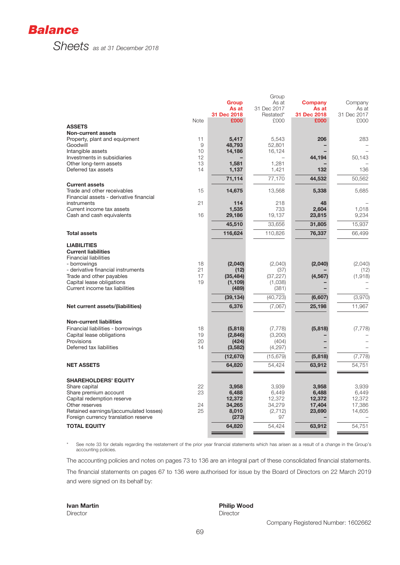

|                                                                        |      |                     | Group       |                     |             |
|------------------------------------------------------------------------|------|---------------------|-------------|---------------------|-------------|
|                                                                        |      | <b>Group</b>        | As at       | <b>Company</b>      | Company     |
|                                                                        |      | As at               | 31 Dec 2017 | As at               | As at       |
|                                                                        |      | 31 Dec 2018<br>£000 | Restated*   | 31 Dec 2018<br>£000 | 31 Dec 2017 |
| <b>ASSETS</b>                                                          | Note |                     | £000        |                     | £000        |
| <b>Non-current assets</b>                                              |      |                     |             |                     |             |
| Property, plant and equipment                                          | 11   | 5,417               | 5,543       | 206                 | 283         |
| Goodwill                                                               | 9    | 48,793              | 52,801      |                     |             |
| Intangible assets                                                      | 10   | 14,186              | 16,124      |                     |             |
| Investments in subsidiaries                                            | 12   |                     |             | 44,194              | 50,143      |
| Other long-term assets                                                 | 13   | 1,581               | 1,281       |                     |             |
| Deferred tax assets                                                    | 14   | 1,137               | 1,421       | 132                 | 136         |
|                                                                        |      |                     |             |                     |             |
|                                                                        |      | 71,114              | 77,170      | 44,532              | 50,562      |
| <b>Current assets</b>                                                  |      |                     |             |                     |             |
| Trade and other receivables<br>Financial assets - derivative financial | 15   | 14,675              | 13,568      | 5,338               | 5,685       |
| instruments                                                            | 21   | 114                 | 218         | 48                  |             |
| Current income tax assets                                              |      | 1,535               | 733         | 2,604               | 1,018       |
| Cash and cash equivalents                                              | 16   | 29,186              | 19,137      | 23,815              | 9,234       |
|                                                                        |      |                     |             |                     |             |
|                                                                        |      | 45,510              | 33,656      | 31,805              | 15,937      |
| <b>Total assets</b>                                                    |      | 116,624             | 110,826     | 76,337              | 66,499      |
| <b>LIABILITIES</b>                                                     |      |                     |             |                     |             |
| <b>Current liabilities</b>                                             |      |                     |             |                     |             |
| <b>Financial liabilities</b>                                           |      |                     |             |                     |             |
| - borrowings                                                           | 18   | (2,040)             | (2,040)     | (2,040)             | (2,040)     |
| - derivative financial instruments                                     | 21   | (12)                | (37)        |                     | (12)        |
| Trade and other payables                                               | 17   | (35, 484)           | (37, 227)   | (4, 567)            | (1, 918)    |
| Capital lease obligations                                              | 19   | (1, 109)            | (1,038)     |                     |             |
| Current income tax liabilities                                         |      | (489)               | (381)       |                     |             |
|                                                                        |      | (39, 134)           | (40, 723)   | (6,607)             | (3,970)     |
|                                                                        |      |                     |             |                     | 11,967      |
| Net current assets/(liabilities)                                       |      | 6,376               | (7,067)     | 25,198              |             |
| <b>Non-current liabilities</b>                                         |      |                     |             |                     |             |
| Financial liabilities - borrowings                                     | 18   | (5,818)             | (7, 778)    | (5,818)             | (7, 778)    |
| Capital lease obligations                                              | 19   | (2,846)             | (3,200)     |                     |             |
| Provisions                                                             | 20   | (424)               | (404)       |                     |             |
| Deferred tax liabilities                                               | 14   | (3,582)             | (4, 297)    |                     |             |
|                                                                        |      | (12, 670)           | (15, 679)   | (5,818)             | (7, 778)    |
| <b>NET ASSETS</b>                                                      |      | 64,820              | 54,424      | 63,912              | 54,751      |
|                                                                        |      |                     |             |                     |             |
| <b>SHAREHOLDERS' EQUITY</b>                                            |      |                     |             |                     |             |
| Share capital                                                          | 22   | 3,958               | 3,939       | 3,958               | 3,939       |
| Share premium account                                                  | 23   | 6,488               | 6,449       | 6,488               | 6,449       |
| Capital redemption reserve                                             |      | 12,372              | 12,372      | 12,372              | 12,372      |
| Other reserves                                                         | 24   | 34,265              | 34,279      | 17,404              | 17,386      |
| Retained earnings/(accumulated losses)                                 | 25   | 8,010               | (2,712)     | 23,690              | 14,605      |
| Foreign currency translation reserve                                   |      | (273)               | 97          |                     |             |
| <b>TOTAL EQUITY</b>                                                    |      | 64,820              | 54,424      | 63,912              | 54,751      |
|                                                                        |      |                     |             |                     |             |

\* See note 33 for details regarding the restatement of the prior year financial statements which has arisen as a result of a change in the Group's accounting policies.

The accounting policies and notes on pages 73 to 136 are an integral part of these consolidated financial statements.

The financial statements on pages 67 to 136 were authorised for issue by the Board of Directors on 22 March 2019 and were signed on its behalf by:

**Ivan Martin Philip Wood**<br> **Philip Wood**<br> **Pirector** Director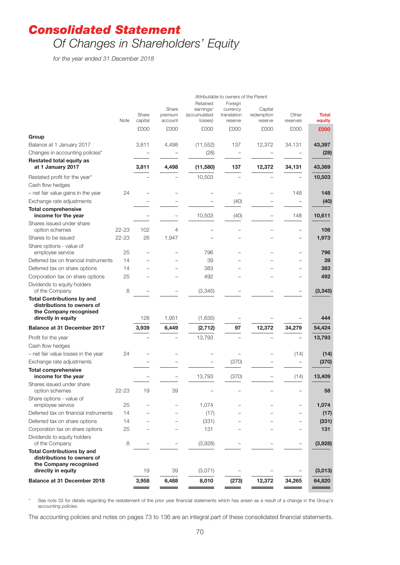### *Consolidated Statement*

# *Of Changes in Shareholders' Equity*

*for the year ended 31 December 2018*

|                                                                                                                 |           |                  |                             |                                                  | Attributable to owners of the Parent          |                                  |                          |                        |
|-----------------------------------------------------------------------------------------------------------------|-----------|------------------|-----------------------------|--------------------------------------------------|-----------------------------------------------|----------------------------------|--------------------------|------------------------|
|                                                                                                                 | Note      | Share<br>capital | Share<br>premium<br>account | Retained<br>earnings/<br>(accumulated<br>losses) | Foreign<br>currency<br>translation<br>reserve | Capital<br>redemption<br>reserve | Other<br>reserves        | <b>Total</b><br>equity |
|                                                                                                                 |           | £000             | £000                        | £000                                             | £000                                          | £000                             | £000                     | £000                   |
| Group                                                                                                           |           |                  |                             |                                                  |                                               |                                  |                          |                        |
| Balance at 1 January 2017                                                                                       |           | 3,811            | 4,498                       | (11, 552)                                        | 137                                           | 12,372                           | 34,131                   | 43,397                 |
| Changes in accounting policies*                                                                                 |           |                  |                             | (28)                                             |                                               |                                  |                          | (28)                   |
| <b>Restated total equity as</b><br>at 1 January 2017                                                            |           | 3,811            | 4,498                       | (11,580)                                         | 137                                           | 12,372                           | 34,131                   | 43,369                 |
| Restated profit for the year*                                                                                   |           |                  |                             | 10,503                                           |                                               |                                  |                          | 10,503                 |
| Cash flow hedges                                                                                                |           |                  |                             |                                                  |                                               |                                  |                          |                        |
| - net fair value gains in the year                                                                              | 24        |                  |                             |                                                  |                                               |                                  | 148                      | 148                    |
| Exchange rate adjustments                                                                                       |           |                  |                             |                                                  | (40)                                          |                                  | $\overline{\phantom{0}}$ | (40)                   |
| <b>Total comprehensive</b><br>income for the year                                                               |           |                  |                             | 10,503                                           | (40)                                          |                                  | 148                      | 10,611                 |
| Shares issued under share                                                                                       |           |                  |                             |                                                  |                                               |                                  |                          |                        |
| option schemes                                                                                                  | 22-23     | 102              | $\overline{4}$              |                                                  |                                               |                                  |                          | 106                    |
| Shares to be issued                                                                                             | $22 - 23$ | 26               | 1,947                       |                                                  |                                               |                                  |                          | 1,973                  |
| Share options - value of<br>employee service                                                                    | 25        |                  |                             | 796                                              |                                               |                                  |                          | 796                    |
| Deferred tax on financial instruments                                                                           | 14        |                  |                             | 39                                               |                                               |                                  |                          | 39                     |
| Deferred tax on share options                                                                                   | 14        |                  |                             | 383                                              |                                               |                                  |                          | 383                    |
| Corporation tax on share options                                                                                | 25        |                  |                             | 492                                              |                                               |                                  |                          | 492                    |
| Dividends to equity holders<br>of the Company                                                                   | 8         |                  |                             | (3, 345)                                         |                                               |                                  |                          | (3, 345)               |
| <b>Total Contributions by and</b><br>distributions to owners of<br>the Company recognised<br>directly in equity |           | 128              | 1,951                       | (1,635)                                          |                                               |                                  |                          | 444                    |
| <b>Balance at 31 December 2017</b>                                                                              |           | 3,939            | 6,449                       | (2, 712)                                         | 97                                            | 12,372                           | 34,279                   | 54,424                 |
|                                                                                                                 |           |                  |                             |                                                  |                                               |                                  |                          |                        |
| Profit for the year                                                                                             |           |                  |                             | 13,793                                           |                                               |                                  |                          | 13,793                 |
| Cash flow hedges                                                                                                | 24        |                  |                             |                                                  |                                               |                                  |                          |                        |
| - net fair value losses in the year<br>Exchange rate adjustments                                                |           |                  |                             |                                                  | (370)                                         |                                  | (14)                     | (14)<br>(370)          |
| <b>Total comprehensive</b>                                                                                      |           |                  |                             |                                                  |                                               |                                  |                          |                        |
| income for the year                                                                                             |           |                  |                             | 13,793                                           | (370)                                         |                                  | (14)                     | 13,409                 |
| Shares issued under share<br>option schemes                                                                     | $22 - 23$ | 19               | 39                          |                                                  |                                               |                                  |                          | 58                     |
| Share options - value of<br>employee service                                                                    | 25        |                  |                             | 1,074                                            |                                               |                                  |                          | 1,074                  |
| Deferred tax on financial instruments                                                                           | 14        |                  |                             | (17)                                             |                                               |                                  |                          | (17)                   |
| Deferred tax on share options                                                                                   | 14        |                  |                             | (331)                                            |                                               |                                  |                          | (331)                  |
| Corporation tax on share options                                                                                | 25        |                  |                             | 131                                              |                                               |                                  |                          | 131                    |
| Dividends to equity holders<br>of the Company                                                                   | 8         |                  |                             | (3,928)                                          |                                               |                                  |                          | (3,928)                |
| <b>Total Contributions by and</b><br>distributions to owners of<br>the Company recognised                       |           |                  |                             |                                                  |                                               |                                  |                          |                        |
| directly in equity                                                                                              |           | 19               | 39                          | (3,071)                                          |                                               |                                  |                          | (3,013)                |
| <b>Balance at 31 December 2018</b>                                                                              |           | 3,958            | 6,488                       | 8,010                                            | (273)                                         | 12,372                           | 34,265                   | 64,820                 |

See note 33 for details regarding the restatement of the prior year financial statements which has arisen as a result of a change in the Group's accounting policies.

The accounting policies and notes on pages 73 to 136 are an integral part of these consolidated financial statements.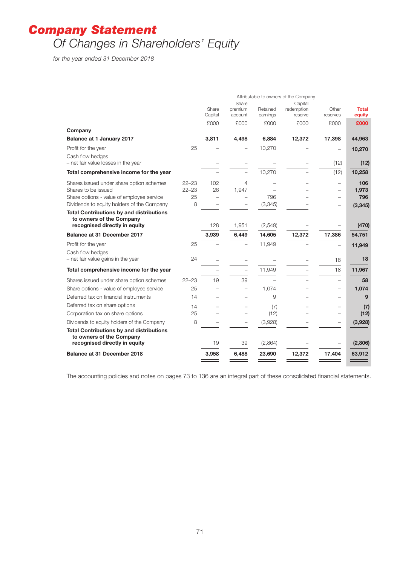# *Company Statement Of Changes in Shareholders' Equity*

*for the year ended 31 December 2018*

|                                                                             | Attributable to owners of the Company |                          |                          |          |                       |                          |              |
|-----------------------------------------------------------------------------|---------------------------------------|--------------------------|--------------------------|----------|-----------------------|--------------------------|--------------|
|                                                                             |                                       | Share                    | Share<br>premium         | Retained | Capital<br>redemption | Other                    | <b>Total</b> |
|                                                                             |                                       | Capital                  | account                  | earnings | reserve               | reserves                 | equity       |
|                                                                             |                                       | £000                     | £000                     | £000     | £000                  | £000                     | £000         |
| Company                                                                     |                                       |                          |                          |          |                       |                          |              |
| <b>Balance at 1 January 2017</b>                                            |                                       | 3,811                    | 4,498                    | 6,884    | 12,372                | 17,398                   | 44,963       |
| Profit for the year                                                         | 25                                    |                          |                          | 10,270   |                       |                          | 10,270       |
| Cash flow hedges<br>- net fair value losses in the year                     |                                       |                          |                          |          |                       | (12)                     | (12)         |
| Total comprehensive income for the year                                     |                                       |                          |                          | 10,270   |                       | (12)                     | 10,258       |
| Shares issued under share option schemes                                    | $22 - 23$                             | 102                      | 4                        |          |                       |                          | 106          |
| Shares to be issued                                                         | $22 - 23$                             | 26                       | 1,947                    |          |                       |                          | 1,973        |
| Share options - value of employee service                                   | 25                                    | $\overline{\phantom{0}}$ |                          | 796      |                       |                          | 796          |
| Dividends to equity holders of the Company                                  | 8                                     |                          |                          | (3, 345) |                       |                          | (3, 345)     |
| <b>Total Contributions by and distributions</b><br>to owners of the Company |                                       |                          |                          |          |                       |                          |              |
| recognised directly in equity                                               |                                       | 128                      | 1,951                    | (2,549)  |                       |                          | (470)        |
| <b>Balance at 31 December 2017</b>                                          |                                       | 3,939                    | 6,449                    | 14,605   | 12,372                | 17,386                   | 54,751       |
| Profit for the year                                                         | 25                                    |                          |                          | 11,949   |                       |                          | 11,949       |
| Cash flow hedges                                                            |                                       |                          |                          |          |                       |                          |              |
| - net fair value gains in the year                                          | 24                                    |                          |                          |          |                       | 18                       | 18           |
| Total comprehensive income for the year                                     |                                       |                          | $\overline{\phantom{0}}$ | 11,949   |                       | 18                       | 11,967       |
| Shares issued under share option schemes                                    | $22 - 23$                             | 19                       | 39                       |          |                       | $\overline{\phantom{0}}$ | 58           |
| Share options - value of employee service                                   | 25                                    |                          | $\overline{\phantom{0}}$ | 1.074    |                       | -                        | 1,074        |
| Deferred tax on financial instruments                                       | 14                                    |                          |                          | 9        |                       |                          | 9            |
| Deferred tax on share options                                               | 14                                    |                          |                          | (7)      |                       |                          | (7)          |
| Corporation tax on share options                                            | 25                                    |                          |                          | (12)     |                       |                          | (12)         |
| Dividends to equity holders of the Company                                  | 8                                     |                          |                          | (3,928)  |                       |                          | (3,928)      |
| <b>Total Contributions by and distributions</b><br>to owners of the Company |                                       |                          |                          |          |                       |                          |              |
| recognised directly in equity                                               |                                       | 19                       | 39                       | (2,864)  |                       |                          | (2,806)      |
| <b>Balance at 31 December 2018</b>                                          |                                       | 3,958                    | 6,488                    | 23,690   | 12,372                | 17,404                   | 63,912       |

The accounting policies and notes on pages 73 to 136 are an integral part of these consolidated financial statements.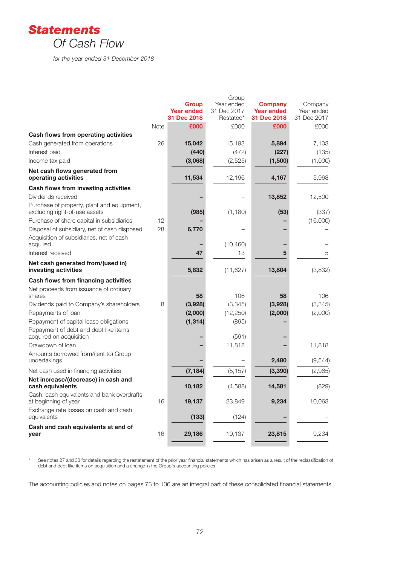

*for the year ended 31 December 2018*

|                                                                             |      |                                   | Group                     |                                     |                       |
|-----------------------------------------------------------------------------|------|-----------------------------------|---------------------------|-------------------------------------|-----------------------|
|                                                                             |      | <b>Group</b><br><b>Year ended</b> | Year ended<br>31 Dec 2017 | <b>Company</b><br><b>Year ended</b> | Company<br>Year ended |
|                                                                             |      | 31 Dec 2018                       | Restated*                 | 31 Dec 2018                         | 31 Dec 2017           |
|                                                                             | Note | £000                              | £000                      | £000                                | £000                  |
| Cash flows from operating activities                                        |      |                                   |                           |                                     |                       |
| Cash generated from operations                                              | 26   | 15,042                            | 15,193                    | 5,894                               | 7,103                 |
| Interest paid                                                               |      | (440)                             | (472)                     | (227)                               | (135)                 |
| Income tax paid                                                             |      | (3,068)                           | (2, 525)                  | (1,500)                             | (1,000)               |
| Net cash flows generated from<br>operating activities                       |      | 11,534                            | 12,196                    | 4,167                               | 5,968                 |
| Cash flows from investing activities                                        |      |                                   |                           |                                     |                       |
| Dividends received                                                          |      |                                   |                           | 13,852                              | 12,500                |
| Purchase of property, plant and equipment,<br>excluding right-of-use assets |      | (985)                             | (1, 180)                  | (53)                                | (337)                 |
| Purchase of share capital in subsidiaries                                   | 12   |                                   |                           |                                     | (16,000)              |
| Disposal of subsidiary, net of cash disposed                                | 28   | 6,770                             |                           |                                     |                       |
| Acquisition of subsidiaries, net of cash                                    |      |                                   |                           |                                     |                       |
| acquired<br>Interest received                                               |      |                                   | (10, 460)                 |                                     |                       |
|                                                                             |      | 47                                | 13                        | 5                                   | 5                     |
| Net cash generated from/(used in)<br>investing activities                   |      | 5,832                             | (11, 627)                 | 13,804                              | (3,832)               |
| Cash flows from financing activities                                        |      |                                   |                           |                                     |                       |
| Net proceeds from issuance of ordinary<br>shares                            |      | 58                                | 106                       | 58                                  | 106                   |
| Dividends paid to Company's shareholders                                    | 8    | (3,928)                           | (3,345)                   | (3,928)                             | (3,345)               |
| Repayments of loan                                                          |      | (2,000)                           | (12, 250)                 | (2,000)                             | (2,000)               |
| Repayment of capital lease obligations                                      |      | (1, 314)                          | (895)                     |                                     |                       |
| Repayment of debt and debt like items<br>acquired on acquisition            |      |                                   | (591)                     |                                     |                       |
| Drawdown of Ioan                                                            |      |                                   | 11,818                    |                                     | 11,818                |
| Amounts borrowed from/(lent to) Group<br>undertakings                       |      |                                   |                           | 2,480                               | (9, 544)              |
| Net cash used in financing activities                                       |      | (7, 184)                          | (5, 157)                  | (3, 390)                            | (2,965)               |
| Net increase/(decrease) in cash and<br>cash equivalents                     |      | 10,182                            | (4,588)                   | 14,581                              | (829)                 |
| Cash, cash equivalents and bank overdrafts<br>at beginning of year          | 16   | 19,137                            | 23,849                    | 9,234                               | 10,063                |
| Exchange rate losses on cash and cash<br>equivalents                        |      | (133)                             | (124)                     |                                     |                       |
| Cash and cash equivalents at end of<br>vear                                 | 16   | 29,186                            | 19,137                    | 23,815                              | 9,234                 |
|                                                                             |      |                                   |                           |                                     |                       |

\* See notes 27 and 33 for details regarding the restatement of the prior year financial statements which has arisen as a result of the reclassification of debt and debt like items on acquisition and a change in the Group's accounting policies.

The accounting policies and notes on pages 73 to 136 are an integral part of these consolidated financial statements.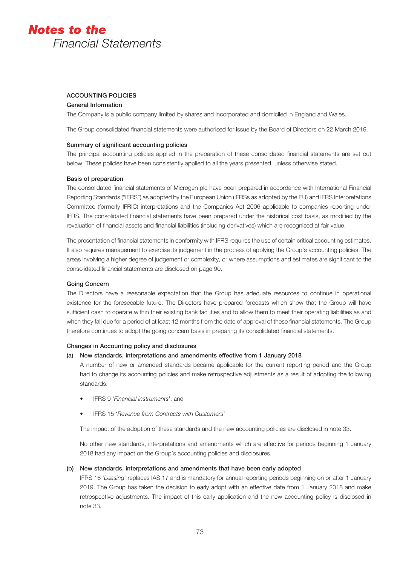# ACCOUNTING POLICIES

# General Information

The Company is a public company limited by shares and incorporated and domiciled in England and Wales.

The Group consolidated financial statements were authorised for issue by the Board of Directors on 22 March 2019.

# Summary of significant accounting policies

The principal accounting policies applied in the preparation of these consolidated financial statements are set out below. These policies have been consistently applied to all the years presented, unless otherwise stated.

# Basis of preparation

The consolidated financial statements of Microgen plc have been prepared in accordance with International Financial Reporting Standards ("IFRS") as adopted by the European Union (IFRSs as adopted by the EU) and IFRS Interpretations Committee (formerly IFRIC) interpretations and the Companies Act 2006 applicable to companies reporting under IFRS. The consolidated financial statements have been prepared under the historical cost basis, as modified by the revaluation of financial assets and financial liabilities (including derivatives) which are recognised at fair value.

The presentation of financial statements in conformity with IFRS requires the use of certain critical accounting estimates. It also requires management to exercise its judgement in the process of applying the Group's accounting policies. The areas involving a higher degree of judgement or complexity, or where assumptions and estimates are significant to the consolidated financial statements are disclosed on page 90.

# Going Concern

The Directors have a reasonable expectation that the Group has adequate resources to continue in operational existence for the foreseeable future. The Directors have prepared forecasts which show that the Group will have sufficient cash to operate within their existing bank facilities and to allow them to meet their operating liabilities as and when they fall due for a period of at least 12 months from the date of approval of these financial statements. The Group therefore continues to adopt the going concern basis in preparing its consolidated financial statements.

# Changes in Accounting policy and disclosures

# (a) New standards, interpretations and amendments effective from 1 January 2018

A number of new or amended standards became applicable for the current reporting period and the Group had to change its accounting policies and make retrospective adjustments as a result of adopting the following standards:

- IFRS 9 '*Financial instruments*', and
- IFRS 15 '*Revenue from Contracts with Customers*'

The impact of the adoption of these standards and the new accounting policies are disclosed in note 33.

No other new standards, interpretations and amendments which are effective for periods beginning 1 January 2018 had any impact on the Group's accounting policies and disclosures.

# (b) New standards, interpretations and amendments that have been early adopted

IFRS 16 '*Leasing*' replaces IAS 17 and is mandatory for annual reporting periods beginning on or after 1 January 2019. The Group has taken the decision to early adopt with an effective date from 1 January 2018 and make retrospective adjustments. The impact of this early application and the new accounting policy is disclosed in note 33.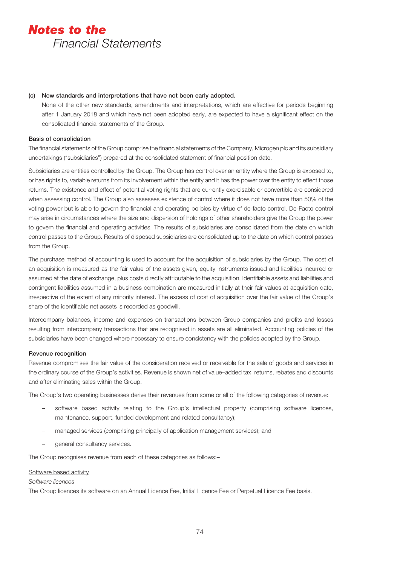# (c) New standards and interpretations that have not been early adopted.

None of the other new standards, amendments and interpretations, which are effective for periods beginning after 1 January 2018 and which have not been adopted early, are expected to have a significant effect on the consolidated financial statements of the Group.

# Basis of consolidation

The financial statements of the Group comprise the financial statements of the Company, Microgen plc and its subsidiary undertakings ("subsidiaries") prepared at the consolidated statement of financial position date.

Subsidiaries are entities controlled by the Group. The Group has control over an entity where the Group is exposed to, or has rights to, variable returns from its involvement within the entity and it has the power over the entity to effect those returns. The existence and effect of potential voting rights that are currently exercisable or convertible are considered when assessing control. The Group also assesses existence of control where it does not have more than 50% of the voting power but is able to govern the financial and operating policies by virtue of de-facto control. De-Facto control may arise in circumstances where the size and dispersion of holdings of other shareholders give the Group the power to govern the financial and operating activities. The results of subsidiaries are consolidated from the date on which control passes to the Group. Results of disposed subsidiaries are consolidated up to the date on which control passes from the Group.

The purchase method of accounting is used to account for the acquisition of subsidiaries by the Group. The cost of an acquisition is measured as the fair value of the assets given, equity instruments issued and liabilities incurred or assumed at the date of exchange, plus costs directly attributable to the acquisition. Identifiable assets and liabilities and contingent liabilities assumed in a business combination are measured initially at their fair values at acquisition date, irrespective of the extent of any minority interest. The excess of cost of acquisition over the fair value of the Group's share of the identifiable net assets is recorded as goodwill.

Intercompany balances, income and expenses on transactions between Group companies and profits and losses resulting from intercompany transactions that are recognised in assets are all eliminated. Accounting policies of the subsidiaries have been changed where necessary to ensure consistency with the policies adopted by the Group.

# Revenue recognition

Revenue compromises the fair value of the consideration received or receivable for the sale of goods and services in the ordinary course of the Group's activities. Revenue is shown net of value–added tax, returns, rebates and discounts and after eliminating sales within the Group.

The Group's two operating businesses derive their revenues from some or all of the following categories of revenue:

- software based activity relating to the Group's intellectual property (comprising software licences, maintenance, support, funded development and related consultancy);
- managed services (comprising principally of application management services); and
- general consultancy services.

The Group recognises revenue from each of these categories as follows:–

### Software based activity

### *Software licences*

The Group licences its software on an Annual Licence Fee, Initial Licence Fee or Perpetual Licence Fee basis.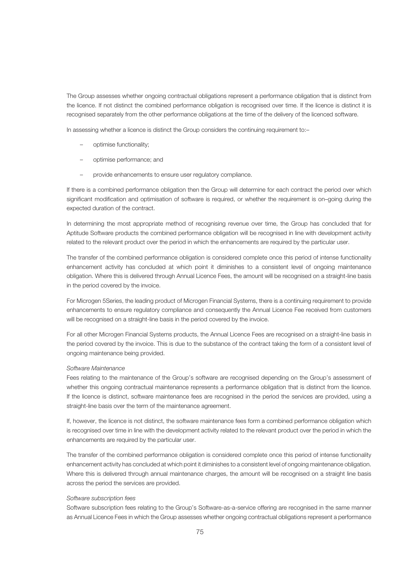The Group assesses whether ongoing contractual obligations represent a performance obligation that is distinct from the licence. If not distinct the combined performance obligation is recognised over time. If the licence is distinct it is recognised separately from the other performance obligations at the time of the delivery of the licenced software.

In assessing whether a licence is distinct the Group considers the continuing requirement to:-

- optimise functionality;
- optimise performance; and
- provide enhancements to ensure user regulatory compliance.

If there is a combined performance obligation then the Group will determine for each contract the period over which significant modification and optimisation of software is required, or whether the requirement is on–going during the expected duration of the contract.

In determining the most appropriate method of recognising revenue over time, the Group has concluded that for Aptitude Software products the combined performance obligation will be recognised in line with development activity related to the relevant product over the period in which the enhancements are required by the particular user.

The transfer of the combined performance obligation is considered complete once this period of intense functionality enhancement activity has concluded at which point it diminishes to a consistent level of ongoing maintenance obligation. Where this is delivered through Annual Licence Fees, the amount will be recognised on a straight-line basis in the period covered by the invoice.

For Microgen 5Series, the leading product of Microgen Financial Systems, there is a continuing requirement to provide enhancements to ensure regulatory compliance and consequently the Annual Licence Fee received from customers will be recognised on a straight-line basis in the period covered by the invoice.

For all other Microgen Financial Systems products, the Annual Licence Fees are recognised on a straight-line basis in the period covered by the invoice. This is due to the substance of the contract taking the form of a consistent level of ongoing maintenance being provided.

#### *Software Maintenance*

Fees relating to the maintenance of the Group's software are recognised depending on the Group's assessment of whether this ongoing contractual maintenance represents a performance obligation that is distinct from the licence. If the licence is distinct, software maintenance fees are recognised in the period the services are provided, using a straight-line basis over the term of the maintenance agreement.

If, however, the licence is not distinct, the software maintenance fees form a combined performance obligation which is recognised over time in line with the development activity related to the relevant product over the period in which the enhancements are required by the particular user.

The transfer of the combined performance obligation is considered complete once this period of intense functionality enhancement activity has concluded at which point it diminishes to a consistent level of ongoing maintenance obligation. Where this is delivered through annual maintenance charges, the amount will be recognised on a straight line basis across the period the services are provided.

#### *Software subscription fees*

Software subscription fees relating to the Group's Software-as-a-service offering are recognised in the same manner as Annual Licence Fees in which the Group assesses whether ongoing contractual obligations represent a performance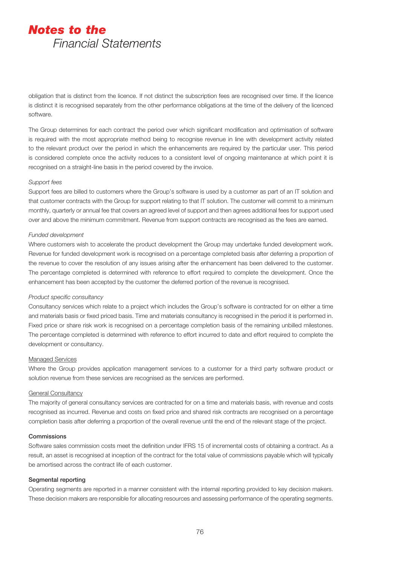obligation that is distinct from the licence. If not distinct the subscription fees are recognised over time. If the licence is distinct it is recognised separately from the other performance obligations at the time of the delivery of the licenced software.

The Group determines for each contract the period over which significant modification and optimisation of software is required with the most appropriate method being to recognise revenue in line with development activity related to the relevant product over the period in which the enhancements are required by the particular user. This period is considered complete once the activity reduces to a consistent level of ongoing maintenance at which point it is recognised on a straight-line basis in the period covered by the invoice.

#### *Support fees*

Support fees are billed to customers where the Group's software is used by a customer as part of an IT solution and that customer contracts with the Group for support relating to that IT solution. The customer will commit to a minimum monthly, quarterly or annual fee that covers an agreed level of support and then agrees additional fees for support used over and above the minimum commitment. Revenue from support contracts are recognised as the fees are earned.

#### *Funded development*

Where customers wish to accelerate the product development the Group may undertake funded development work. Revenue for funded development work is recognised on a percentage completed basis after deferring a proportion of the revenue to cover the resolution of any issues arising after the enhancement has been delivered to the customer. The percentage completed is determined with reference to effort required to complete the development. Once the enhancement has been accepted by the customer the deferred portion of the revenue is recognised.

#### *Product specific consultancy*

Consultancy services which relate to a project which includes the Group's software is contracted for on either a time and materials basis or fixed priced basis. Time and materials consultancy is recognised in the period it is performed in. Fixed price or share risk work is recognised on a percentage completion basis of the remaining unbilled milestones. The percentage completed is determined with reference to effort incurred to date and effort required to complete the development or consultancy.

#### Managed Services

Where the Group provides application management services to a customer for a third party software product or solution revenue from these services are recognised as the services are performed.

### General Consultancy

The majority of general consultancy services are contracted for on a time and materials basis, with revenue and costs recognised as incurred. Revenue and costs on fixed price and shared risk contracts are recognised on a percentage completion basis after deferring a proportion of the overall revenue until the end of the relevant stage of the project.

# **Commissions**

Software sales commission costs meet the definition under IFRS 15 of incremental costs of obtaining a contract. As a result, an asset is recognised at inception of the contract for the total value of commissions payable which will typically be amortised across the contract life of each customer.

#### Segmental reporting

Operating segments are reported in a manner consistent with the internal reporting provided to key decision makers. These decision makers are responsible for allocating resources and assessing performance of the operating segments.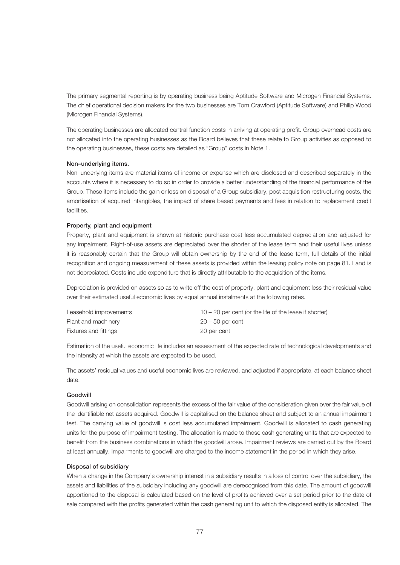The primary segmental reporting is by operating business being Aptitude Software and Microgen Financial Systems. The chief operational decision makers for the two businesses are Tom Crawford (Aptitude Software) and Philip Wood (Microgen Financial Systems).

The operating businesses are allocated central function costs in arriving at operating profit. Group overhead costs are not allocated into the operating businesses as the Board believes that these relate to Group activities as opposed to the operating businesses, these costs are detailed as "Group" costs in Note 1.

# Non–underlying items.

Non–underlying items are material items of income or expense which are disclosed and described separately in the accounts where it is necessary to do so in order to provide a better understanding of the financial performance of the Group. These items include the gain or loss on disposal of a Group subsidiary, post acquisition restructuring costs, the amortisation of acquired intangibles, the impact of share based payments and fees in relation to replacement credit facilities.

#### Property, plant and equipment

Property, plant and equipment is shown at historic purchase cost less accumulated depreciation and adjusted for any impairment. Right-of-use assets are depreciated over the shorter of the lease term and their useful lives unless it is reasonably certain that the Group will obtain ownership by the end of the lease term, full details of the initial recognition and ongoing measurement of these assets is provided within the leasing policy note on page 81. Land is not depreciated. Costs include expenditure that is directly attributable to the acquisition of the items.

Depreciation is provided on assets so as to write off the cost of property, plant and equipment less their residual value over their estimated useful economic lives by equal annual instalments at the following rates.

| Leasehold improvements | $10 - 20$ per cent (or the life of the lease if shorter) |
|------------------------|----------------------------------------------------------|
| Plant and machinery    | $20 - 50$ per cent                                       |
| Fixtures and fittings  | 20 per cent                                              |

Estimation of the useful economic life includes an assessment of the expected rate of technological developments and the intensity at which the assets are expected to be used.

The assets' residual values and useful economic lives are reviewed, and adjusted if appropriate, at each balance sheet date.

# Goodwill

Goodwill arising on consolidation represents the excess of the fair value of the consideration given over the fair value of the identifiable net assets acquired. Goodwill is capitalised on the balance sheet and subject to an annual impairment test. The carrying value of goodwill is cost less accumulated impairment. Goodwill is allocated to cash generating units for the purpose of impairment testing. The allocation is made to those cash generating units that are expected to benefit from the business combinations in which the goodwill arose. Impairment reviews are carried out by the Board at least annually. Impairments to goodwill are charged to the income statement in the period in which they arise.

#### Disposal of subsidiary

When a change in the Company's ownership interest in a subsidiary results in a loss of control over the subsidiary, the assets and liabilities of the subsidiary including any goodwill are derecognised from this date. The amount of goodwill apportioned to the disposal is calculated based on the level of profits achieved over a set period prior to the date of sale compared with the profits generated within the cash generating unit to which the disposed entity is allocated. The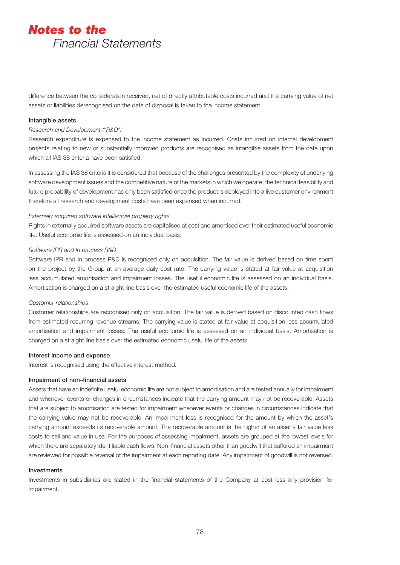difference between the consideration received, net of directly attributable costs incurred and the carrying value of net assets or liabilities derecognised on the date of disposal is taken to the income statement.

### Intangible assets

### *Research and Development ("R&D")*

Research expenditure is expensed to the income statement as incurred. Costs incurred on internal development projects relating to new or substantially improved products are recognised as intangible assets from the date upon which all IAS 38 criteria have been satisfied.

In assessing the IAS 38 criteria it is considered that because of the challenges presented by the complexity of underlying software development issues and the competitive nature of the markets in which we operate, the technical feasibility and future probability of development has only been satisfied once the product is deployed into a live customer environment therefore all research and development costs have been expensed when incurred.

# *Externally acquired software intellectual property rights*

Rights in externally acquired software assets are capitalised at cost and amortised over their estimated useful economic life. Useful economic life is assessed on an individual basis.

# *Software IPR and In process R&D*

Software IPR and In process R&D is recognised only on acquisition. The fair value is derived based on time spent on the project by the Group at an average daily cost rate. The carrying value is stated at fair value at acquisition less accumulated amortisation and impairment losses. The useful economic life is assessed on an individual basis. Amortisation is charged on a straight line basis over the estimated useful economic life of the assets.

# *Customer relationships*

Customer relationships are recognised only on acquisition. The fair value is derived based on discounted cash flows from estimated recurring revenue streams. The carrying value is stated at fair value at acquisition less accumulated amortisation and impairment losses. The useful economic life is assessed on an individual basis. Amortisation is charged on a straight line basis over the estimated economic useful life of the assets.

#### Interest income and expense

Interest is recognised using the effective interest method.

# Impairment of non–financial assets

Assets that have an indefinite useful economic life are not subject to amortisation and are tested annually for impairment and whenever events or changes in circumstances indicate that the carrying amount may not be recoverable. Assets that are subject to amortisation are tested for impairment whenever events or changes in circumstances indicate that the carrying value may not be recoverable. An impairment loss is recognised for the amount by which the asset's carrying amount exceeds its recoverable amount. The recoverable amount is the higher of an asset's fair value less costs to sell and value in use. For the purposes of assessing impairment, assets are grouped at the lowest levels for which there are separately identifiable cash flows. Non–financial assets other than goodwill that suffered an impairment are reviewed for possible reversal of the impairment at each reporting date. Any impairment of goodwill is not reversed.

#### Investments

Investments in subsidiaries are stated in the financial statements of the Company at cost less any provision for impairment.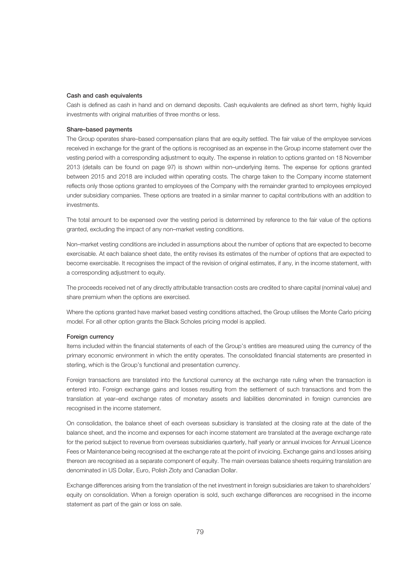# Cash and cash equivalents

Cash is defined as cash in hand and on demand deposits. Cash equivalents are defined as short term, highly liquid investments with original maturities of three months or less.

#### Share–based payments

The Group operates share–based compensation plans that are equity settled. The fair value of the employee services received in exchange for the grant of the options is recognised as an expense in the Group income statement over the vesting period with a corresponding adjustment to equity. The expense in relation to options granted on 18 November 2013 (details can be found on page 97) is shown within non–underlying items. The expense for options granted between 2015 and 2018 are included within operating costs. The charge taken to the Company income statement reflects only those options granted to employees of the Company with the remainder granted to employees employed under subsidiary companies. These options are treated in a similar manner to capital contributions with an addition to investments.

The total amount to be expensed over the vesting period is determined by reference to the fair value of the options granted, excluding the impact of any non–market vesting conditions.

Non–market vesting conditions are included in assumptions about the number of options that are expected to become exercisable. At each balance sheet date, the entity revises its estimates of the number of options that are expected to become exercisable. It recognises the impact of the revision of original estimates, if any, in the income statement, with a corresponding adjustment to equity.

The proceeds received net of any directly attributable transaction costs are credited to share capital (nominal value) and share premium when the options are exercised.

Where the options granted have market based vesting conditions attached, the Group utilises the Monte Carlo pricing model. For all other option grants the Black Scholes pricing model is applied.

#### Foreign currency

Items included within the financial statements of each of the Group's entities are measured using the currency of the primary economic environment in which the entity operates. The consolidated financial statements are presented in sterling, which is the Group's functional and presentation currency.

Foreign transactions are translated into the functional currency at the exchange rate ruling when the transaction is entered into. Foreign exchange gains and losses resulting from the settlement of such transactions and from the translation at year–end exchange rates of monetary assets and liabilities denominated in foreign currencies are recognised in the income statement.

On consolidation, the balance sheet of each overseas subsidiary is translated at the closing rate at the date of the balance sheet, and the income and expenses for each income statement are translated at the average exchange rate for the period subject to revenue from overseas subsidiaries quarterly, half yearly or annual invoices for Annual Licence Fees or Maintenance being recognised at the exchange rate at the point of invoicing. Exchange gains and losses arising thereon are recognised as a separate component of equity. The main overseas balance sheets requiring translation are denominated in US Dollar, Euro, Polish Zloty and Canadian Dollar.

Exchange differences arising from the translation of the net investment in foreign subsidiaries are taken to shareholders' equity on consolidation. When a foreign operation is sold, such exchange differences are recognised in the income statement as part of the gain or loss on sale.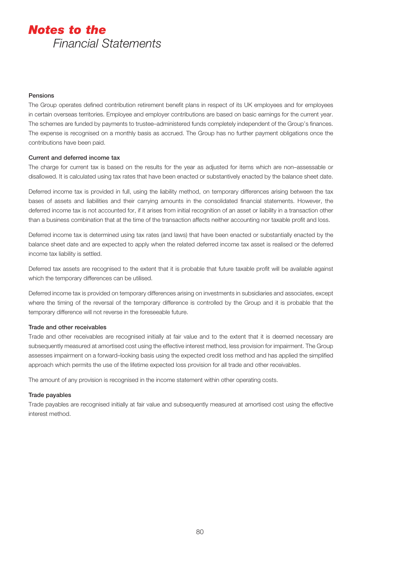# Pensions

The Group operates defined contribution retirement benefit plans in respect of its UK employees and for employees in certain overseas territories. Employee and employer contributions are based on basic earnings for the current year. The schemes are funded by payments to trustee–administered funds completely independent of the Group's finances. The expense is recognised on a monthly basis as accrued. The Group has no further payment obligations once the contributions have been paid.

### Current and deferred income tax

The charge for current tax is based on the results for the year as adjusted for items which are non–assessable or disallowed. It is calculated using tax rates that have been enacted or substantively enacted by the balance sheet date.

Deferred income tax is provided in full, using the liability method, on temporary differences arising between the tax bases of assets and liabilities and their carrying amounts in the consolidated financial statements. However, the deferred income tax is not accounted for, if it arises from initial recognition of an asset or liability in a transaction other than a business combination that at the time of the transaction affects neither accounting nor taxable profit and loss.

Deferred income tax is determined using tax rates (and laws) that have been enacted or substantially enacted by the balance sheet date and are expected to apply when the related deferred income tax asset is realised or the deferred income tax liability is settled.

Deferred tax assets are recognised to the extent that it is probable that future taxable profit will be available against which the temporary differences can be utilised.

Deferred income tax is provided on temporary differences arising on investments in subsidiaries and associates, except where the timing of the reversal of the temporary difference is controlled by the Group and it is probable that the temporary difference will not reverse in the foreseeable future.

#### Trade and other receivables

Trade and other receivables are recognised initially at fair value and to the extent that it is deemed necessary are subsequently measured at amortised cost using the effective interest method, less provision for impairment. The Group assesses impairment on a forward–looking basis using the expected credit loss method and has applied the simplified approach which permits the use of the lifetime expected loss provision for all trade and other receivables.

The amount of any provision is recognised in the income statement within other operating costs.

### Trade payables

Trade payables are recognised initially at fair value and subsequently measured at amortised cost using the effective interest method.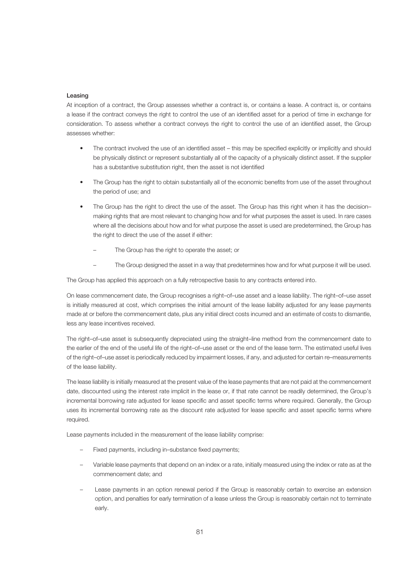# Leasing

At inception of a contract, the Group assesses whether a contract is, or contains a lease. A contract is, or contains a lease if the contract conveys the right to control the use of an identified asset for a period of time in exchange for consideration. To assess whether a contract conveys the right to control the use of an identified asset, the Group assesses whether:

- The contract involved the use of an identified asset this may be specified explicitly or implicitly and should be physically distinct or represent substantially all of the capacity of a physically distinct asset. If the supplier has a substantive substitution right, then the asset is not identified
- The Group has the right to obtain substantially all of the economic benefits from use of the asset throughout the period of use; and
- The Group has the right to direct the use of the asset. The Group has this right when it has the decision– making rights that are most relevant to changing how and for what purposes the asset is used. In rare cases where all the decisions about how and for what purpose the asset is used are predetermined, the Group has the right to direct the use of the asset if either:
	- The Group has the right to operate the asset; or
	- The Group designed the asset in a way that predetermines how and for what purpose it will be used.

The Group has applied this approach on a fully retrospective basis to any contracts entered into.

On lease commencement date, the Group recognises a right–of–use asset and a lease liability. The right–of–use asset is initially measured at cost, which comprises the initial amount of the lease liability adjusted for any lease payments made at or before the commencement date, plus any initial direct costs incurred and an estimate of costs to dismantle, less any lease incentives received.

The right–of–use asset is subsequently depreciated using the straight–line method from the commencement date to the earlier of the end of the useful life of the right–of–use asset or the end of the lease term. The estimated useful lives of the right–of–use asset is periodically reduced by impairment losses, if any, and adjusted for certain re–measurements of the lease liability.

The lease liability is initially measured at the present value of the lease payments that are not paid at the commencement date, discounted using the interest rate implicit in the lease or, if that rate cannot be readily determined, the Group's incremental borrowing rate adjusted for lease specific and asset specific terms where required. Generally, the Group uses its incremental borrowing rate as the discount rate adjusted for lease specific and asset specific terms where required.

Lease payments included in the measurement of the lease liability comprise:

- Fixed payments, including in–substance fixed payments;
- Variable lease payments that depend on an index or a rate, initially measured using the index or rate as at the commencement date; and
- Lease payments in an option renewal period if the Group is reasonably certain to exercise an extension option, and penalties for early termination of a lease unless the Group is reasonably certain not to terminate early.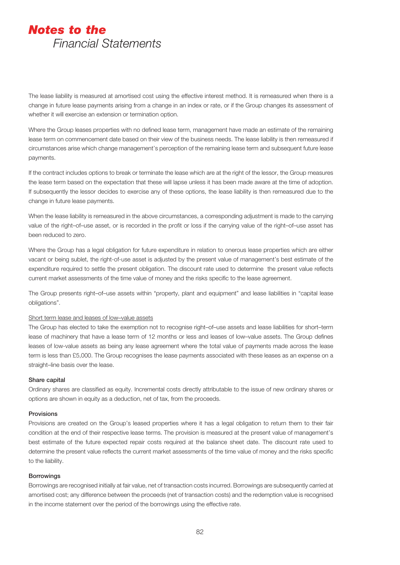The lease liability is measured at amortised cost using the effective interest method. It is remeasured when there is a change in future lease payments arising from a change in an index or rate, or if the Group changes its assessment of whether it will exercise an extension or termination option.

Where the Group leases properties with no defined lease term, management have made an estimate of the remaining lease term on commencement date based on their view of the business needs. The lease liability is then remeasured if circumstances arise which change management's perception of the remaining lease term and subsequent future lease payments.

If the contract includes options to break or terminate the lease which are at the right of the lessor, the Group measures the lease term based on the expectation that these will lapse unless it has been made aware at the time of adoption. If subsequently the lessor decides to exercise any of these options, the lease liability is then remeasured due to the change in future lease payments.

When the lease liability is remeasured in the above circumstances, a corresponding adjustment is made to the carrying value of the right–of–use asset, or is recorded in the profit or loss if the carrying value of the right–of–use asset has been reduced to zero.

Where the Group has a legal obligation for future expenditure in relation to onerous lease properties which are either vacant or being sublet, the right-of-use asset is adjusted by the present value of management's best estimate of the expenditure required to settle the present obligation. The discount rate used to determine the present value reflects current market assessments of the time value of money and the risks specific to the lease agreement.

The Group presents right–of–use assets within "property, plant and equipment" and lease liabilities in "capital lease obligations".

#### Short term lease and leases of low–value assets

The Group has elected to take the exemption not to recognise right–of–use assets and lease liabilities for short–term lease of machinery that have a lease term of 12 months or less and leases of low–value assets. The Group defines leases of low-value assets as being any lease agreement where the total value of payments made across the lease term is less than £5,000. The Group recognises the lease payments associated with these leases as an expense on a straight–line basis over the lease.

#### Share capital

Ordinary shares are classified as equity. Incremental costs directly attributable to the issue of new ordinary shares or options are shown in equity as a deduction, net of tax, from the proceeds.

# Provisions

Provisions are created on the Group's leased properties where it has a legal obligation to return them to their fair condition at the end of their respective lease terms. The provision is measured at the present value of management's best estimate of the future expected repair costs required at the balance sheet date. The discount rate used to determine the present value reflects the current market assessments of the time value of money and the risks specific to the liability.

# **Borrowings**

Borrowings are recognised initially at fair value, net of transaction costs incurred. Borrowings are subsequently carried at amortised cost; any difference between the proceeds (net of transaction costs) and the redemption value is recognised in the income statement over the period of the borrowings using the effective rate.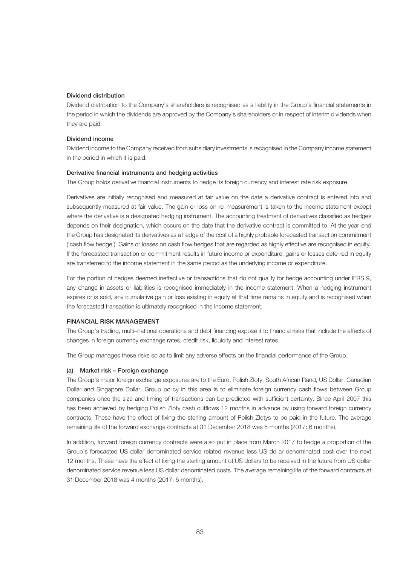# Dividend distribution

Dividend distribution to the Company's shareholders is recognised as a liability in the Group's financial statements in the period in which the dividends are approved by the Company's shareholders or in respect of interim dividends when they are paid.

# Dividend income

Dividend income to the Company received from subsidiary investments is recognised in the Company income statement in the period in which it is paid.

#### Derivative financial instruments and hedging activities

The Group holds derivative financial instruments to hedge its foreign currency and interest rate risk exposure.

Derivatives are initially recognised and measured at fair value on the date a derivative contract is entered into and subsequently measured at fair value. The gain or loss on re–measurement is taken to the income statement except where the derivative is a designated hedging instrument. The accounting treatment of derivatives classified as hedges depends on their designation, which occurs on the date that the derivative contract is committed to. At the year-end the Group has designated its derivatives as a hedge of the cost of a highly probable forecasted transaction commitment ('cash flow hedge'). Gains or losses on cash flow hedges that are regarded as highly effective are recognised in equity. If the forecasted transaction or commitment results in future income or expenditure, gains or losses deferred in equity are transferred to the income statement in the same period as the underlying income or expenditure.

For the portion of hedges deemed ineffective or transactions that do not qualify for hedge accounting under IFRS 9, any change in assets or liabilities is recognised immediately in the income statement. When a hedging instrument expires or is sold, any cumulative gain or loss existing in equity at that time remains in equity and is recognised when the forecasted transaction is ultimately recognised in the income statement.

# FINANCIAL RISK MANAGEMENT

The Group's trading, multi–national operations and debt financing expose it to financial risks that include the effects of changes in foreign currency exchange rates, credit risk, liquidity and interest rates.

The Group manages these risks so as to limit any adverse effects on the financial performance of the Group.

#### (a) Market risk – Foreign exchange

The Group's major foreign exchange exposures are to the Euro, Polish Zloty, South African Rand, US Dollar, Canadian Dollar and Singapore Dollar. Group policy in this area is to eliminate foreign currency cash flows between Group companies once the size and timing of transactions can be predicted with sufficient certainty. Since April 2007 this has been achieved by hedging Polish Zloty cash outflows 12 months in advance by using forward foreign currency contracts. These have the effect of fixing the sterling amount of Polish Zlotys to be paid in the future. The average remaining life of the forward exchange contracts at 31 December 2018 was 5 months (2017: 6 months).

In addition, forward foreign currency contracts were also put in place from March 2017 to hedge a proportion of the Group's forecasted US dollar denominated service related revenue less US dollar denominated cost over the next 12 months. These have the effect of fixing the sterling amount of US dollars to be received in the future from US dollar denominated service revenue less US dollar denominated costs. The average remaining life of the forward contracts at 31 December 2018 was 4 months (2017: 5 months).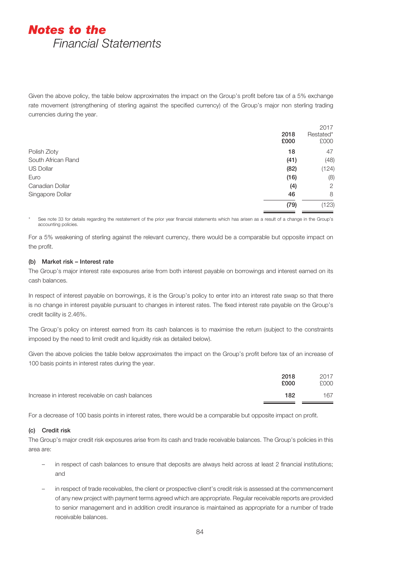Given the above policy, the table below approximates the impact on the Group's profit before tax of a 5% exchange rate movement (strengthening of sterling against the specified currency) of the Group's major non sterling trading currencies during the year.

|                    |      | 2017      |
|--------------------|------|-----------|
|                    | 2018 | Restated* |
|                    | £000 | £000      |
| Polish Zloty       | 18   | 47        |
| South African Rand | (41) | (48)      |
| <b>US Dollar</b>   | (82) | (124)     |
| Euro               | (16) | (8)       |
| Canadian Dollar    | (4)  | 2         |
| Singapore Dollar   | 46   | 8         |
|                    | (79) | (123)     |
|                    |      |           |

See note 33 for details regarding the restatement of the prior year financial statements which has arisen as a result of a change in the Group's accounting policies.

For a 5% weakening of sterling against the relevant currency, there would be a comparable but opposite impact on the profit.

# (b) Market risk – Interest rate

The Group's major interest rate exposures arise from both interest payable on borrowings and interest earned on its cash balances.

In respect of interest payable on borrowings, it is the Group's policy to enter into an interest rate swap so that there is no change in interest payable pursuant to changes in interest rates. The fixed interest rate payable on the Group's credit facility is 2.46%.

The Group's policy on interest earned from its cash balances is to maximise the return (subject to the constraints imposed by the need to limit credit and liquidity risk as detailed below).

Given the above policies the table below approximates the impact on the Group's profit before tax of an increase of 100 basis points in interest rates during the year.

|                                                  | 2018<br>£000 | 2017<br>£000 |
|--------------------------------------------------|--------------|--------------|
| Increase in interest receivable on cash balances | 182          | 167          |

For a decrease of 100 basis points in interest rates, there would be a comparable but opposite impact on profit.

# (c) Credit risk

The Group's major credit risk exposures arise from its cash and trade receivable balances. The Group's policies in this area are:

- in respect of cash balances to ensure that deposits are always held across at least 2 financial institutions; and
- in respect of trade receivables, the client or prospective client's credit risk is assessed at the commencement of any new project with payment terms agreed which are appropriate. Regular receivable reports are provided to senior management and in addition credit insurance is maintained as appropriate for a number of trade receivable balances.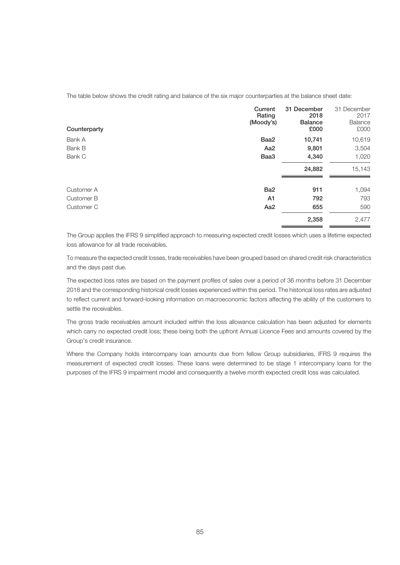The table below shows the credit rating and balance of the six major counterparties at the balance sheet date:

| Counterparty | Current<br>Rating<br>(Moody's) | 31 December<br>2018<br><b>Balance</b><br>£000 | 31 December<br>2017<br>Balance<br>£000 |
|--------------|--------------------------------|-----------------------------------------------|----------------------------------------|
| Bank A       | Baa2                           | 10,741                                        | 10,619                                 |
| Bank B       | Aa <sub>2</sub>                | 9,801                                         | 3,504                                  |
| Bank C       | Baa3                           | 4,340                                         | 1,020                                  |
|              |                                | 24,882                                        | 15,143                                 |
| Customer A   | Ba <sub>2</sub>                | 911                                           | 1,094                                  |
| Customer B   | A1                             | 792                                           | 793                                    |
| Customer C   | Aa <sub>2</sub>                | 655                                           | 590                                    |
|              |                                | 2,358                                         | 2,477                                  |

The Group applies the IFRS 9 simplified approach to measuring expected credit losses which uses a lifetime expected loss allowance for all trade receivables.

To measure the expected credit losses, trade receivables have been grouped based on shared credit risk characteristics and the days past due.

The expected loss rates are based on the payment profiles of sales over a period of 36 months before 31 December 2018 and the corresponding historical credit losses experienced within this period. The historical loss rates are adjusted to reflect current and forward-looking information on macroeconomic factors affecting the ability of the customers to settle the receivables.

The gross trade receivables amount included within the loss allowance calculation has been adjusted for elements which carry no expected credit loss; these being both the upfront Annual Licence Fees and amounts covered by the Group's credit insurance.

Where the Company holds intercompany loan amounts due from fellow Group subsidiaries, IFRS 9 requires the measurement of expected credit losses. These loans were determined to be stage 1 intercompany loans for the purposes of the IFRS 9 impairment model and consequently a twelve month expected credit loss was calculated.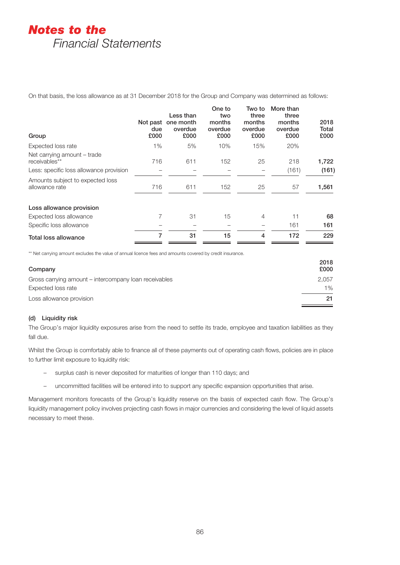On that basis, the loss allowance as at 31 December 2018 for the Group and Company was determined as follows:

| Group                                              | Not past<br>due<br>£000 | Less than<br>one month<br>overdue<br>£000 | One to<br>two<br>months<br>overdue<br>£000 | Two to<br>three<br>months<br>overdue<br>£000 | More than<br>three<br>months<br>overdue<br>£000 | 2018<br>Total<br>£000 |
|----------------------------------------------------|-------------------------|-------------------------------------------|--------------------------------------------|----------------------------------------------|-------------------------------------------------|-----------------------|
| Expected loss rate                                 | 1%                      | 5%                                        | 10%                                        | 15%                                          | 20%                                             |                       |
| Net carrying amount - trade<br>receivables**       | 716                     | 611                                       | 152                                        | 25                                           | 218                                             | 1,722                 |
| Less: specific loss allowance provision            |                         |                                           |                                            |                                              | (161)                                           | (161)                 |
| Amounts subject to expected loss<br>allowance rate | 716                     | 611                                       | 152                                        | 25                                           | 57                                              | 1,561                 |
| Loss allowance provision                           |                         |                                           |                                            |                                              |                                                 |                       |
| Expected loss allowance                            | 7                       | 31                                        | 15                                         | 4                                            | 11                                              | 68                    |
| Specific loss allowance                            |                         |                                           |                                            |                                              | 161                                             | 161                   |
| Total loss allowance                               | 7                       | 31                                        | 15                                         | 4                                            | 172                                             | 229                   |

\*\* Net carrying amount excludes the value of annual licence fees and amounts covered by credit insurance.

| Company                                               | 2018<br>£000 |
|-------------------------------------------------------|--------------|
| Gross carrying amount – intercompany loan receivables | 2.057        |
| Expected loss rate                                    | $1\%$        |
| Loss allowance provision                              | 21           |

# (d) Liquidity risk

The Group's major liquidity exposures arise from the need to settle its trade, employee and taxation liabilities as they fall due.

Whilst the Group is comfortably able to finance all of these payments out of operating cash flows, policies are in place to further limit exposure to liquidity risk:

- surplus cash is never deposited for maturities of longer than 110 days; and
- uncommitted facilities will be entered into to support any specific expansion opportunities that arise.

Management monitors forecasts of the Group's liquidity reserve on the basis of expected cash flow. The Group's liquidity management policy involves projecting cash flows in major currencies and considering the level of liquid assets necessary to meet these.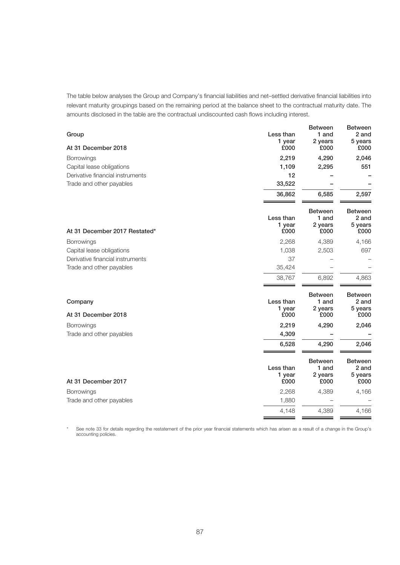The table below analyses the Group and Company's financial liabilities and net–settled derivative financial liabilities into relevant maturity groupings based on the remaining period at the balance sheet to the contractual maturity date. The amounts disclosed in the table are the contractual undiscounted cash flows including interest.

| At 31 December 2018<br>£000<br>£000<br>£000<br>2,219<br>4,290<br>2,046<br><b>Borrowings</b><br>Capital lease obligations<br>1,109<br>2,295<br>551<br>Derivative financial instruments<br>12<br>33,522<br>Trade and other payables<br>36,862<br>6,585<br>2,597<br><b>Between</b><br><b>Between</b><br>Less than<br>1 and<br>2 and<br>1 year<br>2 years<br>5 years<br>At 31 December 2017 Restated*<br>£000<br>£000<br>£000<br>2,268<br>4,389<br>4,166<br>Borrowings<br>697<br>Capital lease obligations<br>1,038<br>2,503<br>Derivative financial instruments<br>37<br>Trade and other payables<br>35,424<br>4,863<br>38,767<br>6,892<br><b>Between</b><br><b>Between</b><br>Less than<br>Company<br>1 and<br>2 and<br>1 year<br>2 years<br>5 years<br>£000<br>£000<br>At 31 December 2018<br>£000<br>2,219<br>4,290<br>2,046<br><b>Borrowings</b><br>4,309<br>Trade and other payables<br>4,290<br>2,046<br>6,528<br><b>Between</b><br><b>Between</b><br>Less than<br>1 and<br>2 and<br>2 years<br>1 year<br>5 years<br>£000<br>£000<br>At 31 December 2017<br>£000<br>2,268<br>4,389<br>4,166<br>Borrowings<br>Trade and other payables<br>1,880<br>4,148<br>4,389<br>4,166 | Group | Less than<br>1 year | <b>Between</b><br>1 and<br>2 years | <b>Between</b><br>2 and<br>5 years |
|------------------------------------------------------------------------------------------------------------------------------------------------------------------------------------------------------------------------------------------------------------------------------------------------------------------------------------------------------------------------------------------------------------------------------------------------------------------------------------------------------------------------------------------------------------------------------------------------------------------------------------------------------------------------------------------------------------------------------------------------------------------------------------------------------------------------------------------------------------------------------------------------------------------------------------------------------------------------------------------------------------------------------------------------------------------------------------------------------------------------------------------------------------------------------|-------|---------------------|------------------------------------|------------------------------------|
|                                                                                                                                                                                                                                                                                                                                                                                                                                                                                                                                                                                                                                                                                                                                                                                                                                                                                                                                                                                                                                                                                                                                                                              |       |                     |                                    |                                    |
|                                                                                                                                                                                                                                                                                                                                                                                                                                                                                                                                                                                                                                                                                                                                                                                                                                                                                                                                                                                                                                                                                                                                                                              |       |                     |                                    |                                    |
|                                                                                                                                                                                                                                                                                                                                                                                                                                                                                                                                                                                                                                                                                                                                                                                                                                                                                                                                                                                                                                                                                                                                                                              |       |                     |                                    |                                    |
|                                                                                                                                                                                                                                                                                                                                                                                                                                                                                                                                                                                                                                                                                                                                                                                                                                                                                                                                                                                                                                                                                                                                                                              |       |                     |                                    |                                    |
|                                                                                                                                                                                                                                                                                                                                                                                                                                                                                                                                                                                                                                                                                                                                                                                                                                                                                                                                                                                                                                                                                                                                                                              |       |                     |                                    |                                    |
|                                                                                                                                                                                                                                                                                                                                                                                                                                                                                                                                                                                                                                                                                                                                                                                                                                                                                                                                                                                                                                                                                                                                                                              |       |                     |                                    |                                    |
|                                                                                                                                                                                                                                                                                                                                                                                                                                                                                                                                                                                                                                                                                                                                                                                                                                                                                                                                                                                                                                                                                                                                                                              |       |                     |                                    |                                    |
|                                                                                                                                                                                                                                                                                                                                                                                                                                                                                                                                                                                                                                                                                                                                                                                                                                                                                                                                                                                                                                                                                                                                                                              |       |                     |                                    |                                    |
|                                                                                                                                                                                                                                                                                                                                                                                                                                                                                                                                                                                                                                                                                                                                                                                                                                                                                                                                                                                                                                                                                                                                                                              |       |                     |                                    |                                    |
|                                                                                                                                                                                                                                                                                                                                                                                                                                                                                                                                                                                                                                                                                                                                                                                                                                                                                                                                                                                                                                                                                                                                                                              |       |                     |                                    |                                    |
|                                                                                                                                                                                                                                                                                                                                                                                                                                                                                                                                                                                                                                                                                                                                                                                                                                                                                                                                                                                                                                                                                                                                                                              |       |                     |                                    |                                    |
|                                                                                                                                                                                                                                                                                                                                                                                                                                                                                                                                                                                                                                                                                                                                                                                                                                                                                                                                                                                                                                                                                                                                                                              |       |                     |                                    |                                    |
|                                                                                                                                                                                                                                                                                                                                                                                                                                                                                                                                                                                                                                                                                                                                                                                                                                                                                                                                                                                                                                                                                                                                                                              |       |                     |                                    |                                    |
|                                                                                                                                                                                                                                                                                                                                                                                                                                                                                                                                                                                                                                                                                                                                                                                                                                                                                                                                                                                                                                                                                                                                                                              |       |                     |                                    |                                    |
|                                                                                                                                                                                                                                                                                                                                                                                                                                                                                                                                                                                                                                                                                                                                                                                                                                                                                                                                                                                                                                                                                                                                                                              |       |                     |                                    |                                    |
|                                                                                                                                                                                                                                                                                                                                                                                                                                                                                                                                                                                                                                                                                                                                                                                                                                                                                                                                                                                                                                                                                                                                                                              |       |                     |                                    |                                    |
|                                                                                                                                                                                                                                                                                                                                                                                                                                                                                                                                                                                                                                                                                                                                                                                                                                                                                                                                                                                                                                                                                                                                                                              |       |                     |                                    |                                    |
|                                                                                                                                                                                                                                                                                                                                                                                                                                                                                                                                                                                                                                                                                                                                                                                                                                                                                                                                                                                                                                                                                                                                                                              |       |                     |                                    |                                    |
|                                                                                                                                                                                                                                                                                                                                                                                                                                                                                                                                                                                                                                                                                                                                                                                                                                                                                                                                                                                                                                                                                                                                                                              |       |                     |                                    |                                    |
|                                                                                                                                                                                                                                                                                                                                                                                                                                                                                                                                                                                                                                                                                                                                                                                                                                                                                                                                                                                                                                                                                                                                                                              |       |                     |                                    |                                    |

See note 33 for details regarding the restatement of the prior year financial statements which has arisen as a result of a change in the Group's accounting policies.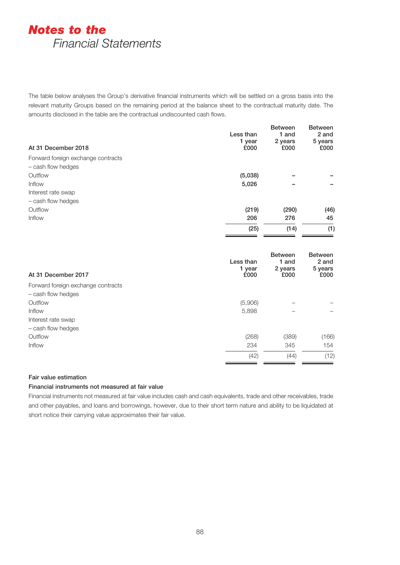The table below analyses the Group's derivative financial instruments which will be settled on a gross basis into the relevant maturity Groups based on the remaining period at the balance sheet to the contractual maturity date. The amounts disclosed in the table are the contractual undiscounted cash flows.

| Less than<br>1 year<br>At 31 December 2018<br>£000 | <b>Between</b><br>1 and<br>2 years<br>£000 | <b>Between</b><br>2 and<br>5 years<br>£000 |
|----------------------------------------------------|--------------------------------------------|--------------------------------------------|
| Forward foreign exchange contracts                 |                                            |                                            |
| - cash flow hedges<br>Outflow                      |                                            |                                            |
| (5,038)<br>Inflow<br>5,026                         |                                            |                                            |
| Interest rate swap                                 |                                            |                                            |
| - cash flow hedges                                 |                                            |                                            |
| Outflow<br>(219)                                   | (290)                                      | (46)                                       |
| Inflow<br>206                                      | 276                                        | 45                                         |
| (25)                                               | (14)                                       | (1)                                        |
|                                                    |                                            |                                            |
| Less than<br>1 year<br>At 31 December 2017<br>£000 | <b>Between</b><br>1 and<br>2 years<br>£000 | <b>Between</b><br>2 and<br>5 years<br>£000 |
| Forward foreign exchange contracts                 |                                            |                                            |
| - cash flow hedges                                 |                                            |                                            |
| Outflow<br>(5,906)                                 |                                            |                                            |
| Inflow<br>5,898                                    |                                            |                                            |
| Interest rate swap<br>- cash flow hedges           |                                            |                                            |
| Outflow<br>(268)                                   | (389)                                      | (166)                                      |
| Inflow<br>234                                      | 345                                        | 154                                        |
| (42)                                               | (44)                                       | (12)                                       |

# Fair value estimation

# Financial instruments not measured at fair value

Financial instruments not measured at fair value includes cash and cash equivalents, trade and other receivables, trade and other payables, and loans and borrowings, however, due to their short term nature and ability to be liquidated at short notice their carrying value approximates their fair value.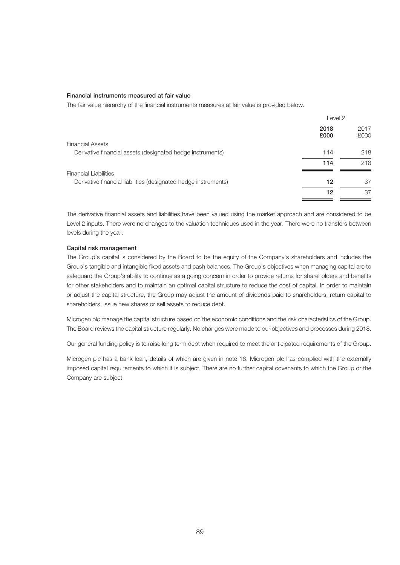#### Financial instruments measured at fair value

The fair value hierarchy of the financial instruments measures at fair value is provided below.

| Level 2      |              |
|--------------|--------------|
| 2018<br>£000 | 2017<br>£000 |
|              |              |
| 114          | 218          |
| 114          | 218          |
|              |              |
| 12           | 37           |
| 12           | 37           |
|              |              |

The derivative financial assets and liabilities have been valued using the market approach and are considered to be Level 2 inputs. There were no changes to the valuation techniques used in the year. There were no transfers between levels during the year.

#### Capital risk management

The Group's capital is considered by the Board to be the equity of the Company's shareholders and includes the Group's tangible and intangible fixed assets and cash balances. The Group's objectives when managing capital are to safeguard the Group's ability to continue as a going concern in order to provide returns for shareholders and benefits for other stakeholders and to maintain an optimal capital structure to reduce the cost of capital. In order to maintain or adjust the capital structure, the Group may adjust the amount of dividends paid to shareholders, return capital to shareholders, issue new shares or sell assets to reduce debt.

Microgen plc manage the capital structure based on the economic conditions and the risk characteristics of the Group. The Board reviews the capital structure regularly. No changes were made to our objectives and processes during 2018.

Our general funding policy is to raise long term debt when required to meet the anticipated requirements of the Group.

Microgen plc has a bank loan, details of which are given in note 18. Microgen plc has complied with the externally imposed capital requirements to which it is subject. There are no further capital covenants to which the Group or the Company are subject.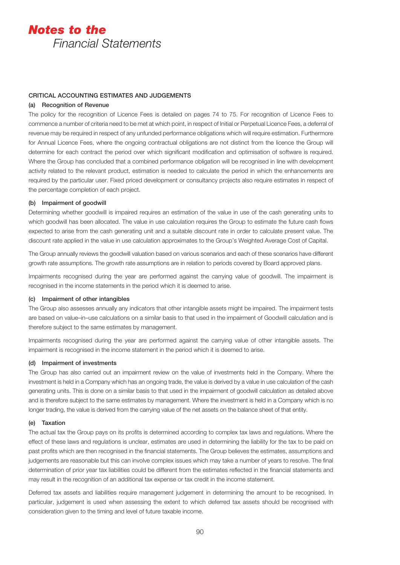# CRITICAL ACCOUNTING ESTIMATES AND JUDGEMENTS

### (a) Recognition of Revenue

The policy for the recognition of Licence Fees is detailed on pages 74 to 75. For recognition of Licence Fees to commence a number of criteria need to be met at which point, in respect of Initial or Perpetual Licence Fees, a deferral of revenue may be required in respect of any unfunded performance obligations which will require estimation. Furthermore for Annual Licence Fees, where the ongoing contractual obligations are not distinct from the licence the Group will determine for each contract the period over which significant modification and optimisation of software is required. Where the Group has concluded that a combined performance obligation will be recognised in line with development activity related to the relevant product, estimation is needed to calculate the period in which the enhancements are required by the particular user. Fixed priced development or consultancy projects also require estimates in respect of the percentage completion of each project.

#### (b) Impairment of goodwill

Determining whether goodwill is impaired requires an estimation of the value in use of the cash generating units to which goodwill has been allocated. The value in use calculation requires the Group to estimate the future cash flows expected to arise from the cash generating unit and a suitable discount rate in order to calculate present value. The discount rate applied in the value in use calculation approximates to the Group's Weighted Average Cost of Capital.

The Group annually reviews the goodwill valuation based on various scenarios and each of these scenarios have different growth rate assumptions. The growth rate assumptions are in relation to periods covered by Board approved plans.

Impairments recognised during the year are performed against the carrying value of goodwill. The impairment is recognised in the income statements in the period which it is deemed to arise.

### (c) Impairment of other intangibles

The Group also assesses annually any indicators that other intangible assets might be impaired. The impairment tests are based on value–in–use calculations on a similar basis to that used in the impairment of Goodwill calculation and is therefore subject to the same estimates by management.

Impairments recognised during the year are performed against the carrying value of other intangible assets. The impairment is recognised in the income statement in the period which it is deemed to arise.

#### (d) Impairment of investments

The Group has also carried out an impairment review on the value of investments held in the Company. Where the investment is held in a Company which has an ongoing trade, the value is derived by a value in use calculation of the cash generating units. This is done on a similar basis to that used in the impairment of goodwill calculation as detailed above and is therefore subject to the same estimates by management. Where the investment is held in a Company which is no longer trading, the value is derived from the carrying value of the net assets on the balance sheet of that entity.

# (e) Taxation

The actual tax the Group pays on its profits is determined according to complex tax laws and regulations. Where the effect of these laws and regulations is unclear, estimates are used in determining the liability for the tax to be paid on past profits which are then recognised in the financial statements. The Group believes the estimates, assumptions and judgements are reasonable but this can involve complex issues which may take a number of years to resolve. The final determination of prior year tax liabilities could be different from the estimates reflected in the financial statements and may result in the recognition of an additional tax expense or tax credit in the income statement.

Deferred tax assets and liabilities require management judgement in determining the amount to be recognised. In particular, judgement is used when assessing the extent to which deferred tax assets should be recognised with consideration given to the timing and level of future taxable income.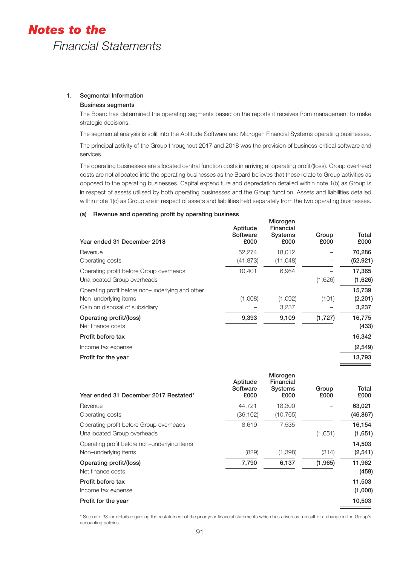# 1. Segmental Information

# Business segments

The Board has determined the operating segments based on the reports it receives from management to make strategic decisions.

The segmental analysis is split into the Aptitude Software and Microgen Financial Systems operating businesses.

The principal activity of the Group throughout 2017 and 2018 was the provision of business-critical software and services.

The operating businesses are allocated central function costs in arriving at operating profit/(loss). Group overhead costs are not allocated into the operating businesses as the Board believes that these relate to Group activities as opposed to the operating businesses. Capital expenditure and depreciation detailed within note 1(b) as Group is in respect of assets utilised by both operating businesses and the Group function. Assets and liabilities detailed within note 1(c) as Group are in respect of assets and liabilities held separately from the two operating businesses.

# (a) Revenue and operating profit by operating business

| Year ended 31 December 2018                      | Aptitude<br>Software<br>£000 | Microgen<br>Financial<br><b>Systems</b><br>£000 | Group<br>£000 | Total<br>£000 |
|--------------------------------------------------|------------------------------|-------------------------------------------------|---------------|---------------|
| Revenue                                          | 52,274                       | 18,012                                          |               | 70,286        |
| Operating costs                                  | (41, 873)                    | (11,048)                                        |               | (52, 921)     |
| Operating profit before Group overheads          | 10,401                       | 6,964                                           |               | 17,365        |
| Unallocated Group overheads                      |                              |                                                 | (1,626)       | (1,626)       |
| Operating profit before non-underlying and other |                              |                                                 |               | 15,739        |
| Non-underlying items                             | (1,008)                      | (1,092)                                         | (101)         | (2,201)       |
| Gain on disposal of subsidiary                   |                              | 3,237                                           |               | 3,237         |
| Operating profit/(loss)                          | 9,393                        | 9,109                                           | (1,727)       | 16,775        |
| Net finance costs                                |                              |                                                 |               | (433)         |
| Profit before tax                                |                              |                                                 |               | 16,342        |
| Income tax expense                               |                              |                                                 |               | (2, 549)      |
| Profit for the year                              |                              |                                                 |               | 13,793        |

| Year ended 31 December 2017 Restated*        | Aptitude<br>Software<br>£000 | <b>MICrogen</b><br>Financial<br><b>Systems</b><br>£000 | Group<br>£000 | Total<br>£000 |
|----------------------------------------------|------------------------------|--------------------------------------------------------|---------------|---------------|
| Revenue                                      | 44,721                       | 18,300                                                 |               | 63,021        |
| Operating costs                              | (36, 102)                    | (10, 765)                                              |               | (46, 867)     |
| Operating profit before Group overheads      | 8.619                        | 7.535                                                  |               | 16,154        |
| Unallocated Group overheads                  |                              |                                                        | (1,651)       | (1,651)       |
| Operating profit before non-underlying items |                              |                                                        |               | 14,503        |
| Non-underlying items                         | (829)                        | (1,398)                                                | (314)         | (2, 541)      |
| Operating profit/(loss)                      | 7,790                        | 6,137                                                  | (1,965)       | 11,962        |
| Net finance costs                            |                              |                                                        |               | (459)         |
| Profit before tax                            |                              |                                                        |               | 11,503        |
| Income tax expense                           |                              |                                                        |               | (1,000)       |
| Profit for the year                          |                              |                                                        |               | 10,503        |
|                                              |                              |                                                        |               |               |

Microgen

\* See note 33 for details regarding the restatement of the prior year financial statements which has arisen as a result of a change in the Group's accounting policies.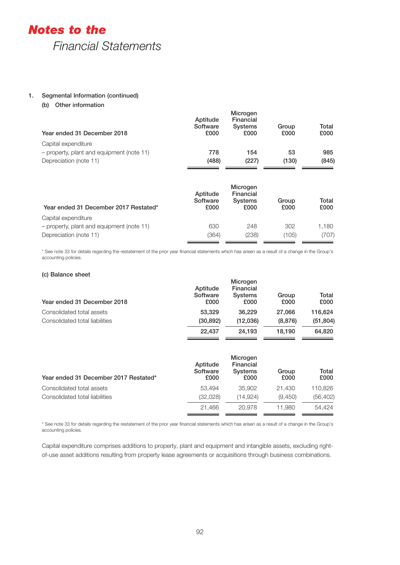# 1. Segmental Information (continued)

(b) Other information

| Year ended 31 December 2018               | Aptitude<br>Software<br>£000 | Microgen<br>Financial<br><b>Systems</b><br>£000 | Group<br>£000 | Total<br>£000 |
|-------------------------------------------|------------------------------|-------------------------------------------------|---------------|---------------|
| Capital expenditure                       |                              |                                                 |               |               |
| - property, plant and equipment (note 11) | 778                          | 154                                             | 53            | 985           |
| Depreciation (note 11)                    | (488)                        | (227)                                           | (130)         | (845)         |
|                                           |                              |                                                 |               |               |

| Year ended 31 December 2017 Restated*     | Aptitude<br>Software<br>£000 | Microgen<br>Financial<br><b>Systems</b><br>£000 | Group<br>£000 | Total<br>£000 |
|-------------------------------------------|------------------------------|-------------------------------------------------|---------------|---------------|
| Capital expenditure                       |                              |                                                 |               |               |
| - property, plant and equipment (note 11) | 630                          | 248                                             | 302           | 1.180         |
| Depreciation (note 11)                    | (364)                        | (238)                                           | (105)         | (707)         |

\* See note 33 for details regarding the restatement of the prior year financial statements which has arisen as a result of a change in the Group's accounting policies.

# (c) Balance sheet

| Year ended 31 December 2018    | Aptitude<br>Software<br>£000 | Microgen<br>Financial<br><b>Systems</b><br>£000 | Group<br>£000 | Total<br>£000 |
|--------------------------------|------------------------------|-------------------------------------------------|---------------|---------------|
| Consolidated total assets      | 53,329                       | 36.229                                          | 27,066        | 116.624       |
| Consolidated total liabilities | (30, 892)                    | (12,036)                                        | (8,876)       | (51, 804)     |
|                                | 22.437                       | 24.193                                          | 18.190        | 64.820        |

| Year ended 31 December 2017 Restated* | Aptitude<br>Software<br>£000 | Microgen<br>Financial<br><b>Systems</b><br>£000 | Group<br>£000 | Total<br>£000 |
|---------------------------------------|------------------------------|-------------------------------------------------|---------------|---------------|
| Consolidated total assets             | 53.494                       | 35,902                                          | 21.430        | 110.826       |
| Consolidated total liabilities        | (32,028)                     | (14.924)                                        | (9,450)       | (56, 402)     |
|                                       | 21.466                       | 20,978                                          | 11.980        | 54.424        |

\* See note 33 for details regarding the restatement of the prior year financial statements which has arisen as a result of a change in the Group's accounting policies.

Capital expenditure comprises additions to property, plant and equipment and intangible assets, excluding rightof-use asset additions resulting from property lease agreements or acquisitions through business combinations.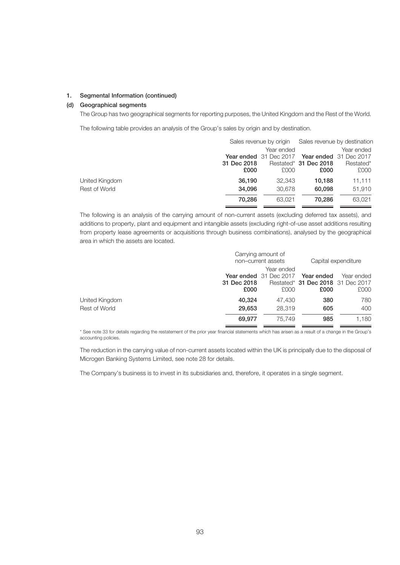# 1. Segmental Information (continued)

### (d) Geographical segments

The Group has two geographical segments for reporting purposes, the United Kingdom and the Rest of the World.

The following table provides an analysis of the Group's sales by origin and by destination.

|                | Sales revenue by origin |                        |                       | Sales revenue by destination  |  |  |
|----------------|-------------------------|------------------------|-----------------------|-------------------------------|--|--|
|                |                         | Year ended             |                       | Year ended                    |  |  |
|                |                         | Year ended 31 Dec 2017 |                       | <b>Year ended</b> 31 Dec 2017 |  |  |
|                | 31 Dec 2018             |                        | Restated* 31 Dec 2018 | Restated*                     |  |  |
|                | £000                    | £000                   | £000                  | £000                          |  |  |
| United Kingdom | 36,190                  | 32.343                 | 10.188                | 11,111                        |  |  |
| Rest of World  | 34,096                  | 30,678                 | 60,098                | 51,910                        |  |  |
|                | 70,286                  | 63.021                 | 70.286                | 63,021                        |  |  |

The following is an analysis of the carrying amount of non-current assets (excluding deferred tax assets), and additions to property, plant and equipment and intangible assets (excluding right-of-use asset additions resulting from property lease agreements or acquisitions through business combinations), analysed by the geographical area in which the assets are located.

|                      | Carrying amount of<br>non-current assets | Capital expenditure                             |                                   |            |
|----------------------|------------------------------------------|-------------------------------------------------|-----------------------------------|------------|
|                      |                                          |                                                 |                                   |            |
|                      |                                          | <b>Year ended</b> 31 Dec 2017 <b>Year ended</b> |                                   | Year ended |
|                      | 31 Dec 2018                              |                                                 | Restated* 31 Dec 2018 31 Dec 2017 |            |
|                      | £000                                     | £000                                            | £000                              | £000       |
| United Kingdom       | 40.324                                   | 47.430                                          | 380                               | 780        |
| <b>Rest of World</b> | 29,653                                   | 28,319                                          | 605                               | 400        |
|                      | 69.977                                   | 75.749                                          | 985                               | 1,180      |

\* See note 33 for details regarding the restatement of the prior year financial statements which has arisen as a result of a change in the Group's accounting policies.

The reduction in the carrying value of non-current assets located within the UK is principally due to the disposal of Microgen Banking Systems Limited, see note 28 for details.

The Company's business is to invest in its subsidiaries and, therefore, it operates in a single segment.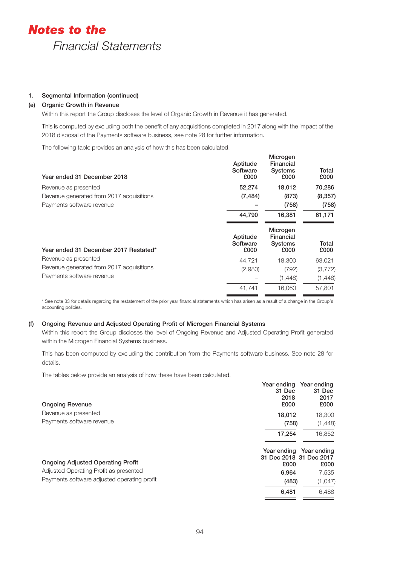# 1. Segmental Information (continued)

# (e) Organic Growth in Revenue

Within this report the Group discloses the level of Organic Growth in Revenue it has generated.

This is computed by excluding both the benefit of any acquisitions completed in 2017 along with the impact of the 2018 disposal of the Payments software business, see note 28 for further information.

The following table provides an analysis of how this has been calculated.

| Year ended 31 December 2018              | Aptitude<br>Software<br>£000 | Microgen<br>Financial<br><b>Systems</b><br>£000 | Total<br>£000 |
|------------------------------------------|------------------------------|-------------------------------------------------|---------------|
| Revenue as presented                     | 52,274                       | 18,012                                          | 70,286        |
| Revenue generated from 2017 acquisitions | (7, 484)                     | (873)                                           | (8, 357)      |
| Payments software revenue                |                              | (758)                                           | (758)         |
|                                          | 44,790                       | 16,381                                          | 61,171        |
|                                          |                              |                                                 |               |
| Year ended 31 December 2017 Restated*    | Aptitude<br>Software<br>£000 | Microgen<br>Financial<br><b>Systems</b><br>£000 | Total<br>£000 |
| Revenue as presented                     | 44,721                       | 18,300                                          | 63,021        |
| Revenue generated from 2017 acquisitions | (2,980)                      | (792)                                           | (3,772)       |
| Payments software revenue                |                              | (1,448)                                         | (1,448)       |

\* See note 33 for details regarding the restatement of the prior year financial statements which has arisen as a result of a change in the Group's accounting policies.

#### (f) Ongoing Revenue and Adjusted Operating Profit of Microgen Financial Systems

Within this report the Group discloses the level of Ongoing Revenue and Adjusted Operating Profit generated within the Microgen Financial Systems business.

This has been computed by excluding the contribution from the Payments software business. See note 28 for details.

The tables below provide an analysis of how these have been calculated.

| 31 Dec<br>2018<br>£000<br><b>Ongoing Revenue</b>                                           | 31 Dec<br>2017<br>£000 |
|--------------------------------------------------------------------------------------------|------------------------|
| Revenue as presented<br>18,012                                                             | 18,300                 |
| Payments software revenue<br>(758)                                                         | (1, 448)               |
| 17.254                                                                                     | 16.852                 |
| Year ending<br>31 Dec 2018 31 Dec 2017<br><b>Ongoing Adjusted Operating Profit</b><br>£000 | Year ending<br>£000    |
| Adjusted Operating Profit as presented<br>6,964                                            | 7,535                  |
| Payments software adjusted operating profit<br>(483)                                       | (1,047)                |
| 6,481                                                                                      | 6.488                  |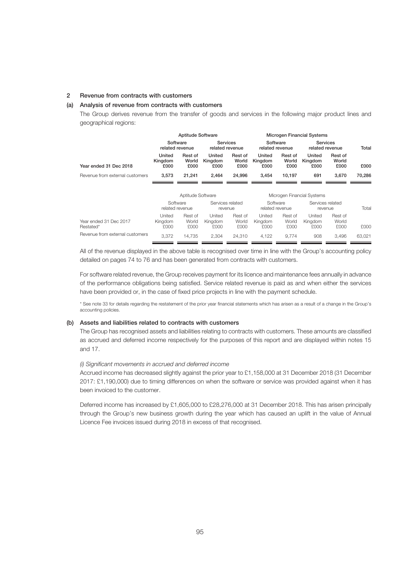# 2 Revenue from contracts with customers

### (a) Analysis of revenue from contracts with customers

The Group derives revenue from the transfer of goods and services in the following major product lines and geographical regions:

|                                     |                           | <b>Aptitude Software</b><br><b>Microgen Financial Systems</b> |                           |                                    |                           |                             |                             |                          |        |
|-------------------------------------|---------------------------|---------------------------------------------------------------|---------------------------|------------------------------------|---------------------------|-----------------------------|-----------------------------|--------------------------|--------|
|                                     |                           | Software<br>related revenue                                   |                           | <b>Services</b><br>related revenue |                           | Software<br>related revenue | Services<br>related revenue |                          | Total  |
| Year ended 31 Dec 2018              | United<br>Kingdom<br>£000 | Rest of<br>World<br>£000                                      | United<br>Kingdom<br>£000 | Rest of<br>World<br>£000           | United<br>Kingdom<br>£000 | Rest of<br>World<br>£000    | United<br>Kingdom<br>£000   | Rest of<br>World<br>£000 | £000   |
| Revenue from external customers     | 3,573                     | 21,241                                                        | 2,464                     | 24,996                             | 3,454                     | 10,197                      | 691                         | 3,670                    | 70,286 |
|                                     |                           | Aptitude Software                                             |                           |                                    |                           |                             | Microgen Financial Systems  |                          |        |
|                                     | Software                  |                                                               |                           | Services related                   |                           | Software                    | Services related            |                          |        |
|                                     |                           | related revenue                                               |                           | revenue                            |                           | related revenue             | revenue                     |                          | Total  |
| Year ended 31 Dec 2017<br>Restated* | United<br>Kingdom<br>£000 | Rest of<br>World<br>£000                                      | United<br>Kingdom<br>£000 | Rest of<br>World<br>£000           | United<br>Kingdom<br>£000 | Rest of<br>World<br>£000    | United<br>Kingdom<br>£000   | Rest of<br>World<br>£000 | £000   |
| Revenue from external customers     | 3,372                     | 14.735                                                        | 2,304                     | 24,310                             | 4,122                     | 9,774                       | 908                         | 3,496                    | 63,021 |

All of the revenue displayed in the above table is recognised over time in line with the Group's accounting policy detailed on pages 74 to 76 and has been generated from contracts with customers.

For software related revenue, the Group receives payment for its licence and maintenance fees annually in advance of the performance obligations being satisfied. Service related revenue is paid as and when either the services have been provided or, in the case of fixed price projects in line with the payment schedule.

\* See note 33 for details regarding the restatement of the prior year financial statements which has arisen as a result of a change in the Group's accounting policies.

# (b) Assets and liabilities related to contracts with customers

The Group has recognised assets and liabilities relating to contracts with customers. These amounts are classified as accrued and deferred income respectively for the purposes of this report and are displayed within notes 15 and 17.

# *(i) Significant movements in accrued and deferred income*

Accrued income has decreased slightly against the prior year to £1,158,000 at 31 December 2018 (31 December 2017: £1,190,000) due to timing differences on when the software or service was provided against when it has been invoiced to the customer.

Deferred income has increased by £1,605,000 to £28,276,000 at 31 December 2018. This has arisen principally through the Group's new business growth during the year which has caused an uplift in the value of Annual Licence Fee invoices issued during 2018 in excess of that recognised.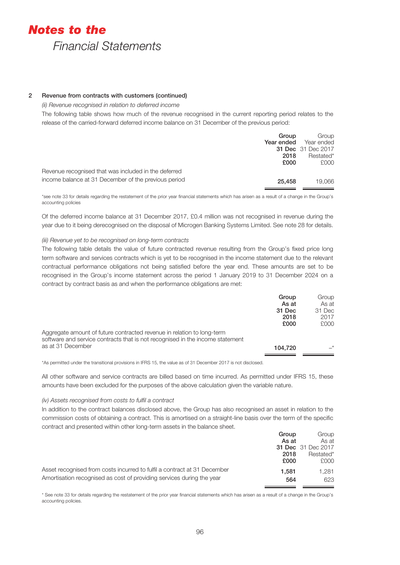# 2 Revenue from contracts with customers (continued)

*(ii) Revenue recognised in relation to deferred income*

The following table shows how much of the revenue recognised in the current reporting period relates to the release of the carried-forward deferred income balance on 31 December of the previous period:

|                                                      | Group      | Group                     |
|------------------------------------------------------|------------|---------------------------|
|                                                      | Year ended | Year ended                |
|                                                      |            | <b>31 Dec</b> 31 Dec 2017 |
|                                                      | 2018       | Restated*                 |
|                                                      | £000       | £000                      |
| Revenue recognised that was included in the deferred |            |                           |
| income balance at 31 December of the previous period | 25,458     | 19.066                    |

\*see note 33 for details regarding the restatement of the prior year financial statements which has arisen as a result of a change in the Group's accounting policies

Of the deferred income balance at 31 December 2017, £0.4 million was not recognised in revenue during the year due to it being derecognised on the disposal of Microgen Banking Systems Limited. See note 28 for details.

# *(iii) Revenue yet to be recognised on long-term contracts*

The following table details the value of future contracted revenue resulting from the Group's fixed price long term software and services contracts which is yet to be recognised in the income statement due to the relevant contractual performance obligations not being satisfied before the year end. These amounts are set to be recognised in the Group's income statement across the period 1 January 2019 to 31 December 2024 on a contract by contract basis as and when the performance obligations are met:

|                                                                                                                                                         | Group<br>As at<br>31 Dec<br>2018 | Group<br>As at<br>31 Dec<br>2017 |
|---------------------------------------------------------------------------------------------------------------------------------------------------------|----------------------------------|----------------------------------|
| Aggregate amount of future contracted revenue in relation to long-term<br>software and service contracts that is not recognised in the income statement | £000                             | £000                             |
| as at 31 December                                                                                                                                       | 104.720                          | $\rightarrow$                    |

\*As permitted under the transitional provisions in IFRS 15, the value as of 31 December 2017 is not disclosed.

All other software and service contracts are billed based on time incurred. As permitted under IFRS 15, these amounts have been excluded for the purposes of the above calculation given the variable nature.

#### *(iv) Assets recognised from costs to fulfil a contract*

In addition to the contract balances disclosed above, the Group has also recognised an asset in relation to the commission costs of obtaining a contract. This is amortised on a straight-line basis over the term of the specific contract and presented within other long-term assets in the balance sheet.

|                                                                          | Group | Group                     |
|--------------------------------------------------------------------------|-------|---------------------------|
|                                                                          | As at | As at                     |
|                                                                          |       | <b>31 Dec</b> 31 Dec 2017 |
|                                                                          | 2018  | Restated*                 |
|                                                                          | £000  | £000                      |
| Asset recognised from costs incurred to fulfil a contract at 31 December | 1.581 | 1.281                     |
| Amortisation recognised as cost of providing services during the year    | 564   | 623                       |

\* See note 33 for details regarding the restatement of the prior year financial statements which has arisen as a result of a change in the Group's accounting policies.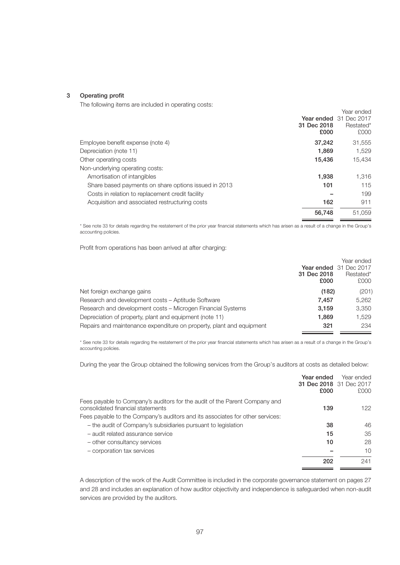#### 3 Operating profit

The following items are included in operating costs:

|                                                      |             | Year ended             |
|------------------------------------------------------|-------------|------------------------|
|                                                      |             | Year ended 31 Dec 2017 |
|                                                      | 31 Dec 2018 | Restated*              |
|                                                      | £000        | £000                   |
| Employee benefit expense (note 4)                    | 37,242      | 31,555                 |
| Depreciation (note 11)                               | 1.869       | 1,529                  |
| Other operating costs                                | 15,436      | 15,434                 |
| Non-underlying operating costs:                      |             |                        |
| Amortisation of intangibles                          | 1,938       | 1.316                  |
| Share based payments on share options issued in 2013 | 101         | 115                    |
| Costs in relation to replacement credit facility     |             | 199                    |
| Acquisition and associated restructuring costs       | 162         | 911                    |
|                                                      | 56,748      | 51.059                 |

\* See note 33 for details regarding the restatement of the prior year financial statements which has arisen as a result of a change in the Group's accounting policies.

Profit from operations has been arrived at after charging:

|                                                                      |             | Year ended                    |
|----------------------------------------------------------------------|-------------|-------------------------------|
|                                                                      |             | <b>Year ended</b> 31 Dec 2017 |
|                                                                      | 31 Dec 2018 | Restated*                     |
|                                                                      | £000        | £000                          |
| Net foreign exchange gains                                           | (182)       | (201)                         |
| Research and development costs - Aptitude Software                   | 7.457       | 5.262                         |
| Research and development costs – Microgen Financial Systems          | 3.159       | 3.350                         |
| Depreciation of property, plant and equipment (note 11)              | 1,869       | 1.529                         |
| Repairs and maintenance expenditure on property, plant and equipment | 321         | 234                           |
|                                                                      |             |                               |

\* See note 33 for details regarding the restatement of the prior year financial statements which has arisen as a result of a change in the Group's accounting policies.

During the year the Group obtained the following services from the Group's auditors at costs as detailed below:

|                                                                                                                 | Year ended<br>31 Dec 2018 31 Dec 2017<br>£000 | Year ended<br>£000 |
|-----------------------------------------------------------------------------------------------------------------|-----------------------------------------------|--------------------|
| Fees payable to Company's auditors for the audit of the Parent Company and<br>consolidated financial statements | 139                                           | 122                |
| Fees payable to the Company's auditors and its associates for other services:                                   |                                               |                    |
| - the audit of Company's subsidiaries pursuant to legislation                                                   | 38                                            | 46                 |
| - audit related assurance service                                                                               | 15                                            | 35                 |
| - other consultancy services                                                                                    | 10                                            | 28                 |
| - corporation tax services                                                                                      |                                               | 10                 |
|                                                                                                                 | 202                                           | 241                |
|                                                                                                                 |                                               |                    |

A description of the work of the Audit Committee is included in the corporate governance statement on pages 27 and 28 and includes an explanation of how auditor objectivity and independence is safeguarded when non-audit services are provided by the auditors.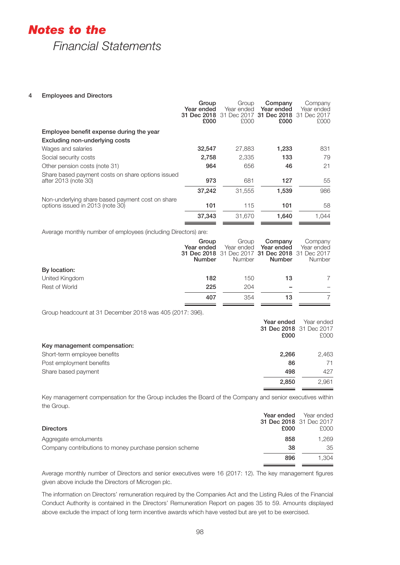# 4 Employees and Directors

|                                                                                      | Group<br>Year ended<br>31 Dec 2018<br>£000 | Group<br>Year ended<br>Dec 2017<br>31<br>£000            | Company<br>Year ended<br>31 Dec 2018<br>£000          | Company<br>Year ended<br>31 Dec 2017<br>£000          |
|--------------------------------------------------------------------------------------|--------------------------------------------|----------------------------------------------------------|-------------------------------------------------------|-------------------------------------------------------|
| Employee benefit expense during the year                                             |                                            |                                                          |                                                       |                                                       |
| Excluding non-underlying costs                                                       |                                            |                                                          |                                                       |                                                       |
| Wages and salaries                                                                   | 32,547                                     | 27,883                                                   | 1,233                                                 | 831                                                   |
| Social security costs                                                                | 2,758                                      | 2,335                                                    | 133                                                   | 79                                                    |
| Other pension costs (note 31)                                                        | 964                                        | 656                                                      | 46                                                    | 21                                                    |
| Share based payment costs on share options issued<br>after 2013 (note 30)            | 973                                        | 681                                                      | 127                                                   | 55                                                    |
|                                                                                      | 37,242                                     | 31,555                                                   | 1,539                                                 | 986                                                   |
| Non-underlying share based payment cost on share<br>options issued in 2013 (note 30) | 101                                        | 115                                                      | 101                                                   | 58                                                    |
|                                                                                      | 37,343                                     | 31,670                                                   | 1,640                                                 | 1,044                                                 |
| Average monthly number of employees (including Directors) are:                       | Group<br>Year ended<br><b>Number</b>       | Group<br>Year ended<br>31 Dec 2018 31 Dec 2017<br>Number | Company<br>Year ended<br>31 Dec 2018<br><b>Number</b> | Company<br>Year ended<br>31 Dec 2017<br><b>Number</b> |
| By location:                                                                         |                                            |                                                          |                                                       |                                                       |
| United Kingdom                                                                       | 182                                        | 150                                                      | 13                                                    | 7                                                     |

Group headcount at 31 December 2018 was 405 (2017: 396).

|                              | Year ended<br>£000 | Year ended<br>31 Dec 2018 31 Dec 2017<br>£000 |
|------------------------------|--------------------|-----------------------------------------------|
| Key management compensation: |                    |                                               |
| Short-term employee benefits | 2.266              | 2.463                                         |
| Post employment benefits     | 86                 | 71                                            |
| Share based payment          | 498                | 427                                           |
|                              | 2,850              | 2,961                                         |

**407** 354 **13** 7

Rest of World **225** 204 –

Key management compensation for the Group includes the Board of the Company and senior executives within the Group.

|                                                        | Year ended                     | Year ended |
|--------------------------------------------------------|--------------------------------|------------|
|                                                        | <b>31 Dec 2018</b> 31 Dec 2017 |            |
| <b>Directors</b>                                       | £000                           | £000       |
| Aggregate emoluments                                   | 858                            | 1.269      |
| Company contributions to money purchase pension scheme | 38                             | 35         |
|                                                        | 896                            | 1.304      |

Average monthly number of Directors and senior executives were 16 (2017: 12). The key management figures given above include the Directors of Microgen plc.

The information on Directors' remuneration required by the Companies Act and the Listing Rules of the Financial Conduct Authority is contained in the Directors' Remuneration Report on pages 35 to 59. Amounts displayed above exclude the impact of long term incentive awards which have vested but are yet to be exercised.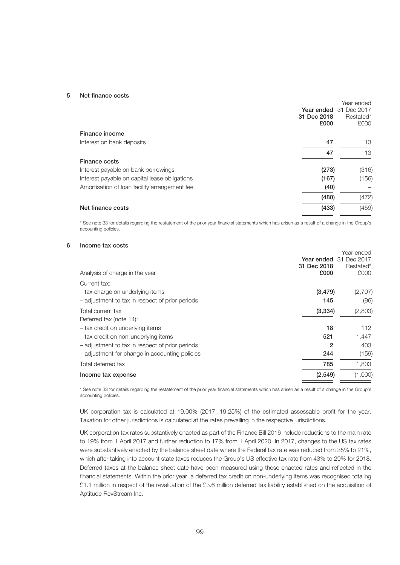#### 5 Net finance costs

|                                               | 31 Dec 2018<br>£000 | Year ended<br>Year ended 31 Dec 2017<br>Restated*<br>£000 |
|-----------------------------------------------|---------------------|-----------------------------------------------------------|
| Finance income                                |                     |                                                           |
| Interest on bank deposits                     | 47                  | 13                                                        |
|                                               | 47                  | 13                                                        |
| <b>Finance costs</b>                          |                     |                                                           |
| Interest payable on bank borrowings           | (273)               | (316)                                                     |
| Interest payable on capital lease obligations | (167)               | (156)                                                     |
| Amortisation of loan facility arrangement fee | (40)                |                                                           |
|                                               | (480)               | (472)                                                     |
| Net finance costs                             | (433)               | (459)                                                     |

\* See note 33 for details regarding the restatement of the prior year financial statements which has arisen as a result of a change in the Group's accounting policies.

# 6 Income tax costs

|                                                 |             | Year ended                    |
|-------------------------------------------------|-------------|-------------------------------|
|                                                 |             | <b>Year ended</b> 31 Dec 2017 |
|                                                 | 31 Dec 2018 | Restated*                     |
| Analysis of charge in the year                  | £000        | £000                          |
| Current tax:                                    |             |                               |
| - tax charge on underlying items                | (3, 479)    | (2,707)                       |
| - adjustment to tax in respect of prior periods | 145         | (96)                          |
| Total current tax                               | (3, 334)    | (2,803)                       |
| Deferred tax (note 14):                         |             |                               |
| - tax credit on underlying items                | 18          | 112                           |
| - tax credit on non-underlying items            | 521         | 1,447                         |
| - adjustment to tax in respect of prior periods | 2           | 403                           |
| - adjustment for change in accounting policies  | 244         | (159)                         |
| Total deferred tax                              | 785         | 1,803                         |
| Income tax expense                              | (2,549)     | (1,000)                       |
|                                                 |             |                               |

\* See note 33 for details regarding the restatement of the prior year financial statements which has arisen as a result of a change in the Group's accounting policies.

UK corporation tax is calculated at 19.00% (2017: 19.25%) of the estimated assessable profit for the year. Taxation for other jurisdictions is calculated at the rates prevailing in the respective jurisdictions.

UK corporation tax rates substantively enacted as part of the Finance Bill 2016 include reductions to the main rate to 19% from 1 April 2017 and further reduction to 17% from 1 April 2020. In 2017, changes to the US tax rates were substantively enacted by the balance sheet date where the Federal tax rate was reduced from 35% to 21%, which after taking into account state taxes reduces the Group's US effective tax rate from 43% to 29% for 2018. Deferred taxes at the balance sheet date have been measured using these enacted rates and reflected in the financial statements. Within the prior year, a deferred tax credit on non-underlying items was recognised totaling £1.1 million in respect of the revaluation of the £3.6 million deferred tax liability established on the acquisition of Aptitude RevStream Inc.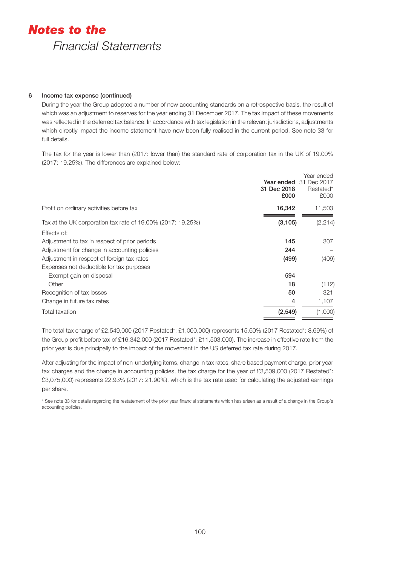# 6 Income tax expense (continued)

During the year the Group adopted a number of new accounting standards on a retrospective basis, the result of which was an adjustment to reserves for the year ending 31 December 2017. The tax impact of these movements was reflected in the deferred tax balance. In accordance with tax legislation in the relevant jurisdictions, adjustments which directly impact the income statement have now been fully realised in the current period. See note 33 for full details.

The tax for the year is lower than (2017: lower than) the standard rate of corporation tax in the UK of 19.00% (2017: 19.25%). The differences are explained below:

|                                                             | 31 Dec 2018<br>£000 | Year ended<br><b>Year ended</b> 31 Dec 2017<br>Restated*<br>£000 |
|-------------------------------------------------------------|---------------------|------------------------------------------------------------------|
| Profit on ordinary activities before tax                    | 16,342              | 11,503                                                           |
| Tax at the UK corporation tax rate of 19.00% (2017: 19.25%) | (3, 105)            | (2, 214)                                                         |
| Effects of:                                                 |                     |                                                                  |
| Adjustment to tax in respect of prior periods               | 145                 | 307                                                              |
| Adjustment for change in accounting policies                | 244                 |                                                                  |
| Adjustment in respect of foreign tax rates                  | (499)               | (409)                                                            |
| Expenses not deductible for tax purposes                    |                     |                                                                  |
| Exempt gain on disposal                                     | 594                 |                                                                  |
| Other                                                       | 18                  | (112)                                                            |
| Recognition of tax losses                                   | 50                  | 321                                                              |
| Change in future tax rates                                  | 4                   | 1,107                                                            |
| Total taxation                                              | (2,549)             | (1,000)                                                          |

The total tax charge of £2,549,000 (2017 Restated\*: £1,000,000) represents 15.60% (2017 Restated\*: 8.69%) of the Group profit before tax of £16,342,000 (2017 Restated\*: £11,503,000). The increase in effective rate from the prior year is due principally to the impact of the movement in the US deferred tax rate during 2017.

After adjusting for the impact of non-underlying items, change in tax rates, share based payment charge, prior year tax charges and the change in accounting policies, the tax charge for the year of £3,509,000 (2017 Restated\*; £3,075,000) represents 22.93% (2017: 21.90%), which is the tax rate used for calculating the adjusted earnings per share.

\* See note 33 for details regarding the restatement of the prior year financial statements which has arisen as a result of a change in the Group's accounting policies.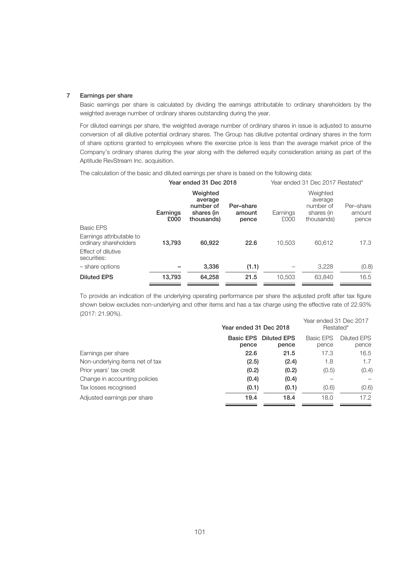# 7 Earnings per share

Basic earnings per share is calculated by dividing the earnings attributable to ordinary shareholders by the weighted average number of ordinary shares outstanding during the year.

For diluted earnings per share, the weighted average number of ordinary shares in issue is adjusted to assume conversion of all dilutive potential ordinary shares. The Group has dilutive potential ordinary shares in the form of share options granted to employees where the exercise price is less than the average market price of the Company's ordinary shares during the year along with the deferred equity consideration arising as part of the Aptitude RevStream Inc. acquisition.

The calculation of the basic and diluted earnings per share is based on the following data:

|                                                   | Year ended 31 Dec 2018 |                                                              |                              | Year ended 31 Dec 2017 Restated* |                                                              |                              |
|---------------------------------------------------|------------------------|--------------------------------------------------------------|------------------------------|----------------------------------|--------------------------------------------------------------|------------------------------|
|                                                   | Earnings<br>£000       | Weighted<br>average<br>number of<br>shares (in<br>thousands) | Per-share<br>amount<br>pence | Earnings<br>£000                 | Weighted<br>average<br>number of<br>shares (in<br>thousands) | Per-share<br>amount<br>pence |
| Basic EPS                                         |                        |                                                              |                              |                                  |                                                              |                              |
| Earnings attributable to<br>ordinary shareholders | 13,793                 | 60.922                                                       | 22.6                         | 10.503                           | 60.612                                                       | 17.3                         |
| Effect of dilutive<br>securities:                 |                        |                                                              |                              |                                  |                                                              |                              |
| - share options                                   |                        | 3.336                                                        | (1.1)                        |                                  | 3.228                                                        | (0.8)                        |
| <b>Diluted EPS</b>                                | 13,793                 | 64.258                                                       | 21.5                         | 10.503                           | 63.840                                                       | 16.5                         |

To provide an indication of the underlying operating performance per share the adjusted profit after tax figure shown below excludes non-underlying and other items and has a tax charge using the effective rate of 22.93% (2017: 21.90%). Year ended 31 Dec 2017

|                                 | Year ended 31 Dec 2018    |                             | rear ended 31 Dec ZUTT<br>Restated* |                             |
|---------------------------------|---------------------------|-----------------------------|-------------------------------------|-----------------------------|
|                                 | <b>Basic EPS</b><br>pence | <b>Diluted EPS</b><br>pence | Basic EPS<br>pence                  | <b>Diluted EPS</b><br>pence |
| Earnings per share              | 22.6                      | 21.5                        | 17.3                                | 16.5                        |
| Non-underlying items net of tax | (2.5)                     | (2.4)                       | 1.8                                 | 1.7                         |
| Prior years' tax credit         | (0.2)                     | (0.2)                       | (0.5)                               | (0.4)                       |
| Change in accounting policies   | (0.4)                     | (0.4)                       |                                     |                             |
| Tax losses recognised           | (0.1)                     | (0.1)                       | (0.6)                               | (0.6)                       |
| Adjusted earnings per share     | 19.4                      | 18.4                        | 18.0                                | 17.2                        |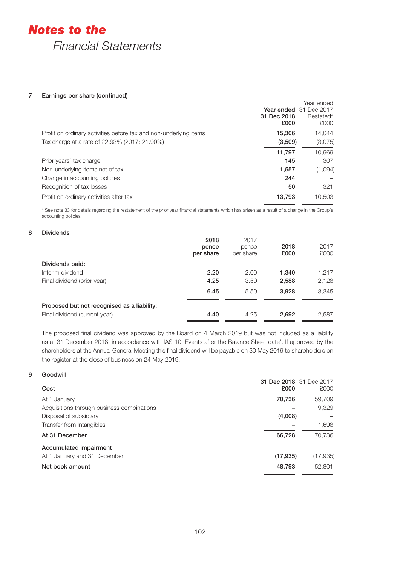# *Notes to the*

*Financial Statements*

# 7 Earnings per share (continued)

|                                                                   | 31 Dec 2018<br>£000 | Year ended<br><b>Year ended</b> 31 Dec 2017<br>Restated*<br>£000 |
|-------------------------------------------------------------------|---------------------|------------------------------------------------------------------|
| Profit on ordinary activities before tax and non-underlying items | 15,306              | 14.044                                                           |
| Tax charge at a rate of 22.93% (2017: 21.90%)                     | (3,509)             | (3,075)                                                          |
|                                                                   | 11,797              | 10,969                                                           |
| Prior years' tax charge                                           | 145                 | 307                                                              |
| Non-underlying items net of tax                                   | 1,557               | (1,094)                                                          |
| Change in accounting policies                                     | 244                 |                                                                  |
| Recognition of tax losses                                         | 50                  | 321                                                              |
| Profit on ordinary activities after tax                           | 13,793              | 10.503                                                           |

\* See note 33 for details regarding the restatement of the prior year financial statements which has arisen as a result of a change in the Group's accounting policies.

# 8 Dividends

|                                             | 2018<br>pence<br>per share | 2017<br>pence<br>per share | 2018<br>£000 | 2017<br>£000 |
|---------------------------------------------|----------------------------|----------------------------|--------------|--------------|
| Dividends paid:                             |                            |                            |              |              |
| Interim dividend                            | 2.20                       | 2.00                       | 1,340        | 1,217        |
| Final dividend (prior year)                 | 4.25                       | 3.50                       | 2,588        | 2,128        |
|                                             | 6.45                       | 5.50                       | 3.928        | 3.345        |
| Proposed but not recognised as a liability: |                            |                            |              |              |
| Final dividend (current year)               | 4.40                       | 4.25                       | 2,692        | 2,587        |

The proposed final dividend was approved by the Board on 4 March 2019 but was not included as a liability as at 31 December 2018, in accordance with IAS 10 'Events after the Balance Sheet date'. If approved by the shareholders at the Annual General Meeting this final dividend will be payable on 30 May 2019 to shareholders on the register at the close of business on 24 May 2019.

# 9 Goodwill

| Cost                                       | £000      | 31 Dec 2018 31 Dec 2017<br>£000 |
|--------------------------------------------|-----------|---------------------------------|
| At 1 January                               | 70,736    | 59,709                          |
| Acquisitions through business combinations |           | 9,329                           |
| Disposal of subsidiary                     | (4,008)   |                                 |
| Transfer from Intangibles                  |           | 1,698                           |
| At 31 December                             | 66,728    | 70.736                          |
| Accumulated impairment                     |           |                                 |
| At 1 January and 31 December               | (17, 935) | (17,935)                        |
| Net book amount                            | 48,793    | 52,801                          |
|                                            |           |                                 |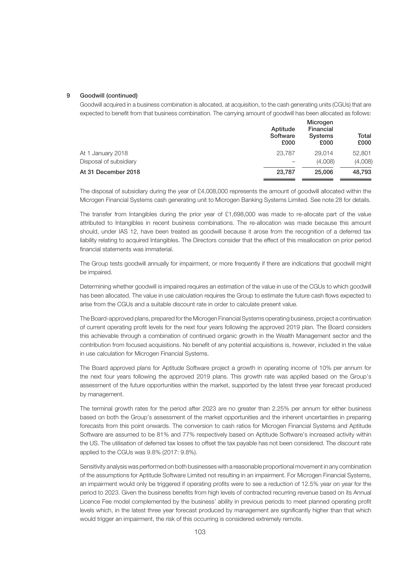### 9 Goodwill (continued)

Goodwill acquired in a business combination is allocated, at acquisition, to the cash generating units (CGUs) that are expected to benefit from that business combination. The carrying amount of goodwill has been allocated as follows:

|                        | Aptitude<br>Software<br>£000 | Microgen<br>Financial<br>Systems<br>£000 | Total<br>£000 |
|------------------------|------------------------------|------------------------------------------|---------------|
| At 1 January 2018      | 23.787                       | 29.014                                   | 52,801        |
| Disposal of subsidiary |                              | (4,008)                                  | (4,008)       |
| At 31 December 2018    | 23,787                       | 25,006                                   | 48,793        |

The disposal of subsidiary during the year of £4,008,000 represents the amount of goodwill allocated within the Microgen Financial Systems cash generating unit to Microgen Banking Systems Limited. See note 28 for details.

The transfer from Intangibles during the prior year of £1,698,000 was made to re-allocate part of the value attributed to Intangibles in recent business combinations. The re-allocation was made because this amount should, under IAS 12, have been treated as goodwill because it arose from the recognition of a deferred tax liability relating to acquired Intangibles. The Directors consider that the effect of this misallocation on prior period financial statements was immaterial.

The Group tests goodwill annually for impairment, or more frequently if there are indications that goodwill might be impaired.

Determining whether goodwill is impaired requires an estimation of the value in use of the CGUs to which goodwill has been allocated. The value in use calculation requires the Group to estimate the future cash flows expected to arise from the CGUs and a suitable discount rate in order to calculate present value.

The Board-approved plans, prepared for the Microgen Financial Systems operating business, project a continuation of current operating profit levels for the next four years following the approved 2019 plan. The Board considers this achievable through a combination of continued organic growth in the Wealth Management sector and the contribution from focused acquisitions. No benefit of any potential acquisitions is, however, included in the value in use calculation for Microgen Financial Systems.

The Board approved plans for Aptitude Software project a growth in operating income of 10% per annum for the next four years following the approved 2019 plans. This growth rate was applied based on the Group's assessment of the future opportunities within the market, supported by the latest three year forecast produced by management.

The terminal growth rates for the period after 2023 are no greater than 2.25% per annum for either business based on both the Group's assessment of the market opportunities and the inherent uncertainties in preparing forecasts from this point onwards. The conversion to cash ratios for Microgen Financial Systems and Aptitude Software are assumed to be 81% and 77% respectively based on Aptitude Software's increased activity within the US. The utilisation of deferred tax losses to offset the tax payable has not been considered. The discount rate applied to the CGUs was 9.8% (2017: 9.8%).

Sensitivity analysis was performed on both businesses with a reasonable proportional movement in any combination of the assumptions for Aptitude Software Limited not resulting in an impairment. For Microgen Financial Systems, an impairment would only be triggered if operating profits were to see a reduction of 12.5% year on year for the period to 2023. Given the business benefits from high levels of contracted recurring revenue based on its Annual Licence Fee model complemented by the business' ability in previous periods to meet planned operating profit levels which, in the latest three year forecast produced by management are significantly higher than that which would trigger an impairment, the risk of this occurring is considered extremely remote.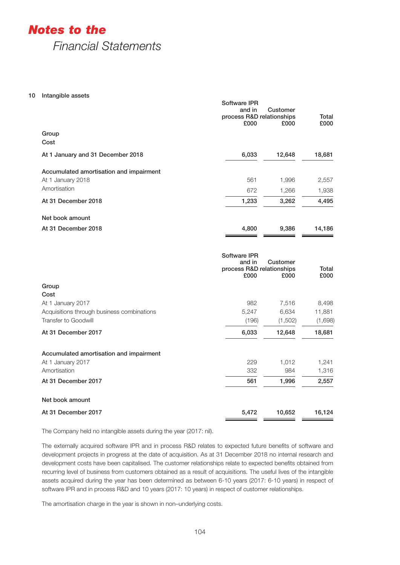*Notes to the*

*Financial Statements*

10 Intangible assets

|                                         | <b>Software IPR</b><br>and in<br>process R&D relationships<br>£000 | Customer<br>£000 | Total<br>£000 |
|-----------------------------------------|--------------------------------------------------------------------|------------------|---------------|
| Group<br>Cost                           |                                                                    |                  |               |
| At 1 January and 31 December 2018       | 6,033                                                              | 12,648           | 18,681        |
| Accumulated amortisation and impairment |                                                                    |                  |               |
| At 1 January 2018                       | 561                                                                | 1,996            | 2,557         |
| Amortisation                            | 672                                                                | 1,266            | 1,938         |
| At 31 December 2018                     | 1,233                                                              | 3,262            | 4,495         |
| Net book amount                         |                                                                    |                  |               |
| At 31 December 2018                     | 4,800                                                              | 9,386            | 14,186        |
|                                         |                                                                    |                  |               |
|                                         |                                                                    |                  |               |

|                                            | Software IPR<br>and in<br>process R&D relationships<br>£000 | Customer<br>£000 | Total<br>£000 |
|--------------------------------------------|-------------------------------------------------------------|------------------|---------------|
| Group                                      |                                                             |                  |               |
| Cost                                       |                                                             |                  |               |
| At 1 January 2017                          | 982                                                         | 7,516            | 8,498         |
| Acquisitions through business combinations | 5,247                                                       | 6,634            | 11,881        |
| <b>Transfer to Goodwill</b>                | (196)                                                       | (1,502)          | (1,698)       |
| At 31 December 2017                        | 6,033                                                       | 12,648           | 18,681        |
| Accumulated amortisation and impairment    |                                                             |                  |               |
| At 1 January 2017                          | 229                                                         | 1,012            | 1,241         |
| Amortisation                               | 332                                                         | 984              | 1,316         |
| At 31 December 2017                        | 561                                                         | 1,996            | 2,557         |
| Net book amount                            |                                                             |                  |               |
| At 31 December 2017                        | 5,472                                                       | 10,652           | 16,124        |

The Company held no intangible assets during the year (2017: nil).

The externally acquired software IPR and in process R&D relates to expected future benefits of software and development projects in progress at the date of acquisition. As at 31 December 2018 no internal research and development costs have been capitalised. The customer relationships relate to expected benefits obtained from recurring level of business from customers obtained as a result of acquisitions. The useful lives of the intangible assets acquired during the year has been determined as between 6-10 years (2017: 6-10 years) in respect of software IPR and in process R&D and 10 years (2017: 10 years) in respect of customer relationships.

The amortisation charge in the year is shown in non–underlying costs.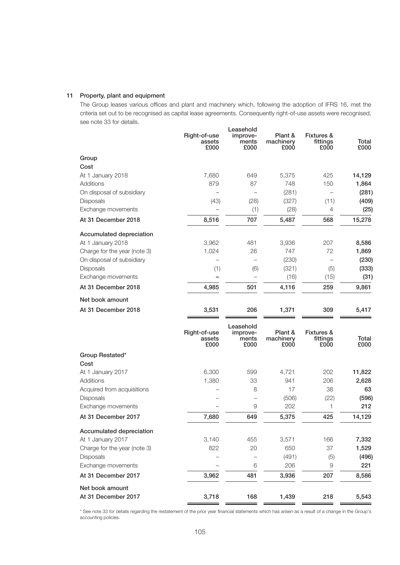# 11 Property, plant and equipment

The Group leases various offices and plant and machinery which, following the adoption of IFRS 16, met the criteria set out to be recognised as capital lease agreements. Consequently right-of-use assets were recognised, see note 33 for details. Leasehold

|                                        | Right-of-use<br>assets<br>£000 | Leasehold<br>improve-<br>ments<br>£000 | Plant &<br>machinery<br>£000 | <b>Fixtures &amp;</b><br>fittings<br>£000 | Total<br>£000 |
|----------------------------------------|--------------------------------|----------------------------------------|------------------------------|-------------------------------------------|---------------|
| Group                                  |                                |                                        |                              |                                           |               |
| Cost                                   |                                |                                        |                              |                                           |               |
| At 1 January 2018                      | 7,680                          | 649                                    | 5,375                        | 425                                       | 14,129        |
| Additions                              | 879                            | 87                                     | 748                          | 150                                       | 1,864         |
| On disposal of subsidiary              |                                | $\overline{\phantom{0}}$               | (281)                        | $\overline{\phantom{0}}$                  | (281)         |
| Disposals                              | (43)                           | (28)                                   | (327)                        | (11)                                      | (409)         |
| Exchange movements                     |                                | (1)                                    | (28)                         | 4                                         | (25)          |
| At 31 December 2018                    | 8,516                          | 707                                    | 5,487                        | 568                                       | 15,278        |
| Accumulated depreciation               |                                |                                        |                              |                                           |               |
| At 1 January 2018                      | 3,962                          | 481                                    | 3,936                        | 207                                       | 8,586         |
| Charge for the year (note 3)           | 1,024                          | 26                                     | 747                          | 72                                        | 1,869         |
| On disposal of subsidiary              |                                |                                        | (230)                        |                                           | (230)         |
| Disposals                              | (1)                            | (6)                                    | (321)                        | (5)                                       | (333)         |
| Exchange movements                     |                                |                                        | (16)                         | (15)                                      | (31)          |
| At 31 December 2018                    | 4,985                          | 501                                    | 4,116                        | 259                                       | 9,861         |
| Net book amount                        |                                |                                        |                              |                                           |               |
| At 31 December 2018                    | 3,531                          | 206                                    | 1,371                        | 309                                       | 5,417         |
|                                        | Right-of-use<br>assets<br>£000 | Leasehold<br>improve-<br>ments<br>£000 | Plant &<br>machinery<br>£000 | <b>Fixtures &amp;</b><br>fittings<br>£000 | Total<br>£000 |
| Group Restated*                        |                                |                                        |                              |                                           |               |
| Cost                                   |                                |                                        |                              |                                           |               |
| At 1 January 2017                      | 6,300                          | 599                                    | 4,721                        | 202                                       | 11,822        |
| Additions                              | 1,380                          | 33                                     | 941                          | 206                                       | 2,628         |
| Acquired from acquisitions             |                                | 8                                      | 17                           | 38                                        | 63            |
| Disposals                              |                                | $\overline{\phantom{0}}$               | (506)                        | (22)                                      | (596)         |
| Exchange movements                     |                                | $\Theta$                               | 202                          | 1                                         | 212           |
| At 31 December 2017                    | 7,680                          | 649                                    | 5,375                        | 425                                       | 14,129        |
| Accumulated depreciation               |                                |                                        |                              |                                           |               |
| At 1 January 2017                      | 3,140                          | 455                                    | 3,571                        | 166                                       | 7,332         |
| Charge for the year (note 3)           | 822                            | 20                                     | 650                          | 37                                        | 1,529         |
| Disposals                              |                                |                                        | (491)                        | (5)                                       | (496)         |
| Exchange movements                     |                                | 6                                      | 206                          | 9                                         | 221           |
| At 31 December 2017                    | 3,962                          | 481                                    | 3,936                        | 207                                       | 8,586         |
| Net book amount<br>At 31 December 2017 | 3,718                          | 168                                    | 1,439                        | 218                                       | 5,543         |

\* See note 33 for details regarding the restatement of the prior year financial statements which has arisen as a result of a change in the Group's accounting policies.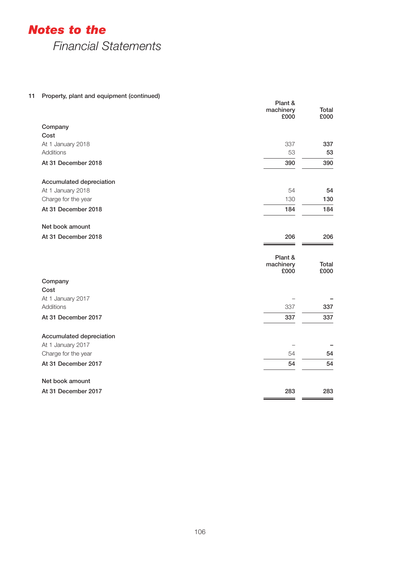*Notes to the*

*Financial Statements*

# 11 Property, plant and equipment (continued)

| rioperty, plant and equipment (commued) | Plant &<br>machinery<br>£000 | Total<br>£000 |
|-----------------------------------------|------------------------------|---------------|
| Company                                 |                              |               |
| Cost                                    |                              |               |
| At 1 January 2018                       | 337                          | 337           |
| <b>Additions</b>                        | 53                           | 53            |
| At 31 December 2018                     | 390                          | 390           |
| Accumulated depreciation                |                              |               |
| At 1 January 2018                       | 54                           | 54            |
| Charge for the year                     | 130                          | 130           |
| At 31 December 2018                     | 184                          | 184           |
| Net book amount                         |                              |               |
| At 31 December 2018                     | 206                          | 206           |
|                                         | Plant &<br>machinery<br>£000 | Total<br>£000 |
| Company                                 |                              |               |
| Cost                                    |                              |               |
| At 1 January 2017                       |                              |               |
| Additions                               | 337                          | 337           |
| At 31 December 2017                     | 337                          | 337           |
| Accumulated depreciation                |                              |               |
| At 1 January 2017                       |                              |               |
| Charge for the year                     | 54                           | 54            |
| At 31 December 2017                     | 54                           | 54            |
| Net book amount                         |                              |               |
| At 31 December 2017                     | 283                          | 283           |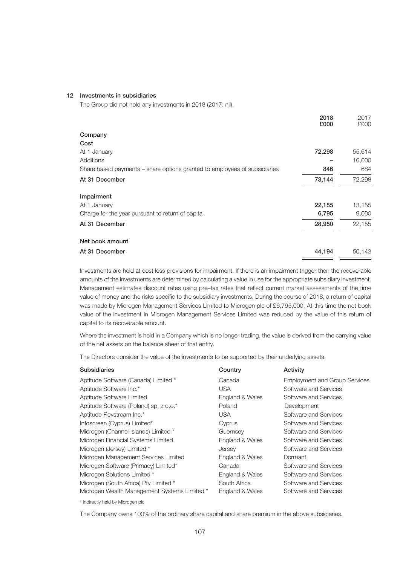#### 12 Investments in subsidiaries

The Group did not hold any investments in 2018 (2017: nil).

|                                                                           | 2018<br>£000 | 2017<br>£000 |
|---------------------------------------------------------------------------|--------------|--------------|
| Company                                                                   |              |              |
| Cost                                                                      |              |              |
| At 1 January                                                              | 72,298       | 55,614       |
| Additions                                                                 |              | 16,000       |
| Share based payments – share options granted to employees of subsidiaries | 846          | 684          |
| At 31 December                                                            | 73,144       | 72,298       |
| Impairment                                                                |              |              |
| At 1 January                                                              | 22,155       | 13,155       |
| Charge for the year pursuant to return of capital                         | 6,795        | 9,000        |
| At 31 December                                                            | 28,950       | 22,155       |
| Net book amount                                                           |              |              |
| At 31 December                                                            | 44,194       | 50,143       |

Investments are held at cost less provisions for impairment. If there is an impairment trigger then the recoverable amounts of the investments are determined by calculating a value in use for the appropriate subsidiary investment. Management estimates discount rates using pre–tax rates that reflect current market assessments of the time value of money and the risks specific to the subsidiary investments. During the course of 2018, a return of capital was made by Microgen Management Services Limited to Microgen plc of £6,795,000. At this time the net book value of the investment in Microgen Management Services Limited was reduced by the value of this return of capital to its recoverable amount.

Where the investment is held in a Company which is no longer trading, the value is derived from the carrying value of the net assets on the balance sheet of that entity.

The Directors consider the value of the investments to be supported by their underlying assets.

| <b>Subsidiaries</b>                          | Country         | Activity                             |
|----------------------------------------------|-----------------|--------------------------------------|
| Aptitude Software (Canada) Limited *         | Canada          | <b>Employment and Group Services</b> |
| Aptitude Software Inc.*                      | USA             | Software and Services                |
| Aptitude Software Limited                    | England & Wales | Software and Services                |
| Aptitude Software (Poland) sp. z o.o.*       | Poland          | Development                          |
| Aptitude Revstream Inc.*                     | USA.            | Software and Services                |
| Infoscreen (Cyprus) Limited*                 | Cyprus          | Software and Services                |
| Microgen (Channel Islands) Limited *         | Guernsey        | Software and Services                |
| Microgen Financial Systems Limited           | England & Wales | Software and Services                |
| Microgen (Jersey) Limited *                  | Jersey          | Software and Services                |
| Microgen Management Services Limited         | England & Wales | Dormant                              |
| Microgen Software (Primacy) Limited*         | Canada          | Software and Services                |
| Microgen Solutions Limited *                 | England & Wales | Software and Services                |
| Microgen (South Africa) Pty Limited *        | South Africa    | Software and Services                |
| Microgen Wealth Management Systems Limited * | England & Wales | Software and Services                |

\* Indirectly held by Microgen plc

The Company owns 100% of the ordinary share capital and share premium in the above subsidiaries.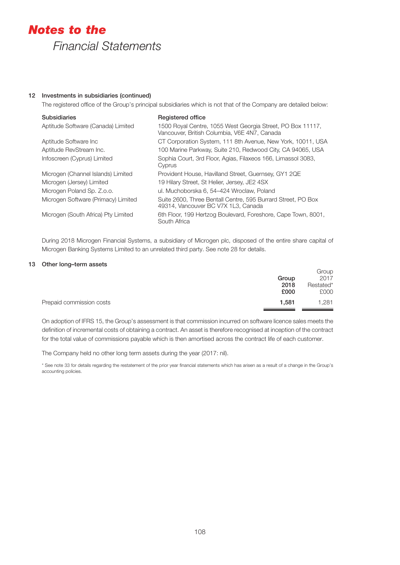## 12 Investments in subsidiaries (continued)

The registered office of the Group's principal subsidiaries which is not that of the Company are detailed below:

| <b>Subsidiaries</b>                 | <b>Registered office</b>                                                                                   |
|-------------------------------------|------------------------------------------------------------------------------------------------------------|
| Aptitude Software (Canada) Limited  | 1500 Royal Centre, 1055 West Georgia Street, PO Box 11117,<br>Vancouver, British Columbia, V6E 4N7, Canada |
| Aptitude Software Inc               | CT Corporation System, 111 8th Avenue, New York, 10011, USA                                                |
| Aptitude RevStream Inc.             | 100 Marine Parkway, Suite 210, Redwood City, CA 94065, USA                                                 |
| Infoscreen (Cyprus) Limited         | Sophia Court, 3rd Floor, Agias, Filaxeos 166, Limassol 3083,<br>Cyprus                                     |
| Microgen (Channel Islands) Limited  | Provident House, Havilland Street, Guernsey, GY1 2QE                                                       |
| Microgen (Jersey) Limited           | 19 Hilary Street, St Helier, Jersey, JE2 4SX                                                               |
| Microgen Poland Sp. Z.o.o.          | ul. Muchoborska 6, 54–424 Wroclaw, Poland                                                                  |
| Microgen Software (Primacy) Limited | Suite 2600, Three Bentall Centre, 595 Burrard Street, PO Box<br>49314, Vancouver BC V7X 1L3, Canada        |
| Microgen (South Africa) Pty Limited | 6th Floor, 199 Hertzog Boulevard, Foreshore, Cape Town, 8001,<br>South Africa                              |

During 2018 Microgen Financial Systems, a subsidiary of Microgen plc, disposed of the entire share capital of Microgen Banking Systems Limited to an unrelated third party. See note 28 for details.

#### 13 Other long–term assets

|                          | Group<br>2018<br>£000 | Group<br>2017<br>Restated*<br>£000 |
|--------------------------|-----------------------|------------------------------------|
| Prepaid commission costs | 1.581                 | 1.281                              |

On adoption of IFRS 15, the Group's assessment is that commission incurred on software licence sales meets the definition of incremental costs of obtaining a contract. An asset is therefore recognised at inception of the contract for the total value of commissions payable which is then amortised across the contract life of each customer.

The Company held no other long term assets during the year (2017: nil).

\* See note 33 for details regarding the restatement of the prior year financial statements which has arisen as a result of a change in the Group's accounting policies.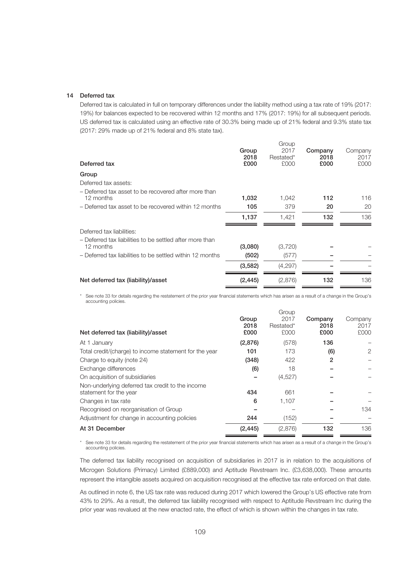#### 14 Deferred tax

Deferred tax is calculated in full on temporary differences under the liability method using a tax rate of 19% (2017: 19%) for balances expected to be recovered within 12 months and 17% (2017: 19%) for all subsequent periods. US deferred tax is calculated using an effective rate of 30.3% being made up of 21% federal and 9.3% state tax (2017: 29% made up of 21% federal and 8% state tax).

| Deferred tax                                                          | Group<br>2018<br>£000 | Group<br>2017<br>Restated*<br>£000 | Company<br>2018<br>£000 | Company<br>2017<br>£000 |
|-----------------------------------------------------------------------|-----------------------|------------------------------------|-------------------------|-------------------------|
| Group                                                                 |                       |                                    |                         |                         |
| Deferred tax assets:                                                  |                       |                                    |                         |                         |
| - Deferred tax asset to be recovered after more than<br>12 months     | 1,032                 | 1,042                              | 112                     | 116                     |
| - Deferred tax asset to be recovered within 12 months                 | 105                   | 379                                | 20                      | 20                      |
|                                                                       | 1,137                 | 1.421                              | 132                     | 136                     |
| Deferred tax liabilities:                                             |                       |                                    |                         |                         |
| - Deferred tax liabilities to be settled after more than<br>12 months | (3,080)               | (3,720)                            |                         |                         |
| - Deferred tax liabilities to be settled within 12 months             | (502)                 | (577)                              |                         |                         |
|                                                                       | (3,582)               | (4,297)                            |                         |                         |
| Net deferred tax (liability)/asset                                    | (2, 445)              | (2,876)                            | 132                     | 136                     |

\* See note 33 for details regarding the restatement of the prior year financial statements which has arisen as a result of a change in the Group's accounting policies.

|          | Group   |           |                 |
|----------|---------|-----------|-----------------|
| Group    | 2017    | Company   | Company<br>2017 |
| £000     | £000    | £000      | £000            |
| (2,876)  | (578)   | 136       |                 |
| 101      | 173     | (6)       | 2               |
| (348)    | 422     | 2         |                 |
| (6)      | 18      |           |                 |
|          | (4,527) |           |                 |
| 434      | 661     |           |                 |
| 6        | 1,107   |           |                 |
|          |         |           | 134             |
| 244      | (152)   |           |                 |
| (2, 445) | (2,876) | 132       | 136             |
|          | 2018    | Restated* | 2018            |

\* See note 33 for details regarding the restatement of the prior year financial statements which has arisen as a result of a change in the Group's accounting policies.

The deferred tax liability recognised on acquisition of subsidiaries in 2017 is in relation to the acquisitions of Microgen Solutions (Primacy) Limited (£889,000) and Aptitude Revstream Inc. (£3,638,000). These amounts represent the intangible assets acquired on acquisition recognised at the effective tax rate enforced on that date.

As outlined in note 6, the US tax rate was reduced during 2017 which lowered the Group's US effective rate from 43% to 29%. As a result, the deferred tax liability recognised with respect to Aptitude Revstream Inc during the prior year was revalued at the new enacted rate, the effect of which is shown within the changes in tax rate.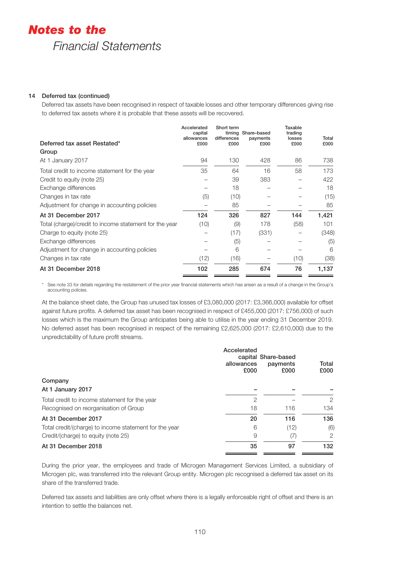## 14 Deferred tax (continued)

Deferred tax assets have been recognised in respect of taxable losses and other temporary differences giving rise to deferred tax assets where it is probable that these assets will be recovered.

| Deferred tax asset Restated*                           | Accelerated<br>capital<br>allowances<br>£000 | Short term<br>differences<br>£000 | timing Share-based<br>payments<br>£000 | Taxable<br>trading<br>losses<br>£000 | Total<br>£000 |
|--------------------------------------------------------|----------------------------------------------|-----------------------------------|----------------------------------------|--------------------------------------|---------------|
| Group                                                  |                                              |                                   |                                        |                                      |               |
| At 1 January 2017                                      | 94                                           | 130                               | 428                                    | 86                                   | 738           |
| Total credit to income statement for the year          | 35                                           | 64                                | 16                                     | 58                                   | 173           |
| Credit to equity (note 25)                             |                                              | 39                                | 383                                    |                                      | 422           |
| Exchange differences                                   |                                              | 18                                |                                        |                                      | 18            |
| Changes in tax rate                                    | (5)                                          | (10)                              |                                        |                                      | (15)          |
| Adjustment for change in accounting policies           |                                              | 85                                |                                        |                                      | 85            |
| At 31 December 2017                                    | 124                                          | 326                               | 827                                    | 144                                  | 1,421         |
| Total (charge)/credit to income statement for the year | (10)                                         | (9)                               | 178                                    | (58)                                 | 101           |
| Charge to equity (note 25)                             |                                              | (17)                              | (331)                                  |                                      | (348)         |
| Exchange differences                                   |                                              | (5)                               |                                        |                                      | (5)           |
| Adjustment for change in accounting policies           |                                              | 6                                 |                                        |                                      | 6             |
| Changes in tax rate                                    | (12)                                         | (16)                              |                                        | (10)                                 | (38)          |
| At 31 December 2018                                    | 102                                          | 285                               | 674                                    | 76                                   | 1,137         |

See note 33 for details regarding the restatement of the prior year financial statements which has arisen as a result of a change in the Group's accounting policies.

At the balance sheet date, the Group has unused tax losses of £3,080,000 (2017: £3,366,000) available for offset against future profits. A deferred tax asset has been recognised in respect of £455,000 (2017: £756,000) of such losses which is the maximum the Group anticipates being able to utilise in the year ending 31 December 2019. No deferred asset has been recognised in respect of the remaining £2,625,000 (2017: £2,610,000) due to the unpredictability of future profit streams.

|                                                        | Accelerated<br>allowances<br>£000 | capital Share-based<br>payments<br>£000 | Total<br>£000 |
|--------------------------------------------------------|-----------------------------------|-----------------------------------------|---------------|
| Company                                                |                                   |                                         |               |
| At 1 January 2017                                      |                                   |                                         |               |
| Total credit to income statement for the year          | $\overline{2}$                    |                                         | 2             |
| Recognised on reorganisation of Group                  | 18                                | 116                                     | 134           |
| At 31 December 2017                                    | 20                                | 116                                     | 136           |
| Total credit/(charge) to income statement for the year | 6                                 | (12)                                    | (6)           |
| Credit/(charge) to equity (note 25)                    | 9                                 | (7)                                     | 2             |
| At 31 December 2018                                    | 35                                | 97                                      | 132           |
|                                                        |                                   |                                         |               |

During the prior year, the employees and trade of Microgen Management Services Limited, a subsidiary of Microgen plc, was transferred into the relevant Group entity. Microgen plc recognised a deferred tax asset on its share of the transferred trade.

Deferred tax assets and liabilities are only offset where there is a legally enforceable right of offset and there is an intention to settle the balances net.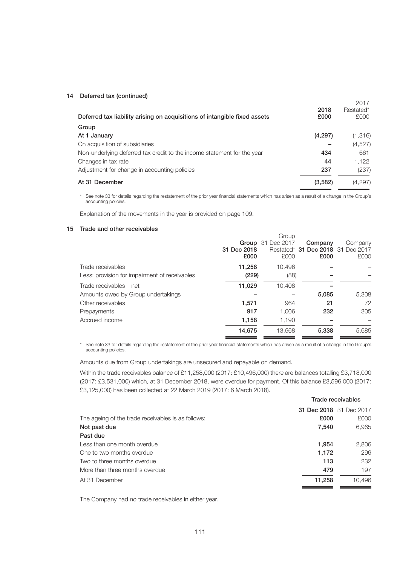#### 14 Deferred tax (continued)

| Deferred tax liability arising on acquisitions of intangible fixed assets | 2018<br>£000 | 2017<br>Restated*<br>£000 |
|---------------------------------------------------------------------------|--------------|---------------------------|
| Group                                                                     |              |                           |
| At 1 January                                                              | (4,297)      | (1,316)                   |
| On acquisition of subsidiaries                                            |              | (4,527)                   |
| Non-underlying deferred tax credit to the income statement for the year   | 434          | 661                       |
| Changes in tax rate                                                       | 44           | 1.122                     |
| Adjustment for change in accounting policies                              | 237          | (237)                     |
| At 31 December                                                            | (3,582)      | (4,297)                   |

\* See note 33 for details regarding the restatement of the prior year financial statements which has arisen as a result of a change in the Group's accounting policies.

Explanation of the movements in the year is provided on page 109.

### 15 Trade and other receivables

|                                               |             | Group                    |                                   |         |
|-----------------------------------------------|-------------|--------------------------|-----------------------------------|---------|
|                                               |             | <b>Group</b> 31 Dec 2017 | Company                           | Company |
|                                               | 31 Dec 2018 |                          | Restated* 31 Dec 2018 31 Dec 2017 |         |
|                                               | £000        | £000                     | £000                              | £000    |
| Trade receivables                             | 11,258      | 10.496                   |                                   |         |
| Less: provision for impairment of receivables | (229)       | (88)                     |                                   |         |
| Trade receivables – net                       | 11,029      | 10.408                   |                                   |         |
| Amounts owed by Group undertakings            |             |                          | 5.085                             | 5,308   |
| Other receivables                             | 1.571       | 964                      | 21                                | 72      |
| Prepayments                                   | 917         | 1.006                    | 232                               | 305     |
| Accrued income                                | 1.158       | 1.190                    |                                   |         |
|                                               | 14,675      | 13.568                   | 5.338                             | 5.685   |

\* See note 33 for details regarding the restatement of the prior year financial statements which has arisen as a result of a change in the Group's accounting policies.

Amounts due from Group undertakings are unsecured and repayable on demand.

Within the trade receivables balance of £11,258,000 (2017: £10,496,000) there are balances totalling £3,718,000 (2017: £3,531,000) which, at 31 December 2018, were overdue for payment. Of this balance £3,596,000 (2017: £3,125,000) has been collected at 22 March 2019 (2017: 6 March 2018).

|                                                    | Trade receivables |                         |  |
|----------------------------------------------------|-------------------|-------------------------|--|
|                                                    |                   | 31 Dec 2018 31 Dec 2017 |  |
| The ageing of the trade receivables is as follows: | £000              | £000                    |  |
| Not past due                                       | 7,540             | 6,965                   |  |
| Past due                                           |                   |                         |  |
| Less than one month overdue                        | 1,954             | 2,806                   |  |
| One to two months overdue                          | 1,172             | 296                     |  |
| Two to three months overdue                        | 113               | 232                     |  |
| More than three months overdue                     | 479               | 197                     |  |
| At 31 December                                     | 11,258            | 10.496                  |  |

The Company had no trade receivables in either year.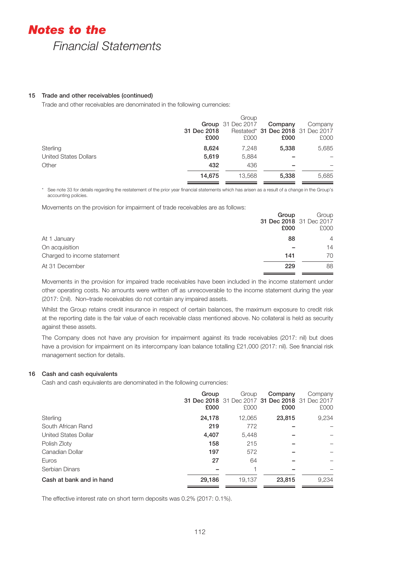#### 15 Trade and other receivables (continued)

Trade and other receivables are denominated in the following currencies:

|                       |             | Group                    |                                   |         |
|-----------------------|-------------|--------------------------|-----------------------------------|---------|
|                       |             | <b>Group</b> 31 Dec 2017 | Company                           | Company |
|                       | 31 Dec 2018 |                          | Restated* 31 Dec 2018 31 Dec 2017 |         |
|                       | £000        | £000                     | £000                              | £000    |
| Sterling              | 8.624       | 7.248                    | 5.338                             | 5,685   |
| United States Dollars | 5.619       | 5.884                    |                                   |         |
| Other                 | 432         | 436                      |                                   |         |
|                       | 14,675      | 13.568                   | 5,338                             | 5,685   |

\* See note 33 for details regarding the restatement of the prior year financial statements which has arisen as a result of a change in the Group's accounting policies.

Movements on the provision for impairment of trade receivables are as follows:

|                             | Group | Group                   |
|-----------------------------|-------|-------------------------|
|                             |       | 31 Dec 2018 31 Dec 2017 |
|                             | £000  | £000                    |
| At 1 January                | 88    | $\overline{4}$          |
| On acquisition              |       | 14                      |
| Charged to income statement | 141   | 70                      |
| At 31 December              | 229   | 88                      |
|                             |       |                         |

Movements in the provision for impaired trade receivables have been included in the income statement under other operating costs. No amounts were written off as unrecoverable to the income statement during the year (2017: £nil). Non–trade receivables do not contain any impaired assets.

Whilst the Group retains credit insurance in respect of certain balances, the maximum exposure to credit risk at the reporting date is the fair value of each receivable class mentioned above. No collateral is held as security against these assets.

The Company does not have any provision for impairment against its trade receivables (2017: nil) but does have a provision for impairment on its intercompany loan balance totalling £21,000 (2017: nil). See financial risk management section for details.

#### 16 Cash and cash equivalents

Cash and cash equivalents are denominated in the following currencies:

|                             | Group<br>£000 | Group<br>£000 | Company<br>31 Dec 2018 31 Dec 2017 31 Dec 2018 31 Dec 2017<br>£000 | Company<br>£000 |
|-----------------------------|---------------|---------------|--------------------------------------------------------------------|-----------------|
| Sterling                    | 24,178        | 12,065        | 23,815                                                             | 9,234           |
| South African Rand          | 219           | 772           |                                                                    |                 |
| <b>United States Dollar</b> | 4,407         | 5.448         |                                                                    |                 |
| Polish Zloty                | 158           | 215           |                                                                    |                 |
| Canadian Dollar             | 197           | 572           |                                                                    |                 |
| Euros                       | 27            | 64            |                                                                    |                 |
| Serbian Dinars              |               |               |                                                                    |                 |
| Cash at bank and in hand    | 29,186        | 19,137        | 23,815                                                             | 9,234           |

The effective interest rate on short term deposits was 0.2% (2017: 0.1%).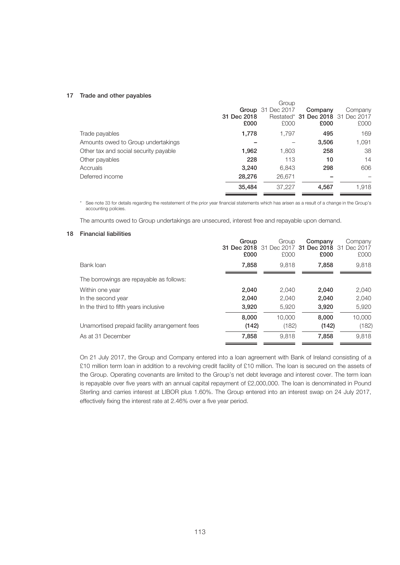#### 17 Trade and other payables

|                                       |             | Group                    |                                   |         |
|---------------------------------------|-------------|--------------------------|-----------------------------------|---------|
|                                       |             | <b>Group</b> 31 Dec 2017 | Company                           | Company |
|                                       | 31 Dec 2018 |                          | Restated* 31 Dec 2018 31 Dec 2017 |         |
|                                       | £000        | £000                     | £000                              | £000    |
| Trade payables                        | 1,778       | 1.797                    | 495                               | 169     |
| Amounts owed to Group undertakings    |             |                          | 3,506                             | 1,091   |
| Other tax and social security payable | 1,962       | 1,803                    | 258                               | 38      |
| Other payables                        | 228         | 113                      | 10                                | 14      |
| Accruals                              | 3,240       | 6,843                    | 298                               | 606     |
| Deferred income                       | 28,276      | 26,671                   |                                   |         |
|                                       | 35,484      | 37,227                   | 4,567                             | 1,918   |
|                                       |             |                          |                                   |         |

\* See note 33 for details regarding the restatement of the prior year financial statements which has arisen as a result of a change in the Group's accounting policies.

The amounts owed to Group undertakings are unsecured, interest free and repayable upon demand.

## 18 Financial liabilities

|                                               | Group<br>£000 | Group<br><b>31 Dec 2018</b> 31 Dec 2017 <b>31</b><br>£000 | Company<br>£000 | Company<br><b>Dec 2018</b> 31 Dec 2017<br>£000 |
|-----------------------------------------------|---------------|-----------------------------------------------------------|-----------------|------------------------------------------------|
| Bank loan                                     | 7.858         | 9.818                                                     | 7.858           | 9.818                                          |
| The borrowings are repayable as follows:      |               |                                                           |                 |                                                |
| Within one year                               | 2.040         | 2.040                                                     | 2.040           | 2,040                                          |
| In the second year                            | 2,040         | 2,040                                                     | 2,040           | 2,040                                          |
| In the third to fifth years inclusive         | 3,920         | 5.920                                                     | 3.920           | 5,920                                          |
|                                               | 8.000         | 10.000                                                    | 8.000           | 10,000                                         |
| Unamortised prepaid facility arrangement fees | (142)         | (182)                                                     | (142)           | (182)                                          |
| As at 31 December                             | 7,858         | 9.818                                                     | 7,858           | 9,818                                          |

On 21 July 2017, the Group and Company entered into a loan agreement with Bank of Ireland consisting of a £10 million term loan in addition to a revolving credit facility of £10 million. The loan is secured on the assets of the Group. Operating covenants are limited to the Group's net debt leverage and interest cover. The term loan is repayable over five years with an annual capital repayment of £2,000,000. The loan is denominated in Pound Sterling and carries interest at LIBOR plus 1.60%. The Group entered into an interest swap on 24 July 2017, effectively fixing the interest rate at 2.46% over a five year period.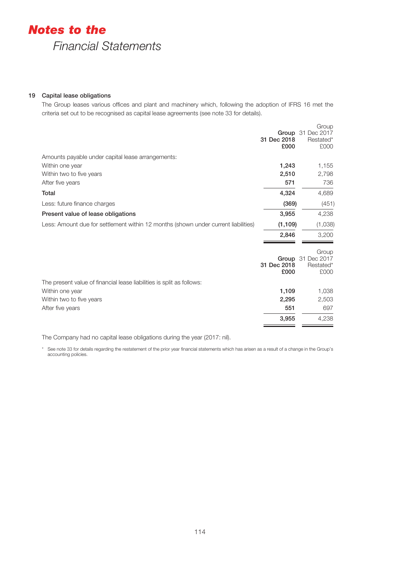## 19 Capital lease obligations

The Group leases various offices and plant and machinery which, following the adoption of IFRS 16 met the criteria set out to be recognised as capital lease agreements (see note 33 for details).

|                                                                                    | 31 Dec 2018<br>£000 | Group<br><b>Group</b> 31 Dec 2017<br>Restated*<br>£000 |
|------------------------------------------------------------------------------------|---------------------|--------------------------------------------------------|
| Amounts payable under capital lease arrangements:                                  |                     |                                                        |
| Within one year                                                                    | 1,243               | 1,155                                                  |
| Within two to five years                                                           | 2,510               | 2,798                                                  |
| After five years                                                                   | 571                 | 736                                                    |
| Total                                                                              | 4,324               | 4,689                                                  |
| Less: future finance charges                                                       | (369)               | (451)                                                  |
| Present value of lease obligations                                                 | 3,955               | 4,238                                                  |
| Less: Amount due for settlement within 12 months (shown under current liabilities) | (1, 109)            | (1,038)                                                |
|                                                                                    | 2,846               | 3,200                                                  |
|                                                                                    | 31 Dec 2018<br>£000 | Group<br>Group 31 Dec 2017<br>Restated*<br>£000        |
| The present value of financial lease liabilities is split as follows:              |                     |                                                        |
| Within one year                                                                    | 1,109               | 1,038                                                  |
| Within two to five years                                                           | 2,295               | 2,503                                                  |
| After five years                                                                   | 551                 | 697                                                    |
|                                                                                    | 3,955               | 4,238                                                  |

The Company had no capital lease obligations during the year (2017: nil).

\* See note 33 for details regarding the restatement of the prior year financial statements which has arisen as a result of a change in the Group's accounting policies.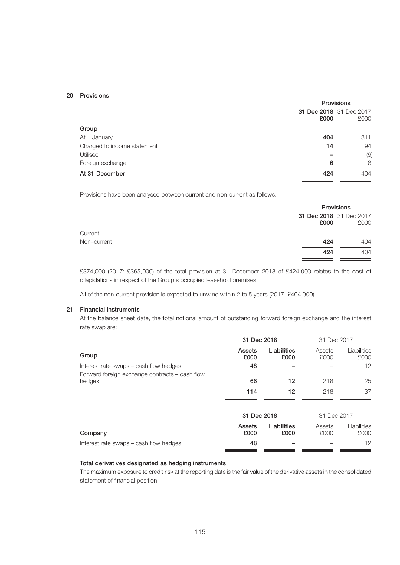#### 20 Provisions

|                             | <b>Provisions</b> |                                 |  |
|-----------------------------|-------------------|---------------------------------|--|
|                             | £000              | 31 Dec 2018 31 Dec 2017<br>£000 |  |
| Group                       |                   |                                 |  |
| At 1 January                | 404               | 311                             |  |
| Charged to income statement | 14                | 94                              |  |
| Utilised                    |                   | (9)                             |  |
| Foreign exchange            | 6                 | 8                               |  |
| At 31 December              | 424               | 404                             |  |

Provisions have been analysed between current and non-current as follows:

|             |      | <b>Provisions</b>               |  |
|-------------|------|---------------------------------|--|
|             | £000 | 31 Dec 2018 31 Dec 2017<br>£000 |  |
| Current     |      |                                 |  |
| Non-current | 424  | 404                             |  |
|             | 424  | 404                             |  |

£374,000 (2017: £365,000) of the total provision at 31 December 2018 of £424,000 relates to the cost of dilapidations in respect of the Group's occupied leasehold premises.

All of the non-current provision is expected to unwind within 2 to 5 years (2017: £404,000).

#### 21 Financial instruments

At the balance sheet date, the total notional amount of outstanding forward foreign exchange and the interest rate swap are:

|                                                          | 31 Dec 2018    |                     | 31 Dec 2017    |                     |
|----------------------------------------------------------|----------------|---------------------|----------------|---------------------|
| Group                                                    | Assets<br>£000 | Liabilities<br>£000 | Assets<br>£000 | Liabilities<br>£000 |
| Interest rate swaps – cash flow hedges                   | 48             |                     |                | 12                  |
| Forward foreign exchange contracts - cash flow<br>hedges | 66             | 12                  | 218            | 25                  |
|                                                          | 114            | 12                  | 218            | 37                  |
|                                                          | 31 Dec 2018    |                     | 31 Dec 2017    |                     |
| Company                                                  | Assets<br>£000 | Liabilities<br>£000 | Assets<br>£000 | Liabilities<br>£000 |
| Interest rate swaps – cash flow hedges                   | 48             |                     |                | 12                  |
|                                                          |                |                     |                |                     |

## Total derivatives designated as hedging instruments

The maximum exposure to credit risk at the reporting date is the fair value of the derivative assets in the consolidated statement of financial position.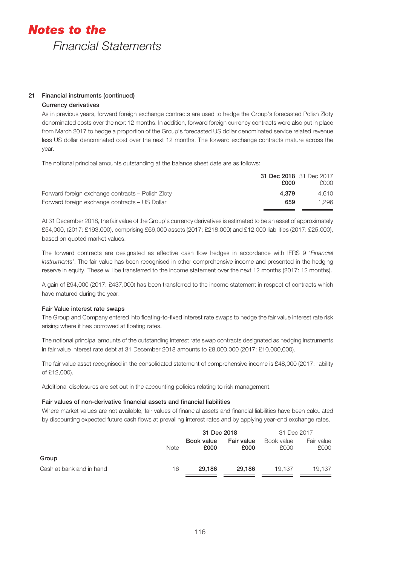## 21 Financial instruments (continued)

## Currency derivatives

As in previous years, forward foreign exchange contracts are used to hedge the Group's forecasted Polish Zloty denominated costs over the next 12 months. In addition, forward foreign currency contracts were also put in place from March 2017 to hedge a proportion of the Group's forecasted US dollar denominated service related revenue less US dollar denominated cost over the next 12 months. The forward exchange contracts mature across the year.

The notional principal amounts outstanding at the balance sheet date are as follows:

|                                                   | 31 Dec 2018 31 Dec 2017<br>£000 | £000  |
|---------------------------------------------------|---------------------------------|-------|
| Forward foreign exchange contracts – Polish Zloty | 4.379                           | 4.610 |
| Forward foreign exchange contracts – US Dollar    | 659                             | 1.296 |
|                                                   |                                 |       |

At 31 December 2018, the fair value of the Group's currency derivatives is estimated to be an asset of approximately £54,000, (2017: £193,000), comprising £66,000 assets (2017: £218,000) and £12,000 liabilities (2017: £25,000), based on quoted market values.

The forward contracts are designated as effective cash flow hedges in accordance with IFRS 9 '*Financial Instruments*'. The fair value has been recognised in other comprehensive income and presented in the hedging reserve in equity. These will be transferred to the income statement over the next 12 months (2017: 12 months).

A gain of £94,000 (2017: £437,000) has been transferred to the income statement in respect of contracts which have matured during the year.

## Fair Value interest rate swaps

The Group and Company entered into floating-to-fixed interest rate swaps to hedge the fair value interest rate risk arising where it has borrowed at floating rates.

The notional principal amounts of the outstanding interest rate swap contracts designated as hedging instruments in fair value interest rate debt at 31 December 2018 amounts to £8,000,000 (2017: £10,000,000).

The fair value asset recognised in the consolidated statement of comprehensive income is £48,000 (2017: liability of £12,000).

Additional disclosures are set out in the accounting policies relating to risk management.

## Fair values of non-derivative financial assets and financial liabilities

Where market values are not available, fair values of financial assets and financial liabilities have been calculated by discounting expected future cash flows at prevailing interest rates and by applying year-end exchange rates.

|                          |             | 31 Dec 2018        |                    | 31 Dec 2017        |                    |
|--------------------------|-------------|--------------------|--------------------|--------------------|--------------------|
|                          | <b>Note</b> | Book value<br>£000 | Fair value<br>£000 | Book value<br>£000 | Fair value<br>£000 |
| Group                    |             |                    |                    |                    |                    |
| Cash at bank and in hand | 16          | 29.186             | 29.186             | 19.137             | 19.137             |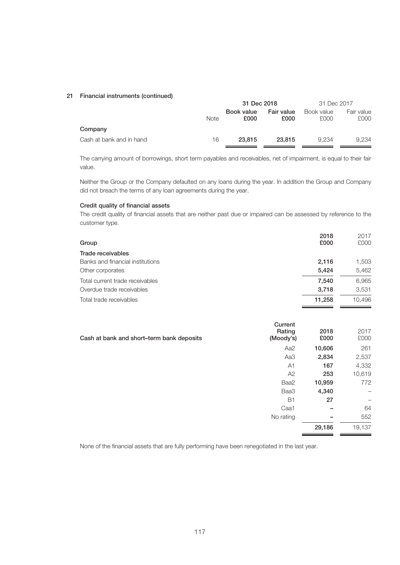#### 21 Financial instruments (continued)

|                          |             | 31 Dec 2018        |                    | 31 Dec 2017        |                    |
|--------------------------|-------------|--------------------|--------------------|--------------------|--------------------|
|                          | <b>Note</b> | Book value<br>£000 | Fair value<br>£000 | Book value<br>£000 | Fair value<br>£000 |
| Company                  |             |                    |                    |                    |                    |
| Cash at bank and in hand | 16          | 23,815             | 23,815             | 9.234              | 9.234              |

The carrying amount of borrowings, short term payables and receivables, net of impairment, is equal to their fair value.

Neither the Group or the Company defaulted on any loans during the year. In addition the Group and Company did not breach the terms of any loan agreements during the year.

#### Credit quality of financial assets

The credit quality of financial assets that are neither past due or impaired can be assessed by reference to the customer type.

|                                  | 2018   | 2017   |
|----------------------------------|--------|--------|
| Group                            | £000   | £000   |
| Trade receivables                |        |        |
| Banks and financial institutions | 2.116  | 1,503  |
| Other corporates                 | 5.424  | 5.462  |
| Total current trade receivables  | 7.540  | 6.965  |
| Overdue trade receivables        | 3.718  | 3.531  |
| Total trade receivables          | 11,258 | 10.496 |

| Current<br>Rating<br>Cash at bank and short-term bank deposits<br>(Moody's) | 2018<br>£000          | 2017<br>£000 |
|-----------------------------------------------------------------------------|-----------------------|--------------|
|                                                                             | 10,606<br>Aa2         | 261          |
|                                                                             | 2,834<br>Aa3          | 2,537        |
|                                                                             | 167<br>A <sub>1</sub> | 4,332        |
|                                                                             | 253<br>A2             | 10,619       |
| Baa2                                                                        | 10,959                | 772          |
| Baa3                                                                        | 4,340                 | —            |
|                                                                             | <b>B1</b><br>27       | —            |
| Caa1                                                                        |                       | 64           |
| No rating                                                                   | -                     | 552          |
|                                                                             | 29,186                | 19,137       |

None of the financial assets that are fully performing have been renegotiated in the last year.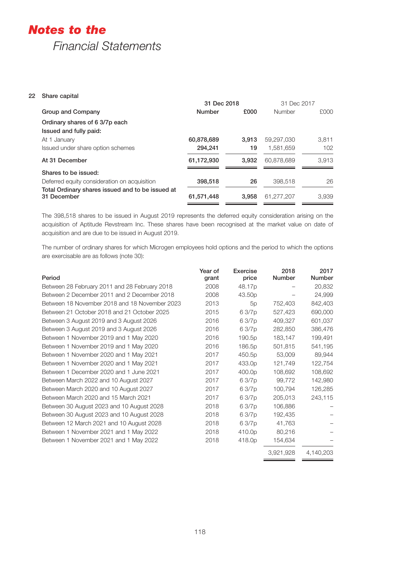## *Notes to the*

## *Financial Statements*

## 22 Share capital

|                                                                 | 31 Dec 2018   |       | 31 Dec 2017   |       |
|-----------------------------------------------------------------|---------------|-------|---------------|-------|
| Group and Company                                               | <b>Number</b> | £000  | <b>Number</b> | £000  |
| Ordinary shares of 6 3/7p each                                  |               |       |               |       |
| Issued and fully paid:                                          |               |       |               |       |
| At 1 January                                                    | 60,878,689    | 3.913 | 59.297.030    | 3.811 |
| Issued under share option schemes                               | 294.241       | 19    | 1.581.659     | 102   |
| At 31 December                                                  | 61,172,930    | 3,932 | 60,878,689    | 3.913 |
| Shares to be issued:                                            |               |       |               |       |
| Deferred equity consideration on acquisition                    | 398,518       | 26    | 398.518       | 26    |
| Total Ordinary shares issued and to be issued at<br>31 December | 61,571,448    | 3.958 | 61.277.207    | 3.939 |

The 398,518 shares to be issued in August 2019 represents the deferred equity consideration arising on the acquisition of Aptitude Revstream Inc. These shares have been recognised at the market value on date of acquisition and are due to be issued in August 2019.

The number of ordinary shares for which Microgen employees hold options and the period to which the options are exercisable are as follows (note 30):

| Period                                        | Year of<br>grant | Exercise<br>price | 2018<br>Number | 2017<br>Number |
|-----------------------------------------------|------------------|-------------------|----------------|----------------|
| Between 28 February 2011 and 28 February 2018 | 2008             | 48.17p            |                | 20,832         |
| Between 2 December 2011 and 2 December 2018   | 2008             | 43.50p            |                | 24,999         |
| Between 18 November 2018 and 18 November 2023 | 2013             | 5p                | 752,403        | 842,403        |
| Between 21 October 2018 and 21 October 2025   | 2015             | 63/7p             | 527,423        | 690,000        |
| Between 3 August 2019 and 3 August 2026       | 2016             | 63/7p             | 409,327        | 601,037        |
| Between 3 August 2019 and 3 August 2026       | 2016             | 63/7p             | 282,850        | 386,476        |
| Between 1 November 2019 and 1 May 2020        | 2016             | 190.5p            | 183,147        | 199,491        |
| Between 1 November 2019 and 1 May 2020        | 2016             | 186.5p            | 501,815        | 541,195        |
| Between 1 November 2020 and 1 May 2021        | 2017             | 450.5p            | 53,009         | 89,944         |
| Between 1 November 2020 and 1 May 2021        | 2017             | 433.0p            | 121,749        | 122,754        |
| Between 1 December 2020 and 1 June 2021       | 2017             | 400.0p            | 108,692        | 108,692        |
| Between March 2022 and 10 August 2027         | 2017             | 63/7p             | 99,772         | 142,980        |
| Between March 2020 and 10 August 2027         | 2017             | 63/7p             | 100,794        | 126,285        |
| Between March 2020 and 15 March 2021          | 2017             | 63/7p             | 205,013        | 243,115        |
| Between 30 August 2023 and 10 August 2028     | 2018             | 63/7p             | 106,886        |                |
| Between 30 August 2023 and 10 August 2028     | 2018             | 63/7p             | 192,435        |                |
| Between 12 March 2021 and 10 August 2028      | 2018             | 63/7p             | 41,763         |                |
| Between 1 November 2021 and 1 May 2022        | 2018             | 410.0p            | 80,216         |                |
| Between 1 November 2021 and 1 May 2022        | 2018             | 418.0p            | 154,634        |                |
|                                               |                  |                   | 3,921,928      | 4,140,203      |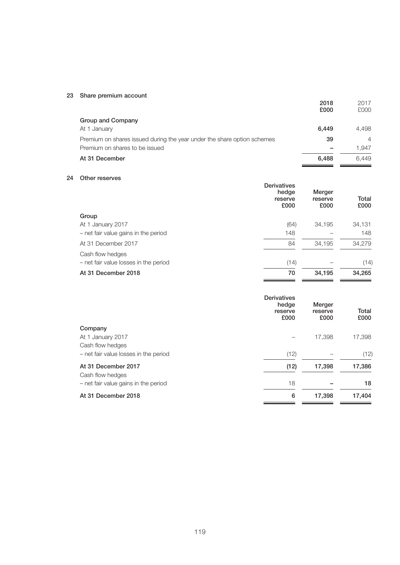## 23 Share premium account

| <b>JUAIC DICITIUIII AUUUIII</b>                                         | 2018<br>£000 | 2017<br>£000   |
|-------------------------------------------------------------------------|--------------|----------------|
| Group and Company                                                       |              |                |
| At 1 January                                                            | 6,449        | 4.498          |
| Premium on shares issued during the year under the share option schemes | 39           | $\overline{4}$ |
| Premium on shares to be issued                                          | -            | 1.947          |
| At 31 December                                                          | 6.488        | 6.449          |

## 24 Other reserves

|                                       | <b>Derivatives</b><br>hedge<br>reserve<br>£000 | Merger<br>reserve<br>£000 | Total<br>£000 |
|---------------------------------------|------------------------------------------------|---------------------------|---------------|
| Group                                 |                                                |                           |               |
| At 1 January 2017                     | (64)                                           | 34,195                    | 34,131        |
| - net fair value gains in the period  | 148                                            |                           | 148           |
| At 31 December 2017                   | 84                                             | 34.195                    | 34,279        |
| Cash flow hedges                      |                                                |                           |               |
| - net fair value losses in the period | (14)                                           |                           | (14)          |
| At 31 December 2018                   | 70                                             | 34,195                    | 34,265        |

|                                       | <b>Derivatives</b><br>hedge<br>reserve<br>£000 | Merger<br>reserve<br>£000 | Total<br>£000 |
|---------------------------------------|------------------------------------------------|---------------------------|---------------|
| Company                               |                                                |                           |               |
| At 1 January 2017                     |                                                | 17,398                    | 17,398        |
| Cash flow hedges                      |                                                |                           |               |
| - net fair value losses in the period | (12)                                           |                           | (12)          |
| At 31 December 2017                   | (12)                                           | 17,398                    | 17,386        |
| Cash flow hedges                      |                                                |                           |               |
| - net fair value gains in the period  | 18                                             |                           | 18            |
| At 31 December 2018                   | 6                                              | 17,398                    | 17,404        |
|                                       |                                                |                           |               |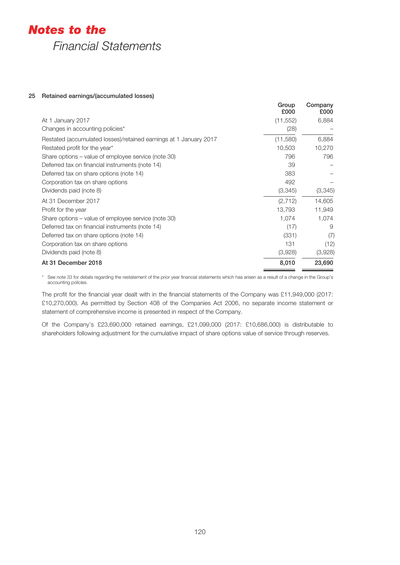## *Notes to the*

*Financial Statements*

## 25 Retained earnings/(accumulated losses)

|                                                                   | Group<br>£000 | Company<br>£000 |
|-------------------------------------------------------------------|---------------|-----------------|
| At 1 January 2017                                                 | (11, 552)     | 6,884           |
| Changes in accounting policies*                                   | (28)          |                 |
| Restated (accumulated losses)/retained earnings at 1 January 2017 | (11,580)      | 6,884           |
| Restated profit for the year*                                     | 10,503        | 10,270          |
| Share options – value of employee service (note 30)               | 796           | 796             |
| Deferred tax on financial instruments (note 14)                   | 39            |                 |
| Deferred tax on share options (note 14)                           | 383           |                 |
| Corporation tax on share options                                  | 492           |                 |
| Dividends paid (note 8)                                           | (3,345)       | (3,345)         |
| At 31 December 2017                                               | (2, 712)      | 14,605          |
| Profit for the year                                               | 13,793        | 11,949          |
| Share options – value of employee service (note 30)               | 1,074         | 1,074           |
| Deferred tax on financial instruments (note 14)                   | (17)          | 9               |
| Deferred tax on share options (note 14)                           | (331)         | (7)             |
| Corporation tax on share options                                  | 131           | (12)            |
| Dividends paid (note 8)                                           | (3,928)       | (3,928)         |
| At 31 December 2018                                               | 8,010         | 23,690          |

\* See note 33 for details regarding the restatement of the prior year financial statements which has arisen as a result of a change in the Group's accounting policies.

The profit for the financial year dealt with in the financial statements of the Company was £11,949,000 (2017: £10,270,000). As permitted by Section 408 of the Companies Act 2006, no separate income statement or statement of comprehensive income is presented in respect of the Company.

Of the Company's £23,690,000 retained earnings, £21,099,000 (2017: £10,686,000) is distributable to shareholders following adjustment for the cumulative impact of share options value of service through reserves.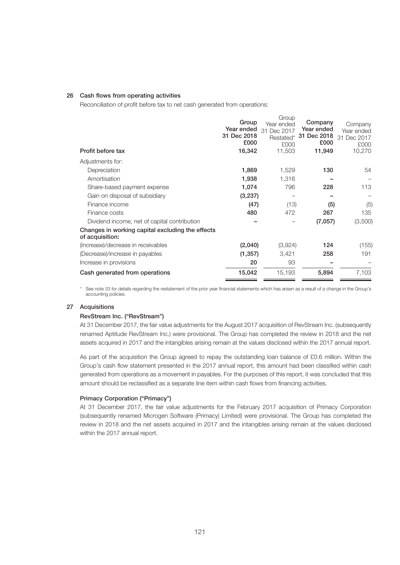#### 26 Cash flows from operating activities

Reconciliation of profit before tax to net cash generated from operations:

| Profit before tax                                                   | Group<br>Year ended<br>31 Dec 2018<br>£000<br>16,342 | Group<br>Year ended<br>31<br>Dec 2017<br>Restated*<br>£000<br>11,503 | Company<br>Year ended<br>31 Dec 2018<br>£000<br>11,949 | Company<br>Year ended<br>Dec 2017<br>31<br>£000<br>10,270 |
|---------------------------------------------------------------------|------------------------------------------------------|----------------------------------------------------------------------|--------------------------------------------------------|-----------------------------------------------------------|
| Adjustments for:                                                    |                                                      |                                                                      |                                                        |                                                           |
| Depreciation                                                        | 1,869                                                | 1,529                                                                | 130                                                    | 54                                                        |
| Amortisation                                                        | 1,938                                                | 1,316                                                                |                                                        |                                                           |
| Share-based payment expense                                         | 1,074                                                | 796                                                                  | 228                                                    | 113                                                       |
| Gain on disposal of subsidiary                                      | (3,237)                                              |                                                                      |                                                        |                                                           |
| Finance income                                                      | (47)                                                 | (13)                                                                 | (5)                                                    | (5)                                                       |
| Finance costs                                                       | 480                                                  | 472                                                                  | 267                                                    | 135                                                       |
| Dividend income, net of capital contribution                        |                                                      |                                                                      | (7,057)                                                | (3,500)                                                   |
| Changes in working capital excluding the effects<br>of acquisition: |                                                      |                                                                      |                                                        |                                                           |
| (Increase)/decrease in receivables                                  | (2,040)                                              | (3,924)                                                              | 124                                                    | (155)                                                     |
| (Decrease)/increase in payables                                     | (1, 357)                                             | 3,421                                                                | 258                                                    | 191                                                       |
| Increase in provisions                                              | 20                                                   | 93                                                                   |                                                        |                                                           |
| Cash generated from operations                                      | 15,042                                               | 15,193                                                               | 5,894                                                  | 7,103                                                     |

\* See note 33 for details regarding the restatement of the prior year financial statements which has arisen as a result of a change in the Group's accounting policies.

#### 27 Acquisitions

#### RevStream Inc. ("RevStream")

At 31 December 2017, the fair value adjustments for the August 2017 acquisition of RevStream Inc. (subsequently renamed Aptitude RevStream Inc.) were provisional. The Group has completed the review in 2018 and the net assets acquired in 2017 and the intangibles arising remain at the values disclosed within the 2017 annual report.

As part of the acquisition the Group agreed to repay the outstanding loan balance of £0.6 million. Within the Group's cash flow statement presented in the 2017 annual report, this amount had been classified within cash generated from operations as a movement in payables. For the purposes of this report, it was concluded that this amount should be reclassified as a separate line item within cash flows from financing activities.

## Primacy Corporation ("Primacy")

At 31 December 2017, the fair value adjustments for the February 2017 acquisition of Primacy Corporation (subsequently renamed Microgen Software (Primacy) Limited) were provisional. The Group has completed the review in 2018 and the net assets acquired in 2017 and the intangibles arising remain at the values disclosed within the 2017 annual report.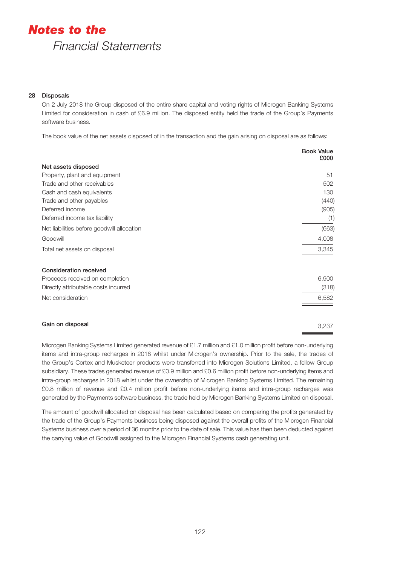## 28 Disposals

On 2 July 2018 the Group disposed of the entire share capital and voting rights of Microgen Banking Systems Limited for consideration in cash of £6.9 million. The disposed entity held the trade of the Group's Payments software business.

The book value of the net assets disposed of in the transaction and the gain arising on disposal are as follows:

|                                            | <b>Book Value</b><br>£000 |
|--------------------------------------------|---------------------------|
| Net assets disposed                        |                           |
| Property, plant and equipment              | 51                        |
| Trade and other receivables                | 502                       |
| Cash and cash equivalents                  | 130                       |
| Trade and other payables                   | (440)                     |
| Deferred income                            | (905)                     |
| Deferred income tax liability              | (1)                       |
| Net liabilities before goodwill allocation | (663)                     |
| Goodwill                                   | 4,008                     |
| Total net assets on disposal               | 3,345                     |
| <b>Consideration received</b>              |                           |
| Proceeds received on completion            | 6,900                     |
| Directly attributable costs incurred       | (318)                     |
| Net consideration                          | 6,582                     |
| Gain on disposal                           | 3,237                     |

Microgen Banking Systems Limited generated revenue of £1.7 million and £1.0 million profit before non-underlying items and intra-group recharges in 2018 whilst under Microgen's ownership. Prior to the sale, the trades of the Group's Cortex and Musketeer products were transferred into Microgen Solutions Limited, a fellow Group subsidiary. These trades generated revenue of £0.9 million and £0.6 million profit before non-underlying items and intra-group recharges in 2018 whilst under the ownership of Microgen Banking Systems Limited. The remaining £0.8 million of revenue and £0.4 million profit before non-underlying items and intra-group recharges was generated by the Payments software business, the trade held by Microgen Banking Systems Limited on disposal.

The amount of goodwill allocated on disposal has been calculated based on comparing the profits generated by the trade of the Group's Payments business being disposed against the overall profits of the Microgen Financial Systems business over a period of 36 months prior to the date of sale. This value has then been deducted against the carrying value of Goodwill assigned to the Microgen Financial Systems cash generating unit.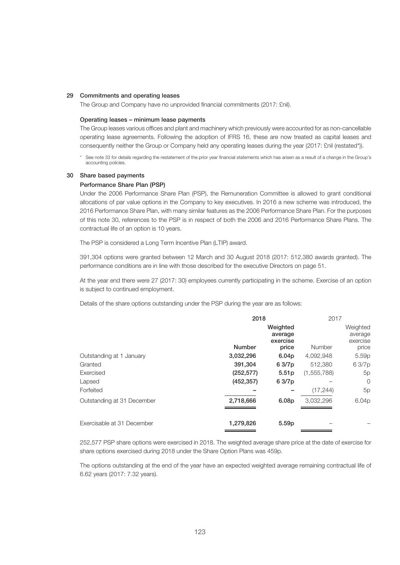#### 29 Commitments and operating leases

The Group and Company have no unprovided financial commitments (2017: £nil).

#### Operating leases – minimum lease payments

The Group leases various offices and plant and machinery which previously were accounted for as non-cancellable operating lease agreements. Following the adoption of IFRS 16, these are now treated as capital leases and consequently neither the Group or Company held any operating leases during the year (2017: £nil (restated\*)).

\* See note 33 for details regarding the restatement of the prior year financial statements which has arisen as a result of a change in the Group's accounting policies.

#### 30 Share based payments

#### Performance Share Plan (PSP)

Under the 2006 Performance Share Plan (PSP), the Remuneration Committee is allowed to grant conditional allocations of par value options in the Company to key executives. In 2016 a new scheme was introduced, the 2016 Performance Share Plan, with many similar features as the 2006 Performance Share Plan. For the purposes of this note 30, references to the PSP is in respect of both the 2006 and 2016 Performance Share Plans. The contractual life of an option is 10 years.

The PSP is considered a Long Term Incentive Plan (LTIP) award.

391,304 options were granted between 12 March and 30 August 2018 (2017: 512,380 awards granted). The performance conditions are in line with those described for the executive Directors on page 51.

At the year end there were 27 (2017: 30) employees currently participating in the scheme. Exercise of an option is subject to continued employment.

Details of the share options outstanding under the PSP during the year are as follows:

|                            | 2018          |                                 | 2017          |                                 |
|----------------------------|---------------|---------------------------------|---------------|---------------------------------|
|                            |               | Weighted<br>average<br>exercise |               | Weighted<br>average<br>exercise |
|                            | <b>Number</b> | price                           | Number        | price                           |
| Outstanding at 1 January   | 3,032,296     | 6.04 <sub>p</sub>               | 4,092,948     | 5.59 <sub>p</sub>               |
| Granted                    | 391,304       | 6 3/7p                          | 512,380       | 63/7p                           |
| Exercised                  | (252, 577)    | 5.51 <sub>p</sub>               | (1, 555, 788) | 5p                              |
| Lapsed                     | (452, 357)    | 63/7p                           |               | $\overline{0}$                  |
| Forfeited                  |               |                                 | (17, 244)     | 5p                              |
| Outstanding at 31 December | 2,718,666     | 6.08 <sub>p</sub>               | 3,032,296     | 6.04p                           |
| Exercisable at 31 December | 1,279,826     | 5.59 <sub>p</sub>               |               |                                 |

252,577 PSP share options were exercised in 2018. The weighted average share price at the date of exercise for share options exercised during 2018 under the Share Option Plans was 459p.

The options outstanding at the end of the year have an expected weighted average remaining contractual life of 6.62 years (2017: 7.32 years).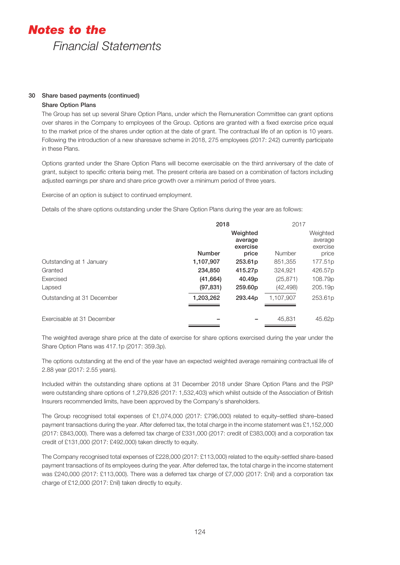## 30 Share based payments (continued)

## Share Option Plans

The Group has set up several Share Option Plans, under which the Remuneration Committee can grant options over shares in the Company to employees of the Group. Options are granted with a fixed exercise price equal to the market price of the shares under option at the date of grant. The contractual life of an option is 10 years. Following the introduction of a new sharesave scheme in 2018, 275 employees (2017: 242) currently participate in these Plans.

Options granted under the Share Option Plans will become exercisable on the third anniversary of the date of grant, subject to specific criteria being met. The present criteria are based on a combination of factors including adjusted earnings per share and share price growth over a minimum period of three years.

Exercise of an option is subject to continued employment.

Details of the share options outstanding under the Share Option Plans during the year are as follows:

|                            | 2018          |                                 | 2017      |                                 |
|----------------------------|---------------|---------------------------------|-----------|---------------------------------|
|                            |               | Weighted<br>average<br>exercise |           | Weighted<br>average<br>exercise |
|                            | <b>Number</b> | price                           | Number    | price                           |
| Outstanding at 1 January   | 1,107,907     | 253.61p                         | 851,355   | 177.51p                         |
| Granted                    | 234,850       | 415.27p                         | 324,921   | 426.57p                         |
| Exercised                  | (41, 664)     | 40.49 <sub>p</sub>              | (25, 871) | 108.79p                         |
| Lapsed                     | (97, 831)     | 259.60p                         | (42, 498) | 205.19 <sub>p</sub>             |
| Outstanding at 31 December | 1,203,262     | 293.44 <sub>p</sub>             | 1.107.907 | 253.61 <sub>p</sub>             |
| Exercisable at 31 December |               |                                 | 45.831    | 45.62p                          |

The weighted average share price at the date of exercise for share options exercised during the year under the Share Option Plans was 417.1p (2017: 359.3p).

The options outstanding at the end of the year have an expected weighted average remaining contractual life of 2.88 year (2017: 2.55 years).

Included within the outstanding share options at 31 December 2018 under Share Option Plans and the PSP were outstanding share options of 1,279,826 (2017: 1,532,403) which whilst outside of the Association of British Insurers recommended limits, have been approved by the Company's shareholders.

The Group recognised total expenses of £1,074,000 (2017: £796,000) related to equity–settled share–based payment transactions during the year. After deferred tax, the total charge in the income statement was £1,152,000 (2017: £843,000). There was a deferred tax charge of £331,000 (2017: credit of £383,000) and a corporation tax credit of £131,000 (2017: £492,000) taken directly to equity.

The Company recognised total expenses of £228,000 (2017: £113,000) related to the equity-settled share-based payment transactions of its employees during the year. After deferred tax, the total charge in the income statement was £240,000 (2017: £113,000). There was a deferred tax charge of £7,000 (2017: £nil) and a corporation tax charge of £12,000 (2017: £nil) taken directly to equity.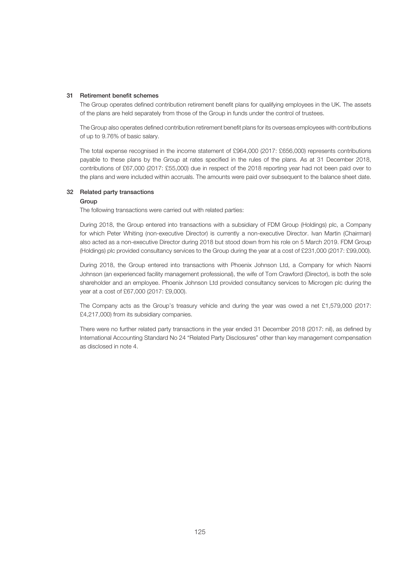#### 31 Retirement benefit schemes

The Group operates defined contribution retirement benefit plans for qualifying employees in the UK. The assets of the plans are held separately from those of the Group in funds under the control of trustees.

The Group also operates defined contribution retirement benefit plans for its overseas employees with contributions of up to 9.76% of basic salary.

The total expense recognised in the income statement of £964,000 (2017: £656,000) represents contributions payable to these plans by the Group at rates specified in the rules of the plans. As at 31 December 2018, contributions of £67,000 (2017: £55,000) due in respect of the 2018 reporting year had not been paid over to the plans and were included within accruals. The amounts were paid over subsequent to the balance sheet date.

#### 32 Related party transactions

#### Group

The following transactions were carried out with related parties:

During 2018, the Group entered into transactions with a subsidiary of FDM Group (Holdings) plc, a Company for which Peter Whiting (non-executive Director) is currently a non-executive Director. Ivan Martin (Chairman) also acted as a non-executive Director during 2018 but stood down from his role on 5 March 2019. FDM Group (Holdings) plc provided consultancy services to the Group during the year at a cost of £231,000 (2017: £99,000).

During 2018, the Group entered into transactions with Phoenix Johnson Ltd, a Company for which Naomi Johnson (an experienced facility management professional), the wife of Tom Crawford (Director), is both the sole shareholder and an employee. Phoenix Johnson Ltd provided consultancy services to Microgen plc during the year at a cost of £67,000 (2017: £9,000).

The Company acts as the Group's treasury vehicle and during the year was owed a net £1,579,000 (2017: £4,217,000) from its subsidiary companies.

There were no further related party transactions in the year ended 31 December 2018 (2017: nil), as defined by International Accounting Standard No 24 "Related Party Disclosures" other than key management compensation as disclosed in note 4.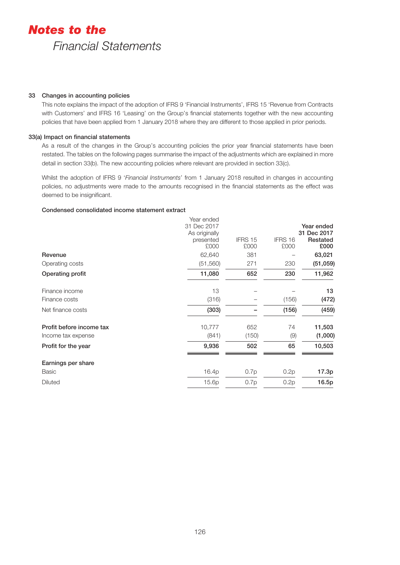### 33 Changes in accounting policies

This note explains the impact of the adoption of IFRS 9 'Financial Instruments', IFRS 15 'Revenue from Contracts with Customers' and IFRS 16 'Leasing' on the Group's financial statements together with the new accounting policies that have been applied from 1 January 2018 where they are different to those applied in prior periods.

## 33(a) Impact on financial statements

As a result of the changes in the Group's accounting policies the prior year financial statements have been restated. The tables on the following pages summarise the impact of the adjustments which are explained in more detail in section 33(b). The new accounting policies where relevant are provided in section 33(c).

Whilst the adoption of IFRS 9 '*Financial Instruments*' from 1 January 2018 resulted in changes in accounting policies, no adjustments were made to the amounts recognised in the financial statements as the effect was deemed to be insignificant.

## Condensed consolidated income statement extract

| Revenue                  | Year ended<br>31 Dec 2017<br>As originally<br>presented<br>£000<br>62,640 | IFRS 15<br>£000<br>381 | IFRS 16<br>£000 | Year ended<br>31 Dec 2017<br>Restated<br>£000<br>63,021 |
|--------------------------|---------------------------------------------------------------------------|------------------------|-----------------|---------------------------------------------------------|
| Operating costs          | (51, 560)                                                                 | 271                    | 230             | (51,059)                                                |
| Operating profit         | 11,080                                                                    | 652                    | 230             | 11,962                                                  |
|                          |                                                                           |                        |                 |                                                         |
| Finance income           | 13                                                                        |                        |                 | 13                                                      |
| Finance costs            | (316)                                                                     |                        | (156)           | (472)                                                   |
| Net finance costs        | (303)                                                                     |                        | (156)           | (459)                                                   |
| Profit before income tax | 10,777                                                                    | 652                    | 74              | 11,503                                                  |
| Income tax expense       | (841)                                                                     | (150)                  | (9)             | (1,000)                                                 |
| Profit for the year      | 9,936                                                                     | 502                    | 65              | 10,503                                                  |
| Earnings per share       |                                                                           |                        |                 |                                                         |
| <b>Basic</b>             | 16.4p                                                                     | 0.7p                   | 0.2p            | 17.3p                                                   |
| Diluted                  | 15.6p                                                                     | 0.7p                   | 0.2p            | 16.5p                                                   |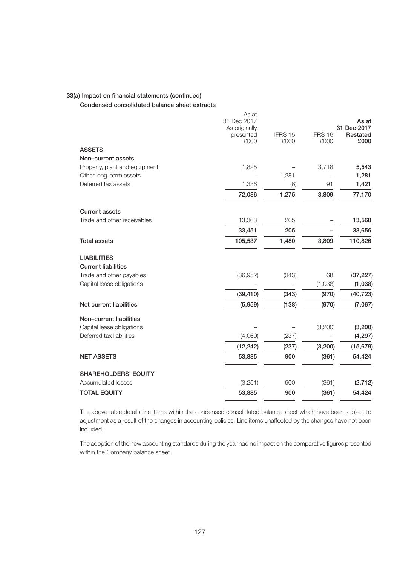#### 33(a) Impact on financial statements (continued)

Condensed consolidated balance sheet extracts

|                               | As at<br>31 Dec 2017<br>As originally<br>presented<br>£000 | IFRS 15<br>£000 | IFRS 16<br>£000 | As at<br>31 Dec 2017<br>Restated<br>£000 |
|-------------------------------|------------------------------------------------------------|-----------------|-----------------|------------------------------------------|
| <b>ASSETS</b>                 |                                                            |                 |                 |                                          |
| Non-current assets            |                                                            |                 |                 |                                          |
| Property, plant and equipment | 1,825                                                      |                 | 3,718           | 5,543                                    |
| Other long-term assets        |                                                            | 1,281           |                 | 1,281                                    |
| Deferred tax assets           | 1,336                                                      | (6)             | 91              | 1,421                                    |
|                               | 72,086                                                     | 1,275           | 3,809           | 77,170                                   |
| <b>Current assets</b>         |                                                            |                 |                 |                                          |
| Trade and other receivables   | 13,363                                                     | 205             |                 | 13,568                                   |
|                               | 33,451                                                     | 205             |                 | 33,656                                   |
| <b>Total assets</b>           | 105,537                                                    | 1,480           | 3,809           | 110,826                                  |
| <b>LIABILITIES</b>            |                                                            |                 |                 |                                          |
| <b>Current liabilities</b>    |                                                            |                 |                 |                                          |
| Trade and other payables      | (36,952)                                                   | (343)           | 68              | (37, 227)                                |
| Capital lease obligations     |                                                            |                 | (1,038)         | (1,038)                                  |
|                               | (39, 410)                                                  | (343)           | (970)           | (40, 723)                                |
| Net current liabilities       | (5,959)                                                    | (138)           | (970)           | (7,067)                                  |
| Non-current liabilities       |                                                            |                 |                 |                                          |
| Capital lease obligations     |                                                            |                 | (3,200)         | (3, 200)                                 |
| Deferred tax liabilities      | (4,060)                                                    | (237)           |                 | (4, 297)                                 |
|                               | (12, 242)                                                  | (237)           | (3, 200)        | (15, 679)                                |
| <b>NET ASSETS</b>             | 53,885                                                     | 900             | (361)           | 54,424                                   |
| <b>SHAREHOLDERS' EQUITY</b>   |                                                            |                 |                 |                                          |
| Accumulated losses            | (3,251)                                                    | 900             | (361)           | (2, 712)                                 |
| <b>TOTAL EQUITY</b>           | 53,885                                                     | 900             | (361)           | 54,424                                   |

The above table details line items within the condensed consolidated balance sheet which have been subject to adjustment as a result of the changes in accounting policies. Line items unaffected by the changes have not been included.

The adoption of the new accounting standards during the year had no impact on the comparative figures presented within the Company balance sheet.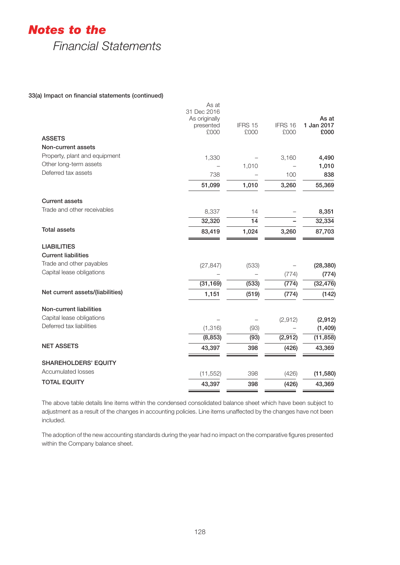# *Notes to the*

*Financial Statements*

## 33(a) Impact on financial statements (continued)

|                                  | As at<br>31 Dec 2016<br>As originally<br>presented | IFRS 15 | IFRS 16  | As at<br>1 Jan 2017 |
|----------------------------------|----------------------------------------------------|---------|----------|---------------------|
| <b>ASSETS</b>                    | £000                                               | £000    | £000     | £000                |
| Non-current assets               |                                                    |         |          |                     |
| Property, plant and equipment    | 1,330                                              |         | 3,160    | 4,490               |
| Other long-term assets           |                                                    | 1,010   |          | 1,010               |
| Deferred tax assets              | 738                                                |         | 100      | 838                 |
|                                  | 51,099                                             | 1,010   | 3,260    | 55,369              |
| <b>Current assets</b>            |                                                    |         |          |                     |
| Trade and other receivables      | 8,337                                              | 14      |          | 8,351               |
|                                  | 32,320                                             | 14      |          | 32,334              |
| <b>Total assets</b>              | 83,419                                             | 1,024   | 3,260    | 87,703              |
| <b>LIABILITIES</b>               |                                                    |         |          |                     |
| <b>Current liabilities</b>       |                                                    |         |          |                     |
| Trade and other payables         | (27, 847)                                          | (533)   |          | (28, 380)           |
| Capital lease obligations        |                                                    |         | (774)    | (774)               |
|                                  | (31, 169)                                          | (533)   | (774)    | (32, 476)           |
| Net current assets/(liabilities) | 1,151                                              | (519)   | (774)    | (142)               |
| Non-current liabilities          |                                                    |         |          |                     |
| Capital lease obligations        |                                                    |         | (2, 912) | (2,912)             |
| Deferred tax liabilities         | (1,316)                                            | (93)    |          | (1, 409)            |
|                                  | (8, 853)                                           | (93)    | (2, 912) | (11, 858)           |
| <b>NET ASSETS</b>                | 43,397                                             | 398     | (426)    | 43,369              |
| <b>SHAREHOLDERS' EQUITY</b>      |                                                    |         |          |                     |
| Accumulated losses               | (11, 552)                                          | 398     | (426)    | (11,580)            |
| <b>TOTAL EQUITY</b>              | 43,397                                             | 398     | (426)    | 43,369              |

The above table details line items within the condensed consolidated balance sheet which have been subject to adjustment as a result of the changes in accounting policies. Line items unaffected by the changes have not been included.

The adoption of the new accounting standards during the year had no impact on the comparative figures presented within the Company balance sheet.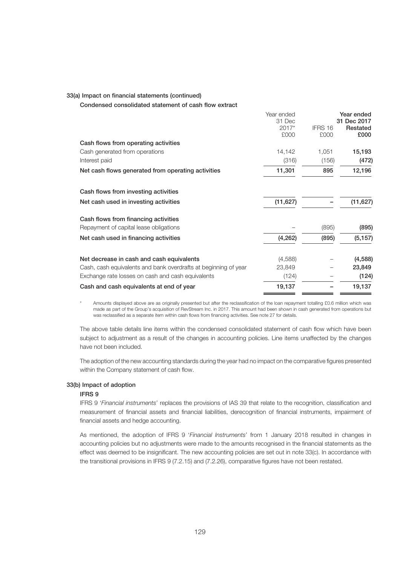#### 33(a) Impact on financial statements (continued)

Condensed consolidated statement of cash flow extract

|                                                                 | Year ended      |         | Year ended              |
|-----------------------------------------------------------------|-----------------|---------|-------------------------|
|                                                                 | 31 Dec<br>2017* | IFRS 16 | 31 Dec 2017<br>Restated |
|                                                                 | £000            | £000    | £000                    |
| Cash flows from operating activities                            |                 |         |                         |
| Cash generated from operations                                  | 14,142          | 1,051   | 15,193                  |
| Interest paid                                                   | (316)           | (156)   | (472)                   |
| Net cash flows generated from operating activities              | 11,301          | 895     | 12,196                  |
| Cash flows from investing activities                            |                 |         |                         |
| Net cash used in investing activities                           | (11, 627)       |         | (11, 627)               |
| Cash flows from financing activities                            |                 |         |                         |
| Repayment of capital lease obligations                          |                 | (895)   | (895)                   |
| Net cash used in financing activities                           | (4, 262)        | (895)   | (5, 157)                |
| Net decrease in cash and cash equivalents                       | (4,588)         |         | (4, 588)                |
| Cash, cash equivalents and bank overdrafts at beginning of year | 23,849          |         | 23,849                  |
| Exchange rate losses on cash and cash equivalents               | (124)           |         | (124)                   |
| Cash and cash equivalents at end of year                        | 19,137          |         | 19,137                  |

Amounts displayed above are as originally presented but after the reclassification of the loan repayment totalling £0.6 million which was made as part of the Group's acquisition of RevStream Inc. in 2017. This amount had been shown in cash generated from operations but was reclassified as a separate item within cash flows from financing activities. See note 27 for details.

The above table details line items within the condensed consolidated statement of cash flow which have been subject to adjustment as a result of the changes in accounting policies. Line items unaffected by the changes have not been included.

The adoption of the new accounting standards during the year had no impact on the comparative figures presented within the Company statement of cash flow.

## 33(b) Impact of adoption

#### IFRS 9

IFRS 9 '*Financial instruments*' replaces the provisions of IAS 39 that relate to the recognition, classification and measurement of financial assets and financial liabilities, derecognition of financial instruments, impairment of financial assets and hedge accounting.

As mentioned, the adoption of IFRS 9 '*Financial Instruments*' from 1 January 2018 resulted in changes in accounting policies but no adjustments were made to the amounts recognised in the financial statements as the effect was deemed to be insignificant. The new accounting policies are set out in note 33(c). In accordance with the transitional provisions in IFRS 9 (7.2.15) and (7.2.26), comparative figures have not been restated.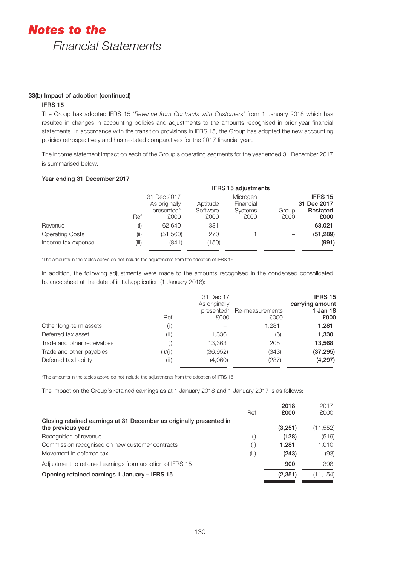## 33(b) Impact of adoption (continued)

## IFRS 15

The Group has adopted IFRS 15 '*Revenue from Contracts with Customers*' from 1 January 2018 which has resulted in changes in accounting policies and adjustments to the amounts recognised in prior year financial statements. In accordance with the transition provisions in IFRS 15, the Group has adopted the new accounting policies retrospectively and has restated comparatives for the 2017 financial year.

The income statement impact on each of the Group's operating segments for the year ended 31 December 2017 is summarised below:

## Year ending 31 December 2017

|                        |             | <b>IFRS 15 adjustments</b>          |                  |                              |               |                              |  |
|------------------------|-------------|-------------------------------------|------------------|------------------------------|---------------|------------------------------|--|
|                        | 31 Dec 2017 |                                     | Aptitude         | Microgen                     |               | <b>IFRS15</b><br>31 Dec 2017 |  |
|                        | Ref         | As originally<br>presented*<br>£000 | Software<br>£000 | Financial<br>Systems<br>£000 | Group<br>£000 | Restated<br>£000             |  |
| Revenue                | (i)         | 62.640                              | 381              |                              |               | 63,021                       |  |
| <b>Operating Costs</b> | (i)         | (51, 560)                           | 270              |                              |               | (51, 289)                    |  |
| Income tax expense     | (iii)       | (841)                               | (150)            |                              |               | (991)                        |  |

\*The amounts in the tables above do not include the adjustments from the adoption of IFRS 16

In addition, the following adjustments were made to the amounts recognised in the condensed consolidated balance sheet at the date of initial application (1 January 2018):

|                             | Ref      | 31 Dec 17<br>As originally<br>presented*<br>£000 | Re-measurements<br>£000 | <b>IFRS15</b><br>carrying amount<br>1 Jan 18<br>£000 |
|-----------------------------|----------|--------------------------------------------------|-------------------------|------------------------------------------------------|
| Other long-term assets      | (i)      |                                                  | 1,281                   | 1,281                                                |
| Deferred tax asset          | (iii)    | 1,336                                            | (6)                     | 1,330                                                |
| Trade and other receivables | (i)      | 13,363                                           | 205                     | 13,568                                               |
| Trade and other payables    | (i)/(ii) | (36, 952)                                        | (343)                   | (37, 295)                                            |
| Deferred tax liability      | (iii)    | (4,060)                                          | (237)                   | (4,297)                                              |

\*The amounts in the tables above do not include the adjustments from the adoption of IFRS 16

The impact on the Group's retained earnings as at 1 January 2018 and 1 January 2017 is as follows:

|                                                                     |       | 2018     | 2017      |
|---------------------------------------------------------------------|-------|----------|-----------|
|                                                                     | Ref   | £000     | £000      |
| Closing retained earnings at 31 December as originally presented in |       |          |           |
| the previous year                                                   |       | (3,251)  | (11, 552) |
| Recognition of revenue                                              | (i)   | (138)    | (519)     |
| Commission recognised on new customer contracts                     | (i)   | 1.281    | 1.010     |
| Movement in deferred tax                                            | (iii) | (243)    | (93)      |
| Adjustment to retained earnings from adoption of IFRS 15            |       | 900      | 398       |
| Opening retained earnings 1 January - IFRS 15                       |       | (2, 351) | (11, 154) |
|                                                                     |       |          |           |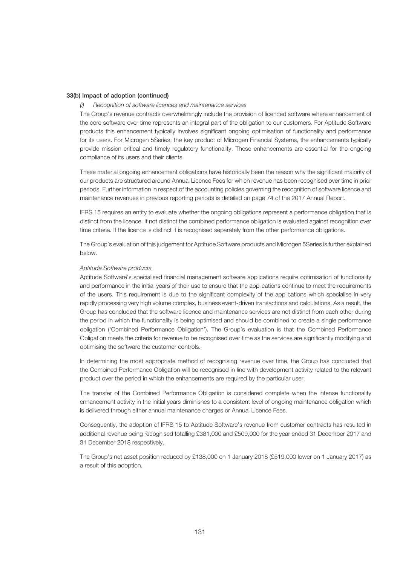#### 33(b) Impact of adoption (continued)

#### *(i) Recognition of software licences and maintenance services*

The Group's revenue contracts overwhelmingly include the provision of licenced software where enhancement of the core software over time represents an integral part of the obligation to our customers. For Aptitude Software products this enhancement typically involves significant ongoing optimisation of functionality and performance for its users. For Microgen 5Series, the key product of Microgen Financial Systems, the enhancements typically provide mission-critical and timely regulatory functionality. These enhancements are essential for the ongoing compliance of its users and their clients.

These material ongoing enhancement obligations have historically been the reason why the significant majority of our products are structured around Annual Licence Fees for which revenue has been recognised over time in prior periods. Further information in respect of the accounting policies governing the recognition of software licence and maintenance revenues in previous reporting periods is detailed on page 74 of the 2017 Annual Report.

IFRS 15 requires an entity to evaluate whether the ongoing obligations represent a performance obligation that is distinct from the licence. If not distinct the combined performance obligation is evaluated against recognition over time criteria. If the licence is distinct it is recognised separately from the other performance obligations.

The Group's evaluation of this judgement for Aptitude Software products and Microgen 5Series is further explained below.

#### *Aptitude Software products*

Aptitude Software's specialised financial management software applications require optimisation of functionality and performance in the initial years of their use to ensure that the applications continue to meet the requirements of the users. This requirement is due to the significant complexity of the applications which specialise in very rapidly processing very high volume complex, business event-driven transactions and calculations. As a result, the Group has concluded that the software licence and maintenance services are not distinct from each other during the period in which the functionality is being optimised and should be combined to create a single performance obligation ('Combined Performance Obligation'). The Group's evaluation is that the Combined Performance Obligation meets the criteria for revenue to be recognised over time as the services are significantly modifying and optimising the software the customer controls.

In determining the most appropriate method of recognising revenue over time, the Group has concluded that the Combined Performance Obligation will be recognised in line with development activity related to the relevant product over the period in which the enhancements are required by the particular user.

The transfer of the Combined Performance Obligation is considered complete when the intense functionality enhancement activity in the initial years diminishes to a consistent level of ongoing maintenance obligation which is delivered through either annual maintenance charges or Annual Licence Fees.

Consequently, the adoption of IFRS 15 to Aptitude Software's revenue from customer contracts has resulted in additional revenue being recognised totalling £381,000 and £509,000 for the year ended 31 December 2017 and 31 December 2018 respectively.

The Group's net asset position reduced by £138,000 on 1 January 2018 (£519,000 lower on 1 January 2017) as a result of this adoption.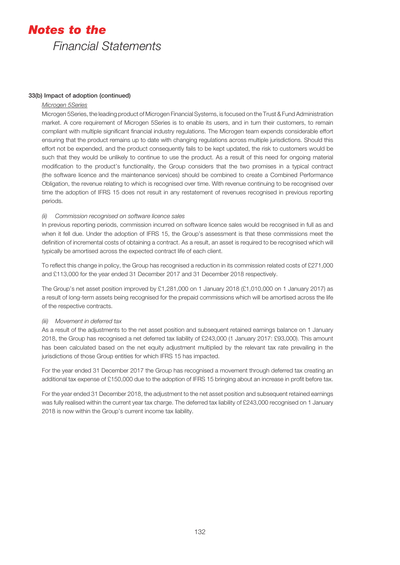## 33(b) Impact of adoption (continued)

## *Microgen 5Series*

Microgen 5Series, the leading product of Microgen Financial Systems, is focused on the Trust & Fund Administration market. A core requirement of Microgen 5Series is to enable its users, and in turn their customers, to remain compliant with multiple significant financial industry regulations. The Microgen team expends considerable effort ensuring that the product remains up to date with changing regulations across multiple jurisdictions. Should this effort not be expended, and the product consequently fails to be kept updated, the risk to customers would be such that they would be unlikely to continue to use the product. As a result of this need for ongoing material modification to the product's functionality, the Group considers that the two promises in a typical contract (the software licence and the maintenance services) should be combined to create a Combined Performance Obligation, the revenue relating to which is recognised over time. With revenue continuing to be recognised over time the adoption of IFRS 15 does not result in any restatement of revenues recognised in previous reporting periods.

## *(ii) Commission recognised on software licence sales*

In previous reporting periods, commission incurred on software licence sales would be recognised in full as and when it fell due. Under the adoption of IFRS 15, the Group's assessment is that these commissions meet the definition of incremental costs of obtaining a contract. As a result, an asset is required to be recognised which will typically be amortised across the expected contract life of each client.

To reflect this change in policy, the Group has recognised a reduction in its commission related costs of £271,000 and £113,000 for the year ended 31 December 2017 and 31 December 2018 respectively.

The Group's net asset position improved by £1,281,000 on 1 January 2018 (£1,010,000 on 1 January 2017) as a result of long-term assets being recognised for the prepaid commissions which will be amortised across the life of the respective contracts.

## *(iii) Movement in deferred tax*

As a result of the adjustments to the net asset position and subsequent retained earnings balance on 1 January 2018, the Group has recognised a net deferred tax liability of £243,000 (1 January 2017: £93,000). This amount has been calculated based on the net equity adjustment multiplied by the relevant tax rate prevailing in the jurisdictions of those Group entities for which IFRS 15 has impacted.

For the year ended 31 December 2017 the Group has recognised a movement through deferred tax creating an additional tax expense of £150,000 due to the adoption of IFRS 15 bringing about an increase in profit before tax.

For the year ended 31 December 2018, the adjustment to the net asset position and subsequent retained earnings was fully realised within the current year tax charge. The deferred tax liability of £243,000 recognised on 1 January 2018 is now within the Group's current income tax liability.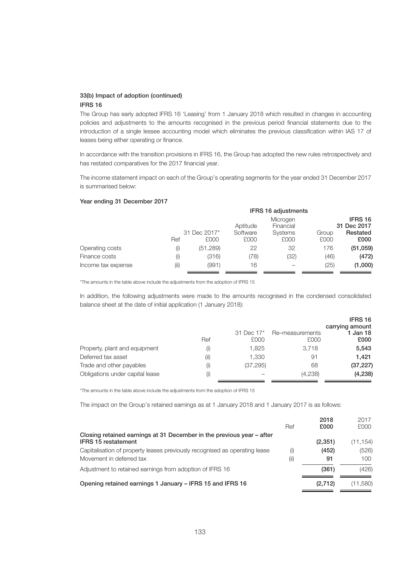## 33(b) Impact of adoption (continued) IFRS 16

The Group has early adopted IFRS 16 'Leasing' from 1 January 2018 which resulted in changes in accounting policies and adjustments to the amounts recognised in the previous period financial statements due to the introduction of a single lessee accounting model which eliminates the previous classification within IAS 17 of leases being either operating or finance.

In accordance with the transition provisions in IFRS 16, the Group has adopted the new rules retrospectively and has restated comparatives for the 2017 financial year.

The income statement impact on each of the Group's operating segments for the year ended 31 December 2017 is summarised below:

#### Year ending 31 December 2017

|                    |     |                      | <b>IFRS 16 adjustments</b>        |                        |               |                        |
|--------------------|-----|----------------------|-----------------------------------|------------------------|---------------|------------------------|
|                    |     |                      | Microgen<br>Financial<br>Aptitude |                        |               | IFRS 16<br>31 Dec 2017 |
|                    | Ref | 31 Dec 2017*<br>£000 | Software<br>£000                  | <b>Systems</b><br>£000 | Group<br>£000 | Restated<br>£000       |
| Operating costs    | (i) | (51, 289)            | 22                                | 32                     | 176           | (51, 059)              |
| Finance costs      | (i) | (316)                | (78)                              | (32)                   | (46)          | (472)                  |
| Income tax expense | (i) | (991)                | 16                                |                        | (25)          | (1,000)                |

\*The amounts in the table above include the adjustments from the adoption of IFRS 15

In addition, the following adjustments were made to the amounts recognised in the condensed consolidated balance sheet at the date of initial application (1 January 2018):

|                                 |     |            |                 | IFRS 16         |
|---------------------------------|-----|------------|-----------------|-----------------|
|                                 |     |            |                 | carrying amount |
|                                 |     | 31 Dec 17* | Re-measurements | 1 Jan 18        |
|                                 | Ref | £000       | £000            | £000            |
| Property, plant and equipment   |     | 1.825      | 3.718           | 5,543           |
| Deferred tax asset              | (i) | 1.330      | 91              | 1.421           |
| Trade and other payables        | (i) | (37, 295)  | 68              | (37, 227)       |
| Obligations under capital lease | (i) |            | (4,238)         | (4, 238)        |

\*The amounts in the table above include the adjustments from the adoption of IFRS 15

The impact on the Group's retained earnings as at 1 January 2018 and 1 January 2017 is as follows:

|                                                                                                        | Ref        | 2018<br>£000 | 2017<br>£000 |
|--------------------------------------------------------------------------------------------------------|------------|--------------|--------------|
| Closing retained earnings at 31 December in the previous year – after<br><b>IFRS 15 restatement</b>    |            | (2, 351)     | (11,154)     |
| Capitalisation of property leases previously recognised as operating lease<br>Movement in deferred tax | (i)<br>(i) | (452)<br>91  | (526)<br>100 |
| Adjustment to retained earnings from adoption of IFRS 16                                               |            | (361)        | (426)        |
| Opening retained earnings 1 January - IFRS 15 and IFRS 16                                              |            | (2,712)      | (11,580)     |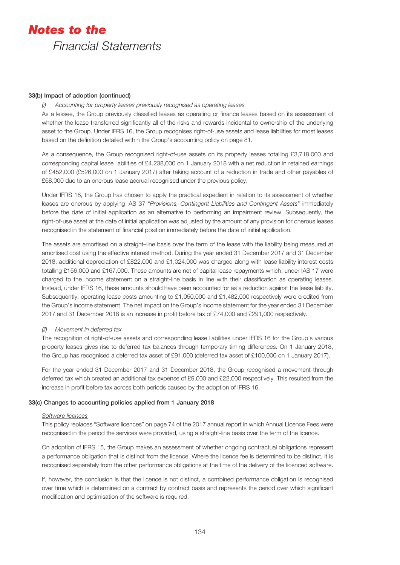#### 33(b) Impact of adoption (continued)

*(i) Accounting for property leases previously recognised as operating leases*

As a lessee, the Group previously classified leases as operating or finance leases based on its assessment of whether the lease transferred significantly all of the risks and rewards incidental to ownership of the underlying asset to the Group. Under IFRS 16, the Group recognises right-of-use assets and lease liabilities for most leases based on the definition detailed within the Group's accounting policy on page 81.

As a consequence, the Group recognised right-of-use assets on its property leases totalling £3,718,000 and corresponding capital lease liabilities of £4,238,000 on 1 January 2018 with a net reduction in retained earnings of £452,000 (£526,000 on 1 January 2017) after taking account of a reduction in trade and other payables of £68,000 due to an onerous lease accrual recognised under the previous policy.

Under IFRS 16, the Group has chosen to apply the practical expedient in relation to its assessment of whether leases are onerous by applying IAS 37 "*Provisions, Contingent Liabilities and Contingent Assets*" immediately before the date of initial application as an alternative to performing an impairment review. Subsequently, the right-of-use asset at the date of initial application was adjusted by the amount of any provision for onerous leases recognised in the statement of financial position immediately before the date of initial application.

The assets are amortised on a straight–line basis over the term of the lease with the liability being measured at amortised cost using the effective interest method. During the year ended 31 December 2017 and 31 December 2018, additional depreciation of £822,000 and £1,024,000 was charged along with lease liability interest costs totalling £156,000 and £167,000. These amounts are net of capital lease repayments which, under IAS 17 were charged to the income statement on a straight-line basis in line with their classification as operating leases. Instead, under IFRS 16, these amounts should have been accounted for as a reduction against the lease liability. Subsequently, operating lease costs amounting to £1,050,000 and £1,482,000 respectively were credited from the Group's income statement. The net impact on the Group's income statement for the year ended 31 December 2017 and 31 December 2018 is an increase in profit before tax of £74,000 and £291,000 respectively.

## *(ii) Movement in deferred tax*

The recognition of right-of-use assets and corresponding lease liabilities under IFRS 16 for the Group's various property leases gives rise to deferred tax balances through temporary timing differences. On 1 January 2018, the Group has recognised a deferred tax asset of £91,000 (deferred tax asset of £100,000 on 1 January 2017).

For the year ended 31 December 2017 and 31 December 2018, the Group recognised a movement through deferred tax which created an additional tax expense of £9,000 and £22,000 respectively. This resulted from the increase in profit before tax across both periods caused by the adoption of IFRS 16.

### 33(c) Changes to accounting policies applied from 1 January 2018

#### *Software licences*

This policy replaces "Software licences" on page 74 of the 2017 annual report in which Annual Licence Fees were recognised in the period the services were provided, using a straight-line basis over the term of the licence.

On adoption of IFRS 15, the Group makes an assessment of whether ongoing contractual obligations represent a performance obligation that is distinct from the licence. Where the licence fee is determined to be distinct, it is recognised separately from the other performance obligations at the time of the delivery of the licenced software.

If, however, the conclusion is that the licence is not distinct, a combined performance obligation is recognised over time which is determined on a contract by contract basis and represents the period over which significant modification and optimisation of the software is required.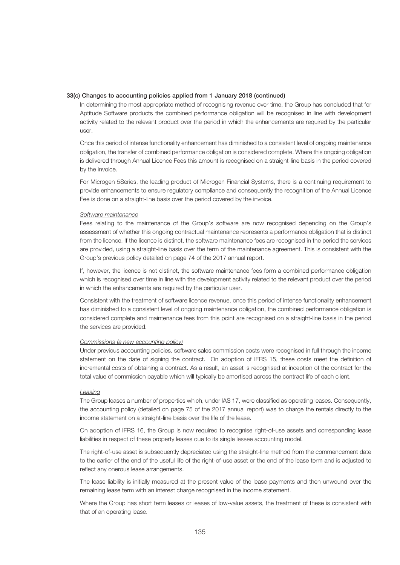#### 33(c) Changes to accounting policies applied from 1 January 2018 (continued)

In determining the most appropriate method of recognising revenue over time, the Group has concluded that for Aptitude Software products the combined performance obligation will be recognised in line with development activity related to the relevant product over the period in which the enhancements are required by the particular user.

Once this period of intense functionality enhancement has diminished to a consistent level of ongoing maintenance obligation, the transfer of combined performance obligation is considered complete. Where this ongoing obligation is delivered through Annual Licence Fees this amount is recognised on a straight-line basis in the period covered by the invoice.

For Microgen 5Series, the leading product of Microgen Financial Systems, there is a continuing requirement to provide enhancements to ensure regulatory compliance and consequently the recognition of the Annual Licence Fee is done on a straight-line basis over the period covered by the invoice.

#### *Software maintenance*

Fees relating to the maintenance of the Group's software are now recognised depending on the Group's assessment of whether this ongoing contractual maintenance represents a performance obligation that is distinct from the licence. If the licence is distinct, the software maintenance fees are recognised in the period the services are provided, using a straight-line basis over the term of the maintenance agreement. This is consistent with the Group's previous policy detailed on page 74 of the 2017 annual report.

If, however, the licence is not distinct, the software maintenance fees form a combined performance obligation which is recognised over time in line with the development activity related to the relevant product over the period in which the enhancements are required by the particular user.

Consistent with the treatment of software licence revenue, once this period of intense functionality enhancement has diminished to a consistent level of ongoing maintenance obligation, the combined performance obligation is considered complete and maintenance fees from this point are recognised on a straight-line basis in the period the services are provided.

#### *Commissions (a new accounting policy)*

Under previous accounting policies, software sales commission costs were recognised in full through the income statement on the date of signing the contract. On adoption of IFRS 15, these costs meet the definition of incremental costs of obtaining a contract. As a result, an asset is recognised at inception of the contract for the total value of commission payable which will typically be amortised across the contract life of each client.

#### *Leasing*

The Group leases a number of properties which, under IAS 17, were classified as operating leases. Consequently, the accounting policy (detailed on page 75 of the 2017 annual report) was to charge the rentals directly to the income statement on a straight-line basis over the life of the lease.

On adoption of IFRS 16, the Group is now required to recognise right-of-use assets and corresponding lease liabilities in respect of these property leases due to its single lessee accounting model.

The right-of-use asset is subsequently depreciated using the straight-line method from the commencement date to the earlier of the end of the useful life of the right-of-use asset or the end of the lease term and is adjusted to reflect any onerous lease arrangements.

The lease liability is initially measured at the present value of the lease payments and then unwound over the remaining lease term with an interest charge recognised in the income statement.

Where the Group has short term leases or leases of low-value assets, the treatment of these is consistent with that of an operating lease.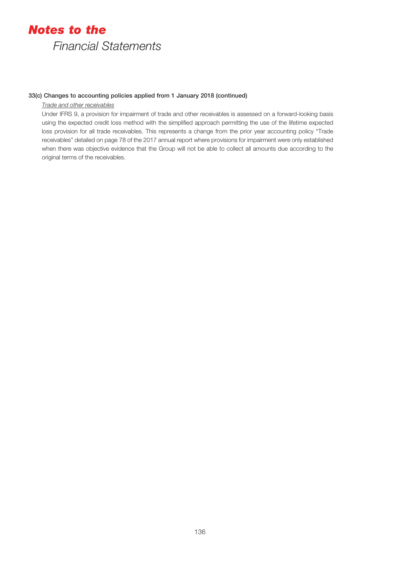### 33(c) Changes to accounting policies applied from 1 January 2018 (continued)

#### *Trade and other receivables*

Under IFRS 9, a provision for impairment of trade and other receivables is assessed on a forward-looking basis using the expected credit loss method with the simplified approach permitting the use of the lifetime expected loss provision for all trade receivables. This represents a change from the prior year accounting policy "Trade receivables" detailed on page 78 of the 2017 annual report where provisions for impairment were only established when there was objective evidence that the Group will not be able to collect all amounts due according to the original terms of the receivables.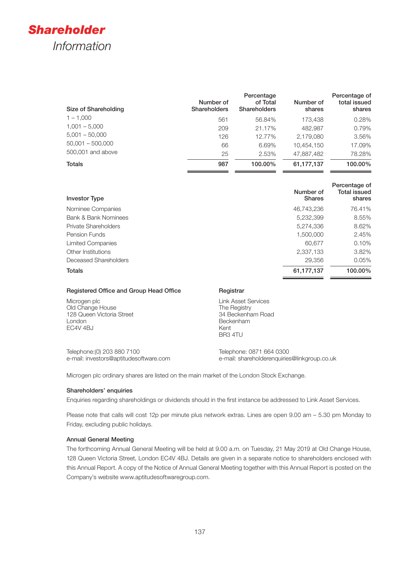

| Size of Shareholding | Number of<br><b>Shareholders</b> | Percentage<br>of Total<br><b>Shareholders</b> | Number of<br>shares | Percentage of<br>total issued<br>shares |
|----------------------|----------------------------------|-----------------------------------------------|---------------------|-----------------------------------------|
| $1 - 1.000$          | 561                              | 56.84%                                        | 173,438             | 0.28%                                   |
| $1,001 - 5,000$      | 209                              | 21.17%                                        | 482,987             | 0.79%                                   |
| $5,001 - 50,000$     | 126                              | 12.77%                                        | 2,179,080           | 3.56%                                   |
| $50,001 - 500,000$   | 66                               | 6.69%                                         | 10,454,150          | 17.09%                                  |
| 500,001 and above    | 25                               | 2.53%                                         | 47,887,482          | 78.28%                                  |
| <b>Totals</b>        | 987                              | 100.00%                                       | 61,177,137          | 100.00%                                 |

| <b>Investor Type</b>        | Number of<br><b>Shares</b> | Percentage of<br><b>Total issued</b><br>shares |
|-----------------------------|----------------------------|------------------------------------------------|
| Nominee Companies           | 46.743.236                 | 76.41%                                         |
| Bank & Bank Nominees        | 5,232,399                  | 8.55%                                          |
| <b>Private Shareholders</b> | 5,274,336                  | 8.62%                                          |
| Pension Funds               | 1,500,000                  | 2.45%                                          |
| Limited Companies           | 60,677                     | 0.10%                                          |
| Other Institutions          | 2,337,133                  | 3.82%                                          |
| Deceased Shareholders       | 29,356                     | 0.05%                                          |
| <b>Totals</b>               | 61,177,137                 | 100.00%                                        |
|                             |                            |                                                |

### Registered Office and Group Head Office Registrar

Microgen plc Old Change House 128 Queen Victoria Street London EC4V 4BJ

Link Asset Services The Registry 34 Beckenham Road Beckenham Kent BR3 4TU

Telephone:(0) 203 880 7100 e-mail: investors@aptitudesoftware.com Telephone: 0871 664 0300 e-mail: shareholderenquiries@linkgroup.co.uk

Microgen plc ordinary shares are listed on the main market of the London Stock Exchange.

#### Shareholders' enquiries

Enquiries regarding shareholdings or dividends should in the first instance be addressed to Link Asset Services.

Please note that calls will cost 12p per minute plus network extras. Lines are open 9.00 am – 5.30 pm Monday to Friday, excluding public holidays.

#### Annual General Meeting

The forthcoming Annual General Meeting will be held at 9.00 a.m. on Tuesday, 21 May 2019 at Old Change House, 128 Queen Victoria Street, London EC4V 4BJ. Details are given in a separate notice to shareholders enclosed with this Annual Report. A copy of the Notice of Annual General Meeting together with this Annual Report is posted on the Company's website www.aptitudesoftwaregroup.com.